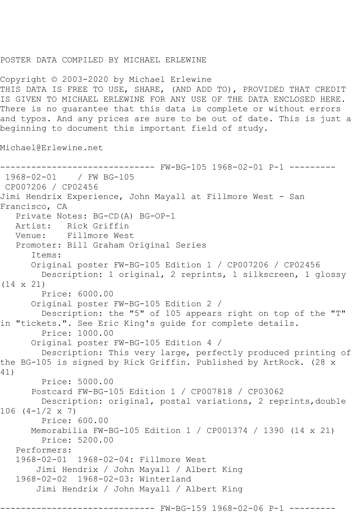## POSTER DATA COMPILED BY MICHAEL ERLEWINE

Copyright © 2003-2020 by Michael Erlewine THIS DATA IS FREE TO USE, SHARE, (AND ADD TO), PROVIDED THAT CREDIT IS GIVEN TO MICHAEL ERLEWINE FOR ANY USE OF THE DATA ENCLOSED HERE. There is no guarantee that this data is complete or without errors and typos. And any prices are sure to be out of date. This is just a beginning to document this important field of study.

Michael@Erlewine.net

------------------------------ FW-BG-105 1968-02-01 P-1 --------- 1968-02-01 / FW BG-105 CP007206 / CP02456 Jimi Hendrix Experience, John Mayall at Fillmore West - San Francisco, CA Private Notes: BG-CD(A) BG-OP-1 Artist: Rick Griffin<br>Venue: Fillmore West Fillmore West Promoter: Bill Graham Original Series Items: Original poster FW-BG-105 Edition 1 / CP007206 / CP02456 Description: 1 original, 2 reprints, 1 silkscreen, 1 glossy (14 x 21) Price: 6000.00 Original poster FW-BG-105 Edition 2 / Description: the "5" of 105 appears right on top of the "T" in "tickets.". See Eric King's guide for complete details. Price: 1000.00 Original poster FW-BG-105 Edition 4 / Description: This very large, perfectly produced printing of the BG-105 is signed by Rick Griffin. Published by ArtRock. (28 x 41) Price: 5000.00 Postcard FW-BG-105 Edition 1 / CP007818 / CP03062 Description: original, postal variations, 2 reprints,double  $106 (4-1/2 \times 7)$  Price: 600.00 Memorabilia FW-BG-105 Edition 1 / CP001374 / 1390 (14 x 21) Price: 5200.00 Performers: 1968-02-01 1968-02-04: Fillmore West Jimi Hendrix / John Mayall / Albert King 1968-02-02 1968-02-03: Winterland Jimi Hendrix / John Mayall / Albert King ------- FW-BG-159 1968-02-06 P-1 -------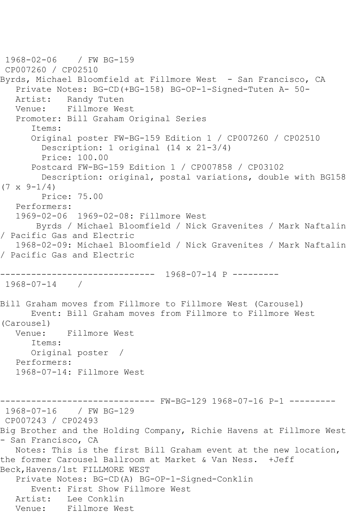1968-02-06 / FW BG-159 CP007260 / CP02510 Byrds, Michael Bloomfield at Fillmore West - San Francisco, CA Private Notes: BG-CD(+BG-158) BG-OP-1-Signed-Tuten A- 50- Artist: Randy Tuten Venue: Fillmore West Promoter: Bill Graham Original Series Items: Original poster FW-BG-159 Edition 1 / CP007260 / CP02510 Description: 1 original (14 x 21-3/4) Price: 100.00 Postcard FW-BG-159 Edition 1 / CP007858 / CP03102 Description: original, postal variations, double with BG158  $(7 \times 9 - 1/4)$  Price: 75.00 Performers: 1969-02-06 1969-02-08: Fillmore West Byrds / Michael Bloomfield / Nick Gravenites / Mark Naftalin / Pacific Gas and Electric 1968-02-09: Michael Bloomfield / Nick Gravenites / Mark Naftalin / Pacific Gas and Electric ------------------------------ 1968-07-14 P --------- 1968-07-14 / Bill Graham moves from Fillmore to Fillmore West (Carousel) Event: Bill Graham moves from Fillmore to Fillmore West (Carousel) Venue: Fillmore West Items: Original poster / Performers: 1968-07-14: Fillmore West ------------------------------ FW-BG-129 1968-07-16 P-1 --------- 1968-07-16 / FW BG-129 CP007243 / CP02493 Big Brother and the Holding Company, Richie Havens at Fillmore West - San Francisco, CA Notes: This is the first Bill Graham event at the new location, the former Carousel Ballroom at Market & Van Ness. +Jeff Beck,Havens/1st FILLMORE WEST Private Notes: BG-CD(A) BG-OP-1-Signed-Conklin Event: First Show Fillmore West Artist: Lee Conklin Venue: Fillmore West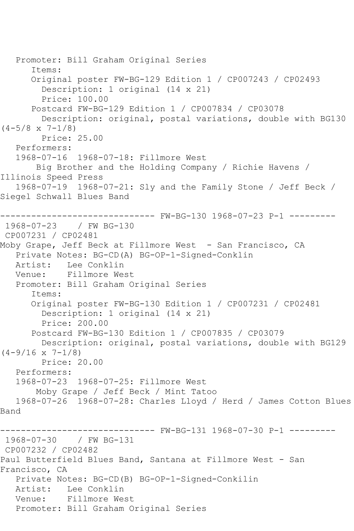```
 Promoter: Bill Graham Original Series
       Items:
       Original poster FW-BG-129 Edition 1 / CP007243 / CP02493
         Description: 1 original (14 x 21)
         Price: 100.00
       Postcard FW-BG-129 Edition 1 / CP007834 / CP03078
         Description: original, postal variations, double with BG130 
(4-5/8 \times 7-1/8) Price: 25.00
   Performers:
   1968-07-16 1968-07-18: Fillmore West
       Big Brother and the Holding Company / Richie Havens / 
Illinois Speed Press
   1968-07-19 1968-07-21: Sly and the Family Stone / Jeff Beck / 
Siegel Schwall Blues Band
------------------------------ FW-BG-130 1968-07-23 P-1 ---------
1968-07-23 / FW BG-130
CP007231 / CP02481
Moby Grape, Jeff Beck at Fillmore West - San Francisco, CA
   Private Notes: BG-CD(A) BG-OP-1-Signed-Conklin
   Artist: Lee Conklin
   Venue: Fillmore West
   Promoter: Bill Graham Original Series
       Items:
       Original poster FW-BG-130 Edition 1 / CP007231 / CP02481
         Description: 1 original (14 x 21)
         Price: 200.00
       Postcard FW-BG-130 Edition 1 / CP007835 / CP03079
         Description: original, postal variations, double with BG129 
(4-9/16 \times 7-1/8) Price: 20.00
   Performers:
   1968-07-23 1968-07-25: Fillmore West
        Moby Grape / Jeff Beck / Mint Tatoo
   1968-07-26 1968-07-28: Charles Lloyd / Herd / James Cotton Blues 
Band
------------------------------ FW-BG-131 1968-07-30 P-1 ---------
1968-07-30 / FW BG-131
CP007232 / CP02482
Paul Butterfield Blues Band, Santana at Fillmore West - San 
Francisco, CA
   Private Notes: BG-CD(B) BG-OP-1-Signed-Conkilin
   Artist: Lee Conklin
   Venue: Fillmore West
   Promoter: Bill Graham Original Series
```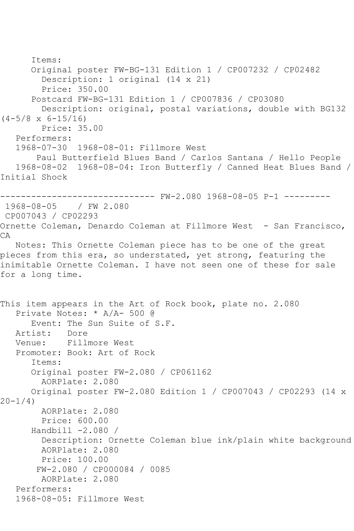```
 Items:
       Original poster FW-BG-131 Edition 1 / CP007232 / CP02482
         Description: 1 original (14 x 21)
         Price: 350.00
       Postcard FW-BG-131 Edition 1 / CP007836 / CP03080
         Description: original, postal variations, double with BG132 
(4-5/8 \times 6-15/16) Price: 35.00
   Performers:
   1968-07-30 1968-08-01: Fillmore West
        Paul Butterfield Blues Band / Carlos Santana / Hello People
   1968-08-02 1968-08-04: Iron Butterfly / Canned Heat Blues Band / 
Initial Shock
------------------------------ FW-2.080 1968-08-05 P-1 ---------
1968-08-05 / FW 2.080
CP007043 / CP02293
Ornette Coleman, Denardo Coleman at Fillmore West - San Francisco,
CA
   Notes: This Ornette Coleman piece has to be one of the great 
pieces from this era, so understated, yet strong, featuring the 
inimitable Ornette Coleman. I have not seen one of these for sale 
for a long time.
This item appears in the Art of Rock book, plate no. 2.080
   Private Notes: * A/A- 500 @
      Event: The Sun Suite of S.F.
   Artist: Dore
   Venue: Fillmore West
   Promoter: Book: Art of Rock
       Items:
      Original poster FW-2.080 / CP061162
         AORPlate: 2.080 
       Original poster FW-2.080 Edition 1 / CP007043 / CP02293 (14 x 
20 - 1/4)
         AORPlate: 2.080 
         Price: 600.00
      Handbill -2.080 / Description: Ornette Coleman blue ink/plain white background
         AORPlate: 2.080 
         Price: 100.00
        FW-2.080 / CP000084 / 0085
         AORPlate: 2.080 
   Performers:
   1968-08-05: Fillmore West
```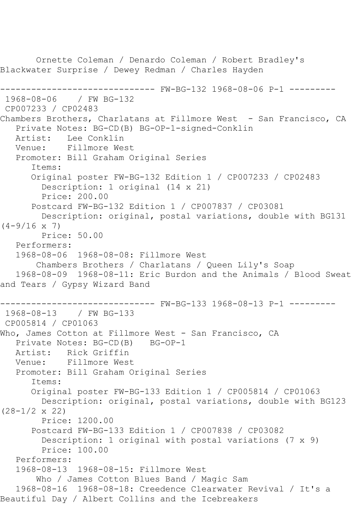Ornette Coleman / Denardo Coleman / Robert Bradley's Blackwater Surprise / Dewey Redman / Charles Hayden ------------------------------ FW-BG-132 1968-08-06 P-1 --------- 1968-08-06 / FW BG-132 CP007233 / CP02483 Chambers Brothers, Charlatans at Fillmore West - San Francisco, CA Private Notes: BG-CD(B) BG-OP-1-signed-Conklin Artist: Lee Conklin Venue: Fillmore West Promoter: Bill Graham Original Series Items: Original poster FW-BG-132 Edition 1 / CP007233 / CP02483 Description: 1 original (14 x 21) Price: 200.00 Postcard FW-BG-132 Edition 1 / CP007837 / CP03081 Description: original, postal variations, double with BG131  $(4-9/16 \times 7)$  Price: 50.00 Performers: 1968-08-06 1968-08-08: Fillmore West Chambers Brothers / Charlatans / Queen Lily's Soap 1968-08-09 1968-08-11: Eric Burdon and the Animals / Blood Sweat and Tears / Gypsy Wizard Band ------------------------------ FW-BG-133 1968-08-13 P-1 --------- 1968-08-13 / FW BG-133 CP005814 / CP01063 Who, James Cotton at Fillmore West - San Francisco, CA Private Notes: BG-CD(B) BG-OP-1 Artist: Rick Griffin Venue: Fillmore West Promoter: Bill Graham Original Series Items: Original poster FW-BG-133 Edition 1 / CP005814 / CP01063 Description: original, postal variations, double with BG123 (28-1/2 x 22) Price: 1200.00 Postcard FW-BG-133 Edition 1 / CP007838 / CP03082 Description: 1 original with postal variations (7 x 9) Price: 100.00 Performers: 1968-08-13 1968-08-15: Fillmore West Who / James Cotton Blues Band / Magic Sam 1968-08-16 1968-08-18: Creedence Clearwater Revival / It's a Beautiful Day / Albert Collins and the Icebreakers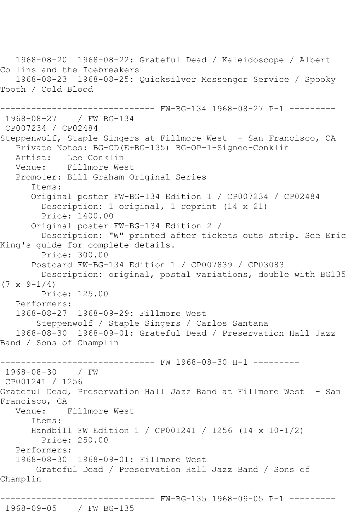1968-08-20 1968-08-22: Grateful Dead / Kaleidoscope / Albert Collins and the Icebreakers 1968-08-23 1968-08-25: Quicksilver Messenger Service / Spooky Tooth / Cold Blood ------ FW-BG-134 1968-08-27 P-1 ---------1968-08-27 / FW BG-134 CP007234 / CP02484 Steppenwolf, Staple Singers at Fillmore West - San Francisco, CA Private Notes: BG-CD(E+BG-135) BG-OP-1-Signed-Conklin Artist: Lee Conklin<br>Venue: Fillmore We: Fillmore West Promoter: Bill Graham Original Series Items: Original poster FW-BG-134 Edition 1 / CP007234 / CP02484 Description: 1 original, 1 reprint (14 x 21) Price: 1400.00 Original poster FW-BG-134 Edition 2 / Description: "W" printed after tickets outs strip. See Eric King's guide for complete details. Price: 300.00 Postcard FW-BG-134 Edition 1 / CP007839 / CP03083 Description: original, postal variations, double with BG135  $(7 \times 9 - 1/4)$  Price: 125.00 Performers: 1968-08-27 1968-09-29: Fillmore West Steppenwolf / Staple Singers / Carlos Santana 1968-08-30 1968-09-01: Grateful Dead / Preservation Hall Jazz Band / Sons of Champlin ------------------------------ FW 1968-08-30 H-1 --------- 1968-08-30 / FW CP001241 / 1256 Grateful Dead, Preservation Hall Jazz Band at Fillmore West - San Francisco, CA<br>Venue: I Fillmore West Items: Handbill FW Edition 1 / CP001241 / 1256 (14 x 10-1/2) Price: 250.00 Performers: 1968-08-30 1968-09-01: Fillmore West Grateful Dead / Preservation Hall Jazz Band / Sons of Champlin ------------------------------ FW-BG-135 1968-09-05 P-1 --------- 1968-09-05 / FW BG-135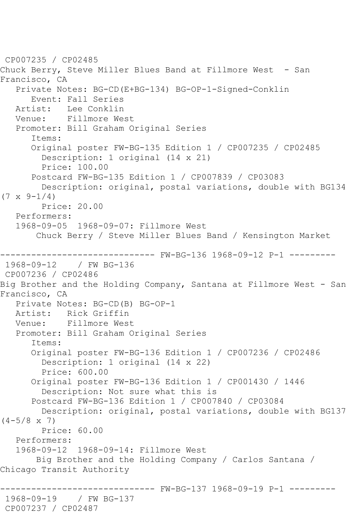CP007235 / CP02485 Chuck Berry, Steve Miller Blues Band at Fillmore West - San Francisco, CA Private Notes: BG-CD(E+BG-134) BG-OP-1-Signed-Conklin Event: Fall Series<br>Artist: Lee Conklin Lee Conklin Venue: Fillmore West Promoter: Bill Graham Original Series Items: Original poster FW-BG-135 Edition 1 / CP007235 / CP02485 Description: 1 original (14 x 21) Price: 100.00 Postcard FW-BG-135 Edition 1 / CP007839 / CP03083 Description: original, postal variations, double with BG134  $(7 \times 9-1/4)$  Price: 20.00 Performers: 1968-09-05 1968-09-07: Fillmore West Chuck Berry / Steve Miller Blues Band / Kensington Market ------------------------------ FW-BG-136 1968-09-12 P-1 --------- 1968-09-12 / FW BG-136 CP007236 / CP02486 Big Brother and the Holding Company, Santana at Fillmore West - San Francisco, CA Private Notes: BG-CD(B) BG-OP-1 Artist: Rick Griffin Venue: Fillmore West Promoter: Bill Graham Original Series Items: Original poster FW-BG-136 Edition 1 / CP007236 / CP02486 Description: 1 original (14 x 22) Price: 600.00 Original poster FW-BG-136 Edition 1 / CP001430 / 1446 Description: Not sure what this is Postcard FW-BG-136 Edition 1 / CP007840 / CP03084 Description: original, postal variations, double with BG137  $(4-5/8 \times 7)$  Price: 60.00 Performers: 1968-09-12 1968-09-14: Fillmore West Big Brother and the Holding Company / Carlos Santana / Chicago Transit Authority ------------------------------ FW-BG-137 1968-09-19 P-1 --------- 1968-09-19 / FW BG-137 CP007237 / CP02487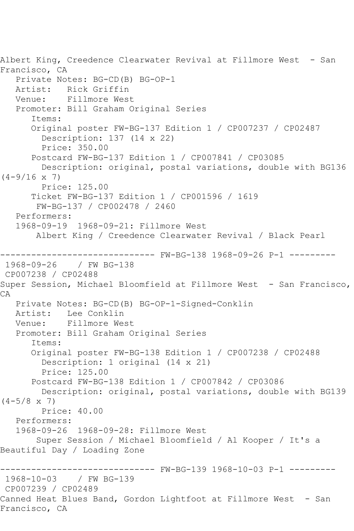Albert King, Creedence Clearwater Revival at Fillmore West - San Francisco, CA Private Notes: BG-CD(B) BG-OP-1 Artist: Rick Griffin<br>Venue: Fillmore Wes Fillmore West Promoter: Bill Graham Original Series Items: Original poster FW-BG-137 Edition 1 / CP007237 / CP02487 Description: 137 (14 x 22) Price: 350.00 Postcard FW-BG-137 Edition 1 / CP007841 / CP03085 Description: original, postal variations, double with BG136  $(4-9/16 \times 7)$  Price: 125.00 Ticket FW-BG-137 Edition 1 / CP001596 / 1619 FW-BG-137 / CP002478 / 2460 Performers: 1968-09-19 1968-09-21: Fillmore West Albert King / Creedence Clearwater Revival / Black Pearl ------------------------------ FW-BG-138 1968-09-26 P-1 --------- 1968-09-26 / FW BG-138 CP007238 / CP02488 Super Session, Michael Bloomfield at Fillmore West - San Francisco, CA Private Notes: BG-CD(B) BG-OP-1-Signed-Conklin Lee Conklin Venue: Fillmore West Promoter: Bill Graham Original Series Items: Original poster FW-BG-138 Edition 1 / CP007238 / CP02488 Description: 1 original (14 x 21) Price: 125.00 Postcard FW-BG-138 Edition 1 / CP007842 / CP03086 Description: original, postal variations, double with BG139  $(4-5/8 \times 7)$  Price: 40.00 Performers: 1968-09-26 1968-09-28: Fillmore West Super Session / Michael Bloomfield / Al Kooper / It's a Beautiful Day / Loading Zone ------------------------------ FW-BG-139 1968-10-03 P-1 --------- 1968-10-03 / FW BG-139 CP007239 / CP02489 Canned Heat Blues Band, Gordon Lightfoot at Fillmore West - San Francisco, CA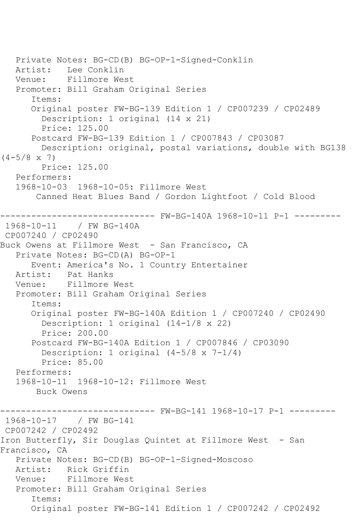```
 Private Notes: BG-CD(B) BG-OP-1-Signed-Conklin
   Artist: Lee Conklin
   Venue: Fillmore West
    Promoter: Bill Graham Original Series
       Items:
       Original poster FW-BG-139 Edition 1 / CP007239 / CP02489
         Description: 1 original (14 x 21)
         Price: 125.00
       Postcard FW-BG-139 Edition 1 / CP007843 / CP03087
         Description: original, postal variations, double with BG138 
(4-5/8 \times 7) Price: 125.00
    Performers:
    1968-10-03 1968-10-05: Fillmore West
        Canned Heat Blues Band / Gordon Lightfoot / Cold Blood
------------------------------ FW-BG-140A 1968-10-11 P-1 ---------
1968-10-11 / FW BG-140A
CP007240 / CP02490
Buck Owens at Fillmore West - San Francisco, CA
    Private Notes: BG-CD(A) BG-OP-1
       Event: America's No. 1 Country Entertainer
  Artist: Pat Hanks<br>Venue: Fillmore I
            Fillmore West
   Promoter: Bill Graham Original Series
       Items:
       Original poster FW-BG-140A Edition 1 / CP007240 / CP02490
         Description: 1 original (14-1/8 x 22)
         Price: 200.00
       Postcard FW-BG-140A Edition 1 / CP007846 / CP03090
         Description: 1 original (4-5/8 x 7-1/4)
         Price: 85.00
    Performers:
    1968-10-11 1968-10-12: Fillmore West
        Buck Owens
------------------------------ FW-BG-141 1968-10-17 P-1 ---------
1968-10-17 / FW BG-141
CP007242 / CP02492
Iron Butterfly, Sir Douglas Quintet at Fillmore West - San 
Francisco, CA
    Private Notes: BG-CD(B) BG-OP-1-Signed-Moscoso
  Artist: Rick Griffin<br>Venue: Fillmore Wes
            Fillmore West
   Promoter: Bill Graham Original Series
       Items:
       Original poster FW-BG-141 Edition 1 / CP007242 / CP02492
```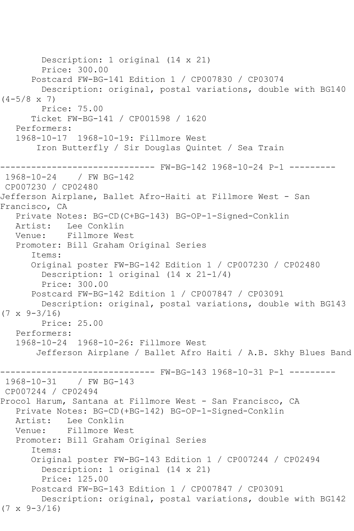Description: 1 original (14 x 21) Price: 300.00 Postcard FW-BG-141 Edition 1 / CP007830 / CP03074 Description: original, postal variations, double with BG140  $(4-5/8 \times 7)$  Price: 75.00 Ticket FW-BG-141 / CP001598 / 1620 Performers: 1968-10-17 1968-10-19: Fillmore West Iron Butterfly / Sir Douglas Quintet / Sea Train ------------------------------ FW-BG-142 1968-10-24 P-1 --------- 1968-10-24 / FW BG-142 CP007230 / CP02480 Jefferson Airplane, Ballet Afro-Haiti at Fillmore West - San Francisco, CA Private Notes: BG-CD(C+BG-143) BG-OP-1-Signed-Conklin Artist: Lee Conklin<br>Venue: Fillmore We: Fillmore West Promoter: Bill Graham Original Series Items: Original poster FW-BG-142 Edition 1 / CP007230 / CP02480 Description: 1 original (14 x 21-1/4) Price: 300.00 Postcard FW-BG-142 Edition 1 / CP007847 / CP03091 Description: original, postal variations, double with BG143  $(7 \times 9 - 3/16)$  Price: 25.00 Performers: 1968-10-24 1968-10-26: Fillmore West Jefferson Airplane / Ballet Afro Haiti / A.B. Skhy Blues Band ------------------------------ FW-BG-143 1968-10-31 P-1 ---------  $1968 - 10 - 31$ CP007244 / CP02494 Procol Harum, Santana at Fillmore West - San Francisco, CA Private Notes: BG-CD(+BG-142) BG-OP-1-Signed-Conklin Lee Conklin Venue: Fillmore West Promoter: Bill Graham Original Series Items: Original poster FW-BG-143 Edition 1 / CP007244 / CP02494 Description: 1 original (14 x 21) Price: 125.00 Postcard FW-BG-143 Edition 1 / CP007847 / CP03091 Description: original, postal variations, double with BG142  $(7 \times 9 - 3/16)$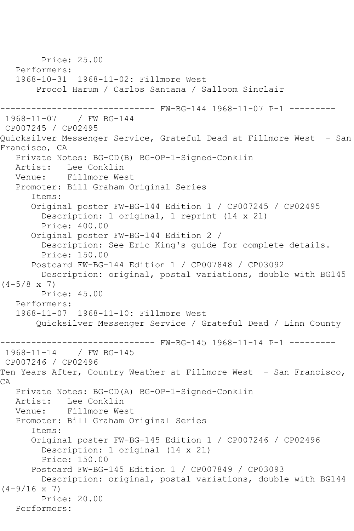```
 Price: 25.00
    Performers:
    1968-10-31 1968-11-02: Fillmore West
        Procol Harum / Carlos Santana / Salloom Sinclair
                    ------------------------------ FW-BG-144 1968-11-07 P-1 ---------
1968-11-07 / FW BG-144
CP007245 / CP02495
Quicksilver Messenger Service, Grateful Dead at Fillmore West - San 
Francisco, CA
   Private Notes: BG-CD(B) BG-OP-1-Signed-Conklin
  Artist: Lee Conklin<br>Venue: Fillmore We:
            Fillmore West
   Promoter: Bill Graham Original Series
       Items:
       Original poster FW-BG-144 Edition 1 / CP007245 / CP02495
         Description: 1 original, 1 reprint (14 x 21)
         Price: 400.00
       Original poster FW-BG-144 Edition 2 / 
         Description: See Eric King's guide for complete details.
         Price: 150.00
       Postcard FW-BG-144 Edition 1 / CP007848 / CP03092
         Description: original, postal variations, double with BG145 
(4-5/8 \times 7) Price: 45.00
   Performers:
    1968-11-07 1968-11-10: Fillmore West
        Quicksilver Messenger Service / Grateful Dead / Linn County
------------------------------ FW-BG-145 1968-11-14 P-1 ---------
1968 - 11 - 14CP007246 / CP02496
Ten Years After, Country Weather at Fillmore West - San Francisco,
CA
   Private Notes: BG-CD(A) BG-OP-1-Signed-Conklin
   Artist: Lee Conklin
    Venue: Fillmore West
    Promoter: Bill Graham Original Series
       Items:
       Original poster FW-BG-145 Edition 1 / CP007246 / CP02496
         Description: 1 original (14 x 21)
         Price: 150.00
       Postcard FW-BG-145 Edition 1 / CP007849 / CP03093
         Description: original, postal variations, double with BG144 
(4-9/16 \times 7) Price: 20.00
   Performers:
```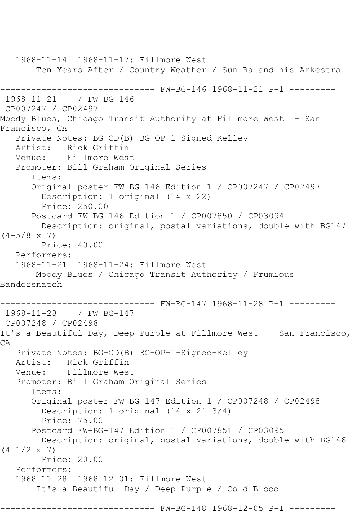1968-11-14 1968-11-17: Fillmore West Ten Years After / Country Weather / Sun Ra and his Arkestra ------------------------------ FW-BG-146 1968-11-21 P-1 --------- 1968-11-21 / FW BG-146 CP007247 / CP02497 Moody Blues, Chicago Transit Authority at Fillmore West - San Francisco, CA Private Notes: BG-CD(B) BG-OP-1-Signed-Kelley Artist: Rick Griffin Venue: Fillmore West Promoter: Bill Graham Original Series Items: Original poster FW-BG-146 Edition 1 / CP007247 / CP02497 Description: 1 original (14 x 22) Price: 250.00 Postcard FW-BG-146 Edition 1 / CP007850 / CP03094 Description: original, postal variations, double with BG147  $(4-5/8 \times 7)$  Price: 40.00 Performers: 1968-11-21 1968-11-24: Fillmore West Moody Blues / Chicago Transit Authority / Frumious Bandersnatch ------------------------------ FW-BG-147 1968-11-28 P-1 --------- 1968-11-28 / FW BG-147 CP007248 / CP02498 It's a Beautiful Day, Deep Purple at Fillmore West - San Francisco, CA Private Notes: BG-CD(B) BG-OP-1-Signed-Kelley Artist: Rick Griffin<br>Venue: Fillmore West Fillmore West Promoter: Bill Graham Original Series Items: Original poster FW-BG-147 Edition 1 / CP007248 / CP02498 Description: 1 original (14 x 21-3/4) Price: 75.00 Postcard FW-BG-147 Edition 1 / CP007851 / CP03095 Description: original, postal variations, double with BG146  $(4-1/2 \times 7)$  Price: 20.00 Performers: 1968-11-28 1968-12-01: Fillmore West It's a Beautiful Day / Deep Purple / Cold Blood ------------------------------ FW-BG-148 1968-12-05 P-1 ---------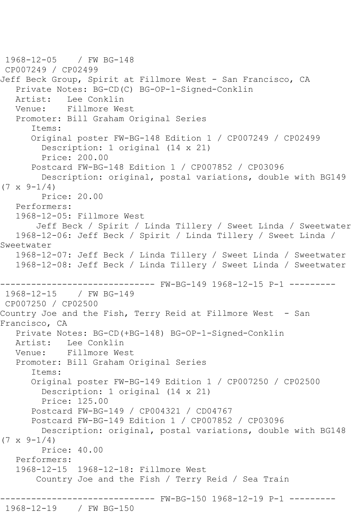1968-12-05 / FW BG-148 CP007249 / CP02499 Jeff Beck Group, Spirit at Fillmore West - San Francisco, CA Private Notes: BG-CD(C) BG-OP-1-Signed-Conklin Artist: Lee Conklin Venue: Fillmore West Promoter: Bill Graham Original Series Items: Original poster FW-BG-148 Edition 1 / CP007249 / CP02499 Description: 1 original (14 x 21) Price: 200.00 Postcard FW-BG-148 Edition 1 / CP007852 / CP03096 Description: original, postal variations, double with BG149  $(7 \times 9 - 1/4)$  Price: 20.00 Performers: 1968-12-05: Fillmore West Jeff Beck / Spirit / Linda Tillery / Sweet Linda / Sweetwater 1968-12-06: Jeff Beck / Spirit / Linda Tillery / Sweet Linda / Sweetwater 1968-12-07: Jeff Beck / Linda Tillery / Sweet Linda / Sweetwater 1968-12-08: Jeff Beck / Linda Tillery / Sweet Linda / Sweetwater ------------------------------ FW-BG-149 1968-12-15 P-1 --------- 1968-12-15 / FW BG-149 CP007250 / CP02500 Country Joe and the Fish, Terry Reid at Fillmore West - San Francisco, CA Private Notes: BG-CD(+BG-148) BG-OP-1-Signed-Conklin Artist: Lee Conklin Venue: Fillmore West Promoter: Bill Graham Original Series Items: Original poster FW-BG-149 Edition 1 / CP007250 / CP02500 Description: 1 original (14 x 21) Price: 125.00 Postcard FW-BG-149 / CP004321 / CD04767 Postcard FW-BG-149 Edition 1 / CP007852 / CP03096 Description: original, postal variations, double with BG148  $(7 \times 9 - 1/4)$  Price: 40.00 Performers: 1968-12-15 1968-12-18: Fillmore West Country Joe and the Fish / Terry Reid / Sea Train ------------------------------ FW-BG-150 1968-12-19 P-1 --------- 1968-12-19 / FW BG-150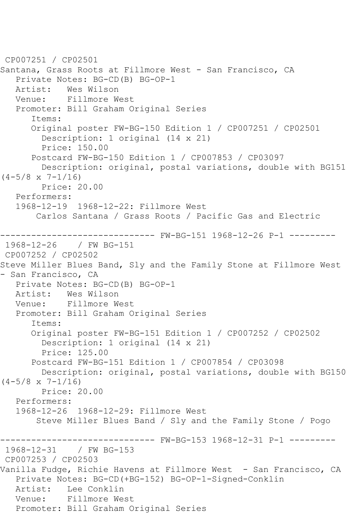```
CP007251 / CP02501
Santana, Grass Roots at Fillmore West - San Francisco, CA
    Private Notes: BG-CD(B) BG-OP-1
  Artist: Wes Wilson<br>Venue: Fillmore W
            Fillmore West
    Promoter: Bill Graham Original Series
       Items:
       Original poster FW-BG-150 Edition 1 / CP007251 / CP02501
         Description: 1 original (14 x 21)
         Price: 150.00
       Postcard FW-BG-150 Edition 1 / CP007853 / CP03097
         Description: original, postal variations, double with BG151 
(4-5/8 \times 7-1/16) Price: 20.00
    Performers:
    1968-12-19 1968-12-22: Fillmore West
        Carlos Santana / Grass Roots / Pacific Gas and Electric
                      --------- FW-BG-151 1968-12-26 P-1 ---------
1968-12-26 / FW BG-151
CP007252 / CP02502
Steve Miller Blues Band, Sly and the Family Stone at Fillmore West 
- San Francisco, CA
  Private Notes: BG-CD(B) BG-OP-1<br>Artist: Wes Wilson
  Artist: Wes Wilson<br>Venue: Fillmore W
            Fillmore West
    Promoter: Bill Graham Original Series
       Items:
       Original poster FW-BG-151 Edition 1 / CP007252 / CP02502
         Description: 1 original (14 x 21)
         Price: 125.00
       Postcard FW-BG-151 Edition 1 / CP007854 / CP03098
         Description: original, postal variations, double with BG150 
(4-5/8 \times 7-1/16) Price: 20.00
    Performers:
    1968-12-26 1968-12-29: Fillmore West
        Steve Miller Blues Band / Sly and the Family Stone / Pogo
------------------------------ FW-BG-153 1968-12-31 P-1 ---------
               / FW BG-153
CP007253 / CP02503
Vanilla Fudge, Richie Havens at Fillmore West - San Francisco, CA
    Private Notes: BG-CD(+BG-152) BG-OP-1-Signed-Conklin
   Artist: Lee Conklin
   Venue: Fillmore West
   Promoter: Bill Graham Original Series
```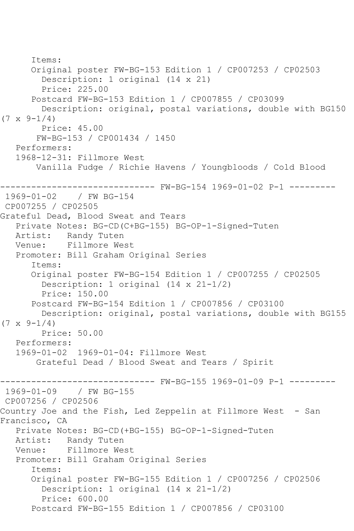Items: Original poster FW-BG-153 Edition 1 / CP007253 / CP02503 Description: 1 original (14 x 21) Price: 225.00 Postcard FW-BG-153 Edition 1 / CP007855 / CP03099 Description: original, postal variations, double with BG150  $(7 \times 9 - 1/4)$  Price: 45.00 FW-BG-153 / CP001434 / 1450 Performers: 1968-12-31: Fillmore West Vanilla Fudge / Richie Havens / Youngbloods / Cold Blood ------------------------------ FW-BG-154 1969-01-02 P-1 ---------  $1969 - 01 - 02$ CP007255 / CP02505 Grateful Dead, Blood Sweat and Tears Private Notes: BG-CD(C+BG-155) BG-OP-1-Signed-Tuten Randy Tuten Venue: Fillmore West Promoter: Bill Graham Original Series Items: Original poster FW-BG-154 Edition 1 / CP007255 / CP02505 Description: 1 original (14 x 21-1/2) Price: 150.00 Postcard FW-BG-154 Edition 1 / CP007856 / CP03100 Description: original, postal variations, double with BG155  $(7 \times 9 - 1/4)$  Price: 50.00 Performers: 1969-01-02 1969-01-04: Fillmore West Grateful Dead / Blood Sweat and Tears / Spirit ------------------------------ FW-BG-155 1969-01-09 P-1 --------- 1969-01-09 / FW BG-155 CP007256 / CP02506 Country Joe and the Fish, Led Zeppelin at Fillmore West - San Francisco, CA Private Notes: BG-CD(+BG-155) BG-OP-1-Signed-Tuten Artist: Randy Tuten Venue: Fillmore West Promoter: Bill Graham Original Series Items: Original poster FW-BG-155 Edition 1 / CP007256 / CP02506 Description: 1 original (14 x 21-1/2) Price: 600.00 Postcard FW-BG-155 Edition 1 / CP007856 / CP03100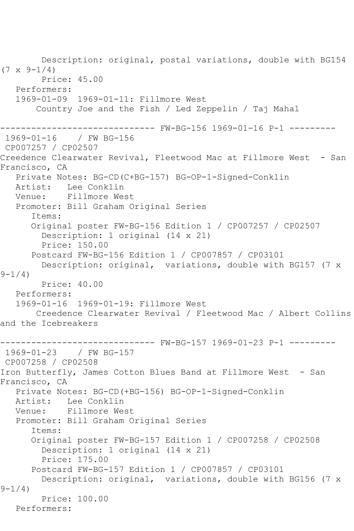Description: original, postal variations, double with BG154  $(7 \times 9 - 1/4)$  Price: 45.00 Performers: 1969-01-09 1969-01-11: Fillmore West Country Joe and the Fish / Led Zeppelin / Taj Mahal ------------------------------ FW-BG-156 1969-01-16 P-1 --------- 1969-01-16 / FW BG-156 CP007257 / CP02507 Creedence Clearwater Revival, Fleetwood Mac at Fillmore West - San Francisco, CA Private Notes: BG-CD(C+BG-157) BG-OP-1-Signed-Conklin Lee Conklin Venue: Fillmore West Promoter: Bill Graham Original Series Items: Original poster FW-BG-156 Edition 1 / CP007257 / CP02507 Description: 1 original (14 x 21) Price: 150.00 Postcard FW-BG-156 Edition 1 / CP007857 / CP03101 Description: original, variations, double with BG157 (7 x  $9 - 1/4$ ) Price: 40.00 Performers: 1969-01-16 1969-01-19: Fillmore West Creedence Clearwater Revival / Fleetwood Mac / Albert Collins and the Icebreakers ------------------------------ FW-BG-157 1969-01-23 P-1 --------- 1969-01-23 / FW BG-157 CP007258 / CP02508 Iron Butterfly, James Cotton Blues Band at Fillmore West - San Francisco, CA Private Notes: BG-CD(+BG-156) BG-OP-1-Signed-Conklin Artist: Lee Conklin Venue: Fillmore West Promoter: Bill Graham Original Series Items: Original poster FW-BG-157 Edition 1 / CP007258 / CP02508 Description: 1 original (14 x 21) Price: 175.00 Postcard FW-BG-157 Edition 1 / CP007857 / CP03101 Description: original, variations, double with BG156 (7 x  $9 - 1/4$  Price: 100.00 Performers: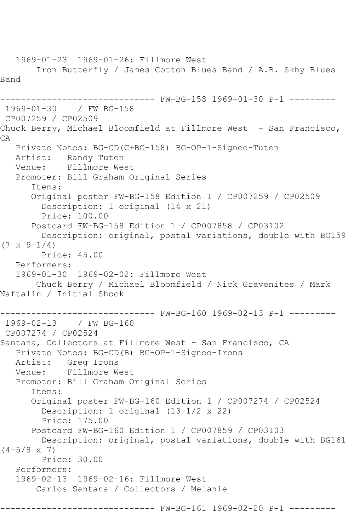1969-01-23 1969-01-26: Fillmore West Iron Butterfly / James Cotton Blues Band / A.B. Skhy Blues Band ------------------------------ FW-BG-158 1969-01-30 P-1 --------- 1969-01-30 / FW BG-158 CP007259 / CP02509 Chuck Berry, Michael Bloomfield at Fillmore West - San Francisco, CA Private Notes: BG-CD(C+BG-158) BG-OP-1-Signed-Tuten Artist: Randy Tuten Venue: Fillmore West Promoter: Bill Graham Original Series Items: Original poster FW-BG-158 Edition 1 / CP007259 / CP02509 Description: 1 original (14 x 21) Price: 100.00 Postcard FW-BG-158 Edition 1 / CP007858 / CP03102 Description: original, postal variations, double with BG159  $(7 \times 9 - 1/4)$  Price: 45.00 Performers: 1969-01-30 1969-02-02: Fillmore West Chuck Berry / Michael Bloomfield / Nick Gravenites / Mark Naftalin / Initial Shock ------------------------------ FW-BG-160 1969-02-13 P-1 --------- 1969-02-13 / FW BG-160 CP007274 / CP02524 Santana, Collectors at Fillmore West - San Francisco, CA Private Notes: BG-CD(B) BG-OP-1-Signed-Irons Artist: Greg Irons<br>Venue: Fillmore W Fillmore West Promoter: Bill Graham Original Series Items: Original poster FW-BG-160 Edition 1 / CP007274 / CP02524 Description: 1 original (13-1/2 x 22) Price: 175.00 Postcard FW-BG-160 Edition 1 / CP007859 / CP03103 Description: original, postal variations, double with BG161  $(4-5/8 \times 7)$  Price: 30.00 Performers: 1969-02-13 1969-02-16: Fillmore West Carlos Santana / Collectors / Melanie ------- FW-BG-161 1969-02-20 P-1 ---------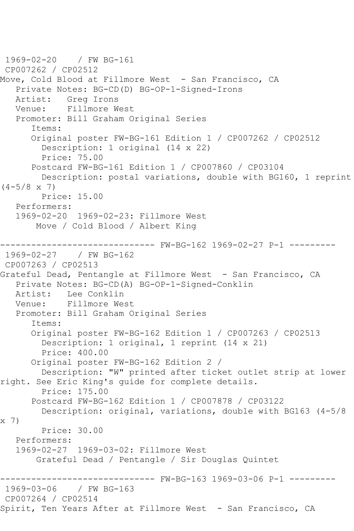```
1969-02-20 / FW BG-161
CP007262 / CP02512
Move, Cold Blood at Fillmore West - San Francisco, CA
    Private Notes: BG-CD(D) BG-OP-1-Signed-Irons
   Artist: Greg Irons
   Venue: Fillmore West
    Promoter: Bill Graham Original Series
       Items:
       Original poster FW-BG-161 Edition 1 / CP007262 / CP02512
         Description: 1 original (14 x 22)
         Price: 75.00
       Postcard FW-BG-161 Edition 1 / CP007860 / CP03104
         Description: postal variations, double with BG160, 1 reprint 
(4-5/8 \times 7) Price: 15.00
    Performers:
    1969-02-20 1969-02-23: Fillmore West
        Move / Cold Blood / Albert King
------------------------------ FW-BG-162 1969-02-27 P-1 ---------
1969-02-27
CP007263 / CP02513
Grateful Dead, Pentangle at Fillmore West - San Francisco, CA
    Private Notes: BG-CD(A) BG-OP-1-Signed-Conklin
  Artist: Lee Conklin<br>Venue: Fillmore We
            Fillmore West
   Promoter: Bill Graham Original Series
       Items:
       Original poster FW-BG-162 Edition 1 / CP007263 / CP02513
         Description: 1 original, 1 reprint (14 x 21)
         Price: 400.00
       Original poster FW-BG-162 Edition 2 / 
         Description: "W" printed after ticket outlet strip at lower 
right. See Eric King's guide for complete details.
         Price: 175.00
       Postcard FW-BG-162 Edition 1 / CP007878 / CP03122
         Description: original, variations, double with BG163 (4-5/8 
x 7)
         Price: 30.00
   Performers:
    1969-02-27 1969-03-02: Fillmore West
        Grateful Dead / Pentangle / Sir Douglas Quintet
                     ------------------------------ FW-BG-163 1969-03-06 P-1 ---------
1969-03-06 / FW BG-163
CP007264 / CP02514
Spirit, Ten Years After at Fillmore West - San Francisco, CA
```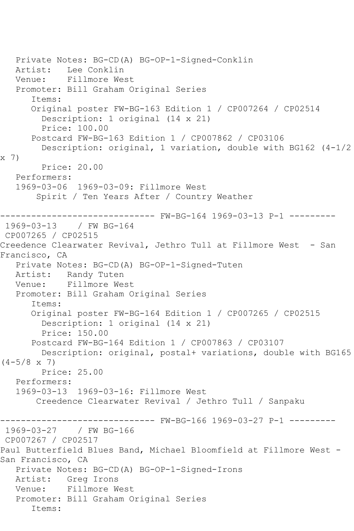Private Notes: BG-CD(A) BG-OP-1-Signed-Conklin Artist: Lee Conklin Venue: Fillmore West Promoter: Bill Graham Original Series Items: Original poster FW-BG-163 Edition 1 / CP007264 / CP02514 Description: 1 original (14 x 21) Price: 100.00 Postcard FW-BG-163 Edition 1 / CP007862 / CP03106 Description: original, 1 variation, double with BG162 (4-1/2 x 7) Price: 20.00 Performers: 1969-03-06 1969-03-09: Fillmore West Spirit / Ten Years After / Country Weather ------------------------------ FW-BG-164 1969-03-13 P-1 --------- 1969-03-13 / FW BG-164 CP007265 / CP02515 Creedence Clearwater Revival, Jethro Tull at Fillmore West - San Francisco, CA Private Notes: BG-CD(A) BG-OP-1-Signed-Tuten Artist: Randy Tuten Venue: Fillmore West Promoter: Bill Graham Original Series Items: Original poster FW-BG-164 Edition 1 / CP007265 / CP02515 Description: 1 original (14 x 21) Price: 150.00 Postcard FW-BG-164 Edition 1 / CP007863 / CP03107 Description: original, postal+ variations, double with BG165  $(4-5/8 \times 7)$  Price: 25.00 Performers: 1969-03-13 1969-03-16: Fillmore West Creedence Clearwater Revival / Jethro Tull / Sanpaku ------------------------------ FW-BG-166 1969-03-27 P-1 --------- 1969-03-27 / FW BG-166 CP007267 / CP02517 Paul Butterfield Blues Band, Michael Bloomfield at Fillmore West - San Francisco, CA Private Notes: BG-CD(A) BG-OP-1-Signed-Irons Artist: Greg Irons Venue: Fillmore West Promoter: Bill Graham Original Series Items: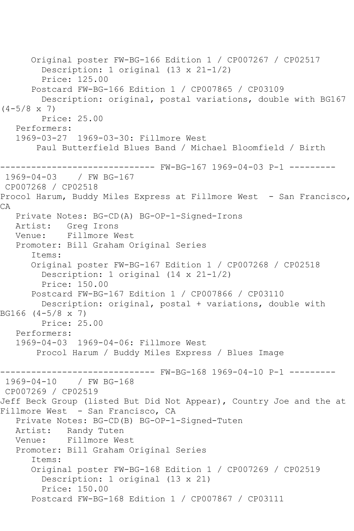Original poster FW-BG-166 Edition 1 / CP007267 / CP02517 Description: 1 original (13 x 21-1/2) Price: 125.00 Postcard FW-BG-166 Edition 1 / CP007865 / CP03109 Description: original, postal variations, double with BG167  $(4-5/8 \times 7)$  Price: 25.00 Performers: 1969-03-27 1969-03-30: Fillmore West Paul Butterfield Blues Band / Michael Bloomfield / Birth ------------------------------ FW-BG-167 1969-04-03 P-1 --------- 1969-04-03 / FW BG-167 CP007268 / CP02518 Procol Harum, Buddy Miles Express at Fillmore West - San Francisco, CA Private Notes: BG-CD(A) BG-OP-1-Signed-Irons Artist: Greg Irons<br>Venue: Fillmore W Fillmore West Promoter: Bill Graham Original Series Items: Original poster FW-BG-167 Edition 1 / CP007268 / CP02518 Description: 1 original (14 x 21-1/2) Price: 150.00 Postcard FW-BG-167 Edition 1 / CP007866 / CP03110 Description: original, postal + variations, double with BG166 (4-5/8 x 7) Price: 25.00 Performers: 1969-04-03 1969-04-06: Fillmore West Procol Harum / Buddy Miles Express / Blues Image ------------------------------ FW-BG-168 1969-04-10 P-1 ---------  $1969 - 04 - 10$ CP007269 / CP02519 Jeff Beck Group (listed But Did Not Appear), Country Joe and the at Fillmore West - San Francisco, CA Private Notes: BG-CD(B) BG-OP-1-Signed-Tuten Artist: Randy Tuten<br>Venue: Fillmore We Fillmore West Promoter: Bill Graham Original Series Items: Original poster FW-BG-168 Edition 1 / CP007269 / CP02519 Description: 1 original (13 x 21) Price: 150.00 Postcard FW-BG-168 Edition 1 / CP007867 / CP03111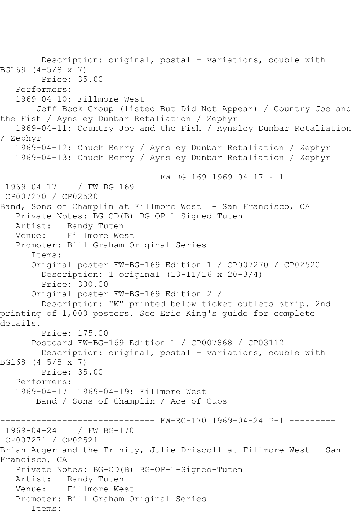Description: original, postal + variations, double with BG169 (4-5/8 x 7) Price: 35.00 Performers: 1969-04-10: Fillmore West Jeff Beck Group (listed But Did Not Appear) / Country Joe and the Fish / Aynsley Dunbar Retaliation / Zephyr 1969-04-11: Country Joe and the Fish / Aynsley Dunbar Retaliation / Zephyr 1969-04-12: Chuck Berry / Aynsley Dunbar Retaliation / Zephyr 1969-04-13: Chuck Berry / Aynsley Dunbar Retaliation / Zephyr ------------------------------ FW-BG-169 1969-04-17 P-1 --------- 1969-04-17 / FW BG-169 CP007270 / CP02520 Band, Sons of Champlin at Fillmore West - San Francisco, CA Private Notes: BG-CD(B) BG-OP-1-Signed-Tuten Artist: Randy Tuten<br>Venue: Fillmore We: Fillmore West Promoter: Bill Graham Original Series Items: Original poster FW-BG-169 Edition 1 / CP007270 / CP02520 Description: 1 original (13-11/16 x 20-3/4) Price: 300.00 Original poster FW-BG-169 Edition 2 / Description: "W" printed below ticket outlets strip. 2nd printing of 1,000 posters. See Eric King's guide for complete details. Price: 175.00 Postcard FW-BG-169 Edition 1 / CP007868 / CP03112 Description: original, postal + variations, double with BG168 (4-5/8 x 7) Price: 35.00 Performers: 1969-04-17 1969-04-19: Fillmore West Band / Sons of Champlin / Ace of Cups ------ FW-BG-170 1969-04-24 P-1 ---------1969-04-24 / FW BG-170 CP007271 / CP02521 Brian Auger and the Trinity, Julie Driscoll at Fillmore West - San Francisco, CA Private Notes: BG-CD(B) BG-OP-1-Signed-Tuten Artist: Randy Tuten Venue: Fillmore West Promoter: Bill Graham Original Series Items: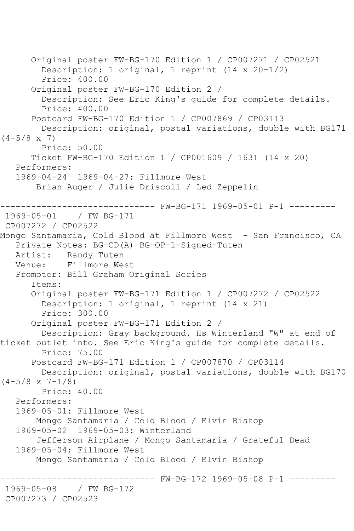Original poster FW-BG-170 Edition 1 / CP007271 / CP02521 Description: 1 original, 1 reprint (14 x 20-1/2) Price: 400.00 Original poster FW-BG-170 Edition 2 / Description: See Eric King's guide for complete details. Price: 400.00 Postcard FW-BG-170 Edition 1 / CP007869 / CP03113 Description: original, postal variations, double with BG171  $(4-5/8 \times 7)$  Price: 50.00 Ticket FW-BG-170 Edition 1 / CP001609 / 1631 (14 x 20) Performers: 1969-04-24 1969-04-27: Fillmore West Brian Auger / Julie Driscoll / Led Zeppelin ------------------------------ FW-BG-171 1969-05-01 P-1 --------- 1969-05-01 / FW BG-171 CP007272 / CP02522 Mongo Santamaria, Cold Blood at Fillmore West - San Francisco, CA Private Notes: BG-CD(A) BG-OP-1-Signed-Tuten Artist: Randy Tuten Venue: Fillmore West Promoter: Bill Graham Original Series Items: Original poster FW-BG-171 Edition 1 / CP007272 / CP02522 Description: 1 original, 1 reprint (14 x 21) Price: 300.00 Original poster FW-BG-171 Edition 2 / Description: Gray background. Hs Winterland "W" at end of ticket outlet into. See Eric King's guide for complete details. Price: 75.00 Postcard FW-BG-171 Edition 1 / CP007870 / CP03114 Description: original, postal variations, double with BG170  $(4-5/8 \times 7-1/8)$  Price: 40.00 Performers: 1969-05-01: Fillmore West Mongo Santamaria / Cold Blood / Elvin Bishop 1969-05-02 1969-05-03: Winterland Jefferson Airplane / Mongo Santamaria / Grateful Dead 1969-05-04: Fillmore West Mongo Santamaria / Cold Blood / Elvin Bishop ------------------------------ FW-BG-172 1969-05-08 P-1 --------- / FW BG-172 CP007273 / CP02523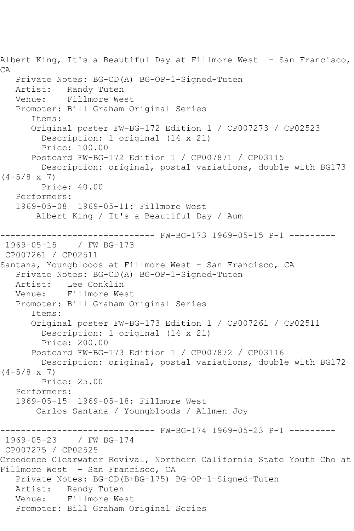Albert King, It's a Beautiful Day at Fillmore West - San Francisco, CA Private Notes: BG-CD(A) BG-OP-1-Signed-Tuten Artist: Randy Tuten<br>Venue: Fillmore We Fillmore West Promoter: Bill Graham Original Series Items: Original poster FW-BG-172 Edition 1 / CP007273 / CP02523 Description: 1 original (14 x 21) Price: 100.00 Postcard FW-BG-172 Edition 1 / CP007871 / CP03115 Description: original, postal variations, double with BG173  $(4-5/8 \times 7)$  Price: 40.00 Performers: 1969-05-08 1969-05-11: Fillmore West Albert King / It's a Beautiful Day / Aum ------------------------------ FW-BG-173 1969-05-15 P-1 --------- 1969-05-15 / FW BG-173 CP007261 / CP02511 Santana, Youngbloods at Fillmore West - San Francisco, CA Private Notes: BG-CD(A) BG-OP-1-Signed-Tuten Artist: Lee Conklin Venue: Fillmore West Promoter: Bill Graham Original Series Items: Original poster FW-BG-173 Edition 1 / CP007261 / CP02511 Description: 1 original (14 x 21) Price: 200.00 Postcard FW-BG-173 Edition 1 / CP007872 / CP03116 Description: original, postal variations, double with BG172  $(4-5/8 \times 7)$  Price: 25.00 Performers: 1969-05-15 1969-05-18: Fillmore West Carlos Santana / Youngbloods / Allmen Joy ------------------------------ FW-BG-174 1969-05-23 P-1 --------- 1969-05-23 / FW BG-174 CP007275 / CP02525 Creedence Clearwater Revival, Northern California State Youth Cho at Fillmore West - San Francisco, CA Private Notes: BG-CD(B+BG-175) BG-OP-1-Signed-Tuten Artist: Randy Tuten Venue: Fillmore West Promoter: Bill Graham Original Series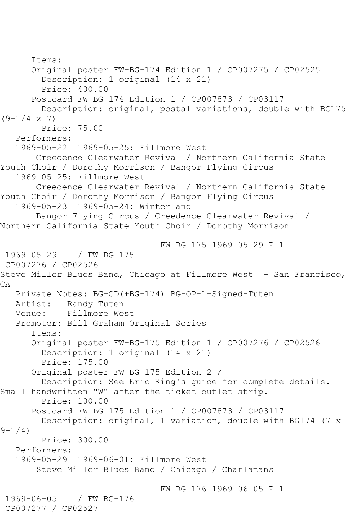Items: Original poster FW-BG-174 Edition 1 / CP007275 / CP02525 Description: 1 original (14 x 21) Price: 400.00 Postcard FW-BG-174 Edition 1 / CP007873 / CP03117 Description: original, postal variations, double with BG175  $(9-1/4 \times 7)$  Price: 75.00 Performers: 1969-05-22 1969-05-25: Fillmore West Creedence Clearwater Revival / Northern California State Youth Choir / Dorothy Morrison / Bangor Flying Circus 1969-05-25: Fillmore West Creedence Clearwater Revival / Northern California State Youth Choir / Dorothy Morrison / Bangor Flying Circus 1969-05-23 1969-05-24: Winterland Bangor Flying Circus / Creedence Clearwater Revival / Northern California State Youth Choir / Dorothy Morrison ------------------------------ FW-BG-175 1969-05-29 P-1 --------- 1969-05-29 / FW BG-175 CP007276 / CP02526 Steve Miller Blues Band, Chicago at Fillmore West - San Francisco, CA Private Notes: BG-CD(+BG-174) BG-OP-1-Signed-Tuten Artist: Randy Tuten Venue: Fillmore West Promoter: Bill Graham Original Series Items: Original poster FW-BG-175 Edition 1 / CP007276 / CP02526 Description: 1 original (14 x 21) Price: 175.00 Original poster FW-BG-175 Edition 2 / Description: See Eric King's guide for complete details. Small handwritten "W" after the ticket outlet strip. Price: 100.00 Postcard FW-BG-175 Edition 1 / CP007873 / CP03117 Description: original, 1 variation, double with BG174 (7 x  $9 - 1/4$ ) Price: 300.00 Performers: 1969-05-29 1969-06-01: Fillmore West Steve Miller Blues Band / Chicago / Charlatans ------ FW-BG-176 1969-06-05 P-1 ---------1969-06-05 / FW BG-176 CP007277 / CP02527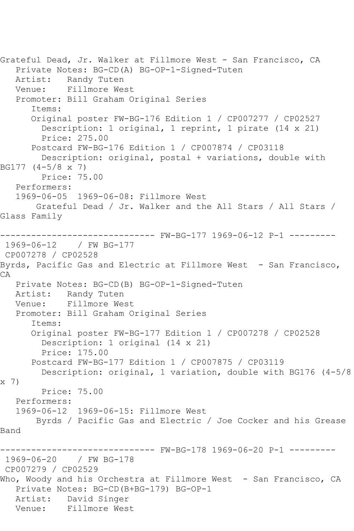Grateful Dead, Jr. Walker at Fillmore West - San Francisco, CA Private Notes: BG-CD(A) BG-OP-1-Signed-Tuten Artist: Randy Tuten Venue: Fillmore West Promoter: Bill Graham Original Series Items: Original poster FW-BG-176 Edition 1 / CP007277 / CP02527 Description: 1 original, 1 reprint, 1 pirate (14 x 21) Price: 275.00 Postcard FW-BG-176 Edition 1 / CP007874 / CP03118 Description: original, postal + variations, double with BG177 (4-5/8 x 7) Price: 75.00 Performers: 1969-06-05 1969-06-08: Fillmore West Grateful Dead / Jr. Walker and the All Stars / All Stars / Glass Family ------------------------------ FW-BG-177 1969-06-12 P-1 --------- 1969-06-12 / FW BG-177 CP007278 / CP02528 Byrds, Pacific Gas and Electric at Fillmore West - San Francisco, CA Private Notes: BG-CD(B) BG-OP-1-Signed-Tuten<br>Artist: Randy Tuten Artist: Randy Tuten<br>Venue: Fillmore We Fillmore West Promoter: Bill Graham Original Series Items: Original poster FW-BG-177 Edition 1 / CP007278 / CP02528 Description: 1 original (14 x 21) Price: 175.00 Postcard FW-BG-177 Edition 1 / CP007875 / CP03119 Description: original, 1 variation, double with BG176 (4-5/8 x 7) Price: 75.00 Performers: 1969-06-12 1969-06-15: Fillmore West Byrds / Pacific Gas and Electric / Joe Cocker and his Grease Band ------------------------------ FW-BG-178 1969-06-20 P-1 --------- 1969-06-20 / FW BG-178 CP007279 / CP02529 Who, Woody and his Orchestra at Fillmore West - San Francisco, CA Private Notes: BG-CD(B+BG-179) BG-OP-1 Artist: David Singer Venue: Fillmore West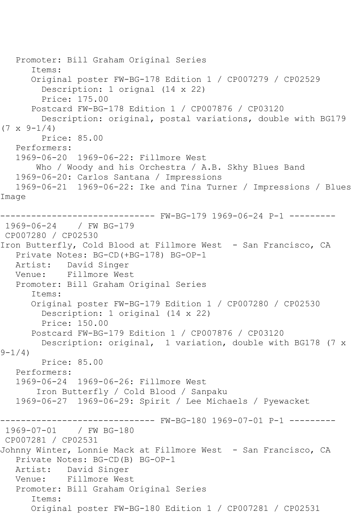```
 Promoter: Bill Graham Original Series
       Items:
       Original poster FW-BG-178 Edition 1 / CP007279 / CP02529
         Description: 1 orignal (14 x 22)
         Price: 175.00
       Postcard FW-BG-178 Edition 1 / CP007876 / CP03120
         Description: original, postal variations, double with BG179 
(7 \times 9 - 1/4) Price: 85.00
   Performers:
   1969-06-20 1969-06-22: Fillmore West
        Who / Woody and his Orchestra / A.B. Skhy Blues Band
   1969-06-20: Carlos Santana / Impressions
   1969-06-21 1969-06-22: Ike and Tina Turner / Impressions / Blues 
Image
------------------------------ FW-BG-179 1969-06-24 P-1 ---------
1969-06-24 / FW BG-179
CP007280 / CP02530
Iron Butterfly, Cold Blood at Fillmore West - San Francisco, CA
   Private Notes: BG-CD(+BG-178) BG-OP-1
   Artist: David Singer
   Venue: Fillmore West
   Promoter: Bill Graham Original Series
       Items:
       Original poster FW-BG-179 Edition 1 / CP007280 / CP02530
         Description: 1 original (14 x 22)
         Price: 150.00
       Postcard FW-BG-179 Edition 1 / CP007876 / CP03120
         Description: original, 1 variation, double with BG178 (7 x 
9 - 1/4 Price: 85.00
   Performers:
   1969-06-24 1969-06-26: Fillmore West
        Iron Butterfly / Cold Blood / Sanpaku
   1969-06-27 1969-06-29: Spirit / Lee Michaels / Pyewacket
              ------------------------------ FW-BG-180 1969-07-01 P-1 ---------
1969-07-01
CP007281 / CP02531
Johnny Winter, Lonnie Mack at Fillmore West - San Francisco, CA
   Private Notes: BG-CD(B) BG-OP-1
   Artist: David Singer
   Venue: Fillmore West
   Promoter: Bill Graham Original Series
       Items:
       Original poster FW-BG-180 Edition 1 / CP007281 / CP02531
```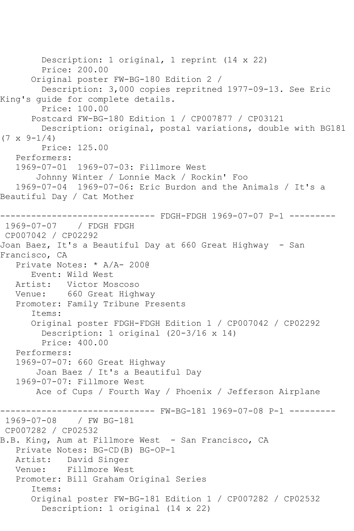Description: 1 original, 1 reprint (14 x 22) Price: 200.00 Original poster FW-BG-180 Edition 2 / Description: 3,000 copies repritned 1977-09-13. See Eric King's guide for complete details. Price: 100.00 Postcard FW-BG-180 Edition 1 / CP007877 / CP03121 Description: original, postal variations, double with BG181  $(7 \times 9 - 1/4)$  Price: 125.00 Performers: 1969-07-01 1969-07-03: Fillmore West Johnny Winter / Lonnie Mack / Rockin' Foo 1969-07-04 1969-07-06: Eric Burdon and the Animals / It's a Beautiful Day / Cat Mother ------------------------------ FDGH-FDGH 1969-07-07 P-1 --------- 1969-07-07 / FDGH FDGH CP007042 / CP02292 Joan Baez, It's a Beautiful Day at 660 Great Highway - San Francisco, CA Private Notes: \* A/A- 200@ Event: Wild West Artist: Victor Moscoso Venue: 660 Great Highway Promoter: Family Tribune Presents Items: Original poster FDGH-FDGH Edition 1 / CP007042 / CP02292 Description: 1 original (20-3/16 x 14) Price: 400.00 Performers: 1969-07-07: 660 Great Highway Joan Baez / It's a Beautiful Day 1969-07-07: Fillmore West Ace of Cups / Fourth Way / Phoenix / Jefferson Airplane ------------------------------ FW-BG-181 1969-07-08 P-1 --------- 1969-07-08 / FW BG-181 CP007282 / CP02532 B.B. King, Aum at Fillmore West - San Francisco, CA Private Notes: BG-CD(B) BG-OP-1 Artist: David Singer Venue: Fillmore West Promoter: Bill Graham Original Series Items: Original poster FW-BG-181 Edition 1 / CP007282 / CP02532 Description: 1 original (14 x 22)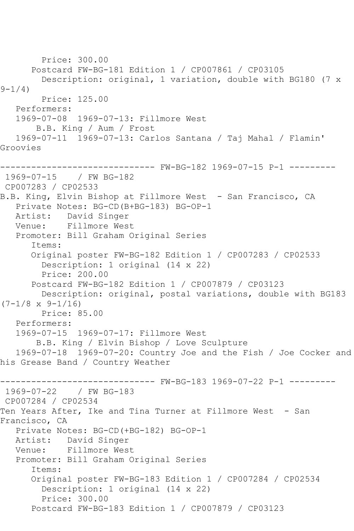Price: 300.00 Postcard FW-BG-181 Edition 1 / CP007861 / CP03105 Description: original, 1 variation, double with BG180 (7 x  $9 - 1/4$ ) Price: 125.00 Performers: 1969-07-08 1969-07-13: Fillmore West B.B. King / Aum / Frost 1969-07-11 1969-07-13: Carlos Santana / Taj Mahal / Flamin' Groovies ------------------------------ FW-BG-182 1969-07-15 P-1 --------- 1969-07-15 / FW BG-182 CP007283 / CP02533 B.B. King, Elvin Bishop at Fillmore West - San Francisco, CA Private Notes: BG-CD(B+BG-183) BG-OP-1 Artist: David Singer Venue: Fillmore West Promoter: Bill Graham Original Series Items: Original poster FW-BG-182 Edition 1 / CP007283 / CP02533 Description: 1 original (14 x 22) Price: 200.00 Postcard FW-BG-182 Edition 1 / CP007879 / CP03123 Description: original, postal variations, double with BG183  $(7-1/8 \times 9-1/16)$  Price: 85.00 Performers: 1969-07-15 1969-07-17: Fillmore West B.B. King / Elvin Bishop / Love Sculpture 1969-07-18 1969-07-20: Country Joe and the Fish / Joe Cocker and his Grease Band / Country Weather ------------------------------ FW-BG-183 1969-07-22 P-1 --------- 1969-07-22 / FW BG-183 CP007284 / CP02534 Ten Years After, Ike and Tina Turner at Fillmore West - San Francisco, CA Private Notes: BG-CD(+BG-182) BG-OP-1 Artist: David Singer Venue: Fillmore West Promoter: Bill Graham Original Series Items: Original poster FW-BG-183 Edition 1 / CP007284 / CP02534 Description: 1 original (14 x 22) Price: 300.00 Postcard FW-BG-183 Edition 1 / CP007879 / CP03123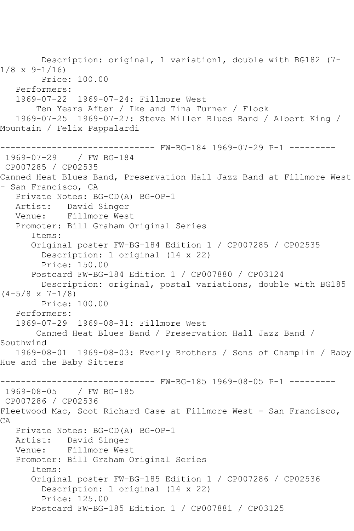Description: original, 1 variation1, double with BG182 (7-  $1/8 \times 9 - 1/16$  Price: 100.00 Performers: 1969-07-22 1969-07-24: Fillmore West Ten Years After / Ike and Tina Turner / Flock 1969-07-25 1969-07-27: Steve Miller Blues Band / Albert King / Mountain / Felix Pappalardi ------------------------------ FW-BG-184 1969-07-29 P-1 --------- 1969-07-29 / FW BG-184 CP007285 / CP02535 Canned Heat Blues Band, Preservation Hall Jazz Band at Fillmore West - San Francisco, CA Private Notes: BG-CD(A) BG-OP-1 Artist: David Singer Venue: Fillmore West Promoter: Bill Graham Original Series Items: Original poster FW-BG-184 Edition 1 / CP007285 / CP02535 Description: 1 original (14 x 22) Price: 150.00 Postcard FW-BG-184 Edition 1 / CP007880 / CP03124 Description: original, postal variations, double with BG185  $(4-5/8 \times 7-1/8)$  Price: 100.00 Performers: 1969-07-29 1969-08-31: Fillmore West Canned Heat Blues Band / Preservation Hall Jazz Band / Southwind 1969-08-01 1969-08-03: Everly Brothers / Sons of Champlin / Baby Hue and the Baby Sitters ------------------------------ FW-BG-185 1969-08-05 P-1 --------- 1969-08-05 / FW BG-185 CP007286 / CP02536 Fleetwood Mac, Scot Richard Case at Fillmore West - San Francisco, CA Private Notes: BG-CD(A) BG-OP-1 Artist: David Singer Venue: Fillmore West Promoter: Bill Graham Original Series Items: Original poster FW-BG-185 Edition 1 / CP007286 / CP02536 Description: 1 original (14 x 22) Price: 125.00 Postcard FW-BG-185 Edition 1 / CP007881 / CP03125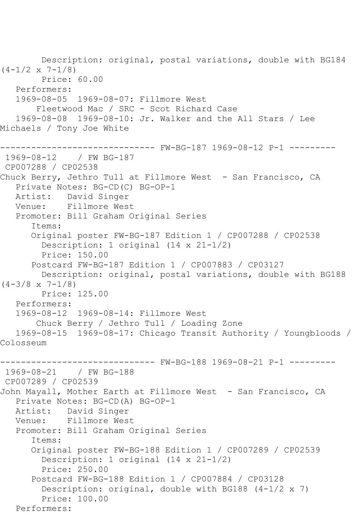Description: original, postal variations, double with BG184  $(4-1/2 \times 7-1/8)$  Price: 60.00 Performers: 1969-08-05 1969-08-07: Fillmore West Fleetwood Mac / SRC - Scot Richard Case 1969-08-08 1969-08-10: Jr. Walker and the All Stars / Lee Michaels / Tony Joe White ------------------------------ FW-BG-187 1969-08-12 P-1 --------- 1969-08-12 / FW BG-187 CP007288 / CP02538 Chuck Berry, Jethro Tull at Fillmore West - San Francisco, CA Private Notes: BG-CD(C) BG-OP-1 Artist: David Singer Venue: Fillmore West Promoter: Bill Graham Original Series Items: Original poster FW-BG-187 Edition 1 / CP007288 / CP02538 Description: 1 original (14 x 21-1/2) Price: 150.00 Postcard FW-BG-187 Edition 1 / CP007883 / CP03127 Description: original, postal variations, double with BG188  $(4-3/8 \times 7-1/8)$  Price: 125.00 Performers: 1969-08-12 1969-08-14: Fillmore West Chuck Berry / Jethro Tull / Loading Zone 1969-08-15 1969-08-17: Chicago Transit Authority / Youngbloods / Colosseum ------------------------------ FW-BG-188 1969-08-21 P-1 --------- 1969-08-21 / FW BG-188 CP007289 / CP02539 John Mayall, Mother Earth at Fillmore West - San Francisco, CA Private Notes: BG-CD(A) BG-OP-1 Artist: David Singer Venue: Fillmore West Promoter: Bill Graham Original Series Items: Original poster FW-BG-188 Edition 1 / CP007289 / CP02539 Description: 1 original (14 x 21-1/2) Price: 250.00 Postcard FW-BG-188 Edition 1 / CP007884 / CP03128 Description: original, double with BG188 (4-1/2 x 7) Price: 100.00 Performers: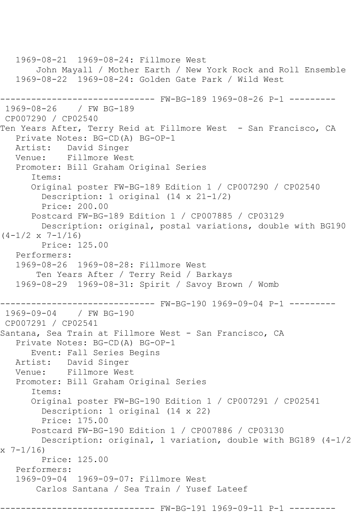1969-08-21 1969-08-24: Fillmore West John Mayall / Mother Earth / New York Rock and Roll Ensemble 1969-08-22 1969-08-24: Golden Gate Park / Wild West ------------------------------ FW-BG-189 1969-08-26 P-1 --------- 1969-08-26 / FW BG-189 CP007290 / CP02540 Ten Years After, Terry Reid at Fillmore West - San Francisco, CA Private Notes: BG-CD(A) BG-OP-1 Artist: David Singer Venue: Fillmore West Promoter: Bill Graham Original Series Items: Original poster FW-BG-189 Edition 1 / CP007290 / CP02540 Description: 1 original (14 x 21-1/2) Price: 200.00 Postcard FW-BG-189 Edition 1 / CP007885 / CP03129 Description: original, postal variations, double with BG190  $(4-1/2 \times 7-1/16)$  Price: 125.00 Performers: 1969-08-26 1969-08-28: Fillmore West Ten Years After / Terry Reid / Barkays 1969-08-29 1969-08-31: Spirit / Savoy Brown / Womb ------------------------------ FW-BG-190 1969-09-04 P-1 --------- 1969-09-04 / FW BG-190 CP007291 / CP02541 Santana, Sea Train at Fillmore West - San Francisco, CA Private Notes: BG-CD(A) BG-OP-1 Event: Fall Series Begins Artist: David Singer Venue: Fillmore West Promoter: Bill Graham Original Series Items: Original poster FW-BG-190 Edition 1 / CP007291 / CP02541 Description: 1 original (14 x 22) Price: 175.00 Postcard FW-BG-190 Edition 1 / CP007886 / CP03130 Description: original, 1 variation, double with BG189 (4-1/2  $x \t 7-1/16$  Price: 125.00 Performers: 1969-09-04 1969-09-07: Fillmore West Carlos Santana / Sea Train / Yusef Lateef ----- FW-BG-191 1969-09-11 P-1 --------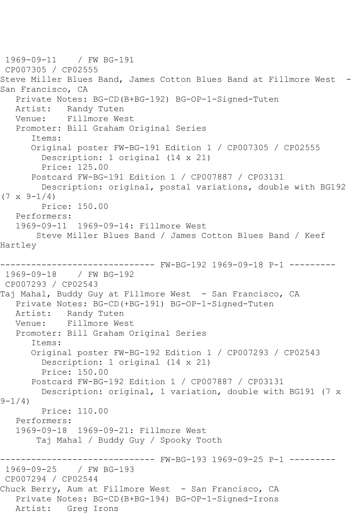1969-09-11 / FW BG-191 CP007305 / CP02555 Steve Miller Blues Band, James Cotton Blues Band at Fillmore West -San Francisco, CA Private Notes: BG-CD(B+BG-192) BG-OP-1-Signed-Tuten Randy Tuten Venue: Fillmore West Promoter: Bill Graham Original Series Items: Original poster FW-BG-191 Edition 1 / CP007305 / CP02555 Description: 1 original (14 x 21) Price: 125.00 Postcard FW-BG-191 Edition 1 / CP007887 / CP03131 Description: original, postal variations, double with BG192  $(7 \times 9-1/4)$  Price: 150.00 Performers: 1969-09-11 1969-09-14: Fillmore West Steve Miller Blues Band / James Cotton Blues Band / Keef Hartley ------ FW-BG-192 1969-09-18 P-1 ---------1969-09-18 / FW BG-192 CP007293 / CP02543 Taj Mahal, Buddy Guy at Fillmore West - San Francisco, CA Private Notes: BG-CD(+BG-191) BG-OP-1-Signed-Tuten Artist: Randy Tuten Venue: Fillmore West Promoter: Bill Graham Original Series Items: Original poster FW-BG-192 Edition 1 / CP007293 / CP02543 Description: 1 original (14 x 21) Price: 150.00 Postcard FW-BG-192 Edition 1 / CP007887 / CP03131 Description: original, 1 variation, double with BG191 (7 x  $9 - 1/4$ ) Price: 110.00 Performers: 1969-09-18 1969-09-21: Fillmore West Taj Mahal / Buddy Guy / Spooky Tooth ------------------------------ FW-BG-193 1969-09-25 P-1 --------- 1969-09-25 / FW BG-193 CP007294 / CP02544 Chuck Berry, Aum at Fillmore West - San Francisco, CA Private Notes: BG-CD(B+BG-194) BG-OP-1-Signed-Irons Artist: Greg Irons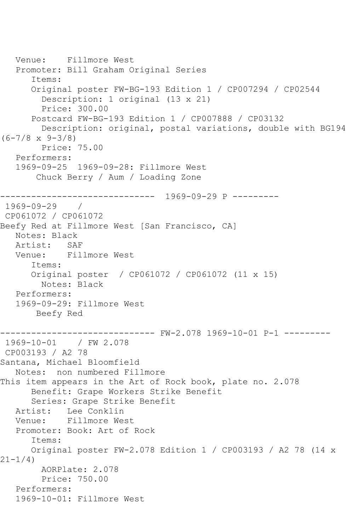```
 Venue: Fillmore West
    Promoter: Bill Graham Original Series
       Items:
       Original poster FW-BG-193 Edition 1 / CP007294 / CP02544
         Description: 1 original (13 x 21)
         Price: 300.00
       Postcard FW-BG-193 Edition 1 / CP007888 / CP03132
         Description: original, postal variations, double with BG194 
(6-7/8 \times 9-3/8) Price: 75.00
    Performers:
    1969-09-25 1969-09-28: Fillmore West
        Chuck Berry / Aum / Loading Zone
           ------------------------------ 1969-09-29 P ---------
1969-09-29 / 
CP061072 / CP061072
Beefy Red at Fillmore West [San Francisco, CA]
   Notes: Black
   Artist: SAF
   Venue: Fillmore West
       Items:
       Original poster / CP061072 / CP061072 (11 x 15)
         Notes: Black
   Performers:
    1969-09-29: Fillmore West
        Beefy Red
                ------------------------------ FW-2.078 1969-10-01 P-1 ---------
1969-10-01 / FW 2.078
CP003193 / A2 78
Santana, Michael Bloomfield
    Notes: non numbered Fillmore
This item appears in the Art of Rock book, plate no. 2.078
       Benefit: Grape Workers Strike Benefit
       Series: Grape Strike Benefit
   Artist: Lee Conklin
   Venue: Fillmore West
    Promoter: Book: Art of Rock
       Items:
       Original poster FW-2.078 Edition 1 / CP003193 / A2 78 (14 x 
21-1/4)
         AORPlate: 2.078 
         Price: 750.00
    Performers:
    1969-10-01: Fillmore West
```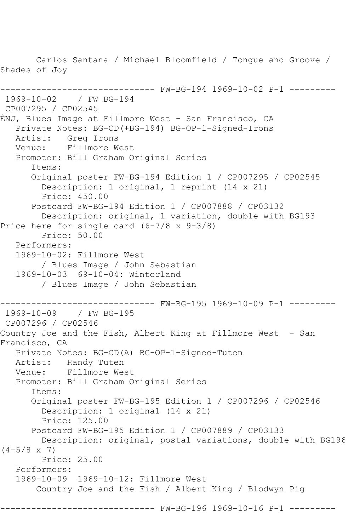Carlos Santana / Michael Bloomfield / Tongue and Groove / Shades of Joy ------------------------------ FW-BG-194 1969-10-02 P-1 --------- 1969-10-02 / FW BG-194 CP007295 / CP02545 ÈNJ, Blues Image at Fillmore West - San Francisco, CA Private Notes: BG-CD(+BG-194) BG-OP-1-Signed-Irons Artist: Greg Irons Venue: Fillmore West Promoter: Bill Graham Original Series Items: Original poster FW-BG-194 Edition 1 / CP007295 / CP02545 Description: 1 original, 1 reprint (14 x 21) Price: 450.00 Postcard FW-BG-194 Edition 1 / CP007888 / CP03132 Description: original, 1 variation, double with BG193 Price here for single card (6-7/8 x 9-3/8) Price: 50.00 Performers: 1969-10-02: Fillmore West / Blues Image / John Sebastian 1969-10-03 69-10-04: Winterland / Blues Image / John Sebastian ------------------------------ FW-BG-195 1969-10-09 P-1 --------- 1969-10-09 / FW BG-195 CP007296 / CP02546 Country Joe and the Fish, Albert King at Fillmore West - San Francisco, CA Private Notes: BG-CD(A) BG-OP-1-Signed-Tuten Artist: Randy Tuten Venue: Fillmore West Promoter: Bill Graham Original Series Items: Original poster FW-BG-195 Edition 1 / CP007296 / CP02546 Description: 1 original (14 x 21) Price: 125.00 Postcard FW-BG-195 Edition 1 / CP007889 / CP03133 Description: original, postal variations, double with BG196  $(4-5/8 \times 7)$  Price: 25.00 Performers: 1969-10-09 1969-10-12: Fillmore West Country Joe and the Fish / Albert King / Blodwyn Pig ------- FW-BG-196 1969-10-16 P-1 ---------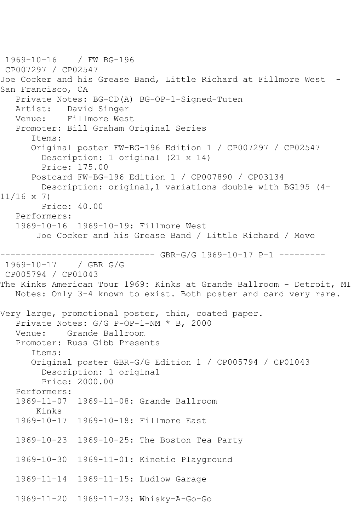1969-10-16 / FW BG-196 CP007297 / CP02547 Joe Cocker and his Grease Band, Little Richard at Fillmore West -San Francisco, CA Private Notes: BG-CD(A) BG-OP-1-Signed-Tuten David Singer Venue: Fillmore West Promoter: Bill Graham Original Series Items: Original poster FW-BG-196 Edition 1 / CP007297 / CP02547 Description: 1 original (21 x 14) Price: 175.00 Postcard FW-BG-196 Edition 1 / CP007890 / CP03134 Description: original,1 variations double with BG195 (4- 11/16 x 7) Price: 40.00 Performers: 1969-10-16 1969-10-19: Fillmore West Joe Cocker and his Grease Band / Little Richard / Move ------------------------------ GBR-G/G 1969-10-17 P-1 --------- 1969-10-17 / GBR G/G CP005794 / CP01043 The Kinks American Tour 1969: Kinks at Grande Ballroom - Detroit, MI Notes: Only 3-4 known to exist. Both poster and card very rare. Very large, promotional poster, thin, coated paper. Private Notes: G/G P-OP-1-NM \* B, 2000 Venue: Grande Ballroom Promoter: Russ Gibb Presents Items: Original poster GBR-G/G Edition 1 / CP005794 / CP01043 Description: 1 original Price: 2000.00 Performers: 1969-11-07 1969-11-08: Grande Ballroom Kinks 1969-10-17 1969-10-18: Fillmore East 1969-10-23 1969-10-25: The Boston Tea Party 1969-10-30 1969-11-01: Kinetic Playground 1969-11-14 1969-11-15: Ludlow Garage 1969-11-20 1969-11-23: Whisky-A-Go-Go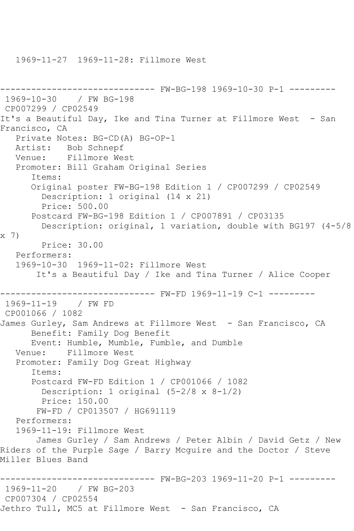1969-11-27 1969-11-28: Fillmore West

```
------------------------------ FW-BG-198 1969-10-30 P-1 ---------
1969-10-30 / FW BG-198
CP007299 / CP02549
It's a Beautiful Day, Ike and Tina Turner at Fillmore West - San
Francisco, CA
   Private Notes: BG-CD(A) BG-OP-1
   Artist: Bob Schnepf
   Venue: Fillmore West
   Promoter: Bill Graham Original Series
       Items:
       Original poster FW-BG-198 Edition 1 / CP007299 / CP02549
         Description: 1 original (14 x 21)
         Price: 500.00
       Postcard FW-BG-198 Edition 1 / CP007891 / CP03135
         Description: original, 1 variation, double with BG197 (4-5/8 
x 7)
        Price: 30.00
   Performers:
   1969-10-30 1969-11-02: Fillmore West
        It's a Beautiful Day / Ike and Tina Turner / Alice Cooper
                     ------------------------------ FW-FD 1969-11-19 C-1 ---------
1969-11-19 / FW FD
CP001066 / 1082
James Gurley, Sam Andrews at Fillmore West - San Francisco, CA
      Benefit: Family Dog Benefit
      Event: Humble, Mumble, Fumble, and Dumble
   Venue: Fillmore West
   Promoter: Family Dog Great Highway
       Items:
       Postcard FW-FD Edition 1 / CP001066 / 1082
        Description: 1 original (5-2/8 \times 8-1/2) Price: 150.00
        FW-FD / CP013507 / HG691119
   Performers:
   1969-11-19: Fillmore West
       James Gurley / Sam Andrews / Peter Albin / David Getz / New 
Riders of the Purple Sage / Barry Mcguire and the Doctor / Steve 
Miller Blues Band
------------------------------ FW-BG-203 1969-11-20 P-1 ---------
1969-11-20 / FW BG-203
CP007304 / CP02554
Jethro Tull, MC5 at Fillmore West - San Francisco, CA
```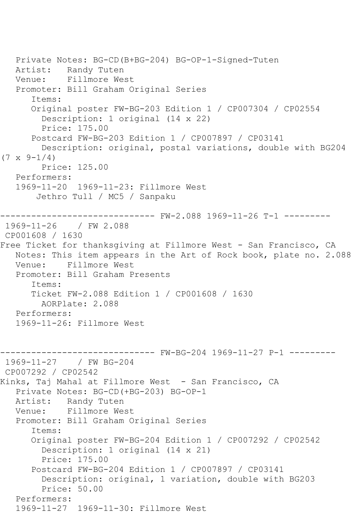Private Notes: BG-CD(B+BG-204) BG-OP-1-Signed-Tuten Artist: Randy Tuten Venue: Fillmore West Promoter: Bill Graham Original Series Items: Original poster FW-BG-203 Edition 1 / CP007304 / CP02554 Description: 1 original (14 x 22) Price: 175.00 Postcard FW-BG-203 Edition 1 / CP007897 / CP03141 Description: original, postal variations, double with BG204  $(7 \times 9 - 1/4)$  Price: 125.00 Performers: 1969-11-20 1969-11-23: Fillmore West Jethro Tull / MC5 / Sanpaku ------------------------------ FW-2.088 1969-11-26 T-1 --------- 1969-11-26 / FW 2.088 CP001608 / 1630 Free Ticket for thanksgiving at Fillmore West - San Francisco, CA Notes: This item appears in the Art of Rock book, plate no. 2.088 Venue: Fillmore West Promoter: Bill Graham Presents Items: Ticket FW-2.088 Edition 1 / CP001608 / 1630 AORPlate: 2.088 Performers: 1969-11-26: Fillmore West ------------------------------ FW-BG-204 1969-11-27 P-1 --------- 1969-11-27 / FW BG-204 CP007292 / CP02542 Kinks, Taj Mahal at Fillmore West - San Francisco, CA Private Notes: BG-CD(+BG-203) BG-OP-1 Artist: Randy Tuten Venue: Fillmore West Promoter: Bill Graham Original Series Items: Original poster FW-BG-204 Edition 1 / CP007292 / CP02542 Description: 1 original (14 x 21) Price: 175.00 Postcard FW-BG-204 Edition 1 / CP007897 / CP03141 Description: original, 1 variation, double with BG203 Price: 50.00 Performers: 1969-11-27 1969-11-30: Fillmore West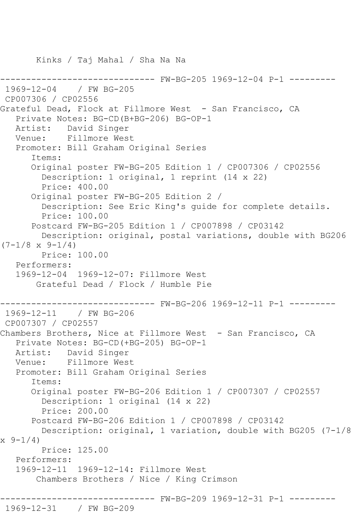------ FW-BG-205 1969-12-04 P-1 ---------1969-12-04 / FW BG-205 CP007306 / CP02556 Grateful Dead, Flock at Fillmore West - San Francisco, CA Private Notes: BG-CD(B+BG-206) BG-OP-1 Artist: David Singer Venue: Fillmore West Promoter: Bill Graham Original Series Items: Original poster FW-BG-205 Edition 1 / CP007306 / CP02556 Description: 1 original, 1 reprint (14 x 22) Price: 400.00 Original poster FW-BG-205 Edition 2 / Description: See Eric King's guide for complete details. Price: 100.00 Postcard FW-BG-205 Edition 1 / CP007898 / CP03142 Description: original, postal variations, double with BG206  $(7-1/8 \times 9-1/4)$  Price: 100.00 Performers: 1969-12-04 1969-12-07: Fillmore West Grateful Dead / Flock / Humble Pie ------------------------------ FW-BG-206 1969-12-11 P-1 --------- 1969-12-11 / FW BG-206 CP007307 / CP02557 Chambers Brothers, Nice at Fillmore West - San Francisco, CA Private Notes: BG-CD(+BG-205) BG-OP-1 Artist: David Singer Venue: Fillmore West Promoter: Bill Graham Original Series Items: Original poster FW-BG-206 Edition 1 / CP007307 / CP02557 Description: 1 original (14 x 22) Price: 200.00 Postcard FW-BG-206 Edition 1 / CP007898 / CP03142 Description: original, 1 variation, double with BG205 (7-1/8  $x \, 9-1/4$  Price: 125.00 Performers: 1969-12-11 1969-12-14: Fillmore West Chambers Brothers / Nice / King Crimson ------------------------------ FW-BG-209 1969-12-31 P-1 ---------

Kinks / Taj Mahal / Sha Na Na

## 1969-12-31 / FW BG-209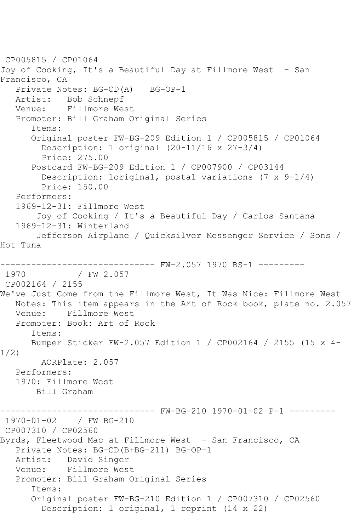```
CP005815 / CP01064
Joy of Cooking, It's a Beautiful Day at Fillmore West - San 
Francisco, CA
  Private Notes: BG-CD(A) BG-OP-1
   Artist: Bob Schnepf
   Venue: Fillmore West
   Promoter: Bill Graham Original Series
       Items:
       Original poster FW-BG-209 Edition 1 / CP005815 / CP01064
         Description: 1 original (20-11/16 x 27-3/4)
         Price: 275.00
       Postcard FW-BG-209 Edition 1 / CP007900 / CP03144
         Description: 1original, postal variations (7 x 9-1/4)
         Price: 150.00
   Performers:
   1969-12-31: Fillmore West
        Joy of Cooking / It's a Beautiful Day / Carlos Santana
   1969-12-31: Winterland
        Jefferson Airplane / Quicksilver Messenger Service / Sons / 
Hot Tuna
                  ------------------------------ FW-2.057 1970 BS-1 ---------
1970 / FW 2.057
CP002164 / 2155
We've Just Come from the Fillmore West, It Was Nice: Fillmore West
   Notes: This item appears in the Art of Rock book, plate no. 2.057
   Venue: Fillmore West
   Promoter: Book: Art of Rock
       Items:
      Bumper Sticker FW-2.057 Edition 1 / CP002164 / 2155 (15 x 4-
1/2)
        AORPlate: 2.057 
   Performers:
   1970: Fillmore West
       Bill Graham
------------------------------ FW-BG-210 1970-01-02 P-1 ---------
1970-01-02 / FW BG-210
CP007310 / CP02560
Byrds, Fleetwood Mac at Fillmore West - San Francisco, CA
   Private Notes: BG-CD(B+BG-211) BG-OP-1
   Artist: David Singer
   Venue: Fillmore West
   Promoter: Bill Graham Original Series
       Items:
       Original poster FW-BG-210 Edition 1 / CP007310 / CP02560
         Description: 1 original, 1 reprint (14 x 22)
```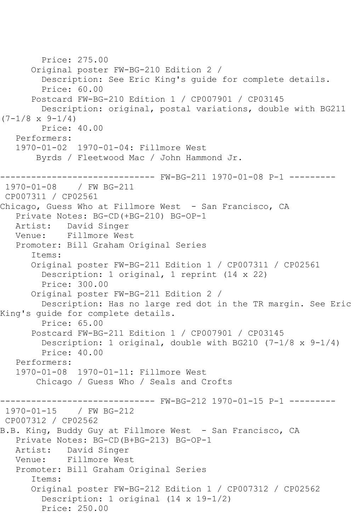```
 Price: 275.00
       Original poster FW-BG-210 Edition 2 / 
         Description: See Eric King's guide for complete details.
         Price: 60.00
       Postcard FW-BG-210 Edition 1 / CP007901 / CP03145
         Description: original, postal variations, double with BG211 
(7-1/8 \times 9-1/4) Price: 40.00
   Performers:
   1970-01-02 1970-01-04: Fillmore West
        Byrds / Fleetwood Mac / John Hammond Jr.
                    ---------- FW-BG-211 1970-01-08 P-1 ---------
1970-01-08 / FW BG-211
CP007311 / CP02561
Chicago, Guess Who at Fillmore West - San Francisco, CA
   Private Notes: BG-CD(+BG-210) BG-OP-1
   Artist: David Singer
   Venue: Fillmore West
   Promoter: Bill Graham Original Series
       Items:
       Original poster FW-BG-211 Edition 1 / CP007311 / CP02561
         Description: 1 original, 1 reprint (14 x 22)
         Price: 300.00
       Original poster FW-BG-211 Edition 2 / 
         Description: Has no large red dot in the TR margin. See Eric 
King's guide for complete details.
         Price: 65.00
       Postcard FW-BG-211 Edition 1 / CP007901 / CP03145
         Description: 1 original, double with BG210 (7-1/8 x 9-1/4)
         Price: 40.00
   Performers:
   1970-01-08 1970-01-11: Fillmore West
        Chicago / Guess Who / Seals and Crofts
                  ------------------------------ FW-BG-212 1970-01-15 P-1 ---------
1970-01-15 / FW BG-212
CP007312 / CP02562
B.B. King, Buddy Guy at Fillmore West - San Francisco, CA
   Private Notes: BG-CD(B+BG-213) BG-OP-1
   Artist: David Singer
   Venue: Fillmore West
   Promoter: Bill Graham Original Series
       Items:
       Original poster FW-BG-212 Edition 1 / CP007312 / CP02562
         Description: 1 original (14 x 19-1/2)
         Price: 250.00
```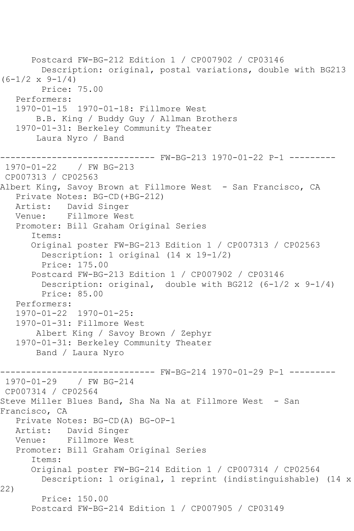```
 Postcard FW-BG-212 Edition 1 / CP007902 / CP03146
         Description: original, postal variations, double with BG213 
(6-1/2 \times 9-1/4) Price: 75.00
    Performers:
    1970-01-15 1970-01-18: Fillmore West
        B.B. King / Buddy Guy / Allman Brothers
    1970-01-31: Berkeley Community Theater
        Laura Nyro / Band
------------------------------ FW-BG-213 1970-01-22 P-1 ---------
1970-01-22 / FW BG-213
CP007313 / CP02563
Albert King, Savoy Brown at Fillmore West - San Francisco, CA
    Private Notes: BG-CD(+BG-212)
   Artist: David Singer
   Venue: Fillmore West
    Promoter: Bill Graham Original Series
       Items:
       Original poster FW-BG-213 Edition 1 / CP007313 / CP02563
         Description: 1 original (14 x 19-1/2)
         Price: 175.00
       Postcard FW-BG-213 Edition 1 / CP007902 / CP03146
         Description: original, double with BG212 (6-1/2 x 9-1/4)
         Price: 85.00
   Performers:
    1970-01-22 1970-01-25:
    1970-01-31: Fillmore West
        Albert King / Savoy Brown / Zephyr
    1970-01-31: Berkeley Community Theater
        Band / Laura Nyro
              ------------------------------ FW-BG-214 1970-01-29 P-1 ---------
1970 - 01 - 29CP007314 / CP02564
Steve Miller Blues Band, Sha Na Na at Fillmore West - San
Francisco, CA
    Private Notes: BG-CD(A) BG-OP-1
  Artist: David Singer<br>Venue: Fillmore Wes
           Fillmore West
   Promoter: Bill Graham Original Series
       Items:
       Original poster FW-BG-214 Edition 1 / CP007314 / CP02564
         Description: 1 original, 1 reprint (indistinguishable) (14 x 
22)
         Price: 150.00
       Postcard FW-BG-214 Edition 1 / CP007905 / CP03149
```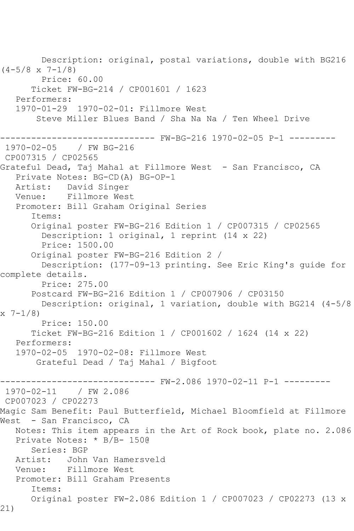Description: original, postal variations, double with BG216  $(4-5/8 \times 7-1/8)$  Price: 60.00 Ticket FW-BG-214 / CP001601 / 1623 Performers: 1970-01-29 1970-02-01: Fillmore West Steve Miller Blues Band / Sha Na Na / Ten Wheel Drive ------------------------------ FW-BG-216 1970-02-05 P-1 --------- 1970-02-05 / FW BG-216 CP007315 / CP02565 Grateful Dead, Taj Mahal at Fillmore West - San Francisco, CA Private Notes: BG-CD(A) BG-OP-1 Artist: David Singer Venue: Fillmore West Promoter: Bill Graham Original Series Items: Original poster FW-BG-216 Edition 1 / CP007315 / CP02565 Description: 1 original, 1 reprint (14 x 22) Price: 1500.00 Original poster FW-BG-216 Edition 2 / Description: (177-09-13 printing. See Eric King's guide for complete details. Price: 275.00 Postcard FW-BG-216 Edition 1 / CP007906 / CP03150 Description: original, 1 variation, double with BG214 (4-5/8  $x \ 7-1/8$  Price: 150.00 Ticket FW-BG-216 Edition 1 / CP001602 / 1624 (14 x 22) Performers: 1970-02-05 1970-02-08: Fillmore West Grateful Dead / Taj Mahal / Bigfoot ------------------------------ FW-2.086 1970-02-11 P-1 --------- 1970-02-11 / FW 2.086 CP007023 / CP02273 Magic Sam Benefit: Paul Butterfield, Michael Bloomfield at Fillmore West - San Francisco, CA Notes: This item appears in the Art of Rock book, plate no. 2.086 Private Notes: \* B/B- 150@ Series: BGP Artist: John Van Hamersveld Venue: Fillmore West Promoter: Bill Graham Presents Items: Original poster FW-2.086 Edition 1 / CP007023 / CP02273 (13 x 21)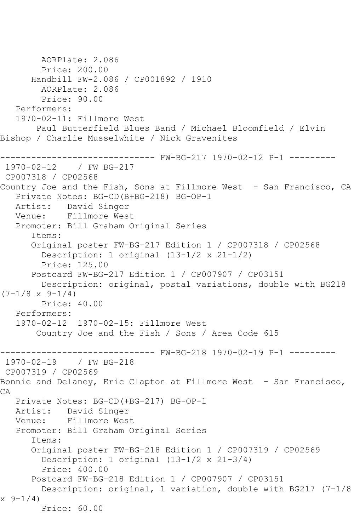```
 AORPlate: 2.086 
        Price: 200.00
       Handbill FW-2.086 / CP001892 / 1910
         AORPlate: 2.086 
         Price: 90.00
   Performers:
   1970-02-11: Fillmore West
        Paul Butterfield Blues Band / Michael Bloomfield / Elvin 
Bishop / Charlie Musselwhite / Nick Gravenites
------------------------------ FW-BG-217 1970-02-12 P-1 ---------
1970-02-12 / FW BG-217
CP007318 / CP02568
Country Joe and the Fish, Sons at Fillmore West - San Francisco, CA
   Private Notes: BG-CD(B+BG-218) BG-OP-1
   Artist: David Singer
   Venue: Fillmore West
   Promoter: Bill Graham Original Series
       Items:
       Original poster FW-BG-217 Edition 1 / CP007318 / CP02568
         Description: 1 original (13-1/2 x 21-1/2)
         Price: 125.00
       Postcard FW-BG-217 Edition 1 / CP007907 / CP03151
        Description: original, postal variations, double with BG218 
(7-1/8 \times 9-1/4) Price: 40.00
   Performers:
   1970-02-12 1970-02-15: Fillmore West
        Country Joe and the Fish / Sons / Area Code 615
                    ------------------------------ FW-BG-218 1970-02-19 P-1 ---------
1970-02-19 / FW BG-218
CP007319 / CP02569
Bonnie and Delaney, Eric Clapton at Fillmore West - San Francisco,
CA
   Private Notes: BG-CD(+BG-217) BG-OP-1
   Artist: David Singer
   Venue: Fillmore West
   Promoter: Bill Graham Original Series
       Items:
       Original poster FW-BG-218 Edition 1 / CP007319 / CP02569
         Description: 1 original (13-1/2 x 21-3/4)
         Price: 400.00
       Postcard FW-BG-218 Edition 1 / CP007907 / CP03151
         Description: original, 1 variation, double with BG217 (7-1/8 
x 9-1/4)
         Price: 60.00
```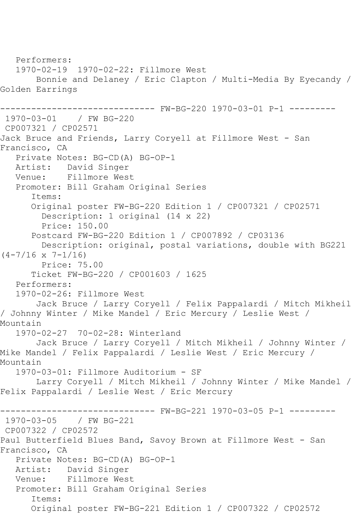Performers: 1970-02-19 1970-02-22: Fillmore West Bonnie and Delaney / Eric Clapton / Multi-Media By Eyecandy / Golden Earrings ------------------------------ FW-BG-220 1970-03-01 P-1 --------- 1970-03-01 / FW BG-220 CP007321 / CP02571 Jack Bruce and Friends, Larry Coryell at Fillmore West - San Francisco, CA Private Notes: BG-CD(A) BG-OP-1 Artist: David Singer Venue: Fillmore West Promoter: Bill Graham Original Series Items: Original poster FW-BG-220 Edition 1 / CP007321 / CP02571 Description: 1 original (14 x 22) Price: 150.00 Postcard FW-BG-220 Edition 1 / CP007892 / CP03136 Description: original, postal variations, double with BG221  $(4-7/16 \times 7-1/16)$  Price: 75.00 Ticket FW-BG-220 / CP001603 / 1625 Performers: 1970-02-26: Fillmore West Jack Bruce / Larry Coryell / Felix Pappalardi / Mitch Mikheil / Johnny Winter / Mike Mandel / Eric Mercury / Leslie West / Mountain 1970-02-27 70-02-28: Winterland Jack Bruce / Larry Coryell / Mitch Mikheil / Johnny Winter / Mike Mandel / Felix Pappalardi / Leslie West / Eric Mercury / Mountain 1970-03-01: Fillmore Auditorium - SF Larry Coryell / Mitch Mikheil / Johnny Winter / Mike Mandel / Felix Pappalardi / Leslie West / Eric Mercury ------------------------------ FW-BG-221 1970-03-05 P-1 --------- 1970-03-05 / FW BG-221 CP007322 / CP02572 Paul Butterfield Blues Band, Savoy Brown at Fillmore West - San Francisco, CA Private Notes: BG-CD(A) BG-OP-1 Artist: David Singer Venue: Fillmore West Promoter: Bill Graham Original Series Items: Original poster FW-BG-221 Edition 1 / CP007322 / CP02572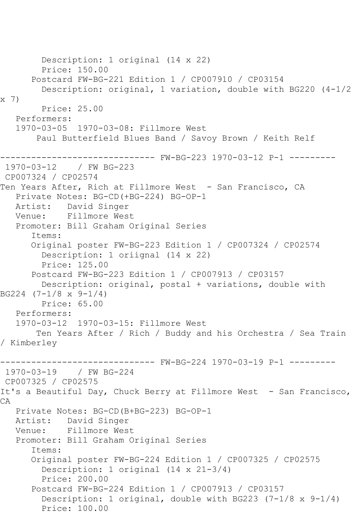```
 Description: 1 original (14 x 22)
         Price: 150.00
       Postcard FW-BG-221 Edition 1 / CP007910 / CP03154
         Description: original, 1 variation, double with BG220 (4-1/2 
x 7)
         Price: 25.00
   Performers:
   1970-03-05 1970-03-08: Fillmore West
        Paul Butterfield Blues Band / Savoy Brown / Keith Relf
------------------------------ FW-BG-223 1970-03-12 P-1 ---------
1970-03-12 / FW BG-223
CP007324 / CP02574
Ten Years After, Rich at Fillmore West - San Francisco, CA
   Private Notes: BG-CD(+BG-224) BG-OP-1
   Artist: David Singer
   Venue: Fillmore West
   Promoter: Bill Graham Original Series
       Items:
       Original poster FW-BG-223 Edition 1 / CP007324 / CP02574
         Description: 1 oriignal (14 x 22)
         Price: 125.00
       Postcard FW-BG-223 Edition 1 / CP007913 / CP03157
         Description: original, postal + variations, double with 
BG224 (7-1/8 x 9-1/4)
        Price: 65.00
   Performers:
   1970-03-12 1970-03-15: Fillmore West
        Ten Years After / Rich / Buddy and his Orchestra / Sea Train 
/ Kimberley
                     ------------------------------ FW-BG-224 1970-03-19 P-1 ---------
1970-03-19 / FW BG-224
CP007325 / CP02575
It's a Beautiful Day, Chuck Berry at Fillmore West - San Francisco,
CA
   Private Notes: BG-CD(B+BG-223) BG-OP-1
           David Singer
   Venue: Fillmore West
   Promoter: Bill Graham Original Series
       Items:
       Original poster FW-BG-224 Edition 1 / CP007325 / CP02575
         Description: 1 original (14 x 21-3/4)
         Price: 200.00
       Postcard FW-BG-224 Edition 1 / CP007913 / CP03157
         Description: 1 original, double with BG223 (7-1/8 x 9-1/4)
         Price: 100.00
```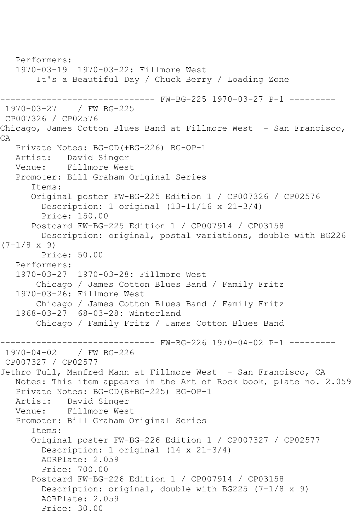```
 Performers:
   1970-03-19 1970-03-22: Fillmore West
        It's a Beautiful Day / Chuck Berry / Loading Zone
------------------------------ FW-BG-225 1970-03-27 P-1 ---------
1970-03-27 / FW BG-225
CP007326 / CP02576
Chicago, James Cotton Blues Band at Fillmore West - San Francisco,
CA
   Private Notes: BG-CD(+BG-226) BG-OP-1
   Artist: David Singer
   Venue: Fillmore West
   Promoter: Bill Graham Original Series
       Items:
       Original poster FW-BG-225 Edition 1 / CP007326 / CP02576
         Description: 1 original (13-11/16 x 21-3/4)
         Price: 150.00
       Postcard FW-BG-225 Edition 1 / CP007914 / CP03158
         Description: original, postal variations, double with BG226 
(7-1/8 \times 9) Price: 50.00
   Performers:
   1970-03-27 1970-03-28: Fillmore West
        Chicago / James Cotton Blues Band / Family Fritz
   1970-03-26: Fillmore West
        Chicago / James Cotton Blues Band / Family Fritz
   1968-03-27 68-03-28: Winterland
        Chicago / Family Fritz / James Cotton Blues Band
------------------------------ FW-BG-226 1970-04-02 P-1 ---------
1970-04-02 / FW BG-226
CP007327 / CP02577
Jethro Tull, Manfred Mann at Fillmore West - San Francisco, CA
   Notes: This item appears in the Art of Rock book, plate no. 2.059
   Private Notes: BG-CD(B+BG-225) BG-OP-1
   Artist: David Singer
   Venue: Fillmore West
   Promoter: Bill Graham Original Series
       Items:
       Original poster FW-BG-226 Edition 1 / CP007327 / CP02577
         Description: 1 original (14 x 21-3/4)
         AORPlate: 2.059 
         Price: 700.00
       Postcard FW-BG-226 Edition 1 / CP007914 / CP03158
         Description: original, double with BG225 (7-1/8 x 9)
         AORPlate: 2.059 
         Price: 30.00
```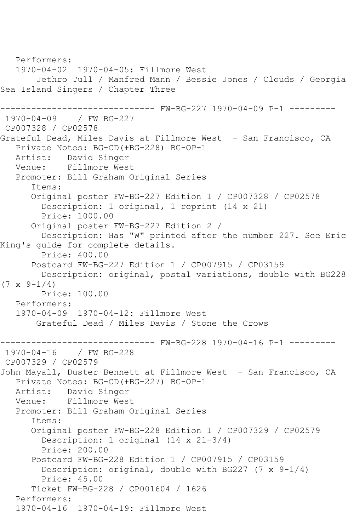Performers: 1970-04-02 1970-04-05: Fillmore West Jethro Tull / Manfred Mann / Bessie Jones / Clouds / Georgia Sea Island Singers / Chapter Three ------------------------------ FW-BG-227 1970-04-09 P-1 --------- 1970-04-09 / FW BG-227 CP007328 / CP02578 Grateful Dead, Miles Davis at Fillmore West - San Francisco, CA Private Notes: BG-CD(+BG-228) BG-OP-1 Artist: David Singer Venue: Fillmore West Promoter: Bill Graham Original Series Items: Original poster FW-BG-227 Edition 1 / CP007328 / CP02578 Description: 1 original, 1 reprint (14 x 21) Price: 1000.00 Original poster FW-BG-227 Edition 2 / Description: Has "W" printed after the number 227. See Eric King's guide for complete details. Price: 400.00 Postcard FW-BG-227 Edition 1 / CP007915 / CP03159 Description: original, postal variations, double with BG228  $(7 \times 9 - 1/4)$  Price: 100.00 Performers: 1970-04-09 1970-04-12: Fillmore West Grateful Dead / Miles Davis / Stone the Crows ------------------------------ FW-BG-228 1970-04-16 P-1 ---------  $1970 - 04 - 16$ CP007329 / CP02579 John Mayall, Duster Bennett at Fillmore West - San Francisco, CA Private Notes: BG-CD(+BG-227) BG-OP-1 Artist: David Singer Venue: Fillmore West Promoter: Bill Graham Original Series Items: Original poster FW-BG-228 Edition 1 / CP007329 / CP02579 Description: 1 original (14 x 21-3/4) Price: 200.00 Postcard FW-BG-228 Edition 1 / CP007915 / CP03159 Description: original, double with BG227 (7 x 9-1/4) Price: 45.00 Ticket FW-BG-228 / CP001604 / 1626 Performers: 1970-04-16 1970-04-19: Fillmore West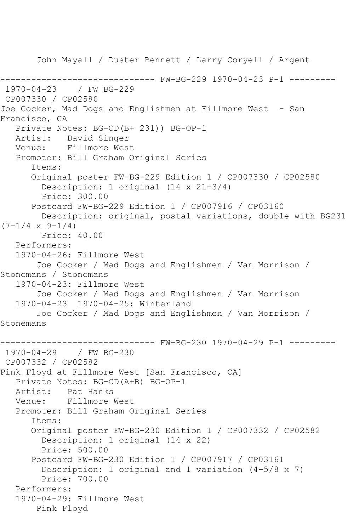John Mayall / Duster Bennett / Larry Coryell / Argent ------------------------------ FW-BG-229 1970-04-23 P-1 --------- 1970-04-23 / FW BG-229 CP007330 / CP02580 Joe Cocker, Mad Dogs and Englishmen at Fillmore West - San Francisco, CA Private Notes: BG-CD(B+ 231)) BG-OP-1 Artist: David Singer Venue: Fillmore West Promoter: Bill Graham Original Series Items: Original poster FW-BG-229 Edition 1 / CP007330 / CP02580 Description: 1 original (14 x 21-3/4) Price: 300.00 Postcard FW-BG-229 Edition 1 / CP007916 / CP03160 Description: original, postal variations, double with BG231  $(7-1/4 \times 9-1/4)$  Price: 40.00 Performers: 1970-04-26: Fillmore West Joe Cocker / Mad Dogs and Englishmen / Van Morrison / Stonemans / Stonemans 1970-04-23: Fillmore West Joe Cocker / Mad Dogs and Englishmen / Van Morrison 1970-04-23 1970-04-25: Winterland Joe Cocker / Mad Dogs and Englishmen / Van Morrison / Stonemans ------------------------------ FW-BG-230 1970-04-29 P-1 --------- 1970-04-29 / FW BG-230 CP007332 / CP02582 Pink Floyd at Fillmore West [San Francisco, CA] Private Notes: BG-CD(A+B) BG-OP-1 Artist: Pat Hanks Venue: Fillmore West Promoter: Bill Graham Original Series Items: Original poster FW-BG-230 Edition 1 / CP007332 / CP02582 Description: 1 original (14 x 22) Price: 500.00 Postcard FW-BG-230 Edition 1 / CP007917 / CP03161 Description: 1 original and 1 variation (4-5/8 x 7) Price: 700.00 Performers: 1970-04-29: Fillmore West Pink Floyd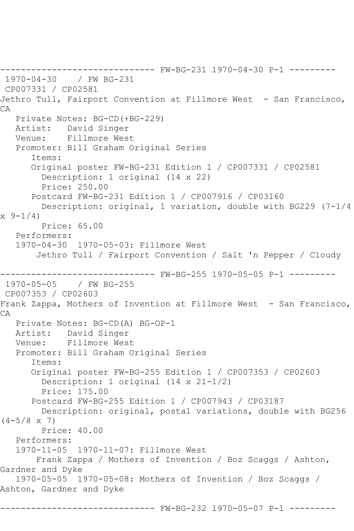------------------------------ FW-BG-231 1970-04-30 P-1 --------- 1970-04-30 / FW BG-231 CP007331 / CP02581 Jethro Tull, Fairport Convention at Fillmore West - San Francisco, CA Private Notes: BG-CD(+BG-229) Artist: David Singer Venue: Fillmore West Promoter: Bill Graham Original Series Items: Original poster FW-BG-231 Edition 1 / CP007331 / CP02581 Description: 1 original (14 x 22) Price: 250.00 Postcard FW-BG-231 Edition 1 / CP007916 / CP03160 Description: original, 1 variation, double with BG229 (7-1/4 x 9-1/4) Price: 65.00 Performers: 1970-04-30 1970-05-03: Fillmore West Jethro Tull / Fairport Convention / Salt 'n Pepper / Cloudy ------------------------------ FW-BG-255 1970-05-05 P-1 --------- 1970-05-05 / FW BG-255 CP007353 / CP02603 Frank Zappa, Mothers of Invention at Fillmore West - San Francisco, CA Private Notes: BG-CD(A) BG-OP-1 Artist: David Singer Venue: Fillmore West Promoter: Bill Graham Original Series Items: Original poster FW-BG-255 Edition 1 / CP007353 / CP02603 Description: 1 original (14 x 21-1/2) Price: 175.00 Postcard FW-BG-255 Edition 1 / CP007943 / CP03187 Description: original, postal variations, double with BG256  $(4-5/8 \times 7)$  Price: 40.00 Performers: 1970-11-05 1970-11-07: Fillmore West Frank Zappa / Mothers of Invention / Boz Scaggs / Ashton, Gardner and Dyke 1970-05-05 1970-05-08: Mothers of Invention / Boz Scaggs / Ashton, Gardner and Dyke ------------------------------ FW-BG-232 1970-05-07 P-1 ---------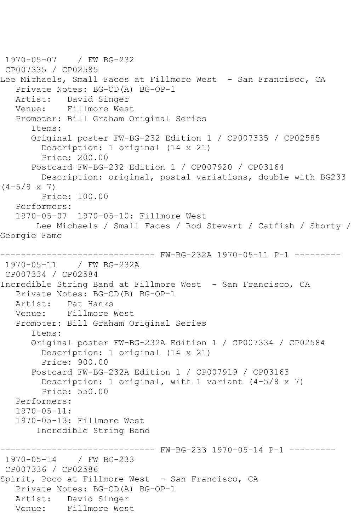1970-05-07 / FW BG-232 CP007335 / CP02585 Lee Michaels, Small Faces at Fillmore West - San Francisco, CA Private Notes: BG-CD(A) BG-OP-1 Artist: David Singer Venue: Fillmore West Promoter: Bill Graham Original Series Items: Original poster FW-BG-232 Edition 1 / CP007335 / CP02585 Description: 1 original (14 x 21) Price: 200.00 Postcard FW-BG-232 Edition 1 / CP007920 / CP03164 Description: original, postal variations, double with BG233  $(4-5/8 \times 7)$  Price: 100.00 Performers: 1970-05-07 1970-05-10: Fillmore West Lee Michaels / Small Faces / Rod Stewart / Catfish / Shorty / Georgie Fame ------------------------------ FW-BG-232A 1970-05-11 P-1 --------- 1970-05-11 / FW BG-232A CP007334 / CP02584 Incredible String Band at Fillmore West - San Francisco, CA Private Notes: BG-CD(B) BG-OP-1 Artist: Pat Hanks Venue: Fillmore West Promoter: Bill Graham Original Series Items: Original poster FW-BG-232A Edition 1 / CP007334 / CP02584 Description: 1 original (14 x 21) Price: 900.00 Postcard FW-BG-232A Edition 1 / CP007919 / CP03163 Description: 1 original, with 1 variant (4-5/8 x 7) Price: 550.00 Performers: 1970-05-11: 1970-05-13: Fillmore West Incredible String Band ------ FW-BG-233 1970-05-14 P-1 --------1970-05-14 / FW BG-233 CP007336 / CP02586 Spirit, Poco at Fillmore West - San Francisco, CA Private Notes: BG-CD(A) BG-OP-1 Artist: David Singer Venue: Fillmore West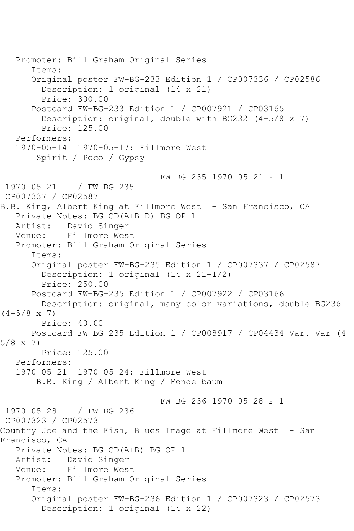Promoter: Bill Graham Original Series Items: Original poster FW-BG-233 Edition 1 / CP007336 / CP02586 Description: 1 original (14 x 21) Price: 300.00 Postcard FW-BG-233 Edition 1 / CP007921 / CP03165 Description: original, double with BG232 (4-5/8 x 7) Price: 125.00 Performers: 1970-05-14 1970-05-17: Fillmore West Spirit / Poco / Gypsy ------------------------------ FW-BG-235 1970-05-21 P-1 --------- 1970-05-21 / FW BG-235 CP007337 / CP02587 B.B. King, Albert King at Fillmore West - San Francisco, CA Private Notes: BG-CD(A+B+D) BG-OP-1 Artist: David Singer<br>Venue: Fillmore Wes Fillmore West Promoter: Bill Graham Original Series Items: Original poster FW-BG-235 Edition 1 / CP007337 / CP02587 Description: 1 original (14 x 21-1/2) Price: 250.00 Postcard FW-BG-235 Edition 1 / CP007922 / CP03166 Description: original, many color variations, double BG236  $(4-5/8 \times 7)$  Price: 40.00 Postcard FW-BG-235 Edition 1 / CP008917 / CP04434 Var. Var (4- 5/8 x 7) Price: 125.00 Performers: 1970-05-21 1970-05-24: Fillmore West B.B. King / Albert King / Mendelbaum ------------------------------ FW-BG-236 1970-05-28 P-1 --------- 1970-05-28 / FW BG-236 CP007323 / CP02573 Country Joe and the Fish, Blues Image at Fillmore West - San Francisco, CA Private Notes: BG-CD(A+B) BG-OP-1 Artist: David Singer Venue: Fillmore West Promoter: Bill Graham Original Series Items: Original poster FW-BG-236 Edition 1 / CP007323 / CP02573 Description: 1 original (14 x 22)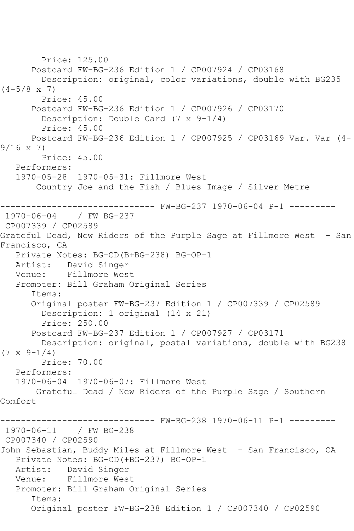Price: 125.00 Postcard FW-BG-236 Edition 1 / CP007924 / CP03168 Description: original, color variations, double with BG235  $(4-5/8 \times 7)$  Price: 45.00 Postcard FW-BG-236 Edition 1 / CP007926 / CP03170 Description: Double Card (7 x 9-1/4) Price: 45.00 Postcard FW-BG-236 Edition 1 / CP007925 / CP03169 Var. Var (4- 9/16 x 7) Price: 45.00 Performers: 1970-05-28 1970-05-31: Fillmore West Country Joe and the Fish / Blues Image / Silver Metre ------------------------------ FW-BG-237 1970-06-04 P-1 --------- 1970-06-04 / FW BG-237 CP007339 / CP02589 Grateful Dead, New Riders of the Purple Sage at Fillmore West - San Francisco, CA Private Notes: BG-CD(B+BG-238) BG-OP-1 Artist: David Singer Venue: Fillmore West Promoter: Bill Graham Original Series Items: Original poster FW-BG-237 Edition 1 / CP007339 / CP02589 Description: 1 original (14 x 21) Price: 250.00 Postcard FW-BG-237 Edition 1 / CP007927 / CP03171 Description: original, postal variations, double with BG238  $(7 \times 9 - 1/4)$  Price: 70.00 Performers: 1970-06-04 1970-06-07: Fillmore West Grateful Dead / New Riders of the Purple Sage / Southern Comfort ----- FW-BG-238 1970-06-11 P-1 ---------1970-06-11 / FW BG-238 CP007340 / CP02590 John Sebastian, Buddy Miles at Fillmore West - San Francisco, CA Private Notes: BG-CD(+BG-237) BG-OP-1 Artist: David Singer Venue: Fillmore West Promoter: Bill Graham Original Series Items: Original poster FW-BG-238 Edition 1 / CP007340 / CP02590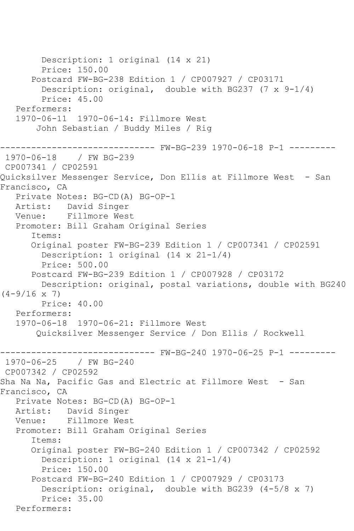```
 Description: 1 original (14 x 21)
         Price: 150.00
       Postcard FW-BG-238 Edition 1 / CP007927 / CP03171
        Description: original, double with BG237 (7 \times 9-1/4)
         Price: 45.00
    Performers:
    1970-06-11 1970-06-14: Fillmore West
        John Sebastian / Buddy Miles / Rig
                  ------------------------------ FW-BG-239 1970-06-18 P-1 ---------
1970-06-18 / FW BG-239
CP007341 / CP02591
Quicksilver Messenger Service, Don Ellis at Fillmore West - San 
Francisco, CA
    Private Notes: BG-CD(A) BG-OP-1
   Artist: David Singer
   Venue: Fillmore West
    Promoter: Bill Graham Original Series
       Items:
       Original poster FW-BG-239 Edition 1 / CP007341 / CP02591
         Description: 1 original (14 x 21-1/4)
         Price: 500.00
       Postcard FW-BG-239 Edition 1 / CP007928 / CP03172
         Description: original, postal variations, double with BG240 
(4-9/16 \times 7) Price: 40.00
    Performers:
    1970-06-18 1970-06-21: Fillmore West
        Quicksilver Messenger Service / Don Ellis / Rockwell
                    ------------------------------ FW-BG-240 1970-06-25 P-1 ---------
1970-06-25 / FW BG-240
CP007342 / CP02592
Sha Na Na, Pacific Gas and Electric at Fillmore West - San 
Francisco, CA
    Private Notes: BG-CD(A) BG-OP-1
   Artist: David Singer
   Venue: Fillmore West
    Promoter: Bill Graham Original Series
       Items:
       Original poster FW-BG-240 Edition 1 / CP007342 / CP02592
         Description: 1 original (14 x 21-1/4)
         Price: 150.00
       Postcard FW-BG-240 Edition 1 / CP007929 / CP03173
         Description: original, double with BG239 (4-5/8 x 7)
         Price: 35.00
   Performers:
```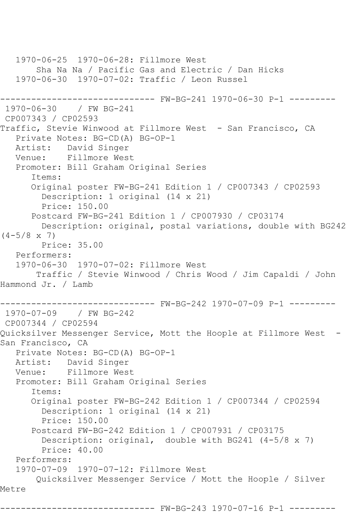1970-06-25 1970-06-28: Fillmore West Sha Na Na / Pacific Gas and Electric / Dan Hicks 1970-06-30 1970-07-02: Traffic / Leon Russel ------------------------------ FW-BG-241 1970-06-30 P-1 --------- 1970-06-30 / FW BG-241 CP007343 / CP02593 Traffic, Stevie Winwood at Fillmore West - San Francisco, CA Private Notes: BG-CD(A) BG-OP-1 Artist: David Singer Venue: Fillmore West Promoter: Bill Graham Original Series Items: Original poster FW-BG-241 Edition 1 / CP007343 / CP02593 Description: 1 original (14 x 21) Price: 150.00 Postcard FW-BG-241 Edition 1 / CP007930 / CP03174 Description: original, postal variations, double with BG242  $(4-5/8 \times 7)$  Price: 35.00 Performers: 1970-06-30 1970-07-02: Fillmore West Traffic / Stevie Winwood / Chris Wood / Jim Capaldi / John Hammond Jr. / Lamb ------------------------------ FW-BG-242 1970-07-09 P-1 --------- 1970-07-09 / FW BG-242 CP007344 / CP02594 Quicksilver Messenger Service, Mott the Hoople at Fillmore West - San Francisco, CA Private Notes: BG-CD(A) BG-OP-1 Artist: David Singer Venue: Fillmore West Promoter: Bill Graham Original Series Items: Original poster FW-BG-242 Edition 1 / CP007344 / CP02594 Description: 1 original (14 x 21) Price: 150.00 Postcard FW-BG-242 Edition 1 / CP007931 / CP03175 Description: original, double with BG241 (4-5/8 x 7) Price: 40.00 Performers: 1970-07-09 1970-07-12: Fillmore West Quicksilver Messenger Service / Mott the Hoople / Silver Metre ------------------------------ FW-BG-243 1970-07-16 P-1 ---------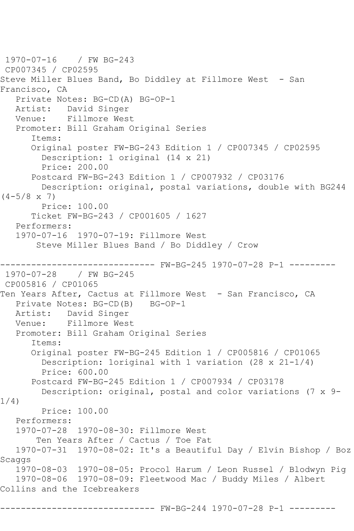1970-07-16 / FW BG-243 CP007345 / CP02595 Steve Miller Blues Band, Bo Diddley at Fillmore West - San Francisco, CA Private Notes: BG-CD(A) BG-OP-1 Artist: David Singer Venue: Fillmore West Promoter: Bill Graham Original Series Items: Original poster FW-BG-243 Edition 1 / CP007345 / CP02595 Description: 1 original (14 x 21) Price: 200.00 Postcard FW-BG-243 Edition 1 / CP007932 / CP03176 Description: original, postal variations, double with BG244  $(4-5/8 \times 7)$  Price: 100.00 Ticket FW-BG-243 / CP001605 / 1627 Performers: 1970-07-16 1970-07-19: Fillmore West Steve Miller Blues Band / Bo Diddley / Crow ------- FW-BG-245 1970-07-28 P-1 ---------1970-07-28 / FW BG-245 CP005816 / CP01065 Ten Years After, Cactus at Fillmore West - San Francisco, CA Private Notes: BG-CD(B) BG-OP-1 Artist: David Singer Venue: Fillmore West Promoter: Bill Graham Original Series Items: Original poster FW-BG-245 Edition 1 / CP005816 / CP01065 Description: 1original with 1 variation (28 x 21-1/4) Price: 600.00 Postcard FW-BG-245 Edition 1 / CP007934 / CP03178 Description: original, postal and color variations (7 x 9- 1/4) Price: 100.00 Performers: 1970-07-28 1970-08-30: Fillmore West Ten Years After / Cactus / Toe Fat 1970-07-31 1970-08-02: It's a Beautiful Day / Elvin Bishop / Boz Scaggs 1970-08-03 1970-08-05: Procol Harum / Leon Russel / Blodwyn Pig 1970-08-06 1970-08-09: Fleetwood Mac / Buddy Miles / Albert Collins and the Icebreakers ------ FW-BG-244 1970-07-28 P-1 ---------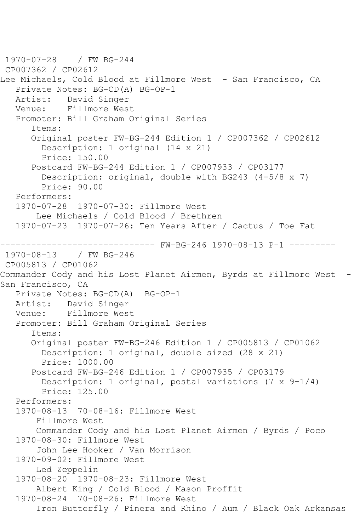```
1970-07-28 / FW BG-244
CP007362 / CP02612
Lee Michaels, Cold Blood at Fillmore West - San Francisco, CA
   Private Notes: BG-CD(A) BG-OP-1
   Artist: David Singer
   Venue: Fillmore West
   Promoter: Bill Graham Original Series
       Items:
       Original poster FW-BG-244 Edition 1 / CP007362 / CP02612
         Description: 1 original (14 x 21)
         Price: 150.00
       Postcard FW-BG-244 Edition 1 / CP007933 / CP03177
         Description: original, double with BG243 (4-5/8 x 7)
         Price: 90.00
   Performers:
   1970-07-28 1970-07-30: Fillmore West
        Lee Michaels / Cold Blood / Brethren
   1970-07-23 1970-07-26: Ten Years After / Cactus / Toe Fat
------------------------------ FW-BG-246 1970-08-13 P-1 ---------
1970-08-13
CP005813 / CP01062
Commander Cody and his Lost Planet Airmen, Byrds at Fillmore West -
San Francisco, CA
   Private Notes: BG-CD(A) BG-OP-1
   Artist: David Singer
   Venue: Fillmore West
   Promoter: Bill Graham Original Series
       Items:
       Original poster FW-BG-246 Edition 1 / CP005813 / CP01062
         Description: 1 original, double sized (28 x 21)
         Price: 1000.00
       Postcard FW-BG-246 Edition 1 / CP007935 / CP03179
         Description: 1 original, postal variations (7 x 9-1/4)
         Price: 125.00
   Performers:
   1970-08-13 70-08-16: Fillmore West
        Fillmore West
       Commander Cody and his Lost Planet Airmen / Byrds / Poco
   1970-08-30: Fillmore West
        John Lee Hooker / Van Morrison
   1970-09-02: Fillmore West
        Led Zeppelin
   1970-08-20 1970-08-23: Fillmore West
        Albert King / Cold Blood / Mason Proffit
   1970-08-24 70-08-26: Fillmore West
        Iron Butterfly / Pinera and Rhino / Aum / Black Oak Arkansas
```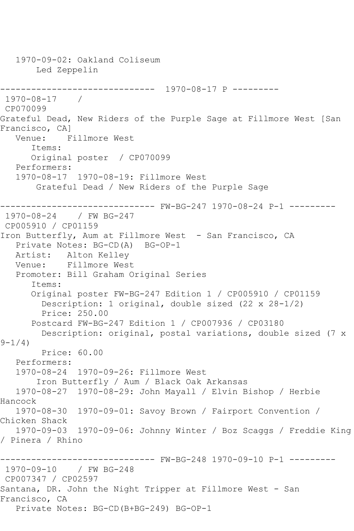1970-09-02: Oakland Coliseum Led Zeppelin ------------------------------ 1970-08-17 P --------- 1970-08-17 / CP070099 Grateful Dead, New Riders of the Purple Sage at Fillmore West [San Francisco, CA] Venue: Fillmore West Items: Original poster / CP070099 Performers: 1970-08-17 1970-08-19: Fillmore West Grateful Dead / New Riders of the Purple Sage ------------------------------ FW-BG-247 1970-08-24 P-1 --------- 1970-08-24 / FW BG-247 CP005910 / CP01159 Iron Butterfly, Aum at Fillmore West - San Francisco, CA Private Notes: BG-CD(A) BG-OP-1 Artist: Alton Kelley Venue: Fillmore West Promoter: Bill Graham Original Series Items: Original poster FW-BG-247 Edition 1 / CP005910 / CP01159 Description: 1 original, double sized (22 x 28-1/2) Price: 250.00 Postcard FW-BG-247 Edition 1 / CP007936 / CP03180 Description: original, postal variations, double sized (7 x  $9 - 1/4$ ) Price: 60.00 Performers: 1970-08-24 1970-09-26: Fillmore West Iron Butterfly / Aum / Black Oak Arkansas 1970-08-27 1970-08-29: John Mayall / Elvin Bishop / Herbie Hancock 1970-08-30 1970-09-01: Savoy Brown / Fairport Convention / Chicken Shack 1970-09-03 1970-09-06: Johnny Winter / Boz Scaggs / Freddie King / Pinera / Rhino ------------------------------ FW-BG-248 1970-09-10 P-1 --------- 1970-09-10 / FW BG-248 CP007347 / CP02597 Santana, DR. John the Night Tripper at Fillmore West - San Francisco, CA Private Notes: BG-CD(B+BG-249) BG-OP-1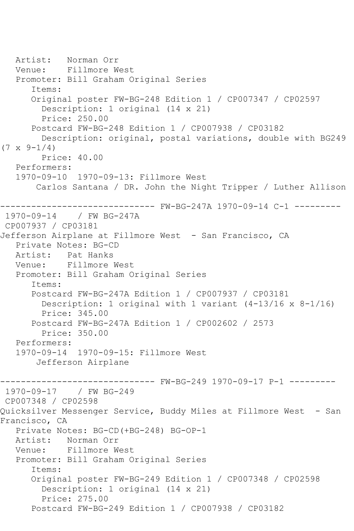Artist: Norman Orr Venue: Fillmore West Promoter: Bill Graham Original Series Items: Original poster FW-BG-248 Edition 1 / CP007347 / CP02597 Description: 1 original (14 x 21) Price: 250.00 Postcard FW-BG-248 Edition 1 / CP007938 / CP03182 Description: original, postal variations, double with BG249  $(7 \times 9 - 1/4)$  Price: 40.00 Performers: 1970-09-10 1970-09-13: Fillmore West Carlos Santana / DR. John the Night Tripper / Luther Allison ------------------------------ FW-BG-247A 1970-09-14 C-1 --------- 1970-09-14 / FW BG-247A CP007937 / CP03181 Jefferson Airplane at Fillmore West - San Francisco, CA Private Notes: BG-CD Artist: Pat Hanks Venue: Fillmore West Promoter: Bill Graham Original Series Items: Postcard FW-BG-247A Edition 1 / CP007937 / CP03181 Description: 1 original with 1 variant (4-13/16 x 8-1/16) Price: 345.00 Postcard FW-BG-247A Edition 1 / CP002602 / 2573 Price: 350.00 Performers: 1970-09-14 1970-09-15: Fillmore West Jefferson Airplane ------------------------------ FW-BG-249 1970-09-17 P-1 --------- 1970-09-17 / FW BG-249 CP007348 / CP02598 Quicksilver Messenger Service, Buddy Miles at Fillmore West - San Francisco, CA Private Notes: BG-CD(+BG-248) BG-OP-1 Artist: Norman Orr Venue: Fillmore West Promoter: Bill Graham Original Series Items: Original poster FW-BG-249 Edition 1 / CP007348 / CP02598 Description: 1 original (14 x 21) Price: 275.00 Postcard FW-BG-249 Edition 1 / CP007938 / CP03182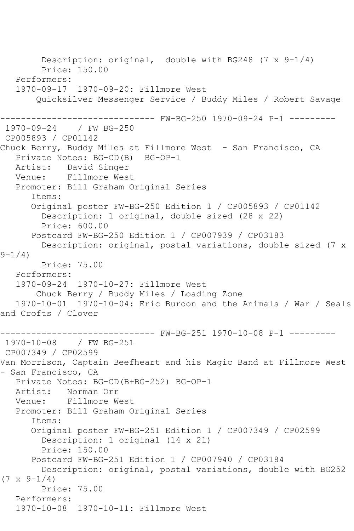Description: original, double with BG248 (7 x 9-1/4) Price: 150.00 Performers: 1970-09-17 1970-09-20: Fillmore West Quicksilver Messenger Service / Buddy Miles / Robert Savage ------------------------------ FW-BG-250 1970-09-24 P-1 --------- 1970-09-24 / FW BG-250 CP005893 / CP01142 Chuck Berry, Buddy Miles at Fillmore West - San Francisco, CA Private Notes: BG-CD(B) BG-OP-1 Artist: David Singer Venue: Fillmore West Promoter: Bill Graham Original Series Items: Original poster FW-BG-250 Edition 1 / CP005893 / CP01142 Description: 1 original, double sized (28 x 22) Price: 600.00 Postcard FW-BG-250 Edition 1 / CP007939 / CP03183 Description: original, postal variations, double sized (7 x  $9 - 1/4$  Price: 75.00 Performers: 1970-09-24 1970-10-27: Fillmore West Chuck Berry / Buddy Miles / Loading Zone 1970-10-01 1970-10-04: Eric Burdon and the Animals / War / Seals and Crofts / Clover ------------------------------ FW-BG-251 1970-10-08 P-1 --------- 1970-10-08 / FW BG-251 CP007349 / CP02599 Van Morrison, Captain Beefheart and his Magic Band at Fillmore West - San Francisco, CA Private Notes: BG-CD(B+BG-252) BG-OP-1 Artist: Norman Orr Venue: Fillmore West Promoter: Bill Graham Original Series Items: Original poster FW-BG-251 Edition 1 / CP007349 / CP02599 Description: 1 original (14 x 21) Price: 150.00 Postcard FW-BG-251 Edition 1 / CP007940 / CP03184 Description: original, postal variations, double with BG252  $(7 \times 9-1/4)$  Price: 75.00 Performers: 1970-10-08 1970-10-11: Fillmore West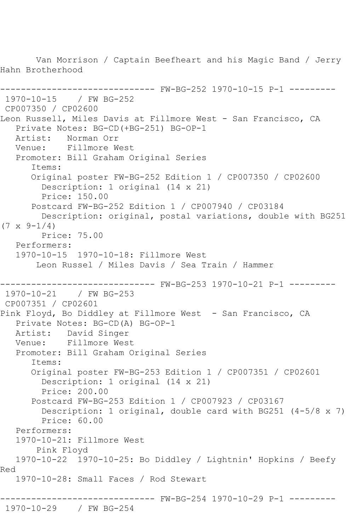Van Morrison / Captain Beefheart and his Magic Band / Jerry Hahn Brotherhood ------------------------------ FW-BG-252 1970-10-15 P-1 --------- 1970-10-15 / FW BG-252 CP007350 / CP02600 Leon Russell, Miles Davis at Fillmore West - San Francisco, CA Private Notes: BG-CD(+BG-251) BG-OP-1<br>Artist: Norman Orr Norman Orr Venue: Fillmore West Promoter: Bill Graham Original Series Items: Original poster FW-BG-252 Edition 1 / CP007350 / CP02600 Description: 1 original (14 x 21) Price: 150.00 Postcard FW-BG-252 Edition 1 / CP007940 / CP03184 Description: original, postal variations, double with BG251  $(7 \times 9 - 1/4)$  Price: 75.00 Performers: 1970-10-15 1970-10-18: Fillmore West Leon Russel / Miles Davis / Sea Train / Hammer ------------------------------ FW-BG-253 1970-10-21 P-1 --------- 1970-10-21 / FW BG-253 CP007351 / CP02601 Pink Floyd, Bo Diddley at Fillmore West - San Francisco, CA Private Notes: BG-CD(A) BG-OP-1 Artist: David Singer Venue: Fillmore West Promoter: Bill Graham Original Series Items: Original poster FW-BG-253 Edition 1 / CP007351 / CP02601 Description: 1 original (14 x 21) Price: 200.00 Postcard FW-BG-253 Edition 1 / CP007923 / CP03167 Description: 1 original, double card with BG251 (4-5/8 x 7) Price: 60.00 Performers: 1970-10-21: Fillmore West Pink Floyd 1970-10-22 1970-10-25: Bo Diddley / Lightnin' Hopkins / Beefy Red 1970-10-28: Small Faces / Rod Stewart ------------------------------ FW-BG-254 1970-10-29 P-1 --------- 1970-10-29 / FW BG-254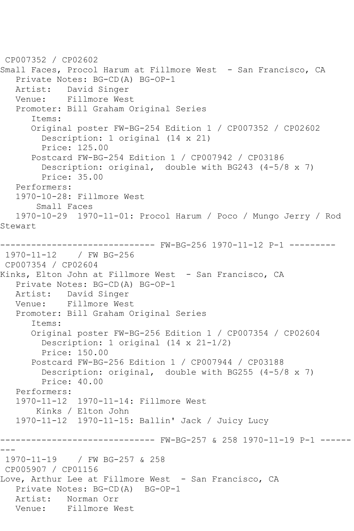CP007352 / CP02602 Small Faces, Procol Harum at Fillmore West - San Francisco, CA Private Notes: BG-CD(A) BG-OP-1 Artist: David Singer<br>Venue: Fillmore Wes Fillmore West Promoter: Bill Graham Original Series Items: Original poster FW-BG-254 Edition 1 / CP007352 / CP02602 Description: 1 original (14 x 21) Price: 125.00 Postcard FW-BG-254 Edition 1 / CP007942 / CP03186 Description: original, double with BG243 (4-5/8 x 7) Price: 35.00 Performers: 1970-10-28: Fillmore West Small Faces 1970-10-29 1970-11-01: Procol Harum / Poco / Mungo Jerry / Rod Stewart ------------------------------ FW-BG-256 1970-11-12 P-1 --------- 1970-11-12 / FW BG-256 CP007354 / CP02604 Kinks, Elton John at Fillmore West - San Francisco, CA Private Notes: BG-CD(A) BG-OP-1 Artist: David Singer<br>Venue: Fillmore Wes Fillmore West Promoter: Bill Graham Original Series Items: Original poster FW-BG-256 Edition 1 / CP007354 / CP02604 Description: 1 original (14 x 21-1/2) Price: 150.00 Postcard FW-BG-256 Edition 1 / CP007944 / CP03188 Description: original, double with BG255 (4-5/8 x 7) Price: 40.00 Performers: 1970-11-12 1970-11-14: Fillmore West Kinks / Elton John 1970-11-12 1970-11-15: Ballin' Jack / Juicy Lucy ------------------------------ FW-BG-257 & 258 1970-11-19 P-1 ------ --- 1970-11-19 / FW BG-257 & 258 CP005907 / CP01156 Love, Arthur Lee at Fillmore West - San Francisco, CA Private Notes: BG-CD(A) BG-OP-1 Artist: Norman Orr Venue: Fillmore West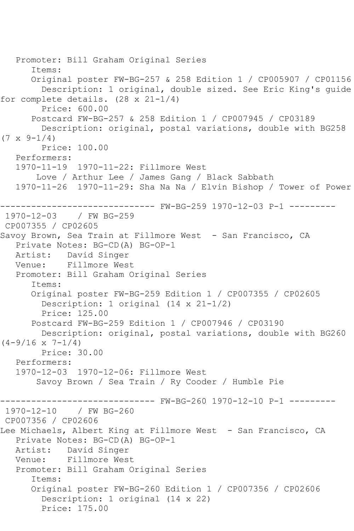```
 Promoter: Bill Graham Original Series
       Items:
       Original poster FW-BG-257 & 258 Edition 1 / CP005907 / CP01156
         Description: 1 original, double sized. See Eric King's guide 
for complete details. (28 x 21-1/4)
         Price: 600.00
       Postcard FW-BG-257 & 258 Edition 1 / CP007945 / CP03189
         Description: original, postal variations, double with BG258 
(7 \times 9 - 1/4) Price: 100.00
    Performers:
    1970-11-19 1970-11-22: Fillmore West
        Love / Arthur Lee / James Gang / Black Sabbath
    1970-11-26 1970-11-29: Sha Na Na / Elvin Bishop / Tower of Power
                  ------------------------------ FW-BG-259 1970-12-03 P-1 ---------
1970-12-03 / FW BG-259
CP007355 / CP02605
Savoy Brown, Sea Train at Fillmore West - San Francisco, CA
    Private Notes: BG-CD(A) BG-OP-1
   Artist: David Singer
   Venue: Fillmore West
    Promoter: Bill Graham Original Series
       Items:
       Original poster FW-BG-259 Edition 1 / CP007355 / CP02605
         Description: 1 original (14 x 21-1/2)
         Price: 125.00
       Postcard FW-BG-259 Edition 1 / CP007946 / CP03190
         Description: original, postal variations, double with BG260 
(4-9/16 \times 7-1/4) Price: 30.00
    Performers:
    1970-12-03 1970-12-06: Fillmore West
        Savoy Brown / Sea Train / Ry Cooder / Humble Pie
                   ------------------------------ FW-BG-260 1970-12-10 P-1 ---------
1970-12-10 / FW BG-260
CP007356 / CP02606
Lee Michaels, Albert King at Fillmore West - San Francisco, CA
    Private Notes: BG-CD(A) BG-OP-1
   Artist: David Singer
   Venue: Fillmore West
    Promoter: Bill Graham Original Series
       Items:
       Original poster FW-BG-260 Edition 1 / CP007356 / CP02606
         Description: 1 original (14 x 22)
         Price: 175.00
```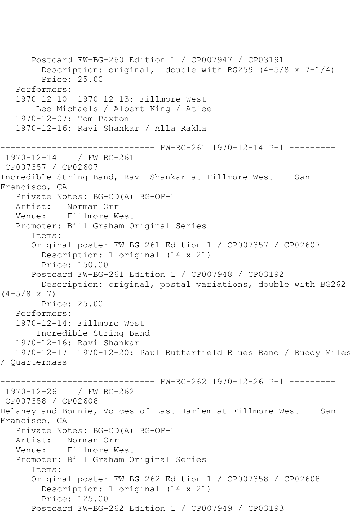Postcard FW-BG-260 Edition 1 / CP007947 / CP03191 Description: original, double with BG259 (4-5/8 x 7-1/4) Price: 25.00 Performers: 1970-12-10 1970-12-13: Fillmore West Lee Michaels / Albert King / Atlee 1970-12-07: Tom Paxton 1970-12-16: Ravi Shankar / Alla Rakha ------------------------------ FW-BG-261 1970-12-14 P-1 --------- 1970-12-14 / FW BG-261 CP007357 / CP02607 Incredible String Band, Ravi Shankar at Fillmore West - San Francisco, CA Private Notes: BG-CD(A) BG-OP-1 Artist: Norman Orr Venue: Fillmore West Promoter: Bill Graham Original Series Items: Original poster FW-BG-261 Edition 1 / CP007357 / CP02607 Description: 1 original (14 x 21) Price: 150.00 Postcard FW-BG-261 Edition 1 / CP007948 / CP03192 Description: original, postal variations, double with BG262  $(4-5/8 \times 7)$  Price: 25.00 Performers: 1970-12-14: Fillmore West Incredible String Band 1970-12-16: Ravi Shankar 1970-12-17 1970-12-20: Paul Butterfield Blues Band / Buddy Miles / Quartermass ------------------------------ FW-BG-262 1970-12-26 P-1 --------- 1970-12-26 / FW BG-262 CP007358 / CP02608 Delaney and Bonnie, Voices of East Harlem at Fillmore West - San Francisco, CA Private Notes: BG-CD(A) BG-OP-1 Artist: Norman Orr Venue: Fillmore West Promoter: Bill Graham Original Series Items: Original poster FW-BG-262 Edition 1 / CP007358 / CP02608 Description: 1 original (14 x 21) Price: 125.00 Postcard FW-BG-262 Edition 1 / CP007949 / CP03193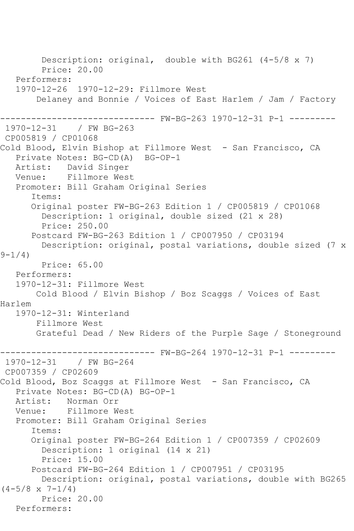Description: original, double with BG261 (4-5/8 x 7) Price: 20.00 Performers: 1970-12-26 1970-12-29: Fillmore West Delaney and Bonnie / Voices of East Harlem / Jam / Factory ------------------------------ FW-BG-263 1970-12-31 P-1 --------- 1970-12-31 / FW BG-263 CP005819 / CP01068 Cold Blood, Elvin Bishop at Fillmore West - San Francisco, CA Private Notes: BG-CD(A) BG-OP-1 Artist: David Singer Venue: Fillmore West Promoter: Bill Graham Original Series Items: Original poster FW-BG-263 Edition 1 / CP005819 / CP01068 Description: 1 original, double sized (21 x 28) Price: 250.00 Postcard FW-BG-263 Edition 1 / CP007950 / CP03194 Description: original, postal variations, double sized (7 x  $9 - 1/4$ ) Price: 65.00 Performers: 1970-12-31: Fillmore West Cold Blood / Elvin Bishop / Boz Scaggs / Voices of East Harlem 1970-12-31: Winterland Fillmore West Grateful Dead / New Riders of the Purple Sage / Stoneground ------ FW-BG-264 1970-12-31 P-1 ---------1970-12-31 / FW BG-264 CP007359 / CP02609 Cold Blood, Boz Scaggs at Fillmore West - San Francisco, CA Private Notes: BG-CD(A) BG-OP-1 Artist: Norman Orr Venue: Fillmore West Promoter: Bill Graham Original Series Items: Original poster FW-BG-264 Edition 1 / CP007359 / CP02609 Description: 1 original (14 x 21) Price: 15.00 Postcard FW-BG-264 Edition 1 / CP007951 / CP03195 Description: original, postal variations, double with BG265  $(4-5/8 \times 7-1/4)$  Price: 20.00 Performers: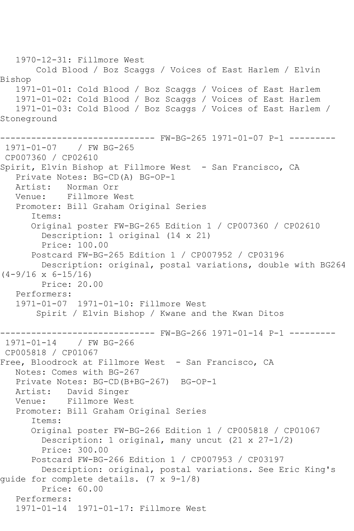1970-12-31: Fillmore West Cold Blood / Boz Scaggs / Voices of East Harlem / Elvin Bishop 1971-01-01: Cold Blood / Boz Scaggs / Voices of East Harlem 1971-01-02: Cold Blood / Boz Scaggs / Voices of East Harlem 1971-01-03: Cold Blood / Boz Scaggs / Voices of East Harlem / Stoneground ------ FW-BG-265 1971-01-07 P-1 ---------1971-01-07 / FW BG-265 CP007360 / CP02610 Spirit, Elvin Bishop at Fillmore West - San Francisco, CA Private Notes: BG-CD(A) BG-OP-1<br>Artist: Norman Orr Norman Orr Venue: Fillmore West Promoter: Bill Graham Original Series Items: Original poster FW-BG-265 Edition 1 / CP007360 / CP02610 Description: 1 original (14 x 21) Price: 100.00 Postcard FW-BG-265 Edition 1 / CP007952 / CP03196 Description: original, postal variations, double with BG264  $(4-9/16 \times 6-15/16)$  Price: 20.00 Performers: 1971-01-07 1971-01-10: Fillmore West Spirit / Elvin Bishop / Kwane and the Kwan Ditos ------------------------------ FW-BG-266 1971-01-14 P-1 --------- 1971-01-14 / FW BG-266 CP005818 / CP01067 Free, Bloodrock at Fillmore West - San Francisco, CA Notes: Comes with BG-267 Private Notes: BG-CD(B+BG-267) BG-OP-1 Artist: David Singer Venue: Fillmore West Promoter: Bill Graham Original Series Items: Original poster FW-BG-266 Edition 1 / CP005818 / CP01067 Description: 1 original, many uncut (21 x 27-1/2) Price: 300.00 Postcard FW-BG-266 Edition 1 / CP007953 / CP03197 Description: original, postal variations. See Eric King's guide for complete details. (7 x 9-1/8) Price: 60.00 Performers: 1971-01-14 1971-01-17: Fillmore West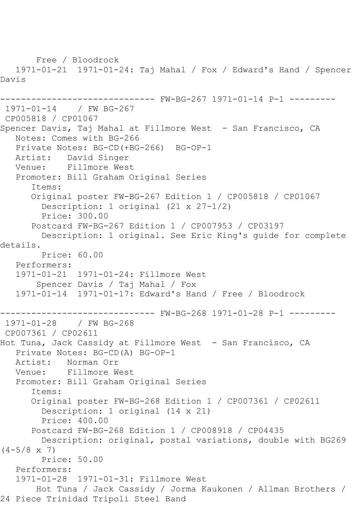Free / Bloodrock 1971-01-21 1971-01-24: Taj Mahal / Fox / Edward's Hand / Spencer Davis ------------------------------ FW-BG-267 1971-01-14 P-1 --------- 1971-01-14 / FW BG-267 CP005818 / CP01067 Spencer Davis, Taj Mahal at Fillmore West - San Francisco, CA Notes: Comes with BG-266 Private Notes: BG-CD(+BG-266) BG-OP-1 Artist: David Singer Venue: Fillmore West Promoter: Bill Graham Original Series Items: Original poster FW-BG-267 Edition 1 / CP005818 / CP01067 Description: 1 original (21 x 27-1/2) Price: 300.00 Postcard FW-BG-267 Edition 1 / CP007953 / CP03197 Description: 1 original. See Eric King's guide for complete details. Price: 60.00 Performers: 1971-01-21 1971-01-24: Fillmore West Spencer Davis / Taj Mahal / Fox 1971-01-14 1971-01-17: Edward's Hand / Free / Bloodrock ------------------------------ FW-BG-268 1971-01-28 P-1 --------- 1971-01-28 / FW BG-268 CP007361 / CP02611 Hot Tuna, Jack Cassidy at Fillmore West - San Francisco, CA Private Notes: BG-CD(A) BG-OP-1 Artist: Norman Orr<br>Venue: Fillmore W Fillmore West Promoter: Bill Graham Original Series Items: Original poster FW-BG-268 Edition 1 / CP007361 / CP02611 Description: 1 original (14 x 21) Price: 400.00 Postcard FW-BG-268 Edition 1 / CP008918 / CP04435 Description: original, postal variations, double with BG269  $(4-5/8 \times 7)$  Price: 50.00 Performers: 1971-01-28 1971-01-31: Fillmore West Hot Tuna / Jack Cassidy / Jorma Kaukonen / Allman Brothers / 24 Piece Trinidad Tripoli Steel Band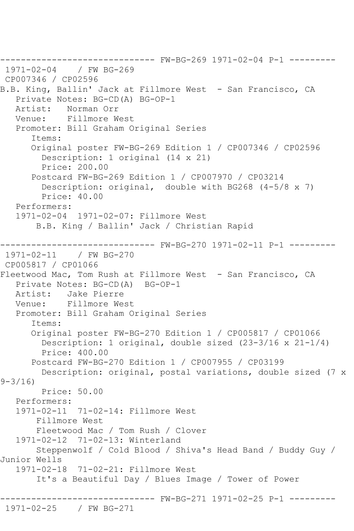```
------------------------------ FW-BG-269 1971-02-04 P-1 ---------
1971 - 02 - 04CP007346 / CP02596
B.B. King, Ballin' Jack at Fillmore West - San Francisco, CA
   Private Notes: BG-CD(A) BG-OP-1<br>Artist: Norman Orr
            Norman Orr
    Venue: Fillmore West
    Promoter: Bill Graham Original Series
       Items:
       Original poster FW-BG-269 Edition 1 / CP007346 / CP02596
         Description: 1 original (14 x 21)
         Price: 200.00
       Postcard FW-BG-269 Edition 1 / CP007970 / CP03214
         Description: original, double with BG268 (4-5/8 x 7)
         Price: 40.00
    Performers:
    1971-02-04 1971-02-07: Fillmore West
        B.B. King / Ballin' Jack / Christian Rapid
               ------------------------------ FW-BG-270 1971-02-11 P-1 ---------
1971 - 02 - 11CP005817 / CP01066
Fleetwood Mac, Tom Rush at Fillmore West - San Francisco, CA
  Private Notes: BG-CD(A) BG-OP-1<br>Artist: Jake Pierre
   Artist: Jake Pierre<br>Venue: Fillmore We
            Fillmore West
    Promoter: Bill Graham Original Series
       Items:
       Original poster FW-BG-270 Edition 1 / CP005817 / CP01066
         Description: 1 original, double sized (23-3/16 x 21-1/4)
         Price: 400.00
       Postcard FW-BG-270 Edition 1 / CP007955 / CP03199
         Description: original, postal variations, double sized (7 x 
9-3/16)
         Price: 50.00
    Performers:
    1971-02-11 71-02-14: Fillmore West
        Fillmore West
        Fleetwood Mac / Tom Rush / Clover
    1971-02-12 71-02-13: Winterland
        Steppenwolf / Cold Blood / Shiva's Head Band / Buddy Guy / 
Junior Wells
    1971-02-18 71-02-21: Fillmore West
        It's a Beautiful Day / Blues Image / Tower of Power
                        ------------------------------ FW-BG-271 1971-02-25 P-1 ---------
1971-02-25 / FW BG-271
```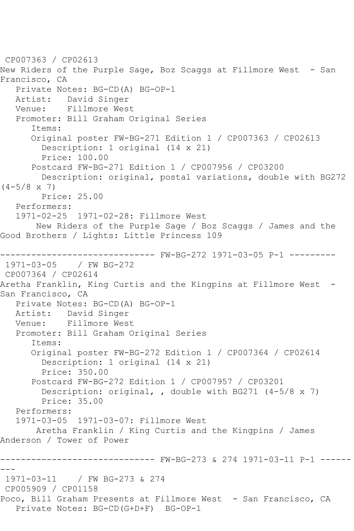CP007363 / CP02613 New Riders of the Purple Sage, Boz Scaggs at Fillmore West - San Francisco, CA Private Notes: BG-CD(A) BG-OP-1 Artist: David Singer Venue: Fillmore West Promoter: Bill Graham Original Series Items: Original poster FW-BG-271 Edition 1 / CP007363 / CP02613 Description: 1 original (14 x 21) Price: 100.00 Postcard FW-BG-271 Edition 1 / CP007956 / CP03200 Description: original, postal variations, double with BG272  $(4-5/8 \times 7)$  Price: 25.00 Performers: 1971-02-25 1971-02-28: Fillmore West New Riders of the Purple Sage / Boz Scaggs / James and the Good Brothers / Lights: Little Princess 109 ------------------------------ FW-BG-272 1971-03-05 P-1 --------- 1971-03-05 / FW BG-272 CP007364 / CP02614 Aretha Franklin, King Curtis and the Kingpins at Fillmore West -San Francisco, CA Private Notes: BG-CD(A) BG-OP-1 Artist: David Singer Venue: Fillmore West Promoter: Bill Graham Original Series Items: Original poster FW-BG-272 Edition 1 / CP007364 / CP02614 Description: 1 original (14 x 21) Price: 350.00 Postcard FW-BG-272 Edition 1 / CP007957 / CP03201 Description: original, , double with BG271 (4-5/8 x 7) Price: 35.00 Performers: 1971-03-05 1971-03-07: Fillmore West Aretha Franklin / King Curtis and the Kingpins / James Anderson / Tower of Power ------------------------------ FW-BG-273 & 274 1971-03-11 P-1 ------ --- 1971-03-11 / FW BG-273 & 274 CP005909 / CP01158 Poco, Bill Graham Presents at Fillmore West - San Francisco, CA Private Notes: BG-CD(G+D+F) BG-OP-1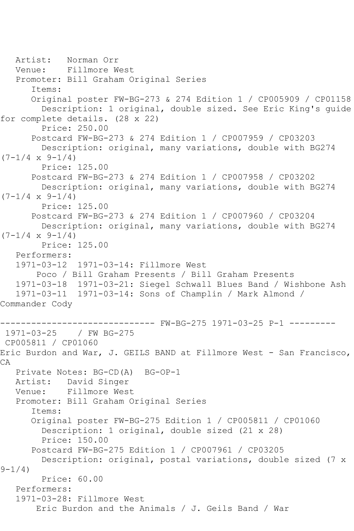```
 Artist: Norman Orr
   Venue: Fillmore West
   Promoter: Bill Graham Original Series
       Items:
       Original poster FW-BG-273 & 274 Edition 1 / CP005909 / CP01158
         Description: 1 original, double sized. See Eric King's guide 
for complete details. (28 x 22)
         Price: 250.00
       Postcard FW-BG-273 & 274 Edition 1 / CP007959 / CP03203
         Description: original, many variations, double with BG274 
(7-1/4 \times 9-1/4) Price: 125.00
       Postcard FW-BG-273 & 274 Edition 1 / CP007958 / CP03202
         Description: original, many variations, double with BG274 
(7-1/4 \times 9-1/4) Price: 125.00
       Postcard FW-BG-273 & 274 Edition 1 / CP007960 / CP03204
        Description: original, many variations, double with BG274 
(7-1/4 \times 9-1/4) Price: 125.00
    Performers:
    1971-03-12 1971-03-14: Fillmore West
        Poco / Bill Graham Presents / Bill Graham Presents
    1971-03-18 1971-03-21: Siegel Schwall Blues Band / Wishbone Ash
   1971-03-11 1971-03-14: Sons of Champlin / Mark Almond / 
Commander Cody
                     ------------------------------ FW-BG-275 1971-03-25 P-1 ---------
1971-03-25 / FW BG-275
CP005811 / CP01060
Eric Burdon and War, J. GEILS BAND at Fillmore West - San Francisco, 
CA
   Private Notes: BG-CD(A) BG-OP-1
   Artist: David Singer
   Venue: Fillmore West
    Promoter: Bill Graham Original Series
       Items:
       Original poster FW-BG-275 Edition 1 / CP005811 / CP01060
         Description: 1 original, double sized (21 x 28)
         Price: 150.00
       Postcard FW-BG-275 Edition 1 / CP007961 / CP03205
         Description: original, postal variations, double sized (7 x 
9 - 1/4 Price: 60.00
    Performers:
    1971-03-28: Fillmore West
        Eric Burdon and the Animals / J. Geils Band / War
```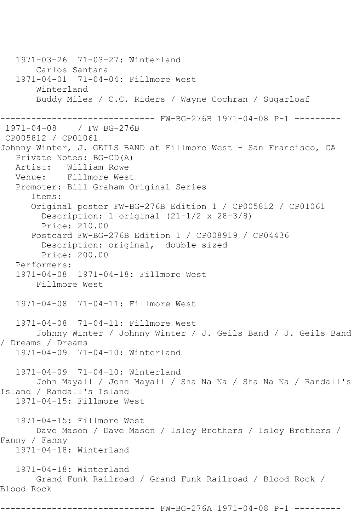1971-03-26 71-03-27: Winterland Carlos Santana 1971-04-01 71-04-04: Fillmore West Winterland Buddy Miles / C.C. Riders / Wayne Cochran / Sugarloaf ------------------------------ FW-BG-276B 1971-04-08 P-1 --------- 1971-04-08 / FW BG-276B CP005812 / CP01061 Johnny Winter, J. GEILS BAND at Fillmore West - San Francisco, CA Private Notes: BG-CD(A) Artist: William Rowe Venue: Fillmore West Promoter: Bill Graham Original Series Items: Original poster FW-BG-276B Edition 1 / CP005812 / CP01061 Description: 1 original (21-1/2 x 28-3/8) Price: 210.00 Postcard FW-BG-276B Edition 1 / CP008919 / CP04436 Description: original, double sized Price: 200.00 Performers: 1971-04-08 1971-04-18: Fillmore West Fillmore West 1971-04-08 71-04-11: Fillmore West 1971-04-08 71-04-11: Fillmore West Johnny Winter / Johnny Winter / J. Geils Band / J. Geils Band / Dreams / Dreams 1971-04-09 71-04-10: Winterland 1971-04-09 71-04-10: Winterland John Mayall / John Mayall / Sha Na Na / Sha Na Na / Randall's Island / Randall's Island 1971-04-15: Fillmore West 1971-04-15: Fillmore West Dave Mason / Dave Mason / Isley Brothers / Isley Brothers / Fanny / Fanny 1971-04-18: Winterland 1971-04-18: Winterland Grand Funk Railroad / Grand Funk Railroad / Blood Rock / Blood Rock ------------------------------ FW-BG-276A 1971-04-08 P-1 ---------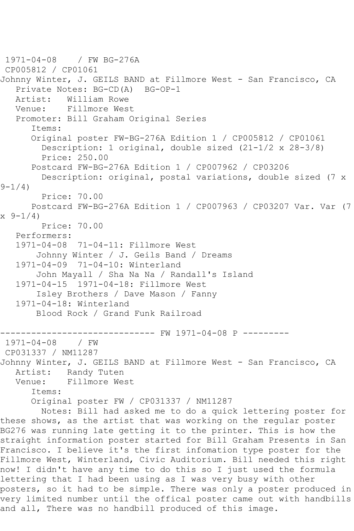1971-04-08 / FW BG-276A CP005812 / CP01061 Johnny Winter, J. GEILS BAND at Fillmore West - San Francisco, CA Private Notes: BG-CD(A) BG-OP-1 Artist: William Rowe Venue: Fillmore West Promoter: Bill Graham Original Series Items: Original poster FW-BG-276A Edition 1 / CP005812 / CP01061 Description: 1 original, double sized (21-1/2 x 28-3/8) Price: 250.00 Postcard FW-BG-276A Edition 1 / CP007962 / CP03206 Description: original, postal variations, double sized (7 x  $9 - 1/4$  Price: 70.00 Postcard FW-BG-276A Edition 1 / CP007963 / CP03207 Var. Var (7 x 9-1/4) Price: 70.00 Performers: 1971-04-08 71-04-11: Fillmore West Johnny Winter / J. Geils Band / Dreams 1971-04-09 71-04-10: Winterland John Mayall / Sha Na Na / Randall's Island 1971-04-15 1971-04-18: Fillmore West Isley Brothers / Dave Mason / Fanny 1971-04-18: Winterland Blood Rock / Grand Funk Railroad --------- FW 1971-04-08 P ---------1971-04-08 / FW CP031337 / NM11287 Johnny Winter, J. GEILS BAND at Fillmore West - San Francisco, CA Artist: Randy Tuten<br>Venue: Fillmore We Fillmore West Items: Original poster FW / CP031337 / NM11287 Notes: Bill had asked me to do a quick lettering poster for these shows, as the artist that was working on the regular poster BG276 was running late getting it to the printer. This is how the straight information poster started for Bill Graham Presents in San Francisco. I believe it's the first infomation type poster for the Fillmore West, Winterland, Civic Auditorium. Bill needed this right now! I didn't have any time to do this so I just used the formula lettering that I had been using as I was very busy with other posters, so it had to be simple. There was only a poster produced in very limited number until the offical poster came out with handbills and all, There was no handbill produced of this image.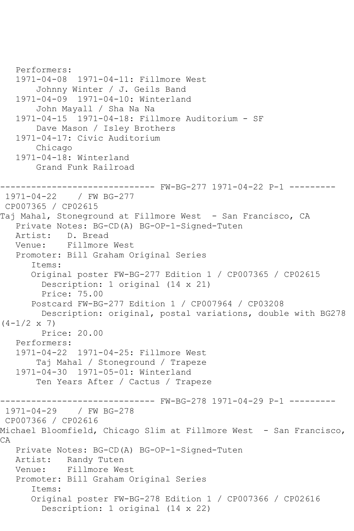```
 Performers:
   1971-04-08 1971-04-11: Fillmore West
        Johnny Winter / J. Geils Band
   1971-04-09 1971-04-10: Winterland
        John Mayall / Sha Na Na
   1971-04-15 1971-04-18: Fillmore Auditorium - SF
        Dave Mason / Isley Brothers
   1971-04-17: Civic Auditorium
       Chicago
   1971-04-18: Winterland
        Grand Funk Railroad
------------------------------ FW-BG-277 1971-04-22 P-1 ---------
1971-04-22 / FW BG-277
CP007365 / CP02615
Taj Mahal, Stoneground at Fillmore West - San Francisco, CA
   Private Notes: BG-CD(A) BG-OP-1-Signed-Tuten
   Artist: D. Bread
   Venue: Fillmore West
   Promoter: Bill Graham Original Series
       Items:
       Original poster FW-BG-277 Edition 1 / CP007365 / CP02615
         Description: 1 original (14 x 21)
         Price: 75.00
       Postcard FW-BG-277 Edition 1 / CP007964 / CP03208
         Description: original, postal variations, double with BG278 
(4-1/2 \times 7) Price: 20.00
   Performers:
   1971-04-22 1971-04-25: Fillmore West
        Taj Mahal / Stoneground / Trapeze
   1971-04-30 1971-05-01: Winterland
        Ten Years After / Cactus / Trapeze
------------------------------ FW-BG-278 1971-04-29 P-1 ---------
1971-04-29 / FW BG-278
CP007366 / CP02616
Michael Bloomfield, Chicago Slim at Fillmore West - San Francisco, 
CA
   Private Notes: BG-CD(A) BG-OP-1-Signed-Tuten
   Artist: Randy Tuten
   Venue: Fillmore West
   Promoter: Bill Graham Original Series
       Items:
       Original poster FW-BG-278 Edition 1 / CP007366 / CP02616
         Description: 1 original (14 x 22)
```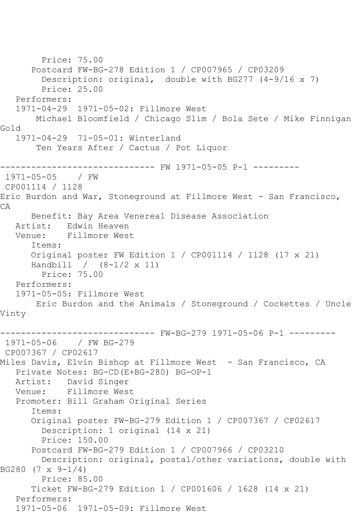Price: 75.00 Postcard FW-BG-278 Edition 1 / CP007965 / CP03209 Description: original, double with BG277 (4-9/16 x 7) Price: 25.00 Performers: 1971-04-29 1971-05-02: Fillmore West Michael Bloomfield / Chicago Slim / Bola Sete / Mike Finnigan Gold 1971-04-29 71-05-01: Winterland Ten Years After / Cactus / Pot Liquor ------------------------------ FW 1971-05-05 P-1 --------- 1971-05-05 / FW CP001114 / 1128 Eric Burdon and War, Stoneground at Fillmore West - San Francisco, CA Benefit: Bay Area Venereal Disease Association Artist: Edwin Heaven Venue: Fillmore West Items: Original poster FW Edition 1 / CP001114 / 1128 (17 x 21) Handbill / (8-1/2 x 11) Price: 75.00 Performers: 1971-05-05: Fillmore West Eric Burdon and the Animals / Stoneground / Cockettes / Uncle Vinty ------------------------------ FW-BG-279 1971-05-06 P-1 --------- 1971-05-06 / FW BG-279 CP007367 / CP02617 Miles Davis, Elvin Bishop at Fillmore West - San Francisco, CA Private Notes: BG-CD(E+BG-280) BG-OP-1 Artist: David Singer Venue: Fillmore West Promoter: Bill Graham Original Series Items: Original poster FW-BG-279 Edition 1 / CP007367 / CP02617 Description: 1 original (14 x 21) Price: 150.00 Postcard FW-BG-279 Edition 1 / CP007966 / CP03210 Description: original, postal/other variations, double with BG280 (7 x 9-1/4) Price: 85.00 Ticket FW-BG-279 Edition 1 / CP001606 / 1628 (14 x 21) Performers: 1971-05-06 1971-05-09: Fillmore West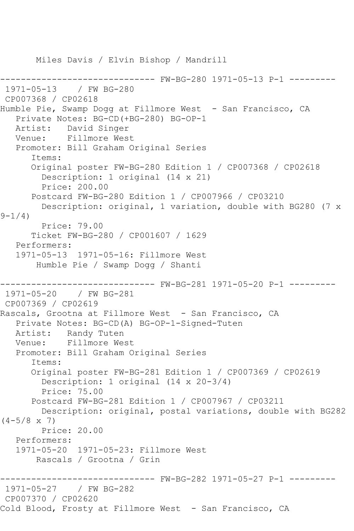Miles Davis / Elvin Bishop / Mandrill ------------------------------ FW-BG-280 1971-05-13 P-1 --------- 1971-05-13 / FW BG-280 CP007368 / CP02618 Humble Pie, Swamp Dogg at Fillmore West - San Francisco, CA Private Notes: BG-CD(+BG-280) BG-OP-1 Artist: David Singer Venue: Fillmore West Promoter: Bill Graham Original Series Items: Original poster FW-BG-280 Edition 1 / CP007368 / CP02618 Description: 1 original (14 x 21) Price: 200.00 Postcard FW-BG-280 Edition 1 / CP007966 / CP03210 Description: original, 1 variation, double with BG280 (7 x  $9 - 1/4$ ) Price: 79.00 Ticket FW-BG-280 / CP001607 / 1629 Performers: 1971-05-13 1971-05-16: Fillmore West Humble Pie / Swamp Dogg / Shanti ------------------------------ FW-BG-281 1971-05-20 P-1 --------- 1971-05-20 / FW BG-281 CP007369 / CP02619 Rascals, Grootna at Fillmore West - San Francisco, CA Private Notes: BG-CD(A) BG-OP-1-Signed-Tuten Artist: Randy Tuten Venue: Fillmore West Promoter: Bill Graham Original Series Items: Original poster FW-BG-281 Edition 1 / CP007369 / CP02619 Description: 1 original (14 x 20-3/4) Price: 75.00 Postcard FW-BG-281 Edition 1 / CP007967 / CP03211 Description: original, postal variations, double with BG282  $(4-5/8 \times 7)$  Price: 20.00 Performers: 1971-05-20 1971-05-23: Fillmore West Rascals / Grootna / Grin ------------------------------ FW-BG-282 1971-05-27 P-1 --------- 1971-05-27 / FW BG-282 CP007370 / CP02620 Cold Blood, Frosty at Fillmore West - San Francisco, CA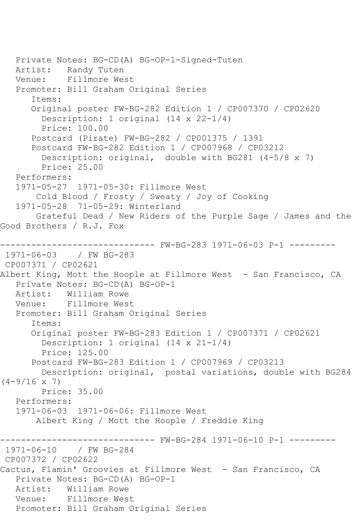Private Notes: BG-CD(A) BG-OP-1-Signed-Tuten Artist: Randy Tuten Venue: Fillmore West Promoter: Bill Graham Original Series Items: Original poster FW-BG-282 Edition 1 / CP007370 / CP02620 Description: 1 original (14 x 22-1/4) Price: 100.00 Postcard (Pirate) FW-BG-282 / CP001375 / 1391 Postcard FW-BG-282 Edition 1 / CP007968 / CP03212 Description: original, double with BG281 (4-5/8 x 7) Price: 25.00 Performers: 1971-05-27 1971-05-30: Fillmore West Cold Blood / Frosty / Sweaty / Joy of Cooking 1971-05-28 71-05-29: Winterland Grateful Dead / New Riders of the Purple Sage / James and the Good Brothers / R.J. Fox ------------------------------ FW-BG-283 1971-06-03 P-1 --------- 1971-06-03 / FW BG-283 CP007371 / CP02621 Albert King, Mott the Hoople at Fillmore West - San Francisco, CA Private Notes: BG-CD(A) BG-OP-1 Artist: William Rowe<br>Venue: Fillmore Wes Fillmore West Promoter: Bill Graham Original Series Items: Original poster FW-BG-283 Edition 1 / CP007371 / CP02621 Description: 1 original (14 x 21-1/4) Price: 125.00 Postcard FW-BG-283 Edition 1 / CP007969 / CP03213 Description: original, postal variations, double with BG284  $(4-9/16 \times 7)$  Price: 35.00 Performers: 1971-06-03 1971-06-06: Fillmore West Albert King / Mott the Hoople / Freddie King ------------------------------ FW-BG-284 1971-06-10 P-1 --------- 1971-06-10 / FW BG-284 CP007372 / CP02622 Cactus, Flamin' Groovies at Fillmore West - San Francisco, CA Private Notes: BG-CD(A) BG-OP-1 Artist: William Rowe Venue: Fillmore West Promoter: Bill Graham Original Series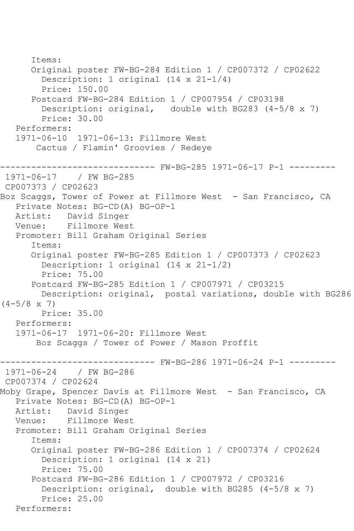```
 Items:
       Original poster FW-BG-284 Edition 1 / CP007372 / CP02622
         Description: 1 original (14 x 21-1/4)
         Price: 150.00
       Postcard FW-BG-284 Edition 1 / CP007954 / CP03198
        Description: original, double with BG283 (4-5/8 \times 7) Price: 30.00
    Performers:
    1971-06-10 1971-06-13: Fillmore West
        Cactus / Flamin' Groovies / Redeye
      ------------------------------ FW-BG-285 1971-06-17 P-1 ---------
1971-06-17 / FW BG-285
CP007373 / CP02623
Boz Scaggs, Tower of Power at Fillmore West - San Francisco, CA
    Private Notes: BG-CD(A) BG-OP-1
   Artist: David Singer
   Venue: Fillmore West
    Promoter: Bill Graham Original Series
       Items:
       Original poster FW-BG-285 Edition 1 / CP007373 / CP02623
         Description: 1 original (14 x 21-1/2)
         Price: 75.00
       Postcard FW-BG-285 Edition 1 / CP007971 / CP03215
         Description: original, postal variations, double with BG286 
(4-5/8 \times 7) Price: 35.00
    Performers:
    1971-06-17 1971-06-20: Fillmore West
        Boz Scaggs / Tower of Power / Mason Proffit
                 ------------------------------ FW-BG-286 1971-06-24 P-1 ---------
1971-06-24 / FW BG-286
CP007374 / CP02624
Moby Grape, Spencer Davis at Fillmore West - San Francisco, CA
    Private Notes: BG-CD(A) BG-OP-1
   Artist: David Singer
   Venue: Fillmore West
    Promoter: Bill Graham Original Series
       Items:
       Original poster FW-BG-286 Edition 1 / CP007374 / CP02624
         Description: 1 original (14 x 21)
         Price: 75.00
       Postcard FW-BG-286 Edition 1 / CP007972 / CP03216
         Description: original, double with BG285 (4-5/8 x 7)
         Price: 25.00
   Performers:
```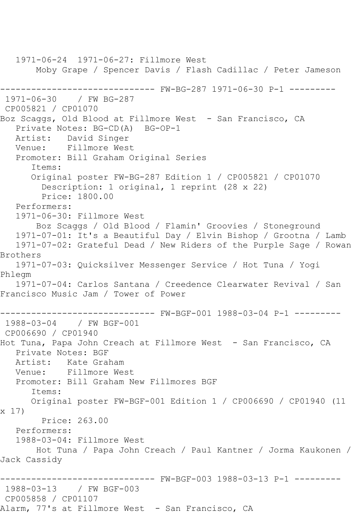1971-06-24 1971-06-27: Fillmore West Moby Grape / Spencer Davis / Flash Cadillac / Peter Jameson ------------------------------ FW-BG-287 1971-06-30 P-1 --------- 1971-06-30 / FW BG-287 CP005821 / CP01070 Boz Scaggs, Old Blood at Fillmore West - San Francisco, CA Private Notes: BG-CD(A) BG-OP-1 Artist: David Singer Venue: Fillmore West Promoter: Bill Graham Original Series Items: Original poster FW-BG-287 Edition 1 / CP005821 / CP01070 Description: 1 original, 1 reprint (28 x 22) Price: 1800.00 Performers: 1971-06-30: Fillmore West Boz Scaggs / Old Blood / Flamin' Groovies / Stoneground 1971-07-01: It's a Beautiful Day / Elvin Bishop / Grootna / Lamb 1971-07-02: Grateful Dead / New Riders of the Purple Sage / Rowan Brothers 1971-07-03: Quicksilver Messenger Service / Hot Tuna / Yogi Phlegm 1971-07-04: Carlos Santana / Creedence Clearwater Revival / San Francisco Music Jam / Tower of Power ------------------------------ FW-BGF-001 1988-03-04 P-1 --------- 1988-03-04 / FW BGF-001 CP006690 / CP01940 Hot Tuna, Papa John Creach at Fillmore West - San Francisco, CA Private Notes: BGF Artist: Kate Graham<br>Venue: Fillmore We Fillmore West Promoter: Bill Graham New Fillmores BGF Items: Original poster FW-BGF-001 Edition 1 / CP006690 / CP01940 (11 x 17) Price: 263.00 Performers: 1988-03-04: Fillmore West Hot Tuna / Papa John Creach / Paul Kantner / Jorma Kaukonen / Jack Cassidy ------------------------------ FW-BGF-003 1988-03-13 P-1 --------- 1988-03-13 / FW BGF-003 CP005858 / CP01107 Alarm, 77's at Fillmore West - San Francisco, CA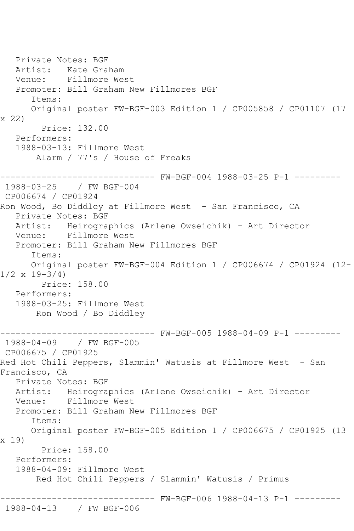Private Notes: BGF Artist: Kate Graham Venue: Fillmore West Promoter: Bill Graham New Fillmores BGF Items: Original poster FW-BGF-003 Edition 1 / CP005858 / CP01107 (17 x 22) Price: 132.00 Performers: 1988-03-13: Fillmore West Alarm / 77's / House of Freaks ------------------------------ FW-BGF-004 1988-03-25 P-1 --------- 1988-03-25 / FW BGF-004 CP006674 / CP01924 Ron Wood, Bo Diddley at Fillmore West - San Francisco, CA Private Notes: BGF Artist: Heirographics (Arlene Owseichik) - Art Director Venue: Fillmore West Promoter: Bill Graham New Fillmores BGF Items: Original poster FW-BGF-004 Edition 1 / CP006674 / CP01924 (12-  $1/2 \times 19 - 3/4$  Price: 158.00 Performers: 1988-03-25: Fillmore West Ron Wood / Bo Diddley ------------------------------ FW-BGF-005 1988-04-09 P-1 --------- 1988-04-09 / FW BGF-005 CP006675 / CP01925 Red Hot Chili Peppers, Slammin' Watusis at Fillmore West - San Francisco, CA Private Notes: BGF Artist: Heirographics (Arlene Owseichik) - Art Director Venue: Fillmore West Promoter: Bill Graham New Fillmores BGF Items: Original poster FW-BGF-005 Edition 1 / CP006675 / CP01925 (13 x 19) Price: 158.00 Performers: 1988-04-09: Fillmore West Red Hot Chili Peppers / Slammin' Watusis / Primus ------------------------------ FW-BGF-006 1988-04-13 P-1 --------- 1988-04-13 / FW BGF-006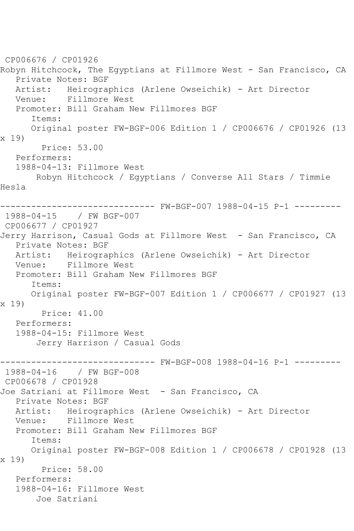CP006676 / CP01926 Robyn Hitchcock, The Egyptians at Fillmore West - San Francisco, CA Private Notes: BGF Artist: Heirographics (Arlene Owseichik) - Art Director<br>Venue: Fillmore West Fillmore West Promoter: Bill Graham New Fillmores BGF Items: Original poster FW-BGF-006 Edition 1 / CP006676 / CP01926 (13 x 19) Price: 53.00 Performers: 1988-04-13: Fillmore West Robyn Hitchcock / Egyptians / Converse All Stars / Timmie Hesla ------------------------------ FW-BGF-007 1988-04-15 P-1 --------- 1988-04-15 / FW BGF-007 CP006677 / CP01927 Jerry Harrison, Casual Gods at Fillmore West - San Francisco, CA Private Notes: BGF Artist: Heirographics (Arlene Owseichik) - Art Director Venue: Fillmore West Promoter: Bill Graham New Fillmores BGF Items: Original poster FW-BGF-007 Edition 1 / CP006677 / CP01927 (13 x 19) Price: 41.00 Performers: 1988-04-15: Fillmore West Jerry Harrison / Casual Gods ------------------------------ FW-BGF-008 1988-04-16 P-1 --------- 1988-04-16 / FW BGF-008 CP006678 / CP01928 Joe Satriani at Fillmore West - San Francisco, CA Private Notes: BGF Artist: Heirographics (Arlene Owseichik) - Art Director Venue: Fillmore West Promoter: Bill Graham New Fillmores BGF Items: Original poster FW-BGF-008 Edition 1 / CP006678 / CP01928 (13 x 19) Price: 58.00 Performers: 1988-04-16: Fillmore West Joe Satriani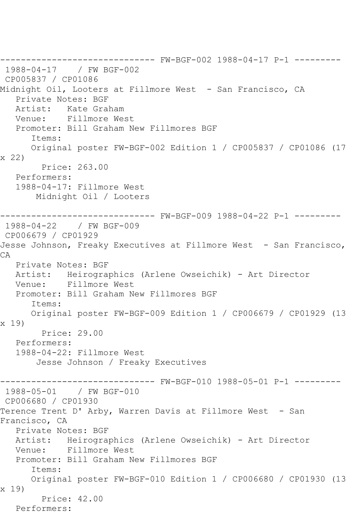------------------------------ FW-BGF-002 1988-04-17 P-1 --------- 1988-04-17 / FW BGF-002 CP005837 / CP01086 Midnight Oil, Looters at Fillmore West - San Francisco, CA Private Notes: BGF Artist: Kate Graham Venue: Fillmore West Promoter: Bill Graham New Fillmores BGF Items: Original poster FW-BGF-002 Edition 1 / CP005837 / CP01086 (17 x 22) Price: 263.00 Performers: 1988-04-17: Fillmore West Midnight Oil / Looters ------------------------------ FW-BGF-009 1988-04-22 P-1 --------- 1988-04-22 / FW BGF-009 CP006679 / CP01929 Jesse Johnson, Freaky Executives at Fillmore West - San Francisco, CA Private Notes: BGF Artist: Heirographics (Arlene Owseichik) - Art Director Venue: Fillmore West Promoter: Bill Graham New Fillmores BGF Items: Original poster FW-BGF-009 Edition 1 / CP006679 / CP01929 (13 x 19) Price: 29.00 Performers: 1988-04-22: Fillmore West Jesse Johnson / Freaky Executives ------------------------------ FW-BGF-010 1988-05-01 P-1 --------- 1988-05-01 / FW BGF-010 CP006680 / CP01930 Terence Trent D' Arby, Warren Davis at Fillmore West - San Francisco, CA Private Notes: BGF Artist: Heirographics (Arlene Owseichik) - Art Director Venue: Fillmore West Promoter: Bill Graham New Fillmores BGF Items: Original poster FW-BGF-010 Edition 1 / CP006680 / CP01930 (13 x 19) Price: 42.00 Performers: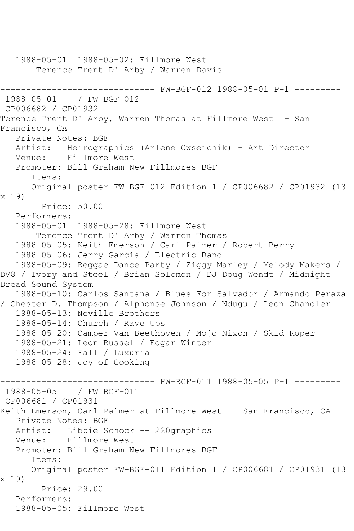```
 1988-05-01 1988-05-02: Fillmore West
       Terence Trent D' Arby / Warren Davis
------------------------------ FW-BGF-012 1988-05-01 P-1 ---------
1988-05-01 / FW BGF-012
CP006682 / CP01932
Terence Trent D' Arby, Warren Thomas at Fillmore West - San 
Francisco, CA
   Private Notes: BGF
   Artist: Heirographics (Arlene Owseichik) - Art Director
   Venue: Fillmore West
   Promoter: Bill Graham New Fillmores BGF
      Items:
      Original poster FW-BGF-012 Edition 1 / CP006682 / CP01932 (13 
x 19)
         Price: 50.00
   Performers:
   1988-05-01 1988-05-28: Fillmore West
       Terence Trent D' Arby / Warren Thomas
   1988-05-05: Keith Emerson / Carl Palmer / Robert Berry
   1988-05-06: Jerry Garcia / Electric Band
   1988-05-09: Reggae Dance Party / Ziggy Marley / Melody Makers / 
DV8 / Ivory and Steel / Brian Solomon / DJ Doug Wendt / Midnight 
Dread Sound System
   1988-05-10: Carlos Santana / Blues For Salvador / Armando Peraza 
/ Chester D. Thompson / Alphonse Johnson / Ndugu / Leon Chandler
   1988-05-13: Neville Brothers
   1988-05-14: Church / Rave Ups
   1988-05-20: Camper Van Beethoven / Mojo Nixon / Skid Roper
   1988-05-21: Leon Russel / Edgar Winter
   1988-05-24: Fall / Luxuria
   1988-05-28: Joy of Cooking
------------------------------ FW-BGF-011 1988-05-05 P-1 ---------
1988-05-05 / FW BGF-011
CP006681 / CP01931
Keith Emerson, Carl Palmer at Fillmore West - San Francisco, CA
   Private Notes: BGF
   Artist: Libbie Schock -- 220graphics
   Venue: Fillmore West
   Promoter: Bill Graham New Fillmores BGF
      Items:
      Original poster FW-BGF-011 Edition 1 / CP006681 / CP01931 (13 
x 19)
        Price: 29.00
   Performers:
   1988-05-05: Fillmore West
```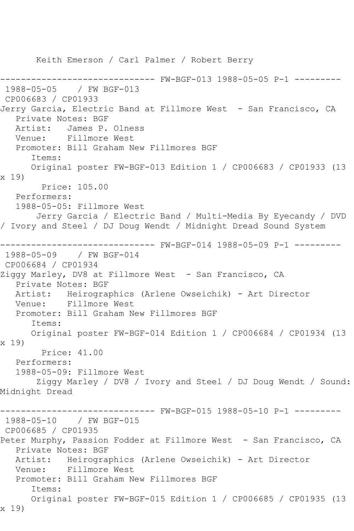Keith Emerson / Carl Palmer / Robert Berry ------------------------------ FW-BGF-013 1988-05-05 P-1 --------- 1988-05-05 / FW BGF-013 CP006683 / CP01933 Jerry Garcia, Electric Band at Fillmore West - San Francisco, CA Private Notes: BGF Artist: James P. Olness Venue: Fillmore West Promoter: Bill Graham New Fillmores BGF Items: Original poster FW-BGF-013 Edition 1 / CP006683 / CP01933 (13 x 19) Price: 105.00 Performers: 1988-05-05: Fillmore West Jerry Garcia / Electric Band / Multi-Media By Eyecandy / DVD / Ivory and Steel / DJ Doug Wendt / Midnight Dread Sound System ------------------------------ FW-BGF-014 1988-05-09 P-1 --------- 1988-05-09 / FW BGF-014 CP006684 / CP01934 Ziggy Marley, DV8 at Fillmore West - San Francisco, CA Private Notes: BGF Artist: Heirographics (Arlene Owseichik) - Art Director<br>Venue: Fillmore West Fillmore West Promoter: Bill Graham New Fillmores BGF Items: Original poster FW-BGF-014 Edition 1 / CP006684 / CP01934 (13 x 19) Price: 41.00 Performers: 1988-05-09: Fillmore West Ziggy Marley / DV8 / Ivory and Steel / DJ Doug Wendt / Sound: Midnight Dread ------------------------------ FW-BGF-015 1988-05-10 P-1 --------- 1988-05-10 / FW BGF-015 CP006685 / CP01935 Peter Murphy, Passion Fodder at Fillmore West - San Francisco, CA Private Notes: BGF Artist: Heirographics (Arlene Owseichik) - Art Director Venue: Fillmore West Promoter: Bill Graham New Fillmores BGF Items: Original poster FW-BGF-015 Edition 1 / CP006685 / CP01935 (13 x 19)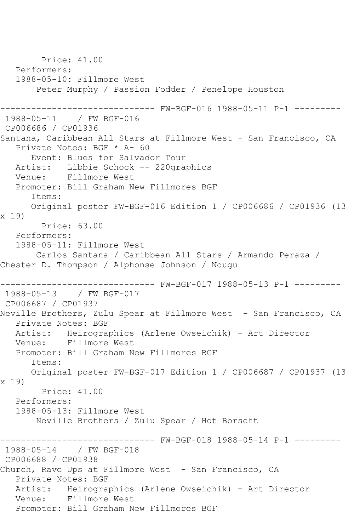Price: 41.00 Performers: 1988-05-10: Fillmore West Peter Murphy / Passion Fodder / Penelope Houston ------------------------------ FW-BGF-016 1988-05-11 P-1 --------- 1988-05-11 / FW BGF-016 CP006686 / CP01936 Santana, Caribbean All Stars at Fillmore West - San Francisco, CA Private Notes: BGF \* A- 60 Event: Blues for Salvador Tour Artist: Libbie Schock -- 220graphics Venue: Fillmore West Promoter: Bill Graham New Fillmores BGF Items: Original poster FW-BGF-016 Edition 1 / CP006686 / CP01936 (13 x 19) Price: 63.00 Performers: 1988-05-11: Fillmore West Carlos Santana / Caribbean All Stars / Armando Peraza / Chester D. Thompson / Alphonse Johnson / Ndugu ------------------------------ FW-BGF-017 1988-05-13 P-1 --------- 1988-05-13 / FW BGF-017 CP006687 / CP01937 Neville Brothers, Zulu Spear at Fillmore West - San Francisco, CA Private Notes: BGF Artist: Heirographics (Arlene Owseichik) - Art Director Venue: Fillmore West Promoter: Bill Graham New Fillmores BGF Items: Original poster FW-BGF-017 Edition 1 / CP006687 / CP01937 (13 x 19) Price: 41.00 Performers: 1988-05-13: Fillmore West Neville Brothers / Zulu Spear / Hot Borscht ------------------------------ FW-BGF-018 1988-05-14 P-1 --------- 1988-05-14 / FW BGF-018 CP006688 / CP01938 Church, Rave Ups at Fillmore West - San Francisco, CA Private Notes: BGF Artist: Heirographics (Arlene Owseichik) - Art Director Venue: Fillmore West Promoter: Bill Graham New Fillmores BGF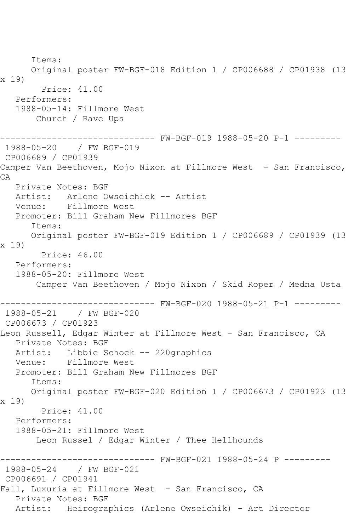Items: Original poster FW-BGF-018 Edition 1 / CP006688 / CP01938 (13 x 19) Price: 41.00 Performers: 1988-05-14: Fillmore West Church / Rave Ups ------------------------------ FW-BGF-019 1988-05-20 P-1 --------- 1988-05-20 / FW BGF-019 CP006689 / CP01939 Camper Van Beethoven, Mojo Nixon at Fillmore West - San Francisco, CA Private Notes: BGF Artist: Arlene Owseichick -- Artist Venue: Fillmore West Promoter: Bill Graham New Fillmores BGF Items: Original poster FW-BGF-019 Edition 1 / CP006689 / CP01939 (13 x 19) Price: 46.00 Performers: 1988-05-20: Fillmore West Camper Van Beethoven / Mojo Nixon / Skid Roper / Medna Usta ------------------------------ FW-BGF-020 1988-05-21 P-1 --------- 1988-05-21 / FW BGF-020 CP006673 / CP01923 Leon Russell, Edgar Winter at Fillmore West - San Francisco, CA Private Notes: BGF Artist: Libbie Schock -- 220graphics Venue: Fillmore West Promoter: Bill Graham New Fillmores BGF Items: Original poster FW-BGF-020 Edition 1 / CP006673 / CP01923 (13 x 19) Price: 41.00 Performers: 1988-05-21: Fillmore West Leon Russel / Edgar Winter / Thee Hellhounds ------------------------------ FW-BGF-021 1988-05-24 P --------- 1988-05-24 / FW BGF-021 CP006691 / CP01941 Fall, Luxuria at Fillmore West - San Francisco, CA Private Notes: BGF Artist: Heirographics (Arlene Owseichik) - Art Director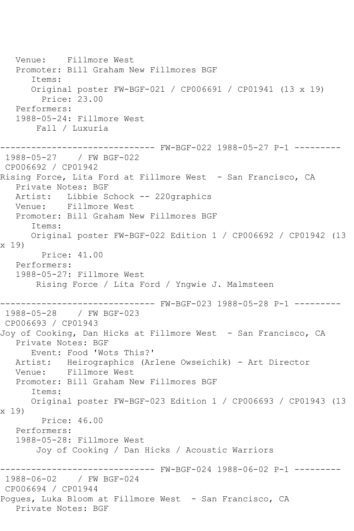Venue: Fillmore West Promoter: Bill Graham New Fillmores BGF Items: Original poster FW-BGF-021 / CP006691 / CP01941 (13 x 19) Price: 23.00 Performers: 1988-05-24: Fillmore West Fall / Luxuria ------------------------------ FW-BGF-022 1988-05-27 P-1 --------- 1988-05-27 / FW BGF-022 CP006692 / CP01942 Rising Force, Lita Ford at Fillmore West - San Francisco, CA Private Notes: BGF Artist: Libbie Schock -- 220graphics Venue: Fillmore West Promoter: Bill Graham New Fillmores BGF Items: Original poster FW-BGF-022 Edition 1 / CP006692 / CP01942 (13 x 19) Price: 41.00 Performers: 1988-05-27: Fillmore West Rising Force / Lita Ford / Yngwie J. Malmsteen ------------------------------ FW-BGF-023 1988-05-28 P-1 --------- 1988-05-28 / FW BGF-023 CP006693 / CP01943 Joy of Cooking, Dan Hicks at Fillmore West - San Francisco, CA Private Notes: BGF Event: Food 'Wots This?' Artist: Heirographics (Arlene Owseichik) - Art Director Venue: Fillmore West Promoter: Bill Graham New Fillmores BGF Items: Original poster FW-BGF-023 Edition 1 / CP006693 / CP01943 (13 x 19) Price: 46.00 Performers: 1988-05-28: Fillmore West Joy of Cooking / Dan Hicks / Acoustic Warriors ------------------------------ FW-BGF-024 1988-06-02 P-1 --------- 1988-06-02 / FW BGF-024 CP006694 / CP01944 Pogues, Luka Bloom at Fillmore West - San Francisco, CA Private Notes: BGF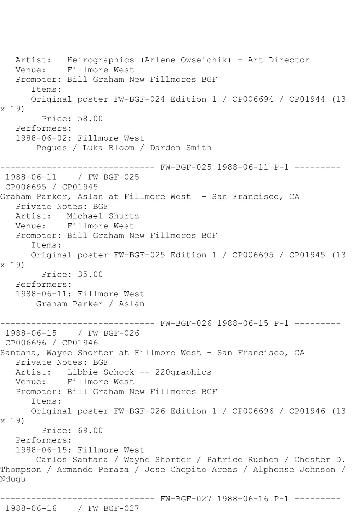Artist: Heirographics (Arlene Owseichik) - Art Director Venue: Fillmore West Promoter: Bill Graham New Fillmores BGF Items: Original poster FW-BGF-024 Edition 1 / CP006694 / CP01944 (13 x 19) Price: 58.00 Performers: 1988-06-02: Fillmore West Pogues / Luka Bloom / Darden Smith ------------------------------ FW-BGF-025 1988-06-11 P-1 --------- 1988-06-11 / FW BGF-025 CP006695 / CP01945 Graham Parker, Aslan at Fillmore West - San Francisco, CA Private Notes: BGF Artist: Michael Shurtz<br>Venue: Fillmore West Fillmore West Promoter: Bill Graham New Fillmores BGF Items: Original poster FW-BGF-025 Edition 1 / CP006695 / CP01945 (13 x 19) Price: 35.00 Performers: 1988-06-11: Fillmore West Graham Parker / Aslan ------------------------------ FW-BGF-026 1988-06-15 P-1 --------- 1988-06-15 / FW BGF-026 CP006696 / CP01946 Santana, Wayne Shorter at Fillmore West - San Francisco, CA Private Notes: BGF Artist: Libbie Schock -- 220graphics<br>Venue: Fillmore West Fillmore West Promoter: Bill Graham New Fillmores BGF Items: Original poster FW-BGF-026 Edition 1 / CP006696 / CP01946 (13 x 19) Price: 69.00 Performers: 1988-06-15: Fillmore West Carlos Santana / Wayne Shorter / Patrice Rushen / Chester D. Thompson / Armando Peraza / Jose Chepito Areas / Alphonse Johnson / Ndugu ------------------------------ FW-BGF-027 1988-06-16 P-1 ---------

1988-06-16 / FW BGF-027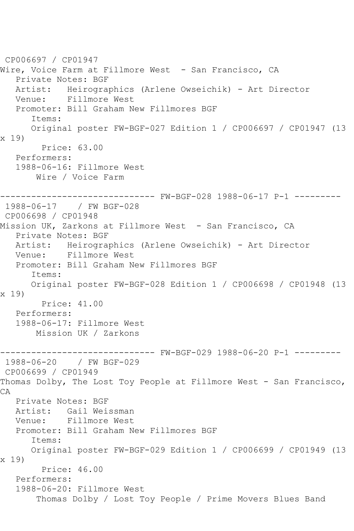CP006697 / CP01947 Wire, Voice Farm at Fillmore West - San Francisco, CA Private Notes: BGF Artist: Heirographics (Arlene Owseichik) - Art Director<br>Venue: Fillmore West Fillmore West Promoter: Bill Graham New Fillmores BGF Items: Original poster FW-BGF-027 Edition 1 / CP006697 / CP01947 (13 x 19) Price: 63.00 Performers: 1988-06-16: Fillmore West Wire / Voice Farm ------------------------------ FW-BGF-028 1988-06-17 P-1 --------- 1988-06-17 / FW BGF-028 CP006698 / CP01948 Mission UK, Zarkons at Fillmore West - San Francisco, CA Private Notes: BGF Artist: Heirographics (Arlene Owseichik) - Art Director Venue: Fillmore West Promoter: Bill Graham New Fillmores BGF Items: Original poster FW-BGF-028 Edition 1 / CP006698 / CP01948 (13 x 19) Price: 41.00 Performers: 1988-06-17: Fillmore West Mission UK / Zarkons ------------------------------ FW-BGF-029 1988-06-20 P-1 --------- 1988-06-20 / FW BGF-029 CP006699 / CP01949 Thomas Dolby, The Lost Toy People at Fillmore West - San Francisco,  $CA$  Private Notes: BGF Artist: Gail Weissman Venue: Fillmore West Promoter: Bill Graham New Fillmores BGF Items: Original poster FW-BGF-029 Edition 1 / CP006699 / CP01949 (13 x 19) Price: 46.00 Performers: 1988-06-20: Fillmore West Thomas Dolby / Lost Toy People / Prime Movers Blues Band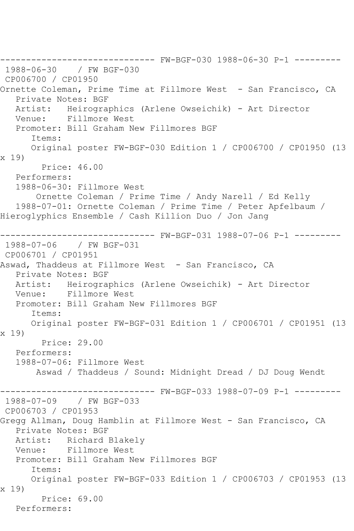------------------------------ FW-BGF-030 1988-06-30 P-1 --------- 1988-06-30 / FW BGF-030 CP006700 / CP01950 Ornette Coleman, Prime Time at Fillmore West - San Francisco, CA Private Notes: BGF Artist: Heirographics (Arlene Owseichik) - Art Director Venue: Fillmore West Promoter: Bill Graham New Fillmores BGF Items: Original poster FW-BGF-030 Edition 1 / CP006700 / CP01950 (13 x 19) Price: 46.00 Performers: 1988-06-30: Fillmore West Ornette Coleman / Prime Time / Andy Narell / Ed Kelly 1988-07-01: Ornette Coleman / Prime Time / Peter Apfelbaum / Hieroglyphics Ensemble / Cash Killion Duo / Jon Jang ------------------------------ FW-BGF-031 1988-07-06 P-1 --------- 1988-07-06 / FW BGF-031 CP006701 / CP01951 Aswad, Thaddeus at Fillmore West - San Francisco, CA Private Notes: BGF Artist: Heirographics (Arlene Owseichik) - Art Director Venue: Fillmore West Promoter: Bill Graham New Fillmores BGF Items: Original poster FW-BGF-031 Edition 1 / CP006701 / CP01951 (13 x 19) Price: 29.00 Performers: 1988-07-06: Fillmore West Aswad / Thaddeus / Sound: Midnight Dread / DJ Doug Wendt --------- FW-BGF-033 1988-07-09 P-1 ---------1988-07-09 / FW BGF-033 CP006703 / CP01953 Gregg Allman, Doug Hamblin at Fillmore West - San Francisco, CA Private Notes: BGF Artist: Richard Blakely Venue: Fillmore West Promoter: Bill Graham New Fillmores BGF Items: Original poster FW-BGF-033 Edition 1 / CP006703 / CP01953 (13 x 19) Price: 69.00 Performers: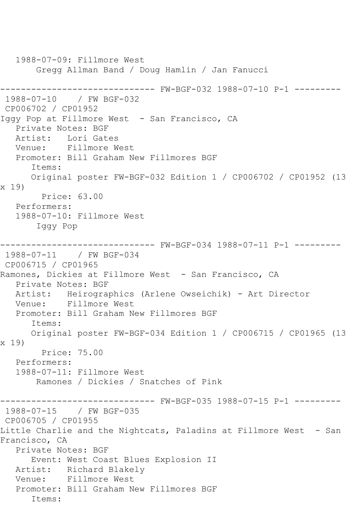1988-07-09: Fillmore West Gregg Allman Band / Doug Hamlin / Jan Fanucci ------------------------------ FW-BGF-032 1988-07-10 P-1 --------- 1988-07-10 / FW BGF-032 CP006702 / CP01952 Iggy Pop at Fillmore West - San Francisco, CA Private Notes: BGF Artist: Lori Gates Venue: Fillmore West Promoter: Bill Graham New Fillmores BGF Items: Original poster FW-BGF-032 Edition 1 / CP006702 / CP01952 (13 x 19) Price: 63.00 Performers: 1988-07-10: Fillmore West Iggy Pop ------------------------------ FW-BGF-034 1988-07-11 P-1 --------- 1988-07-11 / FW BGF-034 CP006715 / CP01965 Ramones, Dickies at Fillmore West - San Francisco, CA Private Notes: BGF Artist: Heirographics (Arlene Owseichik) - Art Director<br>Venue: Fillmore West Fillmore West Promoter: Bill Graham New Fillmores BGF Items: Original poster FW-BGF-034 Edition 1 / CP006715 / CP01965 (13 x 19) Price: 75.00 Performers: 1988-07-11: Fillmore West Ramones / Dickies / Snatches of Pink ------------------------------ FW-BGF-035 1988-07-15 P-1 --------- 1988-07-15 / FW BGF-035 CP006705 / CP01955 Little Charlie and the Nightcats, Paladins at Fillmore West - San Francisco, CA Private Notes: BGF Event: West Coast Blues Explosion II Artist: Richard Blakely Venue: Fillmore West Promoter: Bill Graham New Fillmores BGF Items: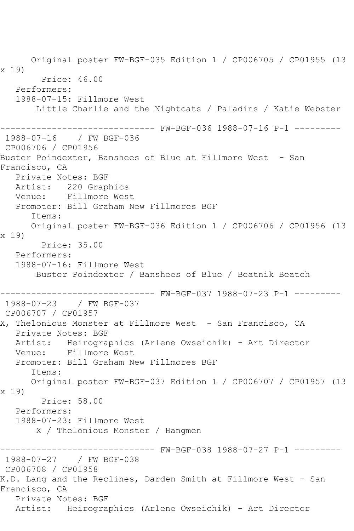Original poster FW-BGF-035 Edition 1 / CP006705 / CP01955 (13 x 19) Price: 46.00 Performers: 1988-07-15: Fillmore West Little Charlie and the Nightcats / Paladins / Katie Webster ------------------------------ FW-BGF-036 1988-07-16 P-1 --------- 1988-07-16 / FW BGF-036 CP006706 / CP01956 Buster Poindexter, Banshees of Blue at Fillmore West - San Francisco, CA Private Notes: BGF Artist: 220 Graphics Venue: Fillmore West Promoter: Bill Graham New Fillmores BGF Items: Original poster FW-BGF-036 Edition 1 / CP006706 / CP01956 (13 x 19) Price: 35.00 Performers: 1988-07-16: Fillmore West Buster Poindexter / Banshees of Blue / Beatnik Beatch ------------------------------ FW-BGF-037 1988-07-23 P-1 --------- 1988-07-23 / FW BGF-037 CP006707 / CP01957 X, Thelonious Monster at Fillmore West - San Francisco, CA Private Notes: BGF Artist: Heirographics (Arlene Owseichik) - Art Director Venue: Fillmore West Promoter: Bill Graham New Fillmores BGF Items: Original poster FW-BGF-037 Edition 1 / CP006707 / CP01957 (13 x 19) Price: 58.00 Performers: 1988-07-23: Fillmore West X / Thelonious Monster / Hangmen ------------------------------ FW-BGF-038 1988-07-27 P-1 --------- 1988-07-27 / FW BGF-038 CP006708 / CP01958 K.D. Lang and the Reclines, Darden Smith at Fillmore West - San Francisco, CA Private Notes: BGF Artist: Heirographics (Arlene Owseichik) - Art Director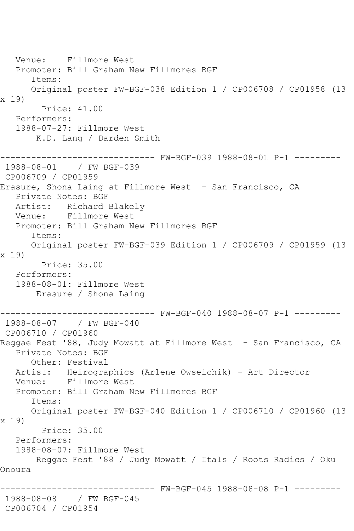Venue: Fillmore West Promoter: Bill Graham New Fillmores BGF Items: Original poster FW-BGF-038 Edition 1 / CP006708 / CP01958 (13 x 19) Price: 41.00 Performers: 1988-07-27: Fillmore West K.D. Lang / Darden Smith ------------------------------ FW-BGF-039 1988-08-01 P-1 --------- 1988-08-01 / FW BGF-039 CP006709 / CP01959 Erasure, Shona Laing at Fillmore West - San Francisco, CA Private Notes: BGF Artist: Richard Blakely Venue: Fillmore West Promoter: Bill Graham New Fillmores BGF Items: Original poster FW-BGF-039 Edition 1 / CP006709 / CP01959 (13 x 19) Price: 35.00 Performers: 1988-08-01: Fillmore West Erasure / Shona Laing ------------------------------ FW-BGF-040 1988-08-07 P-1 --------- 1988-08-07 / FW BGF-040 CP006710 / CP01960 Reggae Fest '88, Judy Mowatt at Fillmore West - San Francisco, CA Private Notes: BGF Other: Festival Artist: Heirographics (Arlene Owseichik) - Art Director<br>Venue: Fillmore West Fillmore West Promoter: Bill Graham New Fillmores BGF Items: Original poster FW-BGF-040 Edition 1 / CP006710 / CP01960 (13 x 19) Price: 35.00 Performers: 1988-08-07: Fillmore West Reggae Fest '88 / Judy Mowatt / Itals / Roots Radics / Oku Onoura ---------- FW-BGF-045 1988-08-08 P-1 ---------1988-08-08 / FW BGF-045 CP006704 / CP01954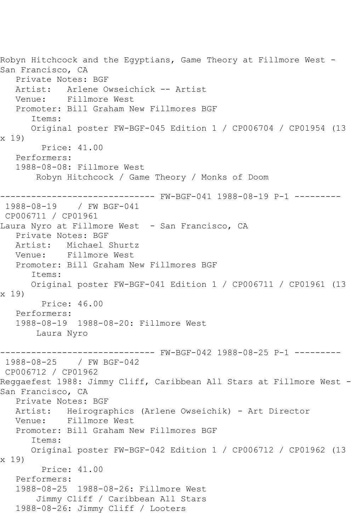Robyn Hitchcock and the Egyptians, Game Theory at Fillmore West - San Francisco, CA Private Notes: BGF Artist: Arlene Owseichick -- Artist<br>Venue: Fillmore West Fillmore West Promoter: Bill Graham New Fillmores BGF Items: Original poster FW-BGF-045 Edition 1 / CP006704 / CP01954 (13 x 19) Price: 41.00 Performers: 1988-08-08: Fillmore West Robyn Hitchcock / Game Theory / Monks of Doom ------------------------------ FW-BGF-041 1988-08-19 P-1 --------- 1988-08-19 / FW BGF-041 CP006711 / CP01961 Laura Nyro at Fillmore West - San Francisco, CA Private Notes: BGF Artist: Michael Shurtz Venue: Fillmore West Promoter: Bill Graham New Fillmores BGF Items: Original poster FW-BGF-041 Edition 1 / CP006711 / CP01961 (13 x 19) Price: 46.00 Performers: 1988-08-19 1988-08-20: Fillmore West Laura Nyro ------------------------------ FW-BGF-042 1988-08-25 P-1 --------- 1988-08-25 / FW BGF-042 CP006712 / CP01962 Reggaefest 1988: Jimmy Cliff, Caribbean All Stars at Fillmore West -San Francisco, CA Private Notes: BGF Artist: Heirographics (Arlene Owseichik) - Art Director Venue: Fillmore West Promoter: Bill Graham New Fillmores BGF Items: Original poster FW-BGF-042 Edition 1 / CP006712 / CP01962 (13 x 19) Price: 41.00 Performers: 1988-08-25 1988-08-26: Fillmore West Jimmy Cliff / Caribbean All Stars 1988-08-26: Jimmy Cliff / Looters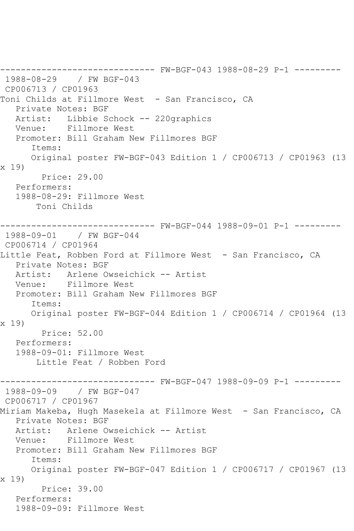------------------------------ FW-BGF-043 1988-08-29 P-1 --------- 1988-08-29 / FW BGF-043 CP006713 / CP01963 Toni Childs at Fillmore West - San Francisco, CA Private Notes: BGF Artist: Libbie Schock -- 220graphics Venue: Fillmore West Promoter: Bill Graham New Fillmores BGF Items: Original poster FW-BGF-043 Edition 1 / CP006713 / CP01963 (13 x 19) Price: 29.00 Performers: 1988-08-29: Fillmore West Toni Childs ------------------------------ FW-BGF-044 1988-09-01 P-1 --------- 1988-09-01 / FW BGF-044 CP006714 / CP01964 Little Feat, Robben Ford at Fillmore West - San Francisco, CA Private Notes: BGF Artist: Arlene Owseichick -- Artist Venue: Fillmore West Promoter: Bill Graham New Fillmores BGF Items: Original poster FW-BGF-044 Edition 1 / CP006714 / CP01964 (13 x 19) Price: 52.00 Performers: 1988-09-01: Fillmore West Little Feat / Robben Ford ------------------------------ FW-BGF-047 1988-09-09 P-1 --------- 1988-09-09 / FW BGF-047 CP006717 / CP01967 Miriam Makeba, Hugh Masekela at Fillmore West - San Francisco, CA Private Notes: BGF Artist: Arlene Owseichick -- Artist Venue: Fillmore West Promoter: Bill Graham New Fillmores BGF Items: Original poster FW-BGF-047 Edition 1 / CP006717 / CP01967 (13 x 19) Price: 39.00 Performers: 1988-09-09: Fillmore West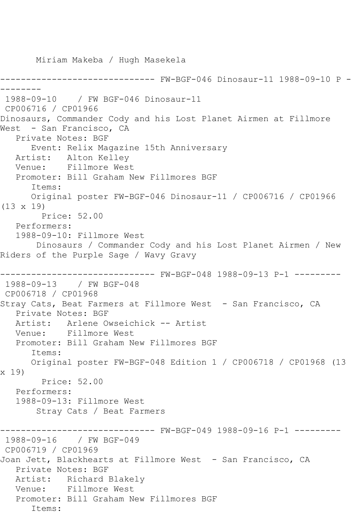Miriam Makeba / Hugh Masekela ------------------------------ FW-BGF-046 Dinosaur-11 1988-09-10 P - -------- 1988-09-10 / FW BGF-046 Dinosaur-11 CP006716 / CP01966 Dinosaurs, Commander Cody and his Lost Planet Airmen at Fillmore West - San Francisco, CA Private Notes: BGF Event: Relix Magazine 15th Anniversary Artist: Alton Kelley Venue: Fillmore West Promoter: Bill Graham New Fillmores BGF Items: Original poster FW-BGF-046 Dinosaur-11 / CP006716 / CP01966 (13 x 19) Price: 52.00 Performers: 1988-09-10: Fillmore West Dinosaurs / Commander Cody and his Lost Planet Airmen / New Riders of the Purple Sage / Wavy Gravy ------------------------------ FW-BGF-048 1988-09-13 P-1 --------- 1988-09-13 / FW BGF-048 CP006718 / CP01968 Stray Cats, Beat Farmers at Fillmore West - San Francisco, CA Private Notes: BGF Artist: Arlene Owseichick -- Artist Venue: Fillmore West Promoter: Bill Graham New Fillmores BGF Items: Original poster FW-BGF-048 Edition 1 / CP006718 / CP01968 (13 x 19) Price: 52.00 Performers: 1988-09-13: Fillmore West Stray Cats / Beat Farmers ------------------------------ FW-BGF-049 1988-09-16 P-1 --------- 1988-09-16 / FW BGF-049 CP006719 / CP01969 Joan Jett, Blackhearts at Fillmore West - San Francisco, CA Private Notes: BGF Artist: Richard Blakely Venue: Fillmore West Promoter: Bill Graham New Fillmores BGF Items: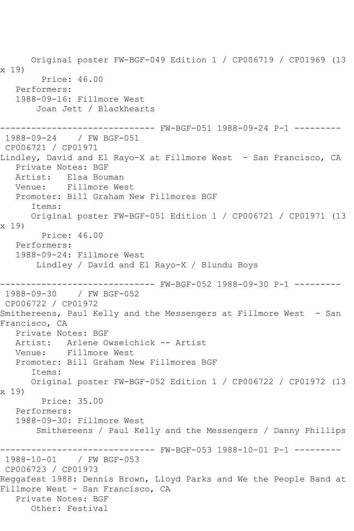Original poster FW-BGF-049 Edition 1 / CP006719 / CP01969 (13 x 19) Price: 46.00 Performers: 1988-09-16: Fillmore West Joan Jett / Blackhearts ------------------------------ FW-BGF-051 1988-09-24 P-1 --------- 1988-09-24 / FW BGF-051 CP006721 / CP01971 Lindley, David and El Rayo-X at Fillmore West - San Francisco, CA Private Notes: BGF Artist: Elsa Bouman Venue: Fillmore West Promoter: Bill Graham New Fillmores BGF Items: Original poster FW-BGF-051 Edition 1 / CP006721 / CP01971 (13 x 19) Price: 46.00 Performers: 1988-09-24: Fillmore West Lindley / David and El Rayo-X / Blundu Boys ------------------------------ FW-BGF-052 1988-09-30 P-1 --------- 1988-09-30 / FW BGF-052 CP006722 / CP01972 Smithereens, Paul Kelly and the Messengers at Fillmore West - San Francisco, CA Private Notes: BGF Artist: Arlene Owseichick -- Artist Venue: Fillmore West Promoter: Bill Graham New Fillmores BGF Items: Original poster FW-BGF-052 Edition 1 / CP006722 / CP01972 (13 x 19) Price: 35.00 Performers: 1988-09-30: Fillmore West Smithereens / Paul Kelly and the Messengers / Danny Phillips ------------------------------ FW-BGF-053 1988-10-01 P-1 --------- 1988-10-01 / FW BGF-053 CP006723 / CP01973 Reggafest 1988: Dennis Brown, Lloyd Parks and We the People Band at Fillmore West - San Francisco, CA Private Notes: BGF Other: Festival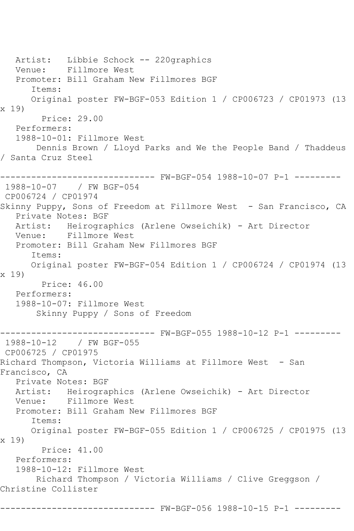Artist: Libbie Schock -- 220graphics Venue: Fillmore West Promoter: Bill Graham New Fillmores BGF Items: Original poster FW-BGF-053 Edition 1 / CP006723 / CP01973 (13 x 19) Price: 29.00 Performers: 1988-10-01: Fillmore West Dennis Brown / Lloyd Parks and We the People Band / Thaddeus / Santa Cruz Steel ------------------------------ FW-BGF-054 1988-10-07 P-1 --------- 1988-10-07 / FW BGF-054 CP006724 / CP01974 Skinny Puppy, Sons of Freedom at Fillmore West - San Francisco, CA Private Notes: BGF Artist: Heirographics (Arlene Owseichik) - Art Director Venue: Fillmore West Promoter: Bill Graham New Fillmores BGF Items: Original poster FW-BGF-054 Edition 1 / CP006724 / CP01974 (13 x 19) Price: 46.00 Performers: 1988-10-07: Fillmore West Skinny Puppy / Sons of Freedom ------------------------------ FW-BGF-055 1988-10-12 P-1 --------- 1988-10-12 / FW BGF-055 CP006725 / CP01975 Richard Thompson, Victoria Williams at Fillmore West - San Francisco, CA Private Notes: BGF Artist: Heirographics (Arlene Owseichik) - Art Director Venue: Fillmore West Promoter: Bill Graham New Fillmores BGF Items: Original poster FW-BGF-055 Edition 1 / CP006725 / CP01975 (13 x 19) Price: 41.00 Performers: 1988-10-12: Fillmore West Richard Thompson / Victoria Williams / Clive Greggson / Christine Collister ------------------------------ FW-BGF-056 1988-10-15 P-1 ---------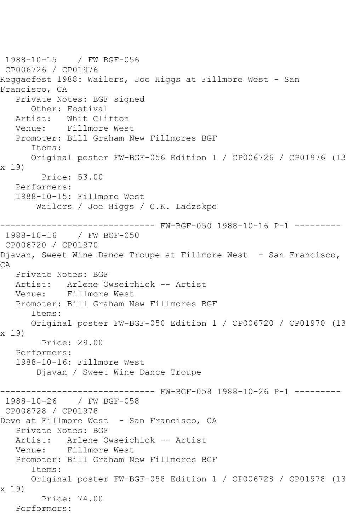1988-10-15 / FW BGF-056 CP006726 / CP01976 Reggaefest 1988: Wailers, Joe Higgs at Fillmore West - San Francisco, CA Private Notes: BGF signed Other: Festival Artist: Whit Clifton Venue: Fillmore West Promoter: Bill Graham New Fillmores BGF Items: Original poster FW-BGF-056 Edition 1 / CP006726 / CP01976 (13 x 19) Price: 53.00 Performers: 1988-10-15: Fillmore West Wailers / Joe Higgs / C.K. Ladzskpo ------------------------------ FW-BGF-050 1988-10-16 P-1 --------- 1988-10-16 / FW BGF-050 CP006720 / CP01970 Djavan, Sweet Wine Dance Troupe at Fillmore West - San Francisco, CA Private Notes: BGF Artist: Arlene Owseichick -- Artist Venue: Fillmore West Promoter: Bill Graham New Fillmores BGF Items: Original poster FW-BGF-050 Edition 1 / CP006720 / CP01970 (13 x 19) Price: 29.00 Performers: 1988-10-16: Fillmore West Djavan / Sweet Wine Dance Troupe --------- FW-BGF-058 1988-10-26 P-1 ---------1988-10-26 / FW BGF-058 CP006728 / CP01978 Devo at Fillmore West - San Francisco, CA Private Notes: BGF<br>Artist: Arlene Ow Arlene Owseichick -- Artist Venue: Fillmore West Promoter: Bill Graham New Fillmores BGF Items: Original poster FW-BGF-058 Edition 1 / CP006728 / CP01978 (13 x 19) Price: 74.00 Performers: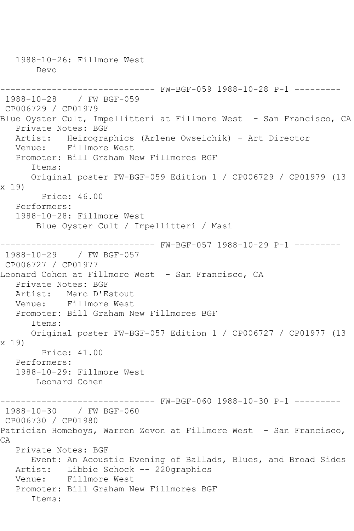1988-10-26: Fillmore West Devo ------------------------------ FW-BGF-059 1988-10-28 P-1 --------- 1988-10-28 / FW BGF-059 CP006729 / CP01979 Blue Oyster Cult, Impellitteri at Fillmore West - San Francisco, CA Private Notes: BGF Artist: Heirographics (Arlene Owseichik) - Art Director Venue: Fillmore West Promoter: Bill Graham New Fillmores BGF Items: Original poster FW-BGF-059 Edition 1 / CP006729 / CP01979 (13 x 19) Price: 46.00 Performers: 1988-10-28: Fillmore West Blue Oyster Cult / Impellitteri / Masi ------------------------------ FW-BGF-057 1988-10-29 P-1 --------- 1988-10-29 / FW BGF-057 CP006727 / CP01977 Leonard Cohen at Fillmore West - San Francisco, CA Private Notes: BGF<br>Artist: Marc D'E Artist: Marc D'Estout<br>Venue: Fillmore West Fillmore West Promoter: Bill Graham New Fillmores BGF Items: Original poster FW-BGF-057 Edition 1 / CP006727 / CP01977 (13 x 19) Price: 41.00 Performers: 1988-10-29: Fillmore West Leonard Cohen ------------------------------ FW-BGF-060 1988-10-30 P-1 --------- 1988-10-30 / FW BGF-060 CP006730 / CP01980 Patrician Homeboys, Warren Zevon at Fillmore West - San Francisco, CA Private Notes: BGF Event: An Acoustic Evening of Ballads, Blues, and Broad Sides Artist: Libbie Schock -- 220graphics<br>Venue: Fillmore West Fillmore West Promoter: Bill Graham New Fillmores BGF Items: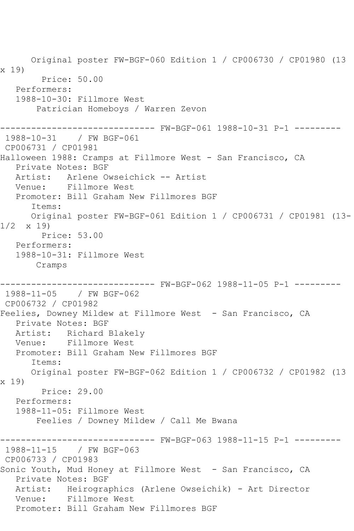Original poster FW-BGF-060 Edition 1 / CP006730 / CP01980 (13 x 19) Price: 50.00 Performers: 1988-10-30: Fillmore West Patrician Homeboys / Warren Zevon ------------------------------ FW-BGF-061 1988-10-31 P-1 --------- 1988-10-31 / FW BGF-061 CP006731 / CP01981 Halloween 1988: Cramps at Fillmore West - San Francisco, CA Private Notes: BGF Artist: Arlene Owseichick -- Artist Venue: Fillmore West Promoter: Bill Graham New Fillmores BGF Items: Original poster FW-BGF-061 Edition 1 / CP006731 / CP01981 (13- 1/2 x 19) Price: 53.00 Performers: 1988-10-31: Fillmore West Cramps ------------------------------ FW-BGF-062 1988-11-05 P-1 --------- 1988-11-05 / FW BGF-062 CP006732 / CP01982 Feelies, Downey Mildew at Fillmore West - San Francisco, CA Private Notes: BGF Artist: Richard Blakely Venue: Fillmore West Promoter: Bill Graham New Fillmores BGF Items: Original poster FW-BGF-062 Edition 1 / CP006732 / CP01982 (13 x 19) Price: 29.00 Performers: 1988-11-05: Fillmore West Feelies / Downey Mildew / Call Me Bwana ------------------------------ FW-BGF-063 1988-11-15 P-1 --------- 1988-11-15 / FW BGF-063 CP006733 / CP01983 Sonic Youth, Mud Honey at Fillmore West - San Francisco, CA Private Notes: BGF Artist: Heirographics (Arlene Owseichik) - Art Director Venue: Fillmore West Promoter: Bill Graham New Fillmores BGF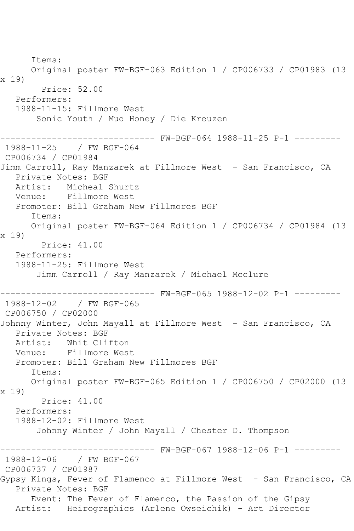Items: Original poster FW-BGF-063 Edition 1 / CP006733 / CP01983 (13 x 19) Price: 52.00 Performers: 1988-11-15: Fillmore West Sonic Youth / Mud Honey / Die Kreuzen ------------------------------ FW-BGF-064 1988-11-25 P-1 --------- 1988-11-25 / FW BGF-064 CP006734 / CP01984 Jimm Carroll, Ray Manzarek at Fillmore West - San Francisco, CA Private Notes: BGF Artist: Micheal Shurtz Venue: Fillmore West Promoter: Bill Graham New Fillmores BGF Items: Original poster FW-BGF-064 Edition 1 / CP006734 / CP01984 (13 x 19) Price: 41.00 Performers: 1988-11-25: Fillmore West Jimm Carroll / Ray Manzarek / Michael Mcclure ------------------------------ FW-BGF-065 1988-12-02 P-1 --------- 1988-12-02 / FW BGF-065 CP006750 / CP02000 Johnny Winter, John Mayall at Fillmore West - San Francisco, CA Private Notes: BGF Artist: Whit Clifton Venue: Fillmore West Promoter: Bill Graham New Fillmores BGF Items: Original poster FW-BGF-065 Edition 1 / CP006750 / CP02000 (13 x 19) Price: 41.00 Performers: 1988-12-02: Fillmore West Johnny Winter / John Mayall / Chester D. Thompson ------------------------------ FW-BGF-067 1988-12-06 P-1 --------- 1988-12-06 / FW BGF-067 CP006737 / CP01987 Gypsy Kings, Fever of Flamenco at Fillmore West - San Francisco, CA Private Notes: BGF Event: The Fever of Flamenco, the Passion of the Gipsy Artist: Heirographics (Arlene Owseichik) - Art Director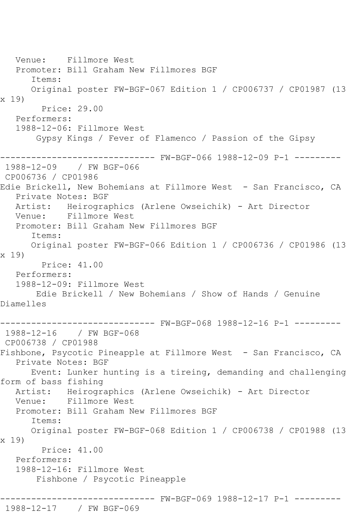Venue: Fillmore West Promoter: Bill Graham New Fillmores BGF Items: Original poster FW-BGF-067 Edition 1 / CP006737 / CP01987 (13 x 19) Price: 29.00 Performers: 1988-12-06: Fillmore West Gypsy Kings / Fever of Flamenco / Passion of the Gipsy ------------------------------ FW-BGF-066 1988-12-09 P-1 --------- 1988-12-09 / FW BGF-066 CP006736 / CP01986 Edie Brickell, New Bohemians at Fillmore West - San Francisco, CA Private Notes: BGF Artist: Heirographics (Arlene Owseichik) - Art Director Venue: Fillmore West Promoter: Bill Graham New Fillmores BGF Items: Original poster FW-BGF-066 Edition 1 / CP006736 / CP01986 (13 x 19) Price: 41.00 Performers: 1988-12-09: Fillmore West Edie Brickell / New Bohemians / Show of Hands / Genuine Diamelles ------------------------------ FW-BGF-068 1988-12-16 P-1 --------- 1988-12-16 / FW BGF-068 CP006738 / CP01988 Fishbone, Psycotic Pineapple at Fillmore West - San Francisco, CA Private Notes: BGF Event: Lunker hunting is a tireing, demanding and challenging form of bass fishing Artist: Heirographics (Arlene Owseichik) - Art Director Venue: Fillmore West Promoter: Bill Graham New Fillmores BGF Items: Original poster FW-BGF-068 Edition 1 / CP006738 / CP01988 (13 x 19) Price: 41.00 Performers: 1988-12-16: Fillmore West Fishbone / Psycotic Pineapple ------------------------------ FW-BGF-069 1988-12-17 P-1 --------- 1988-12-17 / FW BGF-069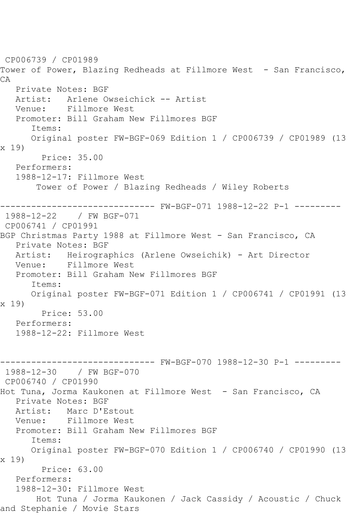CP006739 / CP01989 Tower of Power, Blazing Redheads at Fillmore West - San Francisco, CA Private Notes: BGF Artist: Arlene Owseichick -- Artist Venue: Fillmore West Promoter: Bill Graham New Fillmores BGF Items: Original poster FW-BGF-069 Edition 1 / CP006739 / CP01989 (13 x 19) Price: 35.00 Performers: 1988-12-17: Fillmore West Tower of Power / Blazing Redheads / Wiley Roberts ------------------------------ FW-BGF-071 1988-12-22 P-1 --------- 1988-12-22 / FW BGF-071 CP006741 / CP01991 BGP Christmas Party 1988 at Fillmore West - San Francisco, CA Private Notes: BGF Artist: Heirographics (Arlene Owseichik) - Art Director Venue: Fillmore West Promoter: Bill Graham New Fillmores BGF Items: Original poster FW-BGF-071 Edition 1 / CP006741 / CP01991 (13 x 19) Price: 53.00 Performers: 1988-12-22: Fillmore West ------------------------------ FW-BGF-070 1988-12-30 P-1 --------- 1988-12-30 / FW BGF-070 CP006740 / CP01990 Hot Tuna, Jorma Kaukonen at Fillmore West - San Francisco, CA Private Notes: BGF Artist: Marc D'Estout Venue: Fillmore West Promoter: Bill Graham New Fillmores BGF Items: Original poster FW-BGF-070 Edition 1 / CP006740 / CP01990 (13 x 19) Price: 63.00 Performers: 1988-12-30: Fillmore West Hot Tuna / Jorma Kaukonen / Jack Cassidy / Acoustic / Chuck and Stephanie / Movie Stars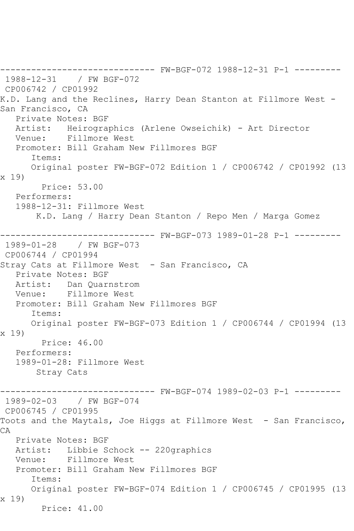------------------------------ FW-BGF-072 1988-12-31 P-1 --------- 1988-12-31 / FW BGF-072 CP006742 / CP01992 K.D. Lang and the Reclines, Harry Dean Stanton at Fillmore West - San Francisco, CA Private Notes: BGF Artist: Heirographics (Arlene Owseichik) - Art Director Venue: Fillmore West Promoter: Bill Graham New Fillmores BGF Items: Original poster FW-BGF-072 Edition 1 / CP006742 / CP01992 (13 x 19) Price: 53.00 Performers: 1988-12-31: Fillmore West K.D. Lang / Harry Dean Stanton / Repo Men / Marga Gomez ------------------------------ FW-BGF-073 1989-01-28 P-1 --------- 1989-01-28 / FW BGF-073 CP006744 / CP01994 Stray Cats at Fillmore West - San Francisco, CA Private Notes: BGF Artist: Dan Quarnstrom Venue: Fillmore West Promoter: Bill Graham New Fillmores BGF Items: Original poster FW-BGF-073 Edition 1 / CP006744 / CP01994 (13 x 19) Price: 46.00 Performers: 1989-01-28: Fillmore West Stray Cats ------- FW-BGF-074 1989-02-03 P-1 ---------1989-02-03 / FW BGF-074 CP006745 / CP01995 Toots and the Maytals, Joe Higgs at Fillmore West - San Francisco, CA Private Notes: BGF Artist: Libbie Schock -- 220graphics Venue: Fillmore West Promoter: Bill Graham New Fillmores BGF Items: Original poster FW-BGF-074 Edition 1 / CP006745 / CP01995 (13 x 19) Price: 41.00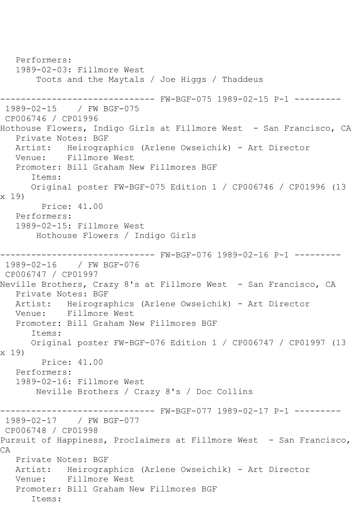Performers: 1989-02-03: Fillmore West Toots and the Maytals / Joe Higgs / Thaddeus ------------------------------ FW-BGF-075 1989-02-15 P-1 --------- 1989-02-15 / FW BGF-075 CP006746 / CP01996 Hothouse Flowers, Indigo Girls at Fillmore West - San Francisco, CA Private Notes: BGF Artist: Heirographics (Arlene Owseichik) - Art Director Venue: Fillmore West Promoter: Bill Graham New Fillmores BGF Items: Original poster FW-BGF-075 Edition 1 / CP006746 / CP01996 (13 x 19) Price: 41.00 Performers: 1989-02-15: Fillmore West Hothouse Flowers / Indigo Girls ------------------------------ FW-BGF-076 1989-02-16 P-1 --------- 1989-02-16 / FW BGF-076 CP006747 / CP01997 Neville Brothers, Crazy 8's at Fillmore West - San Francisco, CA Private Notes: BGF Artist: Heirographics (Arlene Owseichik) - Art Director Venue: Fillmore West Promoter: Bill Graham New Fillmores BGF Items: Original poster FW-BGF-076 Edition 1 / CP006747 / CP01997 (13 x 19) Price: 41.00 Performers: 1989-02-16: Fillmore West Neville Brothers / Crazy 8's / Doc Collins ------------------------------ FW-BGF-077 1989-02-17 P-1 --------- 1989-02-17 / FW BGF-077 CP006748 / CP01998 Pursuit of Happiness, Proclaimers at Fillmore West - San Francisco, CA Private Notes: BGF Artist: Heirographics (Arlene Owseichik) - Art Director Venue: Fillmore West Promoter: Bill Graham New Fillmores BGF Items: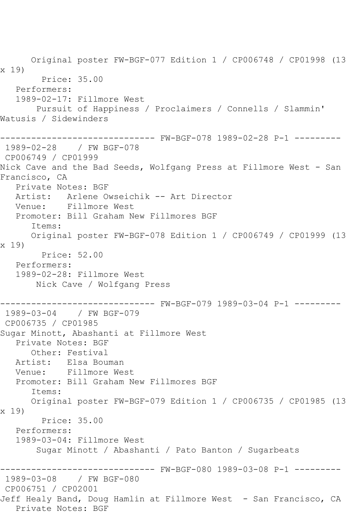Original poster FW-BGF-077 Edition 1 / CP006748 / CP01998 (13 x 19) Price: 35.00 Performers: 1989-02-17: Fillmore West Pursuit of Happiness / Proclaimers / Connells / Slammin' Watusis / Sidewinders ------------------------------ FW-BGF-078 1989-02-28 P-1 --------- 1989-02-28 / FW BGF-078 CP006749 / CP01999 Nick Cave and the Bad Seeds, Wolfgang Press at Fillmore West - San Francisco, CA Private Notes: BGF Artist: Arlene Owseichik -- Art Director Venue: Fillmore West Promoter: Bill Graham New Fillmores BGF Items: Original poster FW-BGF-078 Edition 1 / CP006749 / CP01999 (13 x 19) Price: 52.00 Performers: 1989-02-28: Fillmore West Nick Cave / Wolfgang Press ------------------------------ FW-BGF-079 1989-03-04 P-1 --------- 1989-03-04 / FW BGF-079 CP006735 / CP01985 Sugar Minott, Abashanti at Fillmore West Private Notes: BGF Other: Festival Artist: Elsa Bouman Venue: Fillmore West Promoter: Bill Graham New Fillmores BGF Items: Original poster FW-BGF-079 Edition 1 / CP006735 / CP01985 (13 x 19) Price: 35.00 Performers: 1989-03-04: Fillmore West Sugar Minott / Abashanti / Pato Banton / Sugarbeats ------------------------------ FW-BGF-080 1989-03-08 P-1 --------- 1989-03-08 / FW BGF-080 CP006751 / CP02001 Jeff Healy Band, Doug Hamlin at Fillmore West - San Francisco, CA Private Notes: BGF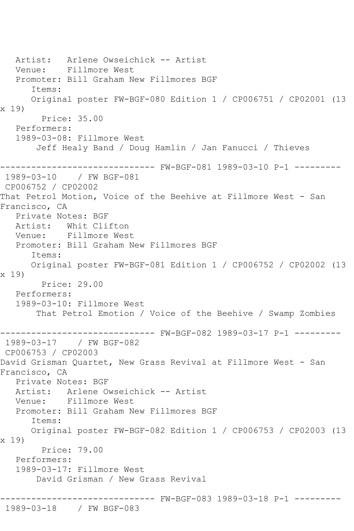Artist: Arlene Owseichick -- Artist Venue: Fillmore West Promoter: Bill Graham New Fillmores BGF Items: Original poster FW-BGF-080 Edition 1 / CP006751 / CP02001 (13 x 19) Price: 35.00 Performers: 1989-03-08: Fillmore West Jeff Healy Band / Doug Hamlin / Jan Fanucci / Thieves ------------------------------ FW-BGF-081 1989-03-10 P-1 --------- 1989-03-10 / FW BGF-081 CP006752 / CP02002 That Petrol Motion, Voice of the Beehive at Fillmore West - San Francisco, CA Private Notes: BGF Artist: Whit Clifton Venue: Fillmore West Promoter: Bill Graham New Fillmores BGF Items: Original poster FW-BGF-081 Edition 1 / CP006752 / CP02002 (13 x 19) Price: 29.00 Performers: 1989-03-10: Fillmore West That Petrol Emotion / Voice of the Beehive / Swamp Zombies ------------------------------ FW-BGF-082 1989-03-17 P-1 --------- 1989-03-17 / FW BGF-082 CP006753 / CP02003 David Grisman Quartet, New Grass Revival at Fillmore West - San Francisco, CA Private Notes: BGF Artist: Arlene Owseichick -- Artist Venue: Fillmore West Promoter: Bill Graham New Fillmores BGF Items: Original poster FW-BGF-082 Edition 1 / CP006753 / CP02003 (13 x 19) Price: 79.00 Performers: 1989-03-17: Fillmore West David Grisman / New Grass Revival ------------------------------ FW-BGF-083 1989-03-18 P-1 --------- 1989-03-18 / FW BGF-083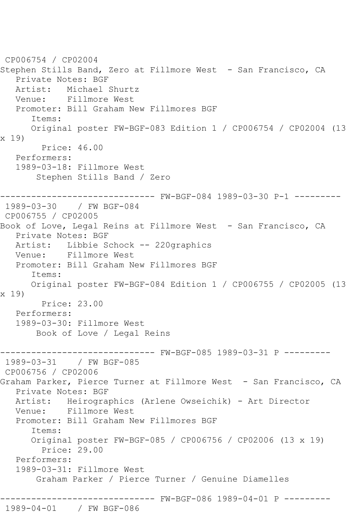CP006754 / CP02004 Stephen Stills Band, Zero at Fillmore West - San Francisco, CA Private Notes: BGF Artist: Michael Shurtz<br>Venue: Fillmore West Fillmore West Promoter: Bill Graham New Fillmores BGF Items: Original poster FW-BGF-083 Edition 1 / CP006754 / CP02004 (13 x 19) Price: 46.00 Performers: 1989-03-18: Fillmore West Stephen Stills Band / Zero ------------------------------ FW-BGF-084 1989-03-30 P-1 --------- 1989-03-30 / FW BGF-084 CP006755 / CP02005 Book of Love, Legal Reins at Fillmore West - San Francisco, CA Private Notes: BGF Artist: Libbie Schock -- 220graphics Venue: Fillmore West Promoter: Bill Graham New Fillmores BGF Items: Original poster FW-BGF-084 Edition 1 / CP006755 / CP02005 (13 x 19) Price: 23.00 Performers: 1989-03-30: Fillmore West Book of Love / Legal Reins ------------------------------ FW-BGF-085 1989-03-31 P --------- 1989-03-31 / FW BGF-085 CP006756 / CP02006 Graham Parker, Pierce Turner at Fillmore West - San Francisco, CA Private Notes: BGF Artist: Heirographics (Arlene Owseichik) - Art Director Venue: Fillmore West Promoter: Bill Graham New Fillmores BGF Items: Original poster FW-BGF-085 / CP006756 / CP02006 (13 x 19) Price: 29.00 Performers: 1989-03-31: Fillmore West Graham Parker / Pierce Turner / Genuine Diamelles ------------------------------ FW-BGF-086 1989-04-01 P --------- 1989-04-01 / FW BGF-086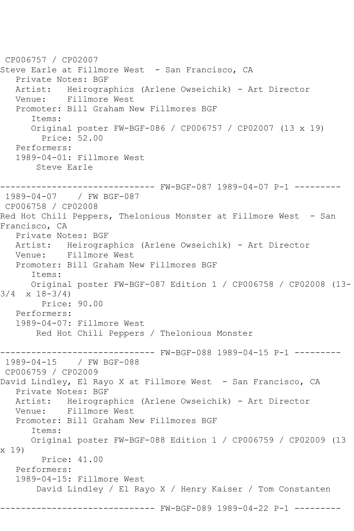CP006757 / CP02007 Steve Earle at Fillmore West - San Francisco, CA Private Notes: BGF Artist: Heirographics (Arlene Owseichik) - Art Director<br>Venue: Fillmore West Fillmore West Promoter: Bill Graham New Fillmores BGF Items: Original poster FW-BGF-086 / CP006757 / CP02007 (13 x 19) Price: 52.00 Performers: 1989-04-01: Fillmore West Steve Earle ------------------------------ FW-BGF-087 1989-04-07 P-1 --------- 1989-04-07 / FW BGF-087 CP006758 / CP02008 Red Hot Chili Peppers, Thelonious Monster at Fillmore West - San Francisco, CA Private Notes: BGF Artist: Heirographics (Arlene Owseichik) - Art Director Venue: Fillmore West Promoter: Bill Graham New Fillmores BGF Items: Original poster FW-BGF-087 Edition 1 / CP006758 / CP02008 (13- 3/4 x 18-3/4) Price: 90.00 Performers: 1989-04-07: Fillmore West Red Hot Chili Peppers / Thelonious Monster ------------------------------ FW-BGF-088 1989-04-15 P-1 --------- 1989-04-15 / FW BGF-088 CP006759 / CP02009 David Lindley, El Rayo X at Fillmore West - San Francisco, CA Private Notes: BGF Artist: Heirographics (Arlene Owseichik) - Art Director Venue: Fillmore West Promoter: Bill Graham New Fillmores BGF Items: Original poster FW-BGF-088 Edition 1 / CP006759 / CP02009 (13 x 19) Price: 41.00 Performers: 1989-04-15: Fillmore West David Lindley / El Rayo X / Henry Kaiser / Tom Constanten ---------- FW-BGF-089 1989-04-22 P-1 ---------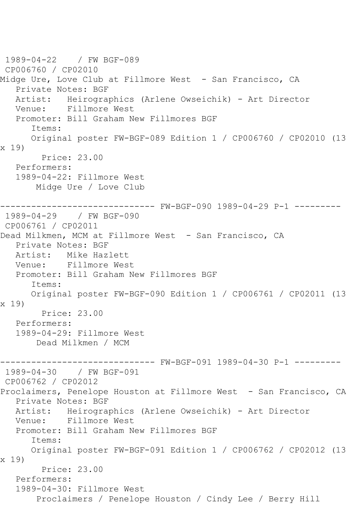1989-04-22 / FW BGF-089 CP006760 / CP02010 Midge Ure, Love Club at Fillmore West - San Francisco, CA Private Notes: BGF Artist: Heirographics (Arlene Owseichik) - Art Director Venue: Fillmore West Promoter: Bill Graham New Fillmores BGF Items: Original poster FW-BGF-089 Edition 1 / CP006760 / CP02010 (13 x 19) Price: 23.00 Performers: 1989-04-22: Fillmore West Midge Ure / Love Club ------------------------------ FW-BGF-090 1989-04-29 P-1 --------- 1989-04-29 / FW BGF-090 CP006761 / CP02011 Dead Milkmen, MCM at Fillmore West - San Francisco, CA Private Notes: BGF Artist: Mike Hazlett Venue: Fillmore West Promoter: Bill Graham New Fillmores BGF Items: Original poster FW-BGF-090 Edition 1 / CP006761 / CP02011 (13 x 19) Price: 23.00 Performers: 1989-04-29: Fillmore West Dead Milkmen / MCM ------------------------------ FW-BGF-091 1989-04-30 P-1 --------- 1989-04-30 / FW BGF-091 CP006762 / CP02012 Proclaimers, Penelope Houston at Fillmore West - San Francisco, CA Private Notes: BGF Artist: Heirographics (Arlene Owseichik) - Art Director Venue: Fillmore West Promoter: Bill Graham New Fillmores BGF Items: Original poster FW-BGF-091 Edition 1 / CP006762 / CP02012 (13 x 19) Price: 23.00 Performers: 1989-04-30: Fillmore West Proclaimers / Penelope Houston / Cindy Lee / Berry Hill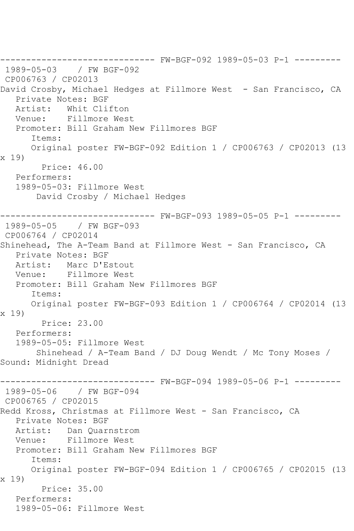------------------------------ FW-BGF-092 1989-05-03 P-1 --------- 1989-05-03 / FW BGF-092 CP006763 / CP02013 David Crosby, Michael Hedges at Fillmore West - San Francisco, CA Private Notes: BGF<br>Artist: Whit Cli Whit Clifton Venue: Fillmore West Promoter: Bill Graham New Fillmores BGF Items: Original poster FW-BGF-092 Edition 1 / CP006763 / CP02013 (13 x 19) Price: 46.00 Performers: 1989-05-03: Fillmore West David Crosby / Michael Hedges ------------------------------ FW-BGF-093 1989-05-05 P-1 --------- 1989-05-05 / FW BGF-093 CP006764 / CP02014 Shinehead, The A-Team Band at Fillmore West - San Francisco, CA Private Notes: BGF<br>Artist: Marc D'E Marc D'Estout Venue: Fillmore West Promoter: Bill Graham New Fillmores BGF Items: Original poster FW-BGF-093 Edition 1 / CP006764 / CP02014 (13 x 19) Price: 23.00 Performers: 1989-05-05: Fillmore West Shinehead / A-Team Band / DJ Doug Wendt / Mc Tony Moses / Sound: Midnight Dread ------------------------------ FW-BGF-094 1989-05-06 P-1 --------- 1989-05-06 / FW BGF-094 CP006765 / CP02015 Redd Kross, Christmas at Fillmore West - San Francisco, CA Private Notes: BGF Artist: Dan Quarnstrom Venue: Fillmore West Promoter: Bill Graham New Fillmores BGF Items: Original poster FW-BGF-094 Edition 1 / CP006765 / CP02015 (13 x 19) Price: 35.00 Performers: 1989-05-06: Fillmore West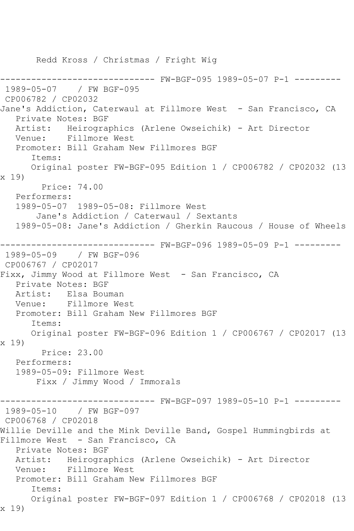Redd Kross / Christmas / Fright Wig ------------------------------ FW-BGF-095 1989-05-07 P-1 --------- 1989-05-07 / FW BGF-095 CP006782 / CP02032 Jane's Addiction, Caterwaul at Fillmore West - San Francisco, CA Private Notes: BGF Artist: Heirographics (Arlene Owseichik) - Art Director Venue: Fillmore West Promoter: Bill Graham New Fillmores BGF Items: Original poster FW-BGF-095 Edition 1 / CP006782 / CP02032 (13 x 19) Price: 74.00 Performers: 1989-05-07 1989-05-08: Fillmore West Jane's Addiction / Caterwaul / Sextants 1989-05-08: Jane's Addiction / Gherkin Raucous / House of Wheels ------------------------------ FW-BGF-096 1989-05-09 P-1 --------- 1989-05-09 / FW BGF-096 CP006767 / CP02017 Fixx, Jimmy Wood at Fillmore West - San Francisco, CA Private Notes: BGF Artist: Elsa Bouman<br>Venue: Fillmore We Fillmore West Promoter: Bill Graham New Fillmores BGF Items: Original poster FW-BGF-096 Edition 1 / CP006767 / CP02017 (13 x 19) Price: 23.00 Performers: 1989-05-09: Fillmore West Fixx / Jimmy Wood / Immorals ------------------------------ FW-BGF-097 1989-05-10 P-1 --------- 1989-05-10 / FW BGF-097 CP006768 / CP02018 Willie Deville and the Mink Deville Band, Gospel Hummingbirds at Fillmore West - San Francisco, CA Private Notes: BGF Artist: Heirographics (Arlene Owseichik) - Art Director Venue: Fillmore West Promoter: Bill Graham New Fillmores BGF Items: Original poster FW-BGF-097 Edition 1 / CP006768 / CP02018 (13 x 19)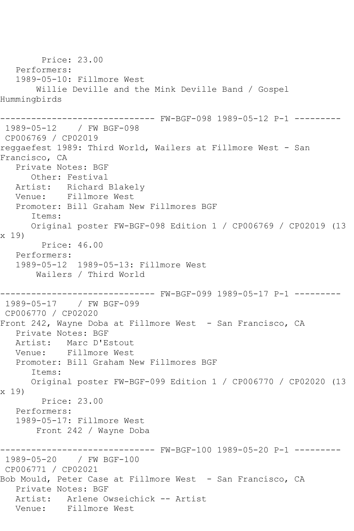Price: 23.00 Performers: 1989-05-10: Fillmore West Willie Deville and the Mink Deville Band / Gospel Hummingbirds ------------------------------ FW-BGF-098 1989-05-12 P-1 --------- 1989-05-12 / FW BGF-098 CP006769 / CP02019 reggaefest 1989: Third World, Wailers at Fillmore West - San Francisco, CA Private Notes: BGF Other: Festival Artist: Richard Blakely Venue: Fillmore West Promoter: Bill Graham New Fillmores BGF Items: Original poster FW-BGF-098 Edition 1 / CP006769 / CP02019 (13 x 19) Price: 46.00 Performers: 1989-05-12 1989-05-13: Fillmore West Wailers / Third World ------------------------------ FW-BGF-099 1989-05-17 P-1 --------- 1989-05-17 / FW BGF-099 CP006770 / CP02020 Front 242, Wayne Doba at Fillmore West - San Francisco, CA Private Notes: BGF Artist: Marc D'Estout Venue: Fillmore West Promoter: Bill Graham New Fillmores BGF Items: Original poster FW-BGF-099 Edition 1 / CP006770 / CP02020 (13 x 19) Price: 23.00 Performers: 1989-05-17: Fillmore West Front 242 / Wayne Doba ------------------------------ FW-BGF-100 1989-05-20 P-1 --------- 1989-05-20 / FW BGF-100 CP006771 / CP02021 Bob Mould, Peter Case at Fillmore West - San Francisco, CA Private Notes: BGF Artist: Arlene Owseichick -- Artist Venue: Fillmore West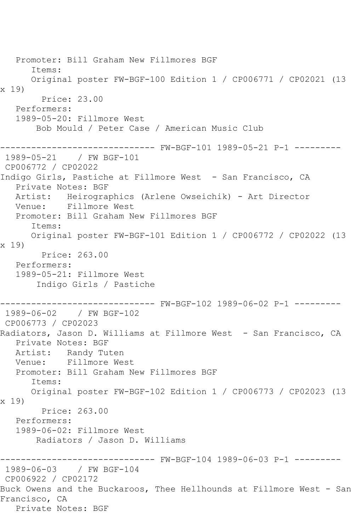Promoter: Bill Graham New Fillmores BGF Items: Original poster FW-BGF-100 Edition 1 / CP006771 / CP02021 (13 x 19) Price: 23.00 Performers: 1989-05-20: Fillmore West Bob Mould / Peter Case / American Music Club ------------------------------ FW-BGF-101 1989-05-21 P-1 --------- 1989-05-21 / FW BGF-101 CP006772 / CP02022 Indigo Girls, Pastiche at Fillmore West - San Francisco, CA Private Notes: BGF Artist: Heirographics (Arlene Owseichik) - Art Director Venue: Fillmore West Promoter: Bill Graham New Fillmores BGF Items: Original poster FW-BGF-101 Edition 1 / CP006772 / CP02022 (13 x 19) Price: 263.00 Performers: 1989-05-21: Fillmore West Indigo Girls / Pastiche ------------------------------ FW-BGF-102 1989-06-02 P-1 --------- 1989-06-02 / FW BGF-102 CP006773 / CP02023 Radiators, Jason D. Williams at Fillmore West - San Francisco, CA Private Notes: BGF Artist: Randy Tuten Venue: Fillmore West Promoter: Bill Graham New Fillmores BGF Items: Original poster FW-BGF-102 Edition 1 / CP006773 / CP02023 (13 x 19) Price: 263.00 Performers: 1989-06-02: Fillmore West Radiators / Jason D. Williams ------------------------------ FW-BGF-104 1989-06-03 P-1 --------- 1989-06-03 / FW BGF-104 CP006922 / CP02172 Buck Owens and the Buckaroos, Thee Hellhounds at Fillmore West - San Francisco, CA Private Notes: BGF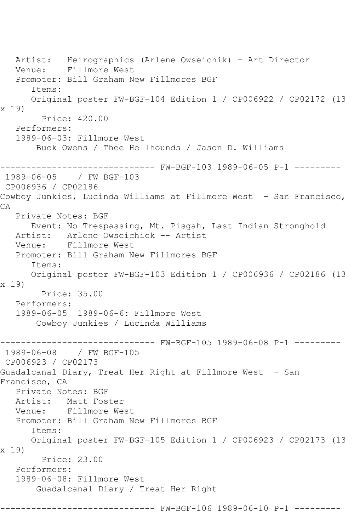Artist: Heirographics (Arlene Owseichik) - Art Director Venue: Fillmore West Promoter: Bill Graham New Fillmores BGF Items: Original poster FW-BGF-104 Edition 1 / CP006922 / CP02172 (13 x 19) Price: 420.00 Performers: 1989-06-03: Fillmore West Buck Owens / Thee Hellhounds / Jason D. Williams ------------------------------ FW-BGF-103 1989-06-05 P-1 --------- 1989-06-05 / FW BGF-103 CP006936 / CP02186 Cowboy Junkies, Lucinda Williams at Fillmore West - San Francisco, CA Private Notes: BGF Event: No Trespassing, Mt. Pisgah, Last Indian Stronghold<br>Artist: Arlene Owseichick -- Artist Artist: Arlene Owseichick -- Artist<br>Venue: Fillmore West Fillmore West Promoter: Bill Graham New Fillmores BGF Items: Original poster FW-BGF-103 Edition 1 / CP006936 / CP02186 (13 x 19) Price: 35.00 Performers: 1989-06-05 1989-06-6: Fillmore West Cowboy Junkies / Lucinda Williams ------------------------------ FW-BGF-105 1989-06-08 P-1 --------- 1989-06-08 / FW BGF-105 CP006923 / CP02173 Guadalcanal Diary, Treat Her Right at Fillmore West - San Francisco, CA Private Notes: BGF Artist: Matt Foster Venue: Fillmore West Promoter: Bill Graham New Fillmores BGF Items: Original poster FW-BGF-105 Edition 1 / CP006923 / CP02173 (13 x 19) Price: 23.00 Performers: 1989-06-08: Fillmore West Guadalcanal Diary / Treat Her Right ------------------------------ FW-BGF-106 1989-06-10 P-1 ---------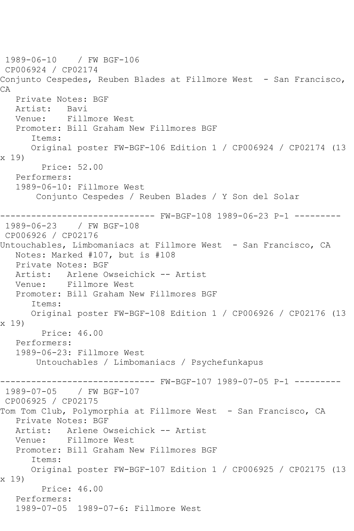1989-06-10 / FW BGF-106 CP006924 / CP02174 Conjunto Cespedes, Reuben Blades at Fillmore West - San Francisco, CA Private Notes: BGF Artist: Bavi Venue: Fillmore West Promoter: Bill Graham New Fillmores BGF Items: Original poster FW-BGF-106 Edition 1 / CP006924 / CP02174 (13 x 19) Price: 52.00 Performers: 1989-06-10: Fillmore West Conjunto Cespedes / Reuben Blades / Y Son del Solar ------------------------------ FW-BGF-108 1989-06-23 P-1 --------- 1989-06-23 / FW BGF-108 CP006926 / CP02176 Untouchables, Limbomaniacs at Fillmore West - San Francisco, CA Notes: Marked #107, but is #108 Private Notes: BGF Artist: Arlene Owseichick -- Artist Venue: Fillmore West Promoter: Bill Graham New Fillmores BGF Items: Original poster FW-BGF-108 Edition 1 / CP006926 / CP02176 (13 x 19) Price: 46.00 Performers: 1989-06-23: Fillmore West Untouchables / Limbomaniacs / Psychefunkapus ------------------------------ FW-BGF-107 1989-07-05 P-1 --------- 1989-07-05 / FW BGF-107 CP006925 / CP02175 Tom Tom Club, Polymorphia at Fillmore West - San Francisco, CA Private Notes: BGF Artist: Arlene Owseichick -- Artist Venue: Fillmore West Promoter: Bill Graham New Fillmores BGF Items: Original poster FW-BGF-107 Edition 1 / CP006925 / CP02175 (13 x 19) Price: 46.00 Performers: 1989-07-05 1989-07-6: Fillmore West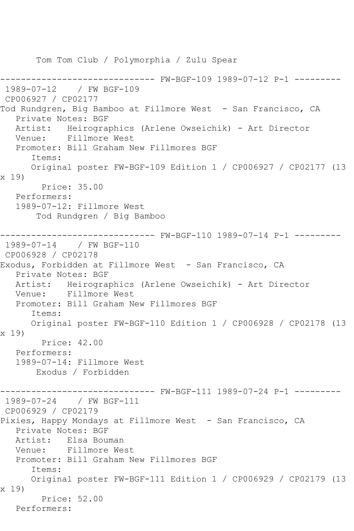Tom Tom Club / Polymorphia / Zulu Spear ------------------------------ FW-BGF-109 1989-07-12 P-1 --------- 1989-07-12 / FW BGF-109 CP006927 / CP02177 Tod Rundgren, Big Bamboo at Fillmore West - San Francisco, CA Private Notes: BGF Artist: Heirographics (Arlene Owseichik) - Art Director Venue: Fillmore West Promoter: Bill Graham New Fillmores BGF Items: Original poster FW-BGF-109 Edition 1 / CP006927 / CP02177 (13 x 19) Price: 35.00 Performers: 1989-07-12: Fillmore West Tod Rundgren / Big Bamboo ------------------------------ FW-BGF-110 1989-07-14 P-1 --------- 1989-07-14 / FW BGF-110 CP006928 / CP02178 Exodus, Forbidden at Fillmore West - San Francisco, CA Private Notes: BGF Artist: Heirographics (Arlene Owseichik) - Art Director Venue: Fillmore West Promoter: Bill Graham New Fillmores BGF Items: Original poster FW-BGF-110 Edition 1 / CP006928 / CP02178 (13 x 19) Price: 42.00 Performers: 1989-07-14: Fillmore West Exodus / Forbidden ------------------------------ FW-BGF-111 1989-07-24 P-1 --------- 1989-07-24 / FW BGF-111 CP006929 / CP02179 Pixies, Happy Mondays at Fillmore West - San Francisco, CA Private Notes: BGF Artist: Elsa Bouman Venue: Fillmore West Promoter: Bill Graham New Fillmores BGF Items: Original poster FW-BGF-111 Edition 1 / CP006929 / CP02179 (13 x 19) Price: 52.00 Performers: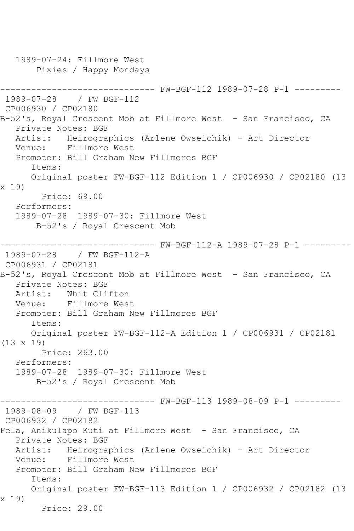1989-07-24: Fillmore West Pixies / Happy Mondays ------------------------------ FW-BGF-112 1989-07-28 P-1 --------- 1989-07-28 / FW BGF-112 CP006930 / CP02180 B-52's, Royal Crescent Mob at Fillmore West - San Francisco, CA Private Notes: BGF Artist: Heirographics (Arlene Owseichik) - Art Director Venue: Fillmore West Promoter: Bill Graham New Fillmores BGF Items: Original poster FW-BGF-112 Edition 1 / CP006930 / CP02180 (13 x 19) Price: 69.00 Performers: 1989-07-28 1989-07-30: Fillmore West B-52's / Royal Crescent Mob ------------------------------ FW-BGF-112-A 1989-07-28 P-1 --------- 1989-07-28 / FW BGF-112-A CP006931 / CP02181 B-52's, Royal Crescent Mob at Fillmore West - San Francisco, CA Private Notes: BGF<br>Artist: Whit Cli Artist: Whit Clifton<br>Venue: Fillmore Wes Fillmore West Promoter: Bill Graham New Fillmores BGF Items: Original poster FW-BGF-112-A Edition 1 / CP006931 / CP02181 (13 x 19) Price: 263.00 Performers: 1989-07-28 1989-07-30: Fillmore West B-52's / Royal Crescent Mob ------------------------------ FW-BGF-113 1989-08-09 P-1 --------- 1989-08-09 / FW BGF-113 CP006932 / CP02182 Fela, Anikulapo Kuti at Fillmore West - San Francisco, CA Private Notes: BGF Artist: Heirographics (Arlene Owseichik) - Art Director Venue: Fillmore West Promoter: Bill Graham New Fillmores BGF Items: Original poster FW-BGF-113 Edition 1 / CP006932 / CP02182 (13 x 19) Price: 29.00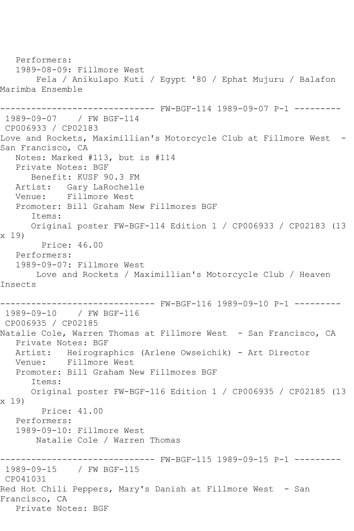Performers: 1989-08-09: Fillmore West Fela / Anikulapo Kuti / Egypt '80 / Ephat Mujuru / Balafon Marimba Ensemble ------------------------------ FW-BGF-114 1989-09-07 P-1 --------- 1989-09-07 / FW BGF-114 CP006933 / CP02183 Love and Rockets, Maximillian's Motorcycle Club at Fillmore West -San Francisco, CA Notes: Marked #113, but is #114 Private Notes: BGF Benefit: KUSF 90.3 FM Artist: Gary LaRochelle Venue: Fillmore West Promoter: Bill Graham New Fillmores BGF Items: Original poster FW-BGF-114 Edition 1 / CP006933 / CP02183 (13 x 19) Price: 46.00 Performers: 1989-09-07: Fillmore West Love and Rockets / Maximillian's Motorcycle Club / Heaven Insects ------------------------------ FW-BGF-116 1989-09-10 P-1 --------- 1989-09-10 / FW BGF-116 CP006935 / CP02185 Natalie Cole, Warren Thomas at Fillmore West – San Francisco, CA Private Notes: BGF Artist: Heirographics (Arlene Owseichik) - Art Director Venue: Fillmore West Promoter: Bill Graham New Fillmores BGF Items: Original poster FW-BGF-116 Edition 1 / CP006935 / CP02185 (13 x 19) Price: 41.00 Performers: 1989-09-10: Fillmore West Natalie Cole / Warren Thomas ------------------------------ FW-BGF-115 1989-09-15 P-1 --------- 1989-09-15 / FW BGF-115 CP041031 Red Hot Chili Peppers, Mary's Danish at Fillmore West - San Francisco, CA Private Notes: BGF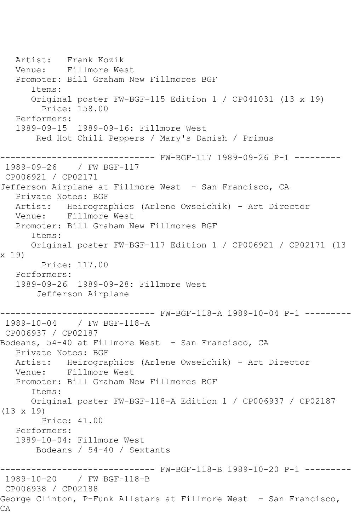Artist: Frank Kozik<br>Venue: Fillmore We: Fillmore West Promoter: Bill Graham New Fillmores BGF Items: Original poster FW-BGF-115 Edition 1 / CP041031 (13 x 19) Price: 158.00 Performers: 1989-09-15 1989-09-16: Fillmore West Red Hot Chili Peppers / Mary's Danish / Primus ------------------------------ FW-BGF-117 1989-09-26 P-1 --------- 1989-09-26 / FW BGF-117 CP006921 / CP02171 Jefferson Airplane at Fillmore West - San Francisco, CA Private Notes: BGF Artist: Heirographics (Arlene Owseichik) - Art Director Venue: Fillmore West Promoter: Bill Graham New Fillmores BGF Items: Original poster FW-BGF-117 Edition 1 / CP006921 / CP02171 (13 x 19) Price: 117.00 Performers: 1989-09-26 1989-09-28: Fillmore West Jefferson Airplane ------------------------------ FW-BGF-118-A 1989-10-04 P-1 --------- 1989-10-04 / FW BGF-118-A CP006937 / CP02187 Bodeans, 54-40 at Fillmore West - San Francisco, CA Private Notes: BGF Artist: Heirographics (Arlene Owseichik) - Art Director Venue: Fillmore West Promoter: Bill Graham New Fillmores BGF Items: Original poster FW-BGF-118-A Edition 1 / CP006937 / CP02187 (13 x 19) Price: 41.00 Performers: 1989-10-04: Fillmore West Bodeans / 54-40 / Sextants ------------------------------ FW-BGF-118-B 1989-10-20 P-1 --------- 1989-10-20 / FW BGF-118-B CP006938 / CP02188 George Clinton, P-Funk Allstars at Fillmore West - San Francisco, CA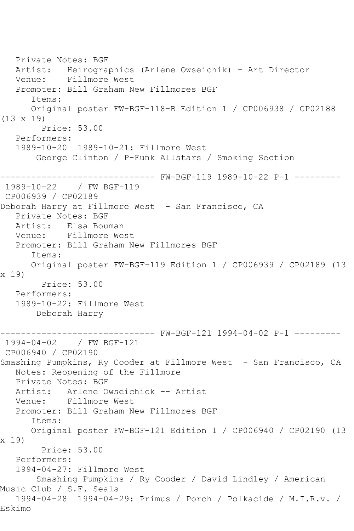Private Notes: BGF Artist: Heirographics (Arlene Owseichik) - Art Director Venue: Fillmore West Promoter: Bill Graham New Fillmores BGF Items: Original poster FW-BGF-118-B Edition 1 / CP006938 / CP02188 (13 x 19) Price: 53.00 Performers: 1989-10-20 1989-10-21: Fillmore West George Clinton / P-Funk Allstars / Smoking Section ------------------------------ FW-BGF-119 1989-10-22 P-1 --------- 1989-10-22 / FW BGF-119 CP006939 / CP02189 Deborah Harry at Fillmore West - San Francisco, CA Private Notes: BGF Artist: Elsa Bouman<br>Venue: Fillmore We Fillmore West Promoter: Bill Graham New Fillmores BGF Items: Original poster FW-BGF-119 Edition 1 / CP006939 / CP02189 (13 x 19) Price: 53.00 Performers: 1989-10-22: Fillmore West Deborah Harry ------------------------------ FW-BGF-121 1994-04-02 P-1 --------- 1994-04-02 / FW BGF-121 CP006940 / CP02190 Smashing Pumpkins, Ry Cooder at Fillmore West - San Francisco, CA Notes: Reopening of the Fillmore Private Notes: BGF Artist: Arlene Owseichick -- Artist Venue: Fillmore West Promoter: Bill Graham New Fillmores BGF Items: Original poster FW-BGF-121 Edition 1 / CP006940 / CP02190 (13 x 19) Price: 53.00 Performers: 1994-04-27: Fillmore West Smashing Pumpkins / Ry Cooder / David Lindley / American Music Club / S.F. Seals 1994-04-28 1994-04-29: Primus / Porch / Polkacide / M.I.R.v. / Eskimo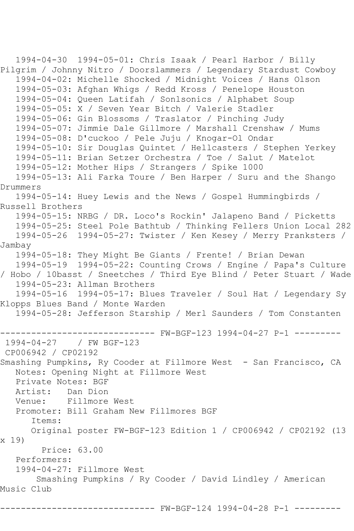1994-04-30 1994-05-01: Chris Isaak / Pearl Harbor / Billy Pilgrim / Johnny Nitro / Doorslammers / Legendary Stardust Cowboy 1994-04-02: Michelle Shocked / Midnight Voices / Hans Olson 1994-05-03: Afghan Whigs / Redd Kross / Penelope Houston 1994-05-04: Queen Latifah / Sonlsonics / Alphabet Soup 1994-05-05: X / Seven Year Bitch / Valerie Stadler 1994-05-06: Gin Blossoms / Traslator / Pinching Judy 1994-05-07: Jimmie Dale Gillmore / Marshall Crenshaw / Mums 1994-05-08: D'cuckoo / Pele Juju / Knogar-Ol Ondar 1994-05-10: Sir Douglas Quintet / Hellcasters / Stephen Yerkey 1994-05-11: Brian Setzer Orchestra / Toe / Salut / Matelot 1994-05-12: Mother Hips / Strangers / Spike 1000 1994-05-13: Ali Farka Toure / Ben Harper / Suru and the Shango Drummers 1994-05-14: Huey Lewis and the News / Gospel Hummingbirds / Russell Brothers 1994-05-15: NRBG / DR. Loco's Rockin' Jalapeno Band / Picketts 1994-05-25: Steel Pole Bathtub / Thinking Fellers Union Local 282 1994-05-26 1994-05-27: Twister / Ken Kesey / Merry Pranksters / Jambay 1994-05-18: They Might Be Giants / Frente! / Brian Dewan 1994-05-19 1994-05-22: Counting Crows / Engine / Papa's Culture / Hobo / 10basst / Sneetches / Third Eye Blind / Peter Stuart / Wade 1994-05-23: Allman Brothers 1994-05-16 1994-05-17: Blues Traveler / Soul Hat / Legendary Sy Klopps Blues Band / Monte Warden 1994-05-28: Jefferson Starship / Merl Saunders / Tom Constanten ------------------------------ FW-BGF-123 1994-04-27 P-1 --------- 1994-04-27 / FW BGF-123 CP006942 / CP02192 Smashing Pumpkins, Ry Cooder at Fillmore West - San Francisco, CA Notes: Opening Night at Fillmore West Private Notes: BGF Artist: Dan Dion Venue: Fillmore West Promoter: Bill Graham New Fillmores BGF Items: Original poster FW-BGF-123 Edition 1 / CP006942 / CP02192 (13 x 19) Price: 63.00 Performers: 1994-04-27: Fillmore West Smashing Pumpkins / Ry Cooder / David Lindley / American Music Club ------------------------------ FW-BGF-124 1994-04-28 P-1 ---------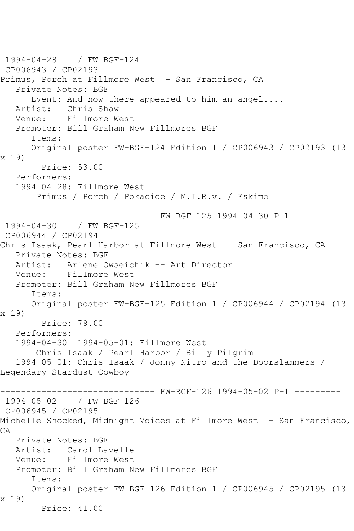1994-04-28 / FW BGF-124 CP006943 / CP02193 Primus, Porch at Fillmore West - San Francisco, CA Private Notes: BGF Event: And now there appeared to him an angel.... Artist: Chris Shaw Venue: Fillmore West Promoter: Bill Graham New Fillmores BGF Items: Original poster FW-BGF-124 Edition 1 / CP006943 / CP02193 (13 x 19) Price: 53.00 Performers: 1994-04-28: Fillmore West Primus / Porch / Pokacide / M.I.R.v. / Eskimo ------------------------------ FW-BGF-125 1994-04-30 P-1 --------- 1994-04-30 / FW BGF-125 CP006944 / CP02194 Chris Isaak, Pearl Harbor at Fillmore West - San Francisco, CA Private Notes: BGF Artist: Arlene Owseichik -- Art Director Venue: Fillmore West Promoter: Bill Graham New Fillmores BGF Items: Original poster FW-BGF-125 Edition 1 / CP006944 / CP02194 (13 x 19) Price: 79.00 Performers: 1994-04-30 1994-05-01: Fillmore West Chris Isaak / Pearl Harbor / Billy Pilgrim 1994-05-01: Chris Isaak / Jonny Nitro and the Doorslammers / Legendary Stardust Cowboy ------------------------------ FW-BGF-126 1994-05-02 P-1 --------- 1994-05-02 / FW BGF-126 CP006945 / CP02195 Michelle Shocked, Midnight Voices at Fillmore West - San Francisco, CA Private Notes: BGF Artist: Carol Lavelle Venue: Fillmore West Promoter: Bill Graham New Fillmores BGF Items: Original poster FW-BGF-126 Edition 1 / CP006945 / CP02195 (13 x 19) Price: 41.00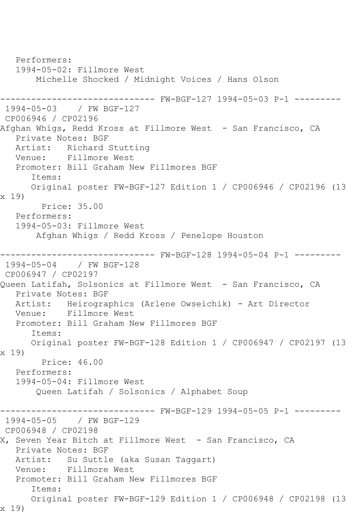Performers: 1994-05-02: Fillmore West Michelle Shocked / Midnight Voices / Hans Olson ------------------------------ FW-BGF-127 1994-05-03 P-1 --------- 1994-05-03 / FW BGF-127 CP006946 / CP02196 Afghan Whigs, Redd Kross at Fillmore West - San Francisco, CA Private Notes: BGF Artist: Richard Stutting Venue: Fillmore West Promoter: Bill Graham New Fillmores BGF Items: Original poster FW-BGF-127 Edition 1 / CP006946 / CP02196 (13 x 19) Price: 35.00 Performers: 1994-05-03: Fillmore West Afghan Whigs / Redd Kross / Penelope Houston ------------------------------ FW-BGF-128 1994-05-04 P-1 --------- 1994-05-04 / FW BGF-128 CP006947 / CP02197 Queen Latifah, Solsonics at Fillmore West - San Francisco, CA Private Notes: BGF Artist: Heirographics (Arlene Owseichik) - Art Director Venue: Fillmore West Promoter: Bill Graham New Fillmores BGF Items: Original poster FW-BGF-128 Edition 1 / CP006947 / CP02197 (13 x 19) Price: 46.00 Performers: 1994-05-04: Fillmore West Queen Latifah / Solsonics / Alphabet Soup ------------------------------ FW-BGF-129 1994-05-05 P-1 --------- 1994-05-05 / FW BGF-129 CP006948 / CP02198 X, Seven Year Bitch at Fillmore West - San Francisco, CA Private Notes: BGF Artist: Su Suttle (aka Susan Taggart) Venue: Fillmore West Promoter: Bill Graham New Fillmores BGF Items: Original poster FW-BGF-129 Edition 1 / CP006948 / CP02198 (13 x 19)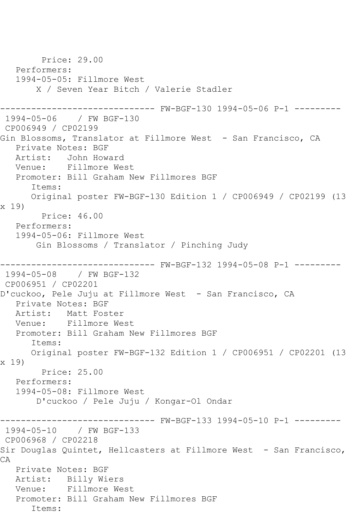Price: 29.00 Performers: 1994-05-05: Fillmore West X / Seven Year Bitch / Valerie Stadler ------------------------------ FW-BGF-130 1994-05-06 P-1 --------- 1994-05-06 / FW BGF-130 CP006949 / CP02199 Gin Blossoms, Translator at Fillmore West - San Francisco, CA Private Notes: BGF Artist: John Howard<br>Venue: Fillmore We Fillmore West Promoter: Bill Graham New Fillmores BGF Items: Original poster FW-BGF-130 Edition 1 / CP006949 / CP02199 (13 x 19) Price: 46.00 Performers: 1994-05-06: Fillmore West Gin Blossoms / Translator / Pinching Judy ------------------------------ FW-BGF-132 1994-05-08 P-1 --------- 1994-05-08 / FW BGF-132 CP006951 / CP02201 D'cuckoo, Pele Juju at Fillmore West - San Francisco, CA Private Notes: BGF Artist: Matt Foster Venue: Fillmore West Promoter: Bill Graham New Fillmores BGF Items: Original poster FW-BGF-132 Edition 1 / CP006951 / CP02201 (13 x 19) Price: 25.00 Performers: 1994-05-08: Fillmore West D'cuckoo / Pele Juju / Kongar-Ol Ondar ------------------------------ FW-BGF-133 1994-05-10 P-1 --------- 1994-05-10 / FW BGF-133 CP006968 / CP02218 Sir Douglas Quintet, Hellcasters at Fillmore West - San Francisco, CA Private Notes: BGF Artist: Billy Wiers Venue: Fillmore West Promoter: Bill Graham New Fillmores BGF Items: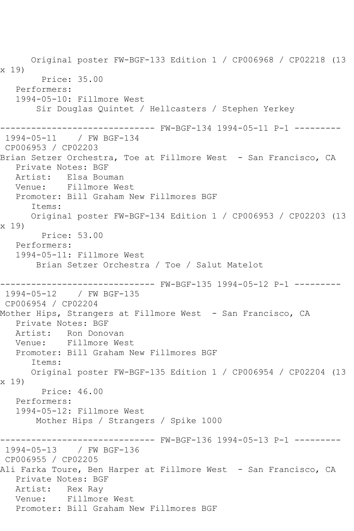Original poster FW-BGF-133 Edition 1 / CP006968 / CP02218 (13 x 19) Price: 35.00 Performers: 1994-05-10: Fillmore West Sir Douglas Quintet / Hellcasters / Stephen Yerkey ------------------------------ FW-BGF-134 1994-05-11 P-1 --------- 1994-05-11 / FW BGF-134 CP006953 / CP02203 Brian Setzer Orchestra, Toe at Fillmore West - San Francisco, CA Private Notes: BGF Artist: Elsa Bouman Venue: Fillmore West Promoter: Bill Graham New Fillmores BGF Items: Original poster FW-BGF-134 Edition 1 / CP006953 / CP02203 (13 x 19) Price: 53.00 Performers: 1994-05-11: Fillmore West Brian Setzer Orchestra / Toe / Salut Matelot ------------------------------ FW-BGF-135 1994-05-12 P-1 --------- 1994-05-12 / FW BGF-135 CP006954 / CP02204 Mother Hips, Strangers at Fillmore West - San Francisco, CA Private Notes: BGF Artist: Ron Donovan Venue: Fillmore West Promoter: Bill Graham New Fillmores BGF Items: Original poster FW-BGF-135 Edition 1 / CP006954 / CP02204 (13 x 19) Price: 46.00 Performers: 1994-05-12: Fillmore West Mother Hips / Strangers / Spike 1000 ------------------------------ FW-BGF-136 1994-05-13 P-1 --------- 1994-05-13 / FW BGF-136 CP006955 / CP02205 Ali Farka Toure, Ben Harper at Fillmore West - San Francisco, CA Private Notes: BGF Artist: Rex Ray Venue: Fillmore West Promoter: Bill Graham New Fillmores BGF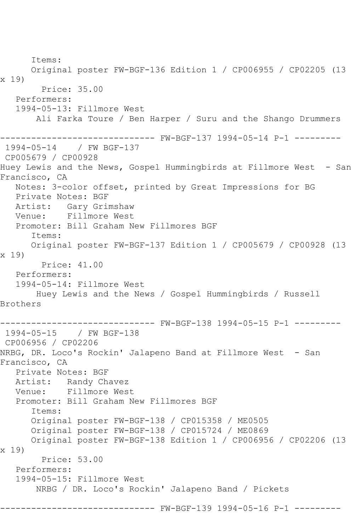Items: Original poster FW-BGF-136 Edition 1 / CP006955 / CP02205 (13 x 19) Price: 35.00 Performers: 1994-05-13: Fillmore West Ali Farka Toure / Ben Harper / Suru and the Shango Drummers ------------------------------ FW-BGF-137 1994-05-14 P-1 --------- 1994-05-14 / FW BGF-137 CP005679 / CP00928 Huey Lewis and the News, Gospel Hummingbirds at Fillmore West - San Francisco, CA Notes: 3-color offset, printed by Great Impressions for BG Private Notes: BGF Artist: Gary Grimshaw Venue: Fillmore West Promoter: Bill Graham New Fillmores BGF Items: Original poster FW-BGF-137 Edition 1 / CP005679 / CP00928 (13 x 19) Price: 41.00 Performers: 1994-05-14: Fillmore West Huey Lewis and the News / Gospel Hummingbirds / Russell Brothers ------------------------------ FW-BGF-138 1994-05-15 P-1 --------- 1994-05-15 / FW BGF-138 CP006956 / CP02206 NRBG, DR. Loco's Rockin' Jalapeno Band at Fillmore West - San Francisco, CA Private Notes: BGF Artist: Randy Chavez Venue: Fillmore West Promoter: Bill Graham New Fillmores BGF Items: Original poster FW-BGF-138 / CP015358 / ME0505 Original poster FW-BGF-138 / CP015724 / ME0869 Original poster FW-BGF-138 Edition 1 / CP006956 / CP02206 (13 x 19) Price: 53.00 Performers: 1994-05-15: Fillmore West NRBG / DR. Loco's Rockin' Jalapeno Band / Pickets --------- FW-BGF-139 1994-05-16 P-1 ---------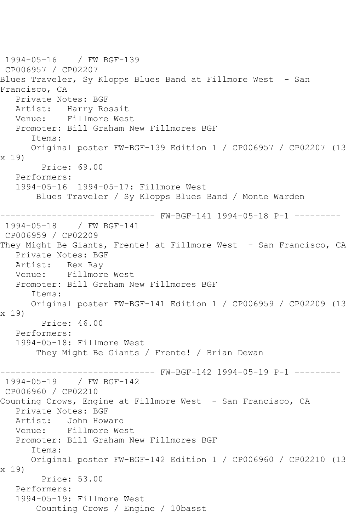1994-05-16 / FW BGF-139 CP006957 / CP02207 Blues Traveler, Sy Klopps Blues Band at Fillmore West - San Francisco, CA Private Notes: BGF Artist: Harry Rossit Venue: Fillmore West Promoter: Bill Graham New Fillmores BGF Items: Original poster FW-BGF-139 Edition 1 / CP006957 / CP02207 (13 x 19) Price: 69.00 Performers: 1994-05-16 1994-05-17: Fillmore West Blues Traveler / Sy Klopps Blues Band / Monte Warden ------------------------------ FW-BGF-141 1994-05-18 P-1 --------- 1994-05-18 / FW BGF-141 CP006959 / CP02209 They Might Be Giants, Frente! at Fillmore West - San Francisco, CA Private Notes: BGF Artist: Rex Ray Venue: Fillmore West Promoter: Bill Graham New Fillmores BGF Items: Original poster FW-BGF-141 Edition 1 / CP006959 / CP02209 (13 x 19) Price: 46.00 Performers: 1994-05-18: Fillmore West They Might Be Giants / Frente! / Brian Dewan ------------------------------ FW-BGF-142 1994-05-19 P-1 ---------  $/$  FW BGF-142 CP006960 / CP02210 Counting Crows, Engine at Fillmore West - San Francisco, CA Private Notes: BGF Artist: John Howard Venue: Fillmore West Promoter: Bill Graham New Fillmores BGF Items: Original poster FW-BGF-142 Edition 1 / CP006960 / CP02210 (13 x 19) Price: 53.00 Performers: 1994-05-19: Fillmore West Counting Crows / Engine / 10basst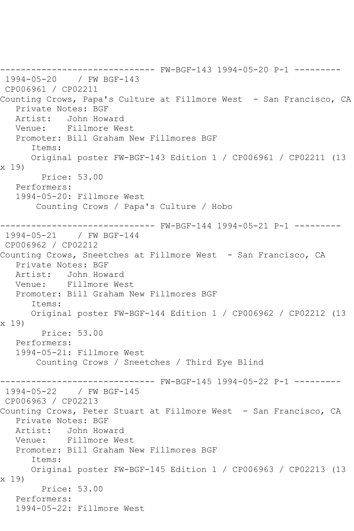------------------------------ FW-BGF-143 1994-05-20 P-1 --------- 1994-05-20 / FW BGF-143 CP006961 / CP02211 Counting Crows, Papa's Culture at Fillmore West - San Francisco, CA Private Notes: BGF Artist: John Howard Venue: Fillmore West Promoter: Bill Graham New Fillmores BGF Items: Original poster FW-BGF-143 Edition 1 / CP006961 / CP02211 (13 x 19) Price: 53.00 Performers: 1994-05-20: Fillmore West Counting Crows / Papa's Culture / Hobo ------------------------------ FW-BGF-144 1994-05-21 P-1 --------- 1994-05-21 / FW BGF-144 CP006962 / CP02212 Counting Crows, Sneetches at Fillmore West - San Francisco, CA Private Notes: BGF Artist: John Howard Venue: Fillmore West Promoter: Bill Graham New Fillmores BGF Items: Original poster FW-BGF-144 Edition 1 / CP006962 / CP02212 (13 x 19) Price: 53.00 Performers: 1994-05-21: Fillmore West Counting Crows / Sneetches / Third Eye Blind ------------------------------ FW-BGF-145 1994-05-22 P-1 --------- 1994-05-22 / FW BGF-145 CP006963 / CP02213 Counting Crows, Peter Stuart at Fillmore West - San Francisco, CA Private Notes: BGF Artist: John Howard<br>Venue: Fillmore We Fillmore West Promoter: Bill Graham New Fillmores BGF Items: Original poster FW-BGF-145 Edition 1 / CP006963 / CP02213 (13 x 19) Price: 53.00 Performers: 1994-05-22: Fillmore West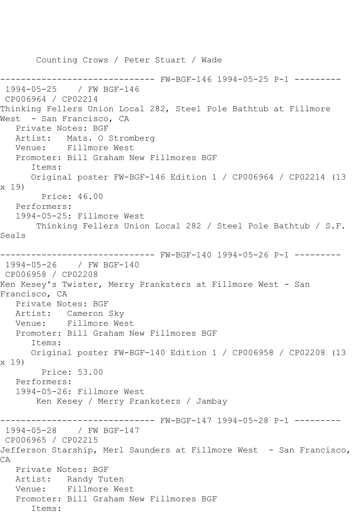Counting Crows / Peter Stuart / Wade ------------------------------ FW-BGF-146 1994-05-25 P-1 --------- 1994-05-25 / FW BGF-146 CP006964 / CP02214 Thinking Fellers Union Local 282, Steel Pole Bathtub at Fillmore West - San Francisco, CA Private Notes: BGF<br>Artist: Mats. 0 : Mats. O Stromberg Venue: Fillmore West Promoter: Bill Graham New Fillmores BGF Items: Original poster FW-BGF-146 Edition 1 / CP006964 / CP02214 (13 x 19) Price: 46.00 Performers: 1994-05-25: Fillmore West Thinking Fellers Union Local 282 / Steel Pole Bathtub / S.F. Seals ------------------------------ FW-BGF-140 1994-05-26 P-1 --------- 1994-05-26 / FW BGF-140 CP006958 / CP02208 Ken Kesey's Twister, Merry Pranksters at Fillmore West - San Francisco, CA Private Notes: BGF Artist: Cameron Sky Venue: Fillmore West Promoter: Bill Graham New Fillmores BGF Items: Original poster FW-BGF-140 Edition 1 / CP006958 / CP02208 (13 x 19) Price: 53.00 Performers: 1994-05-26: Fillmore West Ken Kesey / Merry Pranksters / Jambay ------------------------------ FW-BGF-147 1994-05-28 P-1 --------- 1994-05-28 / FW BGF-147 CP006965 / CP02215 Jefferson Starship, Merl Saunders at Fillmore West - San Francisco, CA Private Notes: BGF Artist: Randy Tuten Venue: Fillmore West Promoter: Bill Graham New Fillmores BGF Items: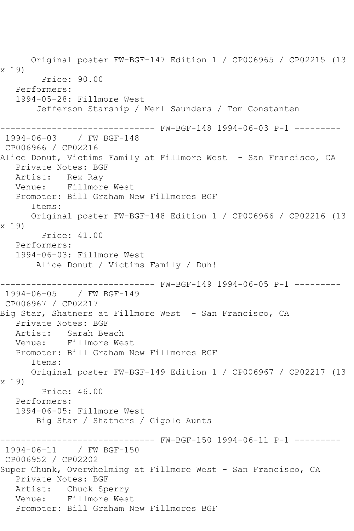Original poster FW-BGF-147 Edition 1 / CP006965 / CP02215 (13 x 19) Price: 90.00 Performers: 1994-05-28: Fillmore West Jefferson Starship / Merl Saunders / Tom Constanten ------------------------------ FW-BGF-148 1994-06-03 P-1 --------- 1994-06-03 / FW BGF-148 CP006966 / CP02216 Alice Donut, Victims Family at Fillmore West - San Francisco, CA Private Notes: BGF Artist: Rex Ray Venue: Fillmore West Promoter: Bill Graham New Fillmores BGF Items: Original poster FW-BGF-148 Edition 1 / CP006966 / CP02216 (13 x 19) Price: 41.00 Performers: 1994-06-03: Fillmore West Alice Donut / Victims Family / Duh! ------------------------------ FW-BGF-149 1994-06-05 P-1 --------- 1994-06-05 / FW BGF-149 CP006967 / CP02217 Big Star, Shatners at Fillmore West - San Francisco, CA Private Notes: BGF Artist: Sarah Beach Venue: Fillmore West Promoter: Bill Graham New Fillmores BGF Items: Original poster FW-BGF-149 Edition 1 / CP006967 / CP02217 (13 x 19) Price: 46.00 Performers: 1994-06-05: Fillmore West Big Star / Shatners / Gigolo Aunts ------------------------------ FW-BGF-150 1994-06-11 P-1 --------- 1994-06-11 / FW BGF-150 CP006952 / CP02202 Super Chunk, Overwhelming at Fillmore West - San Francisco, CA Private Notes: BGF Artist: Chuck Sperry Venue: Fillmore West Promoter: Bill Graham New Fillmores BGF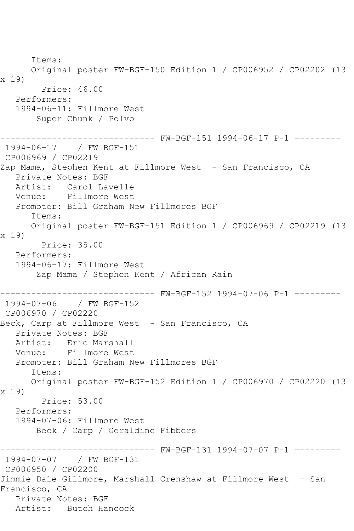Items: Original poster FW-BGF-150 Edition 1 / CP006952 / CP02202 (13 x 19) Price: 46.00 Performers: 1994-06-11: Fillmore West Super Chunk / Polvo ------------------------------ FW-BGF-151 1994-06-17 P-1 --------- 1994-06-17 / FW BGF-151 CP006969 / CP02219 Zap Mama, Stephen Kent at Fillmore West - San Francisco, CA Private Notes: BGF Artist: Carol Lavelle Venue: Fillmore West Promoter: Bill Graham New Fillmores BGF Items: Original poster FW-BGF-151 Edition 1 / CP006969 / CP02219 (13 x 19) Price: 35.00 Performers: 1994-06-17: Fillmore West Zap Mama / Stephen Kent / African Rain ------------------------------ FW-BGF-152 1994-07-06 P-1 --------- 1994-07-06 / FW BGF-152 CP006970 / CP02220 Beck, Carp at Fillmore West - San Francisco, CA Private Notes: BGF Artist: Eric Marshall Venue: Fillmore West Promoter: Bill Graham New Fillmores BGF Items: Original poster FW-BGF-152 Edition 1 / CP006970 / CP02220 (13 x 19) Price: 53.00 Performers: 1994-07-06: Fillmore West Beck / Carp / Geraldine Fibbers ------------------------------ FW-BGF-131 1994-07-07 P-1 --------- 1994-07-07 / FW BGF-131 CP006950 / CP02200 Jimmie Dale Gillmore, Marshall Crenshaw at Fillmore West - San Francisco, CA Private Notes: BGF Artist: Butch Hancock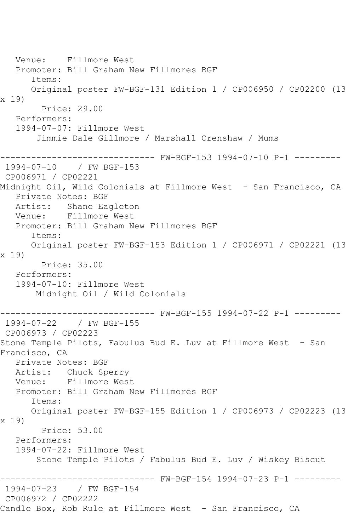Venue: Fillmore West Promoter: Bill Graham New Fillmores BGF Items: Original poster FW-BGF-131 Edition 1 / CP006950 / CP02200 (13 x 19) Price: 29.00 Performers: 1994-07-07: Fillmore West Jimmie Dale Gillmore / Marshall Crenshaw / Mums ------------------------------ FW-BGF-153 1994-07-10 P-1 --------- 1994-07-10 / FW BGF-153 CP006971 / CP02221 Midnight Oil, Wild Colonials at Fillmore West - San Francisco, CA Private Notes: BGF Artist: Shane Eagleton Venue: Fillmore West Promoter: Bill Graham New Fillmores BGF Items: Original poster FW-BGF-153 Edition 1 / CP006971 / CP02221 (13 x 19) Price: 35.00 Performers: 1994-07-10: Fillmore West Midnight Oil / Wild Colonials ------------------------------ FW-BGF-155 1994-07-22 P-1 --------- 1994-07-22 / FW BGF-155 CP006973 / CP02223 Stone Temple Pilots, Fabulus Bud E. Luv at Fillmore West - San Francisco, CA Private Notes: BGF Artist: Chuck Sperry<br>Venue: Fillmore West Fillmore West Promoter: Bill Graham New Fillmores BGF Items: Original poster FW-BGF-155 Edition 1 / CP006973 / CP02223 (13 x 19) Price: 53.00 Performers: 1994-07-22: Fillmore West Stone Temple Pilots / Fabulus Bud E. Luv / Wiskey Biscut ------------------------------ FW-BGF-154 1994-07-23 P-1 --------- 1994-07-23 / FW BGF-154 CP006972 / CP02222 Candle Box, Rob Rule at Fillmore West - San Francisco, CA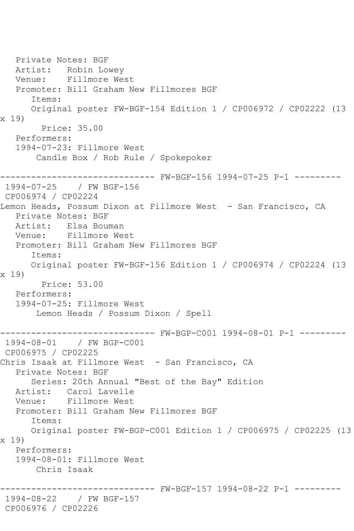Private Notes: BGF Artist: Robin Lowey Venue: Fillmore West Promoter: Bill Graham New Fillmores BGF Items: Original poster FW-BGF-154 Edition 1 / CP006972 / CP02222 (13 x 19) Price: 35.00 Performers: 1994-07-23: Fillmore West Candle Box / Rob Rule / Spokepoker ------------------------------ FW-BGF-156 1994-07-25 P-1 --------- 1994-07-25 / FW BGF-156 CP006974 / CP02224 Lemon Heads, Possum Dixon at Fillmore West - San Francisco, CA Private Notes: BGF Artist: Elsa Bouman Venue: Fillmore West Promoter: Bill Graham New Fillmores BGF Items: Original poster FW-BGF-156 Edition 1 / CP006974 / CP02224 (13 x 19) Price: 53.00 Performers: 1994-07-25: Fillmore West Lemon Heads / Possum Dixon / Spell ------------------------------ FW-BGP-C001 1994-08-01 P-1 --------- 1994-08-01 / FW BGP-C001 CP006975 / CP02225 Chris Isaak at Fillmore West - San Francisco, CA Private Notes: BGF Series: 20th Annual "Best of the Bay" Edition Artist: Carol Lavelle Venue: Fillmore West Promoter: Bill Graham New Fillmores BGF Items: Original poster FW-BGP-C001 Edition 1 / CP006975 / CP02225 (13 x 19) Performers: 1994-08-01: Fillmore West Chris Isaak ------------------------------ FW-BGF-157 1994-08-22 P-1 --------- 1994-08-22 / FW BGF-157 CP006976 / CP02226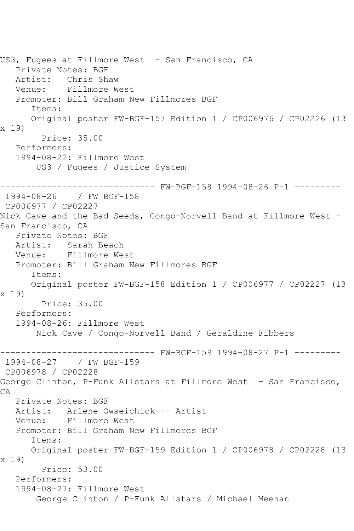US3, Fugees at Fillmore West - San Francisco, CA Private Notes: BGF Artist: Chris Shaw Venue: Fillmore West Promoter: Bill Graham New Fillmores BGF Items: Original poster FW-BGF-157 Edition 1 / CP006976 / CP02226 (13 x 19) Price: 35.00 Performers: 1994-08-22: Fillmore West US3 / Fugees / Justice System ------------------------------ FW-BGF-158 1994-08-26 P-1 --------- 1994-08-26 / FW BGF-158 CP006977 / CP02227 Nick Cave and the Bad Seeds, Congo-Norvell Band at Fillmore West -San Francisco, CA Private Notes: BGF Artist: Sarah Beach Venue: Fillmore West Promoter: Bill Graham New Fillmores BGF Items: Original poster FW-BGF-158 Edition 1 / CP006977 / CP02227 (13 x 19) Price: 35.00 Performers: 1994-08-26: Fillmore West Nick Cave / Congo-Norvell Band / Geraldine Fibbers ------------------------------ FW-BGF-159 1994-08-27 P-1 --------- 1994-08-27 / FW BGF-159 CP006978 / CP02228 George Clinton, P-Funk Allstars at Fillmore West - San Francisco, CA Private Notes: BGF Artist: Arlene Owseichick -- Artist Venue: Fillmore West Promoter: Bill Graham New Fillmores BGF Items: Original poster FW-BGF-159 Edition 1 / CP006978 / CP02228 (13 x 19) Price: 53.00 Performers: 1994-08-27: Fillmore West George Clinton / P-Funk Allstars / Michael Meehan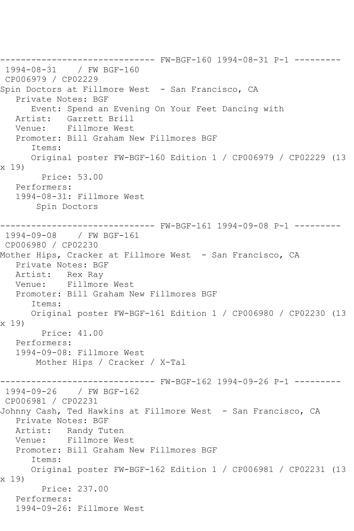------------------------------ FW-BGF-160 1994-08-31 P-1 --------- 1994-08-31 / FW BGF-160 CP006979 / CP02229 Spin Doctors at Fillmore West - San Francisco, CA Private Notes: BGF Event: Spend an Evening On Your Feet Dancing with Artist: Garrett Brill Venue: Fillmore West Promoter: Bill Graham New Fillmores BGF Items: Original poster FW-BGF-160 Edition 1 / CP006979 / CP02229 (13 x 19) Price: 53.00 Performers: 1994-08-31: Fillmore West Spin Doctors ------------------------------ FW-BGF-161 1994-09-08 P-1 --------- 1994-09-08 / FW BGF-161 CP006980 / CP02230 Mother Hips, Cracker at Fillmore West - San Francisco, CA Private Notes: BGF Artist: Rex Ray Venue: Fillmore West Promoter: Bill Graham New Fillmores BGF Items: Original poster FW-BGF-161 Edition 1 / CP006980 / CP02230 (13 x 19) Price: 41.00 Performers: 1994-09-08: Fillmore West Mother Hips / Cracker / X-Tal ------------------------------ FW-BGF-162 1994-09-26 P-1 --------- 1994-09-26 / FW BGF-162 CP006981 / CP02231 Johnny Cash, Ted Hawkins at Fillmore West - San Francisco, CA Private Notes: BGF Artist: Randy Tuten Venue: Fillmore West Promoter: Bill Graham New Fillmores BGF Items: Original poster FW-BGF-162 Edition 1 / CP006981 / CP02231 (13 x 19) Price: 237.00 Performers: 1994-09-26: Fillmore West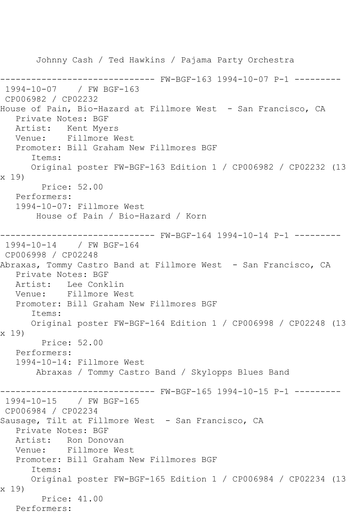Johnny Cash / Ted Hawkins / Pajama Party Orchestra ------------------------------ FW-BGF-163 1994-10-07 P-1 --------- 1994-10-07 / FW BGF-163 CP006982 / CP02232 House of Pain, Bio-Hazard at Fillmore West - San Francisco, CA Private Notes: BGF Artist: Kent Myers Venue: Fillmore West Promoter: Bill Graham New Fillmores BGF Items: Original poster FW-BGF-163 Edition 1 / CP006982 / CP02232 (13 x 19) Price: 52.00 Performers: 1994-10-07: Fillmore West House of Pain / Bio-Hazard / Korn ------------------------------ FW-BGF-164 1994-10-14 P-1 --------- 1994-10-14 / FW BGF-164 CP006998 / CP02248 Abraxas, Tommy Castro Band at Fillmore West - San Francisco, CA Private Notes: BGF Artist: Lee Conklin Venue: Fillmore West Promoter: Bill Graham New Fillmores BGF Items: Original poster FW-BGF-164 Edition 1 / CP006998 / CP02248 (13 x 19) Price: 52.00 Performers: 1994-10-14: Fillmore West Abraxas / Tommy Castro Band / Skylopps Blues Band ------------------------------ FW-BGF-165 1994-10-15 P-1 --------- 1994-10-15 / FW BGF-165 CP006984 / CP02234 Sausage, Tilt at Fillmore West - San Francisco, CA Private Notes: BGF Artist: Ron Donovan Venue: Fillmore West Promoter: Bill Graham New Fillmores BGF Items: Original poster FW-BGF-165 Edition 1 / CP006984 / CP02234 (13 x 19) Price: 41.00 Performers: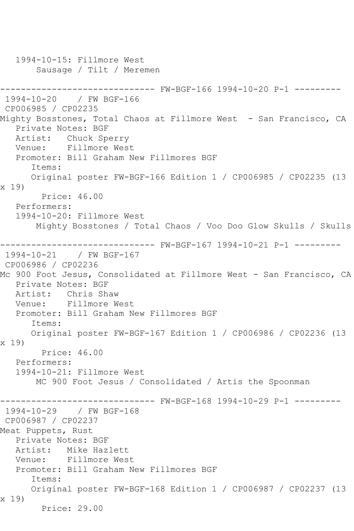1994-10-15: Fillmore West Sausage / Tilt / Meremen ------------------------------ FW-BGF-166 1994-10-20 P-1 --------- 1994-10-20 / FW BGF-166 CP006985 / CP02235 Mighty Bosstones, Total Chaos at Fillmore West - San Francisco, CA Private Notes: BGF Artist: Chuck Sperry Venue: Fillmore West Promoter: Bill Graham New Fillmores BGF Items: Original poster FW-BGF-166 Edition 1 / CP006985 / CP02235 (13 x 19) Price: 46.00 Performers: 1994-10-20: Fillmore West Mighty Bosstones / Total Chaos / Voo Doo Glow Skulls / Skulls ------------------------------ FW-BGF-167 1994-10-21 P-1 --------- 1994-10-21 / FW BGF-167 CP006986 / CP02236 Mc 900 Foot Jesus, Consolidated at Fillmore West - San Francisco, CA Private Notes: BGF Artist: Chris Shaw<br>Venue: Fillmore W Fillmore West Promoter: Bill Graham New Fillmores BGF Items: Original poster FW-BGF-167 Edition 1 / CP006986 / CP02236 (13 x 19) Price: 46.00 Performers: 1994-10-21: Fillmore West MC 900 Foot Jesus / Consolidated / Artis the Spoonman ------------------------------ FW-BGF-168 1994-10-29 P-1 --------- 1994-10-29 / FW BGF-168 CP006987 / CP02237 Meat Puppets, Rust Private Notes: BGF Artist: Mike Hazlett Venue: Fillmore West Promoter: Bill Graham New Fillmores BGF Items: Original poster FW-BGF-168 Edition 1 / CP006987 / CP02237 (13 x 19) Price: 29.00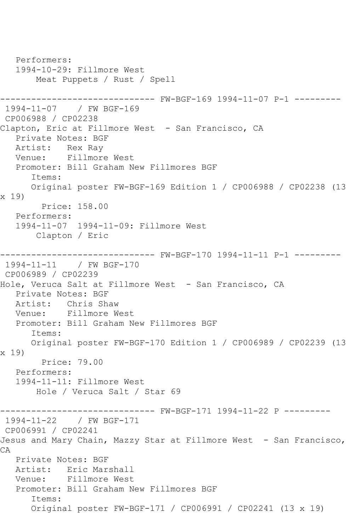```
 Performers:
   1994-10-29: Fillmore West
       Meat Puppets / Rust / Spell
------------------------------ FW-BGF-169 1994-11-07 P-1 ---------
1994-11-07 / FW BGF-169
CP006988 / CP02238
Clapton, Eric at Fillmore West - San Francisco, CA
   Private Notes: BGF
   Artist: Rex Ray
   Venue: Fillmore West
   Promoter: Bill Graham New Fillmores BGF
      Items:
      Original poster FW-BGF-169 Edition 1 / CP006988 / CP02238 (13 
x 19)
         Price: 158.00
   Performers:
   1994-11-07 1994-11-09: Fillmore West
       Clapton / Eric
------------------------------ FW-BGF-170 1994-11-11 P-1 ---------
1994-11-11 / FW BGF-170
CP006989 / CP02239
Hole, Veruca Salt at Fillmore West - San Francisco, CA
   Private Notes: BGF
   Artist: Chris Shaw
   Venue: Fillmore West
   Promoter: Bill Graham New Fillmores BGF
      Items:
      Original poster FW-BGF-170 Edition 1 / CP006989 / CP02239 (13 
x 19)
        Price: 79.00
   Performers:
   1994-11-11: Fillmore West
       Hole / Veruca Salt / Star 69
------------------------------ FW-BGF-171 1994-11-22 P ---------
1994-11-22 / FW BGF-171
CP006991 / CP02241
Jesus and Mary Chain, Mazzy Star at Fillmore West - San Francisco,
CA
   Private Notes: BGF
   Artist: Eric Marshall
   Venue: Fillmore West
   Promoter: Bill Graham New Fillmores BGF
      Items:
      Original poster FW-BGF-171 / CP006991 / CP02241 (13 x 19)
```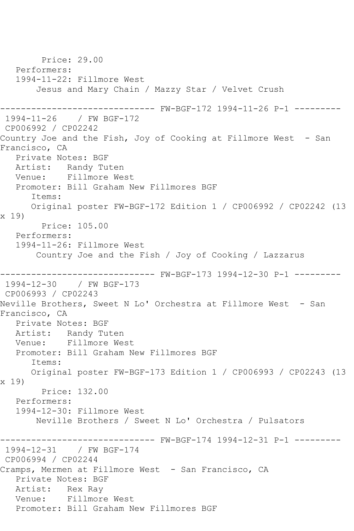Price: 29.00 Performers: 1994-11-22: Fillmore West Jesus and Mary Chain / Mazzy Star / Velvet Crush ------------------------------ FW-BGF-172 1994-11-26 P-1 --------- 1994-11-26 / FW BGF-172 CP006992 / CP02242 Country Joe and the Fish, Joy of Cooking at Fillmore West - San Francisco, CA Private Notes: BGF Artist: Randy Tuten Venue: Fillmore West Promoter: Bill Graham New Fillmores BGF Items: Original poster FW-BGF-172 Edition 1 / CP006992 / CP02242 (13 x 19) Price: 105.00 Performers: 1994-11-26: Fillmore West Country Joe and the Fish / Joy of Cooking / Lazzarus ------------------------------ FW-BGF-173 1994-12-30 P-1 --------- 1994-12-30 / FW BGF-173 CP006993 / CP02243 Neville Brothers, Sweet N Lo' Orchestra at Fillmore West - San Francisco, CA Private Notes: BGF Artist: Randy Tuten Venue: Fillmore West Promoter: Bill Graham New Fillmores BGF Items: Original poster FW-BGF-173 Edition 1 / CP006993 / CP02243 (13 x 19) Price: 132.00 Performers: 1994-12-30: Fillmore West Neville Brothers / Sweet N Lo' Orchestra / Pulsators ------------------------------ FW-BGF-174 1994-12-31 P-1 --------- 1994-12-31 / FW BGF-174 CP006994 / CP02244 Cramps, Mermen at Fillmore West - San Francisco, CA Private Notes: BGF Artist: Rex Ray Venue: Fillmore West Promoter: Bill Graham New Fillmores BGF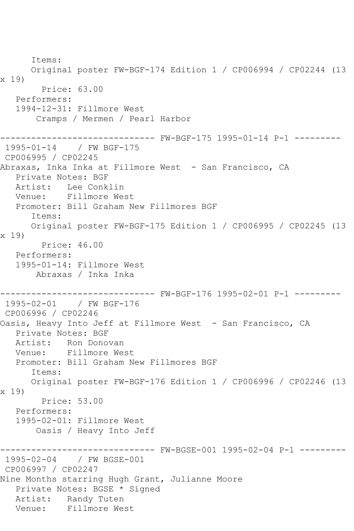Items: Original poster FW-BGF-174 Edition 1 / CP006994 / CP02244 (13 x 19) Price: 63.00 Performers: 1994-12-31: Fillmore West Cramps / Mermen / Pearl Harbor ------------------------------ FW-BGF-175 1995-01-14 P-1 --------- 1995-01-14 / FW BGF-175 CP006995 / CP02245 Abraxas, Inka Inka at Fillmore West - San Francisco, CA Private Notes: BGF Artist: Lee Conklin Venue: Fillmore West Promoter: Bill Graham New Fillmores BGF Items: Original poster FW-BGF-175 Edition 1 / CP006995 / CP02245 (13 x 19) Price: 46.00 Performers: 1995-01-14: Fillmore West Abraxas / Inka Inka ------------------------------ FW-BGF-176 1995-02-01 P-1 --------- 1995-02-01 / FW BGF-176 CP006996 / CP02246 Oasis, Heavy Into Jeff at Fillmore West - San Francisco, CA Private Notes: BGF Artist: Ron Donovan Venue: Fillmore West Promoter: Bill Graham New Fillmores BGF Items: Original poster FW-BGF-176 Edition 1 / CP006996 / CP02246 (13 x 19) Price: 53.00 Performers: 1995-02-01: Fillmore West Oasis / Heavy Into Jeff ------------------------------ FW-BGSE-001 1995-02-04 P-1 --------- 1995-02-04 / FW BGSE-001 CP006997 / CP02247 Nine Months starring Hugh Grant, Julianne Moore Private Notes: BGSE \* Signed Artist: Randy Tuten Venue: Fillmore West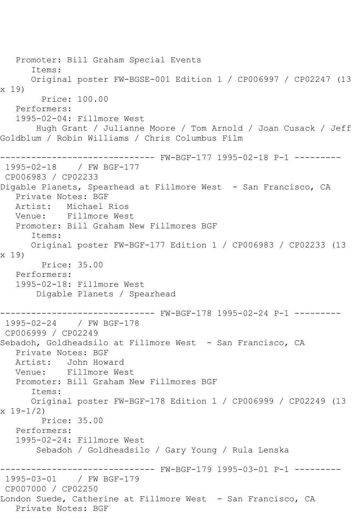Promoter: Bill Graham Special Events Items: Original poster FW-BGSE-001 Edition 1 / CP006997 / CP02247 (13 x 19) Price: 100.00 Performers: 1995-02-04: Fillmore West Hugh Grant / Julianne Moore / Tom Arnold / Joan Cusack / Jeff Goldblum / Robin Williams / Chris Columbus Film ------------------------------ FW-BGF-177 1995-02-18 P-1 --------- 1995-02-18 / FW BGF-177 CP006983 / CP02233 Digable Planets, Spearhead at Fillmore West - San Francisco, CA Private Notes: BGF Artist: Michael Rios Venue: Fillmore West Promoter: Bill Graham New Fillmores BGF Items: Original poster FW-BGF-177 Edition 1 / CP006983 / CP02233 (13 x 19) Price: 35.00 Performers: 1995-02-18: Fillmore West Digable Planets / Spearhead ------------------------------ FW-BGF-178 1995-02-24 P-1 --------- 1995-02-24 / FW BGF-178 CP006999 / CP02249 Sebadoh, Goldheadsilo at Fillmore West - San Francisco, CA Private Notes: BGF Artist: John Howard<br>Venue: Fillmore We Fillmore West Promoter: Bill Graham New Fillmores BGF Items: Original poster FW-BGF-178 Edition 1 / CP006999 / CP02249 (13  $x 19 - 1/2$  Price: 35.00 Performers: 1995-02-24: Fillmore West Sebadoh / Goldheadsilo / Gary Young / Rula Lenska ------------------------------ FW-BGF-179 1995-03-01 P-1 --------- 1995-03-01 / FW BGF-179 CP007000 / CP02250 London Suede, Catherine at Fillmore West - San Francisco, CA Private Notes: BGF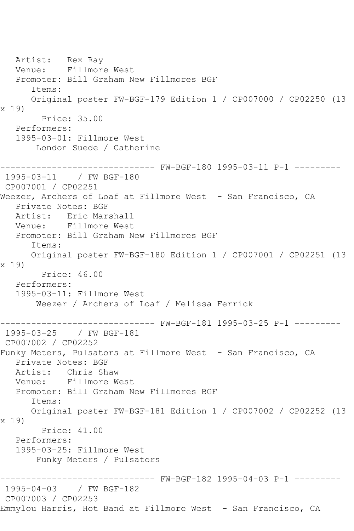Artist: Rex Ray Venue: Fillmore West Promoter: Bill Graham New Fillmores BGF Items: Original poster FW-BGF-179 Edition 1 / CP007000 / CP02250 (13 x 19) Price: 35.00 Performers: 1995-03-01: Fillmore West London Suede / Catherine ------------------------------ FW-BGF-180 1995-03-11 P-1 --------- 1995-03-11 / FW BGF-180 CP007001 / CP02251 Weezer, Archers of Loaf at Fillmore West - San Francisco, CA Private Notes: BGF Artist: Eric Marshall Venue: Fillmore West Promoter: Bill Graham New Fillmores BGF Items: Original poster FW-BGF-180 Edition 1 / CP007001 / CP02251 (13 x 19) Price: 46.00 Performers: 1995-03-11: Fillmore West Weezer / Archers of Loaf / Melissa Ferrick ------------------------------ FW-BGF-181 1995-03-25 P-1 --------- 1995-03-25 / FW BGF-181 CP007002 / CP02252 Funky Meters, Pulsators at Fillmore West - San Francisco, CA Private Notes: BGF Artist: Chris Shaw<br>Venue: Fillmore W Fillmore West Promoter: Bill Graham New Fillmores BGF Items: Original poster FW-BGF-181 Edition 1 / CP007002 / CP02252 (13 x 19) Price: 41.00 Performers: 1995-03-25: Fillmore West Funky Meters / Pulsators ------------------------------ FW-BGF-182 1995-04-03 P-1 --------- 1995-04-03 / FW BGF-182 CP007003 / CP02253 Emmylou Harris, Hot Band at Fillmore West - San Francisco, CA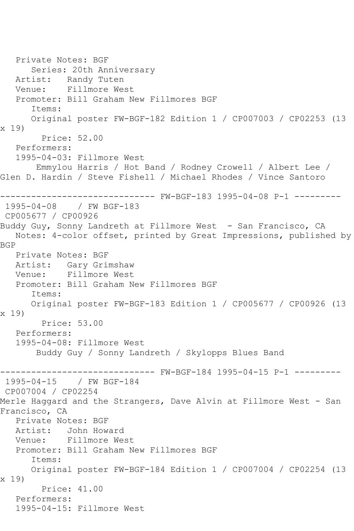Private Notes: BGF Series: 20th Anniversary Artist: Randy Tuten Venue: Fillmore West Promoter: Bill Graham New Fillmores BGF Items: Original poster FW-BGF-182 Edition 1 / CP007003 / CP02253 (13 x 19) Price: 52.00 Performers: 1995-04-03: Fillmore West Emmylou Harris / Hot Band / Rodney Crowell / Albert Lee / Glen D. Hardin / Steve Fishell / Michael Rhodes / Vince Santoro ------------------------------ FW-BGF-183 1995-04-08 P-1 --------- 1995-04-08 / FW BGF-183 CP005677 / CP00926 Buddy Guy, Sonny Landreth at Fillmore West - San Francisco, CA Notes: 4-color offset, printed by Great Impressions, published by BGP Private Notes: BGF<br>Artist: Gary Grim Gary Grimshaw Venue: Fillmore West Promoter: Bill Graham New Fillmores BGF Items: Original poster FW-BGF-183 Edition 1 / CP005677 / CP00926 (13 x 19) Price: 53.00 Performers: 1995-04-08: Fillmore West Buddy Guy / Sonny Landreth / Skylopps Blues Band ------------------------------ FW-BGF-184 1995-04-15 P-1 ---------  $/$  FW BGF-184 CP007004 / CP02254 Merle Haggard and the Strangers, Dave Alvin at Fillmore West - San Francisco, CA Private Notes: BGF Artist: John Howard<br>Venue: Fillmore We Fillmore West Promoter: Bill Graham New Fillmores BGF Items: Original poster FW-BGF-184 Edition 1 / CP007004 / CP02254 (13 x 19) Price: 41.00 Performers: 1995-04-15: Fillmore West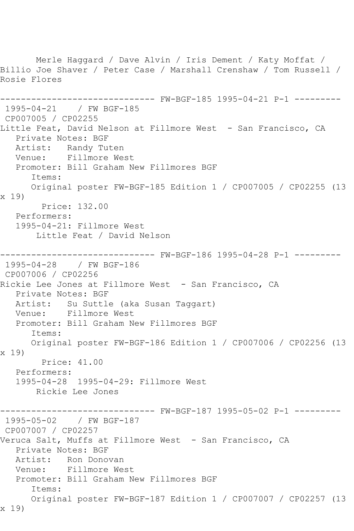Merle Haggard / Dave Alvin / Iris Dement / Katy Moffat / Billio Joe Shaver / Peter Case / Marshall Crenshaw / Tom Russell / Rosie Flores ------------------------------ FW-BGF-185 1995-04-21 P-1 --------- 1995-04-21 / FW BGF-185 CP007005 / CP02255 Little Feat, David Nelson at Fillmore West - San Francisco, CA Private Notes: BGF Artist: Randy Tuten Venue: Fillmore West Promoter: Bill Graham New Fillmores BGF Items: Original poster FW-BGF-185 Edition 1 / CP007005 / CP02255 (13 x 19) Price: 132.00 Performers: 1995-04-21: Fillmore West Little Feat / David Nelson ------------------------------ FW-BGF-186 1995-04-28 P-1 --------- 1995-04-28 / FW BGF-186 CP007006 / CP02256 Rickie Lee Jones at Fillmore West - San Francisco, CA Private Notes: BGF Artist: Su Suttle (aka Susan Taggart) Venue: Fillmore West Promoter: Bill Graham New Fillmores BGF Items: Original poster FW-BGF-186 Edition 1 / CP007006 / CP02256 (13 x 19) Price: 41.00 Performers: 1995-04-28 1995-04-29: Fillmore West Rickie Lee Jones ------------------------------ FW-BGF-187 1995-05-02 P-1 --------- 1995-05-02 / FW BGF-187 CP007007 / CP02257 Veruca Salt, Muffs at Fillmore West - San Francisco, CA Private Notes: BGF Artist: Ron Donovan Venue: Fillmore West Promoter: Bill Graham New Fillmores BGF Items: Original poster FW-BGF-187 Edition 1 / CP007007 / CP02257 (13 x 19)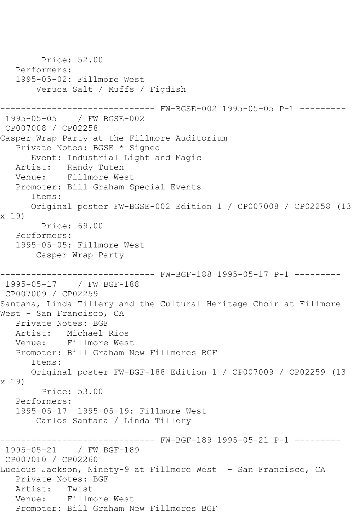Price: 52.00 Performers: 1995-05-02: Fillmore West Veruca Salt / Muffs / Figdish ------------------------------ FW-BGSE-002 1995-05-05 P-1 --------- 1995-05-05 / FW BGSE-002 CP007008 / CP02258 Casper Wrap Party at the Fillmore Auditorium Private Notes: BGSE \* Signed Event: Industrial Light and Magic Artist: Randy Tuten Venue: Fillmore West Promoter: Bill Graham Special Events Items: Original poster FW-BGSE-002 Edition 1 / CP007008 / CP02258 (13 x 19) Price: 69.00 Performers: 1995-05-05: Fillmore West Casper Wrap Party ------------------------------ FW-BGF-188 1995-05-17 P-1 --------- 1995-05-17 / FW BGF-188 CP007009 / CP02259 Santana, Linda Tillery and the Cultural Heritage Choir at Fillmore West - San Francisco, CA Private Notes: BGF Artist: Michael Rios Venue: Fillmore West Promoter: Bill Graham New Fillmores BGF Items: Original poster FW-BGF-188 Edition 1 / CP007009 / CP02259 (13 x 19) Price: 53.00 Performers: 1995-05-17 1995-05-19: Fillmore West Carlos Santana / Linda Tillery ------------------------------ FW-BGF-189 1995-05-21 P-1 --------- 1995-05-21 / FW BGF-189 CP007010 / CP02260 Lucious Jackson, Ninety-9 at Fillmore West - San Francisco, CA Private Notes: BGF Artist: Twist Venue: Fillmore West Promoter: Bill Graham New Fillmores BGF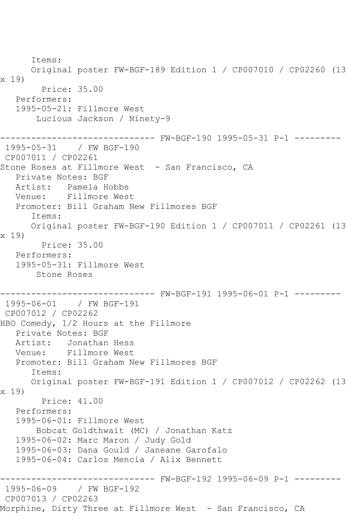Items: Original poster FW-BGF-189 Edition 1 / CP007010 / CP02260 (13 x 19) Price: 35.00 Performers: 1995-05-21: Fillmore West Lucious Jackson / Ninety-9 ------------------------------ FW-BGF-190 1995-05-31 P-1 --------- 1995-05-31 / FW BGF-190 CP007011 / CP02261 Stone Roses at Fillmore West - San Francisco, CA Private Notes: BGF Artist: Pamela Hobbs Venue: Fillmore West Promoter: Bill Graham New Fillmores BGF Items: Original poster FW-BGF-190 Edition 1 / CP007011 / CP02261 (13 x 19) Price: 35.00 Performers: 1995-05-31: Fillmore West Stone Roses ------------------------------ FW-BGF-191 1995-06-01 P-1 --------- 1995-06-01 / FW BGF-191 CP007012 / CP02262 HBO Comedy, 1/2 Hours at the Fillmore Private Notes: BGF Artist: Jonathan Hess Venue: Fillmore West Promoter: Bill Graham New Fillmores BGF Items: Original poster FW-BGF-191 Edition 1 / CP007012 / CP02262 (13 x 19) Price: 41.00 Performers: 1995-06-01: Fillmore West Bobcat Goldthwait (MC) / Jonathan Katz 1995-06-02: Marc Maron / Judy Gold 1995-06-03: Dana Gould / Janeane Garofalo 1995-06-04: Carlos Mencia / Alix Bennett ------------------------------ FW-BGF-192 1995-06-09 P-1 --------- 1995-06-09 / FW BGF-192 CP007013 / CP02263 Morphine, Dirty Three at Fillmore West - San Francisco, CA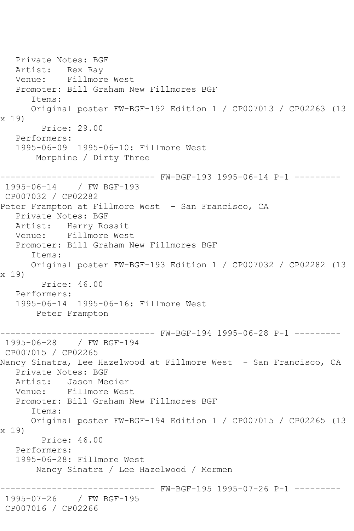Private Notes: BGF Artist: Rex Ray Venue: Fillmore West Promoter: Bill Graham New Fillmores BGF Items: Original poster FW-BGF-192 Edition 1 / CP007013 / CP02263 (13 x 19) Price: 29.00 Performers: 1995-06-09 1995-06-10: Fillmore West Morphine / Dirty Three ------------------------------ FW-BGF-193 1995-06-14 P-1 --------- 1995-06-14 / FW BGF-193 CP007032 / CP02282 Peter Frampton at Fillmore West - San Francisco, CA Private Notes: BGF Artist: Harry Rossit<br>Venue: Fillmore Wes Fillmore West Promoter: Bill Graham New Fillmores BGF Items: Original poster FW-BGF-193 Edition 1 / CP007032 / CP02282 (13 x 19) Price: 46.00 Performers: 1995-06-14 1995-06-16: Fillmore West Peter Frampton ------------------------------ FW-BGF-194 1995-06-28 P-1 --------- 1995-06-28 / FW BGF-194 CP007015 / CP02265 Nancy Sinatra, Lee Hazelwood at Fillmore West - San Francisco, CA Private Notes: BGF Artist: Jason Mecier Venue: Fillmore West Promoter: Bill Graham New Fillmores BGF Items: Original poster FW-BGF-194 Edition 1 / CP007015 / CP02265 (13 x 19) Price: 46.00 Performers: 1995-06-28: Fillmore West Nancy Sinatra / Lee Hazelwood / Mermen ------------------------------ FW-BGF-195 1995-07-26 P-1 --------- 1995-07-26 / FW BGF-195 CP007016 / CP02266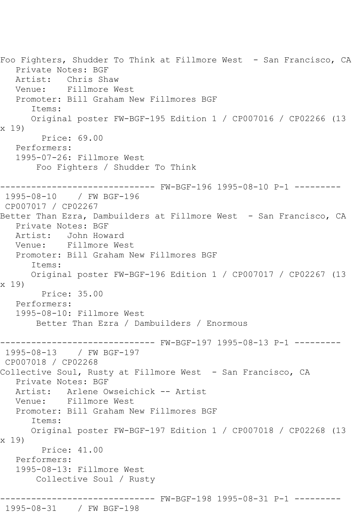Foo Fighters, Shudder To Think at Fillmore West - San Francisco, CA Private Notes: BGF Artist: Chris Shaw Venue: Fillmore West Promoter: Bill Graham New Fillmores BGF Items: Original poster FW-BGF-195 Edition 1 / CP007016 / CP02266 (13 x 19) Price: 69.00 Performers: 1995-07-26: Fillmore West Foo Fighters / Shudder To Think ------------------------------ FW-BGF-196 1995-08-10 P-1 --------- 1995-08-10 / FW BGF-196 CP007017 / CP02267 Better Than Ezra, Dambuilders at Fillmore West - San Francisco, CA Private Notes: BGF<br>Artist: John Howa Artist: John Howard Venue: Fillmore West Promoter: Bill Graham New Fillmores BGF Items: Original poster FW-BGF-196 Edition 1 / CP007017 / CP02267 (13 x 19) Price: 35.00 Performers: 1995-08-10: Fillmore West Better Than Ezra / Dambuilders / Enormous ------------------------------ FW-BGF-197 1995-08-13 P-1 --------- 1995-08-13 / FW BGF-197 CP007018 / CP02268 Collective Soul, Rusty at Fillmore West - San Francisco, CA Private Notes: BGF Artist: Arlene Owseichick -- Artist Venue: Fillmore West Promoter: Bill Graham New Fillmores BGF Items: Original poster FW-BGF-197 Edition 1 / CP007018 / CP02268 (13 x 19) Price: 41.00 Performers: 1995-08-13: Fillmore West Collective Soul / Rusty ------------------------------ FW-BGF-198 1995-08-31 P-1 --------- 1995-08-31 / FW BGF-198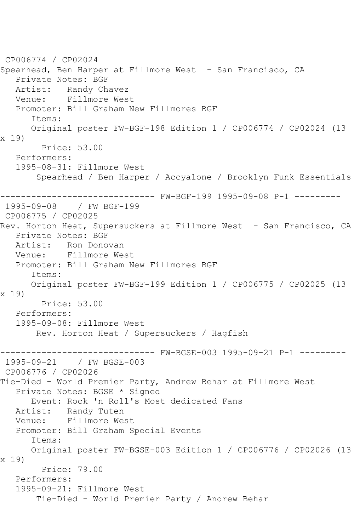CP006774 / CP02024 Spearhead, Ben Harper at Fillmore West - San Francisco, CA Private Notes: BGF Artist: Randy Chavez<br>Venue: Fillmore Wes Fillmore West Promoter: Bill Graham New Fillmores BGF Items: Original poster FW-BGF-198 Edition 1 / CP006774 / CP02024 (13 x 19) Price: 53.00 Performers: 1995-08-31: Fillmore West Spearhead / Ben Harper / Accyalone / Brooklyn Funk Essentials ------------------------------ FW-BGF-199 1995-09-08 P-1 --------- 1995-09-08 / FW BGF-199 CP006775 / CP02025 Rev. Horton Heat, Supersuckers at Fillmore West - San Francisco, CA Private Notes: BGF Artist: Ron Donovan Venue: Fillmore West Promoter: Bill Graham New Fillmores BGF Items: Original poster FW-BGF-199 Edition 1 / CP006775 / CP02025 (13 x 19) Price: 53.00 Performers: 1995-09-08: Fillmore West Rev. Horton Heat / Supersuckers / Hagfish ------------------------------ FW-BGSE-003 1995-09-21 P-1 --------- 1995-09-21 / FW BGSE-003 CP006776 / CP02026 Tie-Died - World Premier Party, Andrew Behar at Fillmore West Private Notes: BGSE \* Signed Event: Rock 'n Roll's Most dedicated Fans Artist: Randy Tuten Venue: Fillmore West Promoter: Bill Graham Special Events Items: Original poster FW-BGSE-003 Edition 1 / CP006776 / CP02026 (13 x 19) Price: 79.00 Performers: 1995-09-21: Fillmore West Tie-Died - World Premier Party / Andrew Behar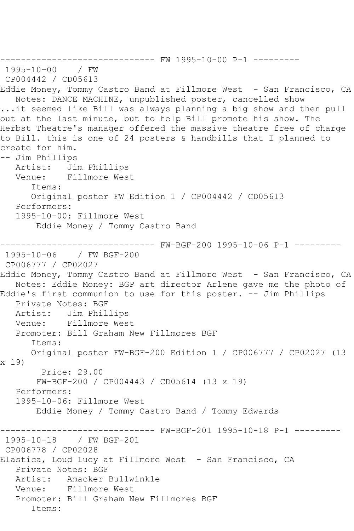```
------------------------------ FW 1995-10-00 P-1 ---------
1995-10-00 / FW 
CP004442 / CD05613
Eddie Money, Tommy Castro Band at Fillmore West - San Francisco, CA
   Notes: DANCE MACHINE, unpublished poster, cancelled show
...it seemed like Bill was always planning a big show and then pull 
out at the last minute, but to help Bill promote his show. The 
Herbst Theatre's manager offered the massive theatre free of charge 
to Bill. this is one of 24 posters & handbills that I planned to 
create for him.
-- Jim Phillips
   Artist: Jim Phillips
   Venue: Fillmore West
      Items:
      Original poster FW Edition 1 / CP004442 / CD05613
   Performers:
   1995-10-00: Fillmore West
       Eddie Money / Tommy Castro Band
------------------------------ FW-BGF-200 1995-10-06 P-1 ---------
1995-10-06 / FW BGF-200
CP006777 / CP02027
Eddie Money, Tommy Castro Band at Fillmore West - San Francisco, CA
   Notes: Eddie Money: BGP art director Arlene gave me the photo of 
Eddie's first communion to use for this poster. -- Jim Phillips
   Private Notes: BGF
   Artist: Jim Phillips
   Venue: Fillmore West
   Promoter: Bill Graham New Fillmores BGF
      Items:
      Original poster FW-BGF-200 Edition 1 / CP006777 / CP02027 (13 
x 19)
        Price: 29.00
       FW-BGF-200 / CP004443 / CD05614 (13 x 19)
   Performers:
   1995-10-06: Fillmore West
       Eddie Money / Tommy Castro Band / Tommy Edwards
------------------------------ FW-BGF-201 1995-10-18 P-1 ---------
1995-10-18 / FW BGF-201
CP006778 / CP02028
Elastica, Loud Lucy at Fillmore West - San Francisco, CA
   Private Notes: BGF
   Artist: Amacker Bullwinkle
   Venue: Fillmore West
   Promoter: Bill Graham New Fillmores BGF
      Items:
```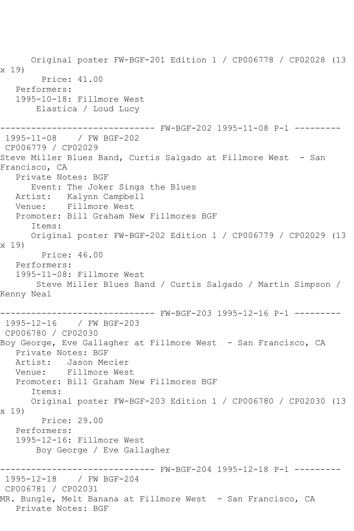Original poster FW-BGF-201 Edition 1 / CP006778 / CP02028 (13 x 19) Price: 41.00 Performers: 1995-10-18: Fillmore West Elastica / Loud Lucy ------------------------------ FW-BGF-202 1995-11-08 P-1 --------- 1995-11-08 / FW BGF-202 CP006779 / CP02029 Steve Miller Blues Band, Curtis Salgado at Fillmore West - San Francisco, CA Private Notes: BGF Event: The Joker Sings the Blues Artist: Kalynn Campbell Venue: Fillmore West Promoter: Bill Graham New Fillmores BGF Items: Original poster FW-BGF-202 Edition 1 / CP006779 / CP02029 (13 x 19) Price: 46.00 Performers: 1995-11-08: Fillmore West Steve Miller Blues Band / Curtis Salgado / Martin Simpson / Kenny Neal ------------------------------ FW-BGF-203 1995-12-16 P-1 --------- 1995-12-16 / FW BGF-203 CP006780 / CP02030 Boy George, Eve Gallagher at Fillmore West - San Francisco, CA Private Notes: BGF Artist: Jason Mecier Venue: Fillmore West Promoter: Bill Graham New Fillmores BGF Items: Original poster FW-BGF-203 Edition 1 / CP006780 / CP02030 (13 x 19) Price: 29.00 Performers: 1995-12-16: Fillmore West Boy George / Eve Gallagher ------------------------------ FW-BGF-204 1995-12-18 P-1 --------- 1995-12-18 / FW BGF-204 CP006781 / CP02031 MR. Bungle, Melt Banana at Fillmore West - San Francisco, CA Private Notes: BGF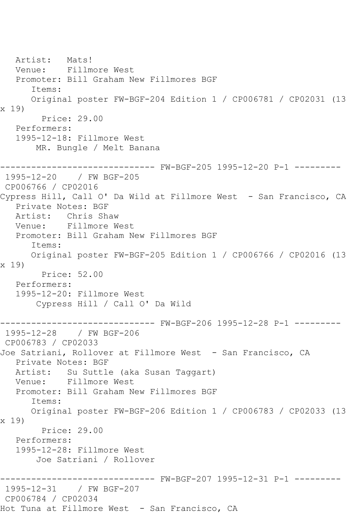Artist: Mats! Venue: Fillmore West Promoter: Bill Graham New Fillmores BGF Items: Original poster FW-BGF-204 Edition 1 / CP006781 / CP02031 (13 x 19) Price: 29.00 Performers: 1995-12-18: Fillmore West MR. Bungle / Melt Banana ------------------------------ FW-BGF-205 1995-12-20 P-1 --------- 1995-12-20 / FW BGF-205 CP006766 / CP02016 Cypress Hill, Call O' Da Wild at Fillmore West - San Francisco, CA Private Notes: BGF Artist: Chris Shaw Venue: Fillmore West Promoter: Bill Graham New Fillmores BGF Items: Original poster FW-BGF-205 Edition 1 / CP006766 / CP02016 (13 x 19) Price: 52.00 Performers: 1995-12-20: Fillmore West Cypress Hill / Call O' Da Wild ------------------------------ FW-BGF-206 1995-12-28 P-1 --------- 1995-12-28 / FW BGF-206 CP006783 / CP02033 Joe Satriani, Rollover at Fillmore West - San Francisco, CA Private Notes: BGF Artist: Su Suttle (aka Susan Taggart)<br>Venue: Fillmore West Fillmore West Promoter: Bill Graham New Fillmores BGF Items: Original poster FW-BGF-206 Edition 1 / CP006783 / CP02033 (13 x 19) Price: 29.00 Performers: 1995-12-28: Fillmore West Joe Satriani / Rollover ------------------------------ FW-BGF-207 1995-12-31 P-1 --------- 1995-12-31 / FW BGF-207 CP006784 / CP02034 Hot Tuna at Fillmore West - San Francisco, CA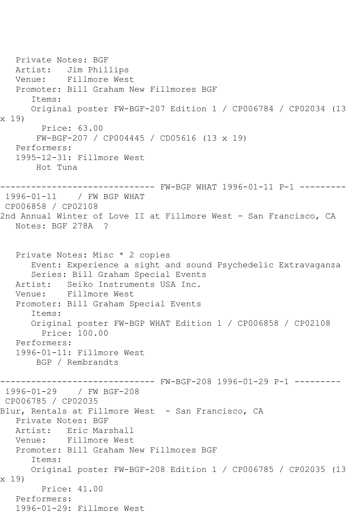Private Notes: BGF Artist: Jim Phillips Venue: Fillmore West Promoter: Bill Graham New Fillmores BGF Items: Original poster FW-BGF-207 Edition 1 / CP006784 / CP02034 (13 x 19) Price: 63.00 FW-BGF-207 / CP004445 / CD05616 (13 x 19) Performers: 1995-12-31: Fillmore West Hot Tuna ------------------------------ FW-BGP WHAT 1996-01-11 P-1 --------- 1996-01-11 / FW BGP WHAT CP006858 / CP02108 2nd Annual Winter of Love II at Fillmore West - San Francisco, CA Notes: BGF 278A ? Private Notes: Misc \* 2 copies Event: Experience a sight and sound Psychedelic Extravaganza Series: Bill Graham Special Events Artist: Seiko Instruments USA Inc. Venue: Fillmore West Promoter: Bill Graham Special Events Items: Original poster FW-BGP WHAT Edition 1 / CP006858 / CP02108 Price: 100.00 Performers: 1996-01-11: Fillmore West BGP / Rembrandts ------------------------------ FW-BGF-208 1996-01-29 P-1 --------- 1996-01-29 / FW BGF-208 CP006785 / CP02035 Blur, Rentals at Fillmore West - San Francisco, CA Private Notes: BGF Artist: Eric Marshall Venue: Fillmore West Promoter: Bill Graham New Fillmores BGF Items: Original poster FW-BGF-208 Edition 1 / CP006785 / CP02035 (13 x 19) Price: 41.00 Performers: 1996-01-29: Fillmore West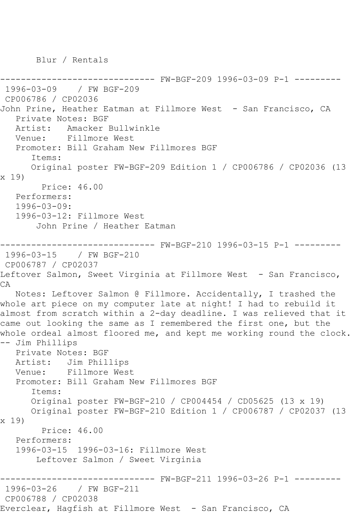Blur / Rentals

------------------------------ FW-BGF-209 1996-03-09 P-1 --------- 1996-03-09 / FW BGF-209 CP006786 / CP02036 John Prine, Heather Eatman at Fillmore West - San Francisco, CA Private Notes: BGF Artist: Amacker Bullwinkle Venue: Fillmore West Promoter: Bill Graham New Fillmores BGF Items: Original poster FW-BGF-209 Edition 1 / CP006786 / CP02036 (13 x 19) Price: 46.00 Performers: 1996-03-09: 1996-03-12: Fillmore West John Prine / Heather Eatman ------------------------------ FW-BGF-210 1996-03-15 P-1 --------- 1996-03-15 / FW BGF-210 CP006787 / CP02037 Leftover Salmon, Sweet Virginia at Fillmore West - San Francisco, CA Notes: Leftover Salmon @ Fillmore. Accidentally, I trashed the whole art piece on my computer late at night! I had to rebuild it almost from scratch within a 2-day deadline. I was relieved that it came out looking the same as I remembered the first one, but the whole ordeal almost floored me, and kept me working round the clock. -- Jim Phillips Private Notes: BGF Artist: Jim Phillips Venue: Fillmore West Promoter: Bill Graham New Fillmores BGF Items: Original poster FW-BGF-210 / CP004454 / CD05625 (13 x 19) Original poster FW-BGF-210 Edition 1 / CP006787 / CP02037 (13 x 19) Price: 46.00 Performers: 1996-03-15 1996-03-16: Fillmore West Leftover Salmon / Sweet Virginia ------------------------------ FW-BGF-211 1996-03-26 P-1 --------- 1996-03-26 / FW BGF-211 CP006788 / CP02038 Everclear, Hagfish at Fillmore West - San Francisco, CA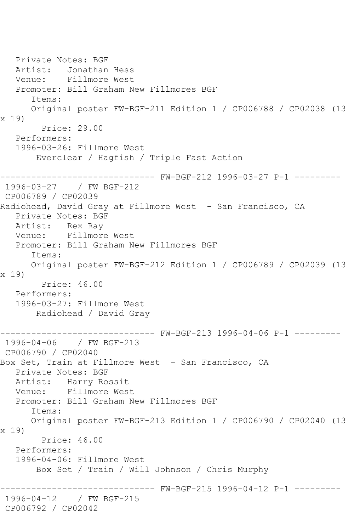Private Notes: BGF Artist: Jonathan Hess Venue: Fillmore West Promoter: Bill Graham New Fillmores BGF Items: Original poster FW-BGF-211 Edition 1 / CP006788 / CP02038 (13 x 19) Price: 29.00 Performers: 1996-03-26: Fillmore West Everclear / Hagfish / Triple Fast Action ------------------------------ FW-BGF-212 1996-03-27 P-1 --------- 1996-03-27 / FW BGF-212 CP006789 / CP02039 Radiohead, David Gray at Fillmore West - San Francisco, CA Private Notes: BGF Artist: Rex Ray<br>Venue: Fillmore Fillmore West Promoter: Bill Graham New Fillmores BGF Items: Original poster FW-BGF-212 Edition 1 / CP006789 / CP02039 (13 x 19) Price: 46.00 Performers: 1996-03-27: Fillmore West Radiohead / David Gray ------------------------------ FW-BGF-213 1996-04-06 P-1 --------- 1996-04-06 / FW BGF-213 CP006790 / CP02040 Box Set, Train at Fillmore West - San Francisco, CA Private Notes: BGF Artist: Harry Rossit Venue: Fillmore West Promoter: Bill Graham New Fillmores BGF Items: Original poster FW-BGF-213 Edition 1 / CP006790 / CP02040 (13 x 19) Price: 46.00 Performers: 1996-04-06: Fillmore West Box Set / Train / Will Johnson / Chris Murphy ------------------------------ FW-BGF-215 1996-04-12 P-1 --------- 1996-04-12 / FW BGF-215 CP006792 / CP02042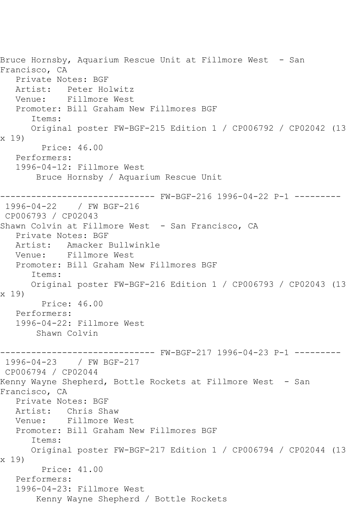Bruce Hornsby, Aquarium Rescue Unit at Fillmore West - San Francisco, CA Private Notes: BGF Artist: Peter Holwitz<br>Venue: Fillmore West Fillmore West Promoter: Bill Graham New Fillmores BGF Items: Original poster FW-BGF-215 Edition 1 / CP006792 / CP02042 (13 x 19) Price: 46.00 Performers: 1996-04-12: Fillmore West Bruce Hornsby / Aquarium Rescue Unit ------------------------------ FW-BGF-216 1996-04-22 P-1 --------- 1996-04-22 / FW BGF-216 CP006793 / CP02043 Shawn Colvin at Fillmore West - San Francisco, CA Private Notes: BGF Artist: Amacker Bullwinkle Venue: Fillmore West Promoter: Bill Graham New Fillmores BGF Items: Original poster FW-BGF-216 Edition 1 / CP006793 / CP02043 (13 x 19) Price: 46.00 Performers: 1996-04-22: Fillmore West Shawn Colvin ------------------------------ FW-BGF-217 1996-04-23 P-1 --------- 1996-04-23 / FW BGF-217 CP006794 / CP02044 Kenny Wayne Shepherd, Bottle Rockets at Fillmore West - San Francisco, CA Private Notes: BGF Artist: Chris Shaw Venue: Fillmore West Promoter: Bill Graham New Fillmores BGF Items: Original poster FW-BGF-217 Edition 1 / CP006794 / CP02044 (13 x 19) Price: 41.00 Performers: 1996-04-23: Fillmore West Kenny Wayne Shepherd / Bottle Rockets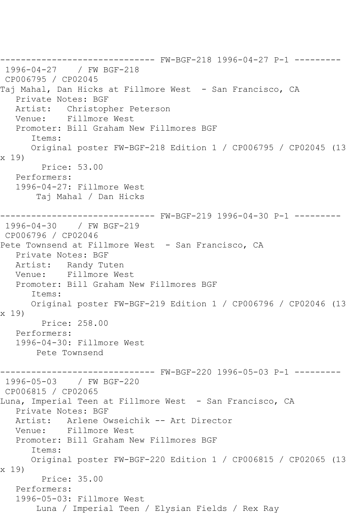------------------------------ FW-BGF-218 1996-04-27 P-1 --------- 1996-04-27 / FW BGF-218 CP006795 / CP02045 Taj Mahal, Dan Hicks at Fillmore West - San Francisco, CA Private Notes: BGF Artist: Christopher Peterson Venue: Fillmore West Promoter: Bill Graham New Fillmores BGF Items: Original poster FW-BGF-218 Edition 1 / CP006795 / CP02045 (13 x 19) Price: 53.00 Performers: 1996-04-27: Fillmore West Taj Mahal / Dan Hicks ------------------------------ FW-BGF-219 1996-04-30 P-1 --------- 1996-04-30 / FW BGF-219 CP006796 / CP02046 Pete Townsend at Fillmore West - San Francisco, CA Private Notes: BGF Artist: Randy Tuten Venue: Fillmore West Promoter: Bill Graham New Fillmores BGF Items: Original poster FW-BGF-219 Edition 1 / CP006796 / CP02046 (13 x 19) Price: 258.00 Performers: 1996-04-30: Fillmore West Pete Townsend ------------------------------ FW-BGF-220 1996-05-03 P-1 --------- 1996-05-03 / FW BGF-220 CP006815 / CP02065 Luna, Imperial Teen at Fillmore West - San Francisco, CA Private Notes: BGF Artist: Arlene Owseichik -- Art Director Venue: Fillmore West Promoter: Bill Graham New Fillmores BGF Items: Original poster FW-BGF-220 Edition 1 / CP006815 / CP02065 (13 x 19) Price: 35.00 Performers: 1996-05-03: Fillmore West Luna / Imperial Teen / Elysian Fields / Rex Ray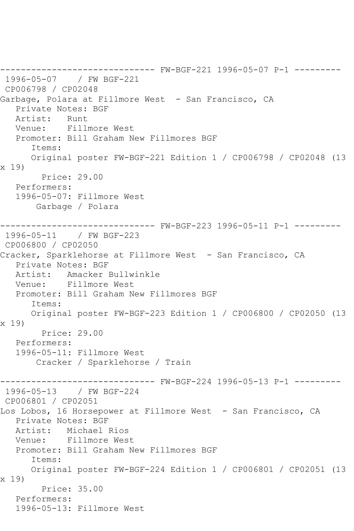------------------------------ FW-BGF-221 1996-05-07 P-1 --------- 1996-05-07 / FW BGF-221 CP006798 / CP02048 Garbage, Polara at Fillmore West - San Francisco, CA Private Notes: BGF Artist: Runt Venue: Fillmore West Promoter: Bill Graham New Fillmores BGF Items: Original poster FW-BGF-221 Edition 1 / CP006798 / CP02048 (13 x 19) Price: 29.00 Performers: 1996-05-07: Fillmore West Garbage / Polara ------------------------------ FW-BGF-223 1996-05-11 P-1 --------- 1996-05-11 / FW BGF-223 CP006800 / CP02050 Cracker, Sparklehorse at Fillmore West - San Francisco, CA Private Notes: BGF Artist: Amacker Bullwinkle Venue: Fillmore West Promoter: Bill Graham New Fillmores BGF Items: Original poster FW-BGF-223 Edition 1 / CP006800 / CP02050 (13 x 19) Price: 29.00 Performers: 1996-05-11: Fillmore West Cracker / Sparklehorse / Train ------------------------------ FW-BGF-224 1996-05-13 P-1 --------- 1996-05-13 / FW BGF-224 CP006801 / CP02051 Los Lobos, 16 Horsepower at Fillmore West - San Francisco, CA Private Notes: BGF Artist: Michael Rios Venue: Fillmore West Promoter: Bill Graham New Fillmores BGF Items: Original poster FW-BGF-224 Edition 1 / CP006801 / CP02051 (13 x 19) Price: 35.00 Performers: 1996-05-13: Fillmore West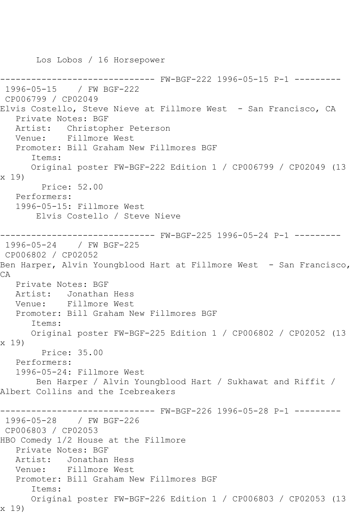Los Lobos / 16 Horsepower

------------------------------ FW-BGF-222 1996-05-15 P-1 --------- 1996-05-15 / FW BGF-222 CP006799 / CP02049 Elvis Costello, Steve Nieve at Fillmore West - San Francisco, CA Private Notes: BGF Artist: Christopher Peterson Venue: Fillmore West Promoter: Bill Graham New Fillmores BGF Items: Original poster FW-BGF-222 Edition 1 / CP006799 / CP02049 (13 x 19) Price: 52.00 Performers: 1996-05-15: Fillmore West Elvis Costello / Steve Nieve ------------------------------ FW-BGF-225 1996-05-24 P-1 --------- 1996-05-24 / FW BGF-225 CP006802 / CP02052 Ben Harper, Alvin Youngblood Hart at Fillmore West - San Francisco, CA Private Notes: BGF Artist: Jonathan Hess<br>Venue: Fillmore West Fillmore West Promoter: Bill Graham New Fillmores BGF Items: Original poster FW-BGF-225 Edition 1 / CP006802 / CP02052 (13 x 19) Price: 35.00 Performers: 1996-05-24: Fillmore West Ben Harper / Alvin Youngblood Hart / Sukhawat and Riffit / Albert Collins and the Icebreakers ------------------------------ FW-BGF-226 1996-05-28 P-1 --------- 1996-05-28 / FW BGF-226 CP006803 / CP02053 HBO Comedy 1/2 House at the Fillmore Private Notes: BGF Artist: Jonathan Hess Venue: Fillmore West Promoter: Bill Graham New Fillmores BGF Items: Original poster FW-BGF-226 Edition 1 / CP006803 / CP02053 (13 x 19)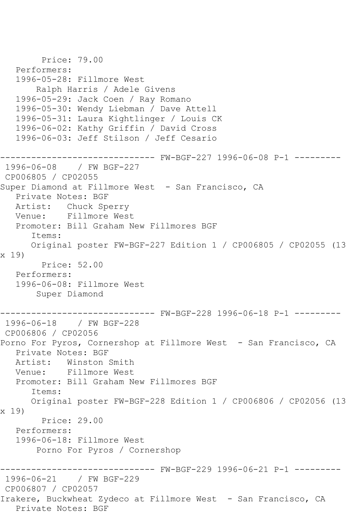```
 Price: 79.00
   Performers:
   1996-05-28: Fillmore West
        Ralph Harris / Adele Givens
   1996-05-29: Jack Coen / Ray Romano
   1996-05-30: Wendy Liebman / Dave Attell
   1996-05-31: Laura Kightlinger / Louis CK
   1996-06-02: Kathy Griffin / David Cross
   1996-06-03: Jeff Stilson / Jeff Cesario
------------------------------ FW-BGF-227 1996-06-08 P-1 ---------
1996-06-08 / FW BGF-227
CP006805 / CP02055
Super Diamond at Fillmore West - San Francisco, CA
   Private Notes: BGF
   Artist: Chuck Sperry
   Venue: Fillmore West
   Promoter: Bill Graham New Fillmores BGF
       Items:
      Original poster FW-BGF-227 Edition 1 / CP006805 / CP02055 (13 
x 19)
         Price: 52.00
   Performers:
   1996-06-08: Fillmore West
        Super Diamond
------------------------------ FW-BGF-228 1996-06-18 P-1 ---------
1996-06-18 / FW BGF-228
CP006806 / CP02056
Porno For Pyros, Cornershop at Fillmore West - San Francisco, CA
   Private Notes: BGF
   Artist: Winston Smith
   Venue: Fillmore West
   Promoter: Bill Graham New Fillmores BGF
       Items:
      Original poster FW-BGF-228 Edition 1 / CP006806 / CP02056 (13 
x 19)
         Price: 29.00
   Performers:
   1996-06-18: Fillmore West
        Porno For Pyros / Cornershop
                   ------------------------------ FW-BGF-229 1996-06-21 P-1 ---------
1996-06-21 / FW BGF-229
CP006807 / CP02057
Irakere, Buckwheat Zydeco at Fillmore West - San Francisco, CA
   Private Notes: BGF
```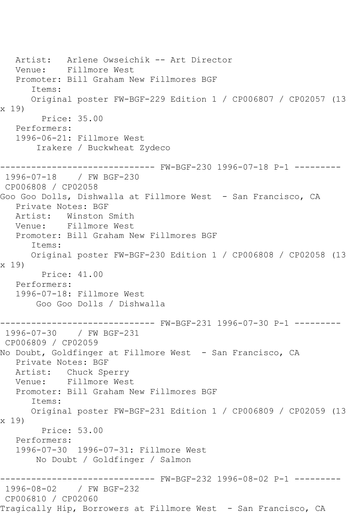Artist: Arlene Owseichik -- Art Director Venue: Fillmore West Promoter: Bill Graham New Fillmores BGF Items: Original poster FW-BGF-229 Edition 1 / CP006807 / CP02057 (13 x 19) Price: 35.00 Performers: 1996-06-21: Fillmore West Irakere / Buckwheat Zydeco ------------------------------ FW-BGF-230 1996-07-18 P-1 --------- 1996-07-18 / FW BGF-230 CP006808 / CP02058 Goo Goo Dolls, Dishwalla at Fillmore West - San Francisco, CA Private Notes: BGF Artist: Winston Smith Venue: Fillmore West Promoter: Bill Graham New Fillmores BGF Items: Original poster FW-BGF-230 Edition 1 / CP006808 / CP02058 (13 x 19) Price: 41.00 Performers: 1996-07-18: Fillmore West Goo Goo Dolls / Dishwalla ------------------------------ FW-BGF-231 1996-07-30 P-1 --------- 1996-07-30 / FW BGF-231 CP006809 / CP02059 No Doubt, Goldfinger at Fillmore West - San Francisco, CA Private Notes: BGF Artist: Chuck Sperry Venue: Fillmore West Promoter: Bill Graham New Fillmores BGF Items: Original poster FW-BGF-231 Edition 1 / CP006809 / CP02059 (13 x 19) Price: 53.00 Performers: 1996-07-30 1996-07-31: Fillmore West No Doubt / Goldfinger / Salmon ------------------------------ FW-BGF-232 1996-08-02 P-1 --------- 1996-08-02 / FW BGF-232 CP006810 / CP02060 Tragically Hip, Borrowers at Fillmore West - San Francisco, CA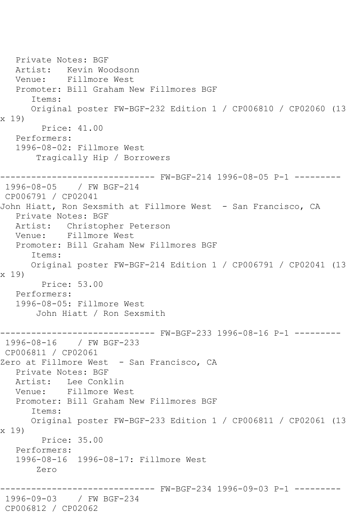Private Notes: BGF Artist: Kevin Woodsonn Venue: Fillmore West Promoter: Bill Graham New Fillmores BGF Items: Original poster FW-BGF-232 Edition 1 / CP006810 / CP02060 (13 x 19) Price: 41.00 Performers: 1996-08-02: Fillmore West Tragically Hip / Borrowers ------------------------------ FW-BGF-214 1996-08-05 P-1 --------- 1996-08-05 / FW BGF-214 CP006791 / CP02041 John Hiatt, Ron Sexsmith at Fillmore West - San Francisco, CA Private Notes: BGF Artist: Christopher Peterson<br>Venue: Fillmore West Fillmore West Promoter: Bill Graham New Fillmores BGF Items: Original poster FW-BGF-214 Edition 1 / CP006791 / CP02041 (13 x 19) Price: 53.00 Performers: 1996-08-05: Fillmore West John Hiatt / Ron Sexsmith ------------------------------ FW-BGF-233 1996-08-16 P-1 --------- 1996-08-16 / FW BGF-233 CP006811 / CP02061 Zero at Fillmore West - San Francisco, CA Private Notes: BGF Artist: Lee Conklin Venue: Fillmore West Promoter: Bill Graham New Fillmores BGF Items: Original poster FW-BGF-233 Edition 1 / CP006811 / CP02061 (13 x 19) Price: 35.00 Performers: 1996-08-16 1996-08-17: Fillmore West Zero -------- FW-BGF-234 1996-09-03 P-1 ---------1996-09-03 / FW BGF-234 CP006812 / CP02062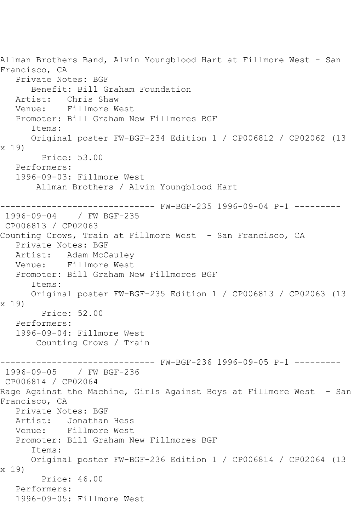Allman Brothers Band, Alvin Youngblood Hart at Fillmore West - San Francisco, CA Private Notes: BGF Benefit: Bill Graham Foundation Artist: Chris Shaw Venue: Fillmore West Promoter: Bill Graham New Fillmores BGF Items: Original poster FW-BGF-234 Edition 1 / CP006812 / CP02062 (13 x 19) Price: 53.00 Performers: 1996-09-03: Fillmore West Allman Brothers / Alvin Youngblood Hart ------------------------------ FW-BGF-235 1996-09-04 P-1 --------- 1996-09-04 / FW BGF-235 CP006813 / CP02063 Counting Crows, Train at Fillmore West - San Francisco, CA Private Notes: BGF Artist: Adam McCauley Venue: Fillmore West Promoter: Bill Graham New Fillmores BGF Items: Original poster FW-BGF-235 Edition 1 / CP006813 / CP02063 (13 x 19) Price: 52.00 Performers: 1996-09-04: Fillmore West Counting Crows / Train ------------------------------ FW-BGF-236 1996-09-05 P-1 --------- 1996-09-05 / FW BGF-236 CP006814 / CP02064 Rage Against the Machine, Girls Against Boys at Fillmore West - San Francisco, CA Private Notes: BGF Artist: Jonathan Hess Venue: Fillmore West Promoter: Bill Graham New Fillmores BGF Items: Original poster FW-BGF-236 Edition 1 / CP006814 / CP02064 (13 x 19) Price: 46.00 Performers: 1996-09-05: Fillmore West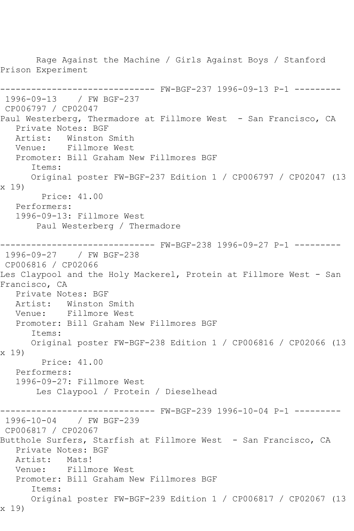Rage Against the Machine / Girls Against Boys / Stanford Prison Experiment ------------------------------ FW-BGF-237 1996-09-13 P-1 --------- 1996-09-13 / FW BGF-237 CP006797 / CP02047 Paul Westerberg, Thermadore at Fillmore West - San Francisco, CA Private Notes: BGF Artist: Winston Smith Venue: Fillmore West Promoter: Bill Graham New Fillmores BGF Items: Original poster FW-BGF-237 Edition 1 / CP006797 / CP02047 (13 x 19) Price: 41.00 Performers: 1996-09-13: Fillmore West Paul Westerberg / Thermadore ------------------------------ FW-BGF-238 1996-09-27 P-1 --------- 1996-09-27 / FW BGF-238 CP006816 / CP02066 Les Claypool and the Holy Mackerel, Protein at Fillmore West - San Francisco, CA Private Notes: BGF Artist: Winston Smith Venue: Fillmore West Promoter: Bill Graham New Fillmores BGF Items: Original poster FW-BGF-238 Edition 1 / CP006816 / CP02066 (13 x 19) Price: 41.00 Performers: 1996-09-27: Fillmore West Les Claypool / Protein / Dieselhead ------------------------------ FW-BGF-239 1996-10-04 P-1 --------- 1996-10-04 / FW BGF-239 CP006817 / CP02067 Butthole Surfers, Starfish at Fillmore West - San Francisco, CA Private Notes: BGF Artist: Mats! Venue: Fillmore West Promoter: Bill Graham New Fillmores BGF Items: Original poster FW-BGF-239 Edition 1 / CP006817 / CP02067 (13 x 19)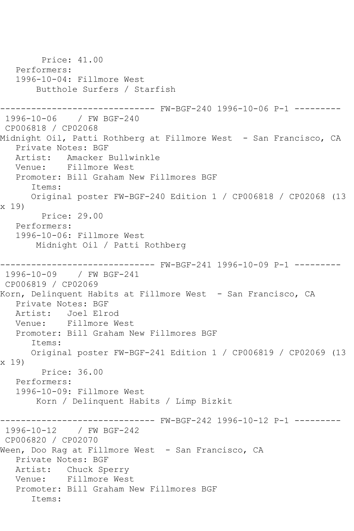Price: 41.00 Performers: 1996-10-04: Fillmore West Butthole Surfers / Starfish ------------------------------ FW-BGF-240 1996-10-06 P-1 --------- 1996-10-06 / FW BGF-240 CP006818 / CP02068 Midnight Oil, Patti Rothberg at Fillmore West - San Francisco, CA Private Notes: BGF Artist: Amacker Bullwinkle<br>Venue: Fillmore West Fillmore West Promoter: Bill Graham New Fillmores BGF Items: Original poster FW-BGF-240 Edition 1 / CP006818 / CP02068 (13 x 19) Price: 29.00 Performers: 1996-10-06: Fillmore West Midnight Oil / Patti Rothberg ------------------------------ FW-BGF-241 1996-10-09 P-1 --------- 1996-10-09 / FW BGF-241 CP006819 / CP02069 Korn, Delinquent Habits at Fillmore West - San Francisco, CA Private Notes: BGF Artist: Joel Elrod Venue: Fillmore West Promoter: Bill Graham New Fillmores BGF Items: Original poster FW-BGF-241 Edition 1 / CP006819 / CP02069 (13 x 19) Price: 36.00 Performers: 1996-10-09: Fillmore West Korn / Delinquent Habits / Limp Bizkit ------------------------------ FW-BGF-242 1996-10-12 P-1 --------- 1996-10-12 / FW BGF-242 CP006820 / CP02070 Ween, Doo Rag at Fillmore West - San Francisco, CA Private Notes: BGF Artist: Chuck Sperry Venue: Fillmore West Promoter: Bill Graham New Fillmores BGF Items: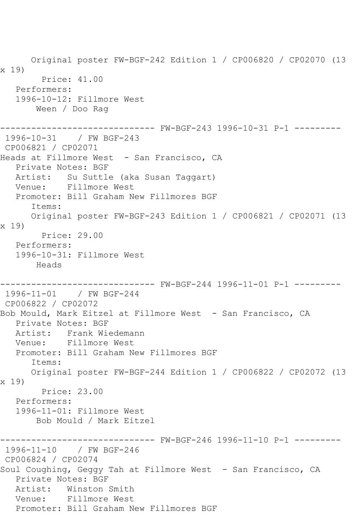Original poster FW-BGF-242 Edition 1 / CP006820 / CP02070 (13 x 19) Price: 41.00 Performers: 1996-10-12: Fillmore West Ween / Doo Rag ------------------------------ FW-BGF-243 1996-10-31 P-1 --------- 1996-10-31 / FW BGF-243 CP006821 / CP02071 Heads at Fillmore West - San Francisco, CA Private Notes: BGF Artist: Su Suttle (aka Susan Taggart) Venue: Fillmore West Promoter: Bill Graham New Fillmores BGF Items: Original poster FW-BGF-243 Edition 1 / CP006821 / CP02071 (13 x 19) Price: 29.00 Performers: 1996-10-31: Fillmore West Heads ------------------------------ FW-BGF-244 1996-11-01 P-1 --------- 1996-11-01 / FW BGF-244 CP006822 / CP02072 Bob Mould, Mark Eitzel at Fillmore West - San Francisco, CA Private Notes: BGF Artist: Frank Wiedemann Venue: Fillmore West Promoter: Bill Graham New Fillmores BGF Items: Original poster FW-BGF-244 Edition 1 / CP006822 / CP02072 (13 x 19) Price: 23.00 Performers: 1996-11-01: Fillmore West Bob Mould / Mark Eitzel ------------------------------ FW-BGF-246 1996-11-10 P-1 --------- 1996-11-10 / FW BGF-246 CP006824 / CP02074 Soul Coughing, Geggy Tah at Fillmore West - San Francisco, CA Private Notes: BGF Artist: Winston Smith Venue: Fillmore West Promoter: Bill Graham New Fillmores BGF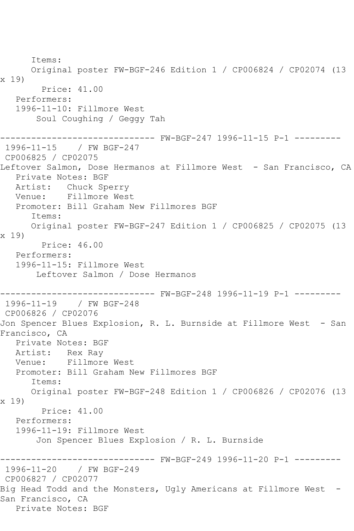Items: Original poster FW-BGF-246 Edition 1 / CP006824 / CP02074 (13 x 19) Price: 41.00 Performers: 1996-11-10: Fillmore West Soul Coughing / Geggy Tah ------------------------------ FW-BGF-247 1996-11-15 P-1 --------- 1996-11-15 / FW BGF-247 CP006825 / CP02075 Leftover Salmon, Dose Hermanos at Fillmore West - San Francisco, CA Private Notes: BGF Artist: Chuck Sperry Venue: Fillmore West Promoter: Bill Graham New Fillmores BGF Items: Original poster FW-BGF-247 Edition 1 / CP006825 / CP02075 (13 x 19) Price: 46.00 Performers: 1996-11-15: Fillmore West Leftover Salmon / Dose Hermanos ------------------------------ FW-BGF-248 1996-11-19 P-1 --------- 1996-11-19 / FW BGF-248 CP006826 / CP02076 Jon Spencer Blues Explosion, R. L. Burnside at Fillmore West - San Francisco, CA Private Notes: BGF Artist: Rex Ray Venue: Fillmore West Promoter: Bill Graham New Fillmores BGF Items: Original poster FW-BGF-248 Edition 1 / CP006826 / CP02076 (13 x 19) Price: 41.00 Performers: 1996-11-19: Fillmore West Jon Spencer Blues Explosion / R. L. Burnside ------------------------------ FW-BGF-249 1996-11-20 P-1 --------- 1996-11-20 / FW BGF-249 CP006827 / CP02077 Big Head Todd and the Monsters, Ugly Americans at Fillmore West -San Francisco, CA Private Notes: BGF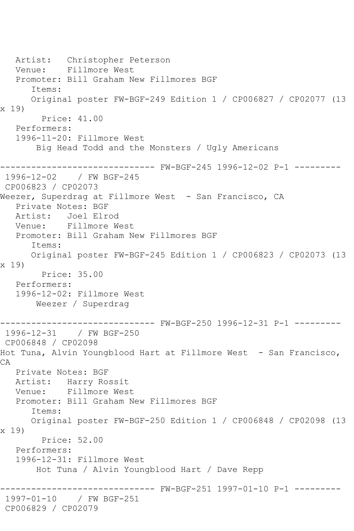Artist: Christopher Peterson Venue: Fillmore West Promoter: Bill Graham New Fillmores BGF Items: Original poster FW-BGF-249 Edition 1 / CP006827 / CP02077 (13 x 19) Price: 41.00 Performers: 1996-11-20: Fillmore West Big Head Todd and the Monsters / Ugly Americans ------------------------------ FW-BGF-245 1996-12-02 P-1 --------- 1996-12-02 / FW BGF-245 CP006823 / CP02073 Weezer, Superdrag at Fillmore West - San Francisco, CA Private Notes: BGF Artist: Joel Elrod Venue: Fillmore West Promoter: Bill Graham New Fillmores BGF Items: Original poster FW-BGF-245 Edition 1 / CP006823 / CP02073 (13 x 19) Price: 35.00 Performers: 1996-12-02: Fillmore West Weezer / Superdrag ------------------------------ FW-BGF-250 1996-12-31 P-1 --------- 1996-12-31 / FW BGF-250 CP006848 / CP02098 Hot Tuna, Alvin Youngblood Hart at Fillmore West - San Francisco, CA Private Notes: BGF Artist: Harry Rossit Venue: Fillmore West Promoter: Bill Graham New Fillmores BGF Items: Original poster FW-BGF-250 Edition 1 / CP006848 / CP02098 (13 x 19) Price: 52.00 Performers: 1996-12-31: Fillmore West Hot Tuna / Alvin Youngblood Hart / Dave Repp ------------------------------ FW-BGF-251 1997-01-10 P-1 --------- 1997-01-10 / FW BGF-251 CP006829 / CP02079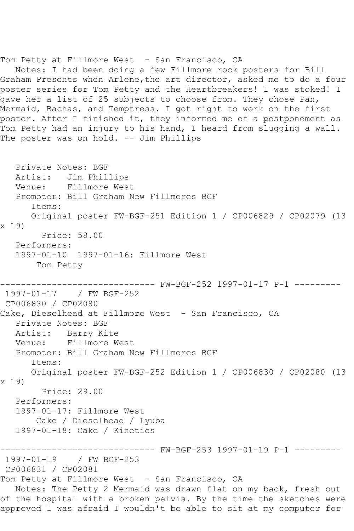Notes: I had been doing a few Fillmore rock posters for Bill Graham Presents when Arlene,the art director, asked me to do a four poster series for Tom Petty and the Heartbreakers! I was stoked! I gave her a list of 25 subjects to choose from. They chose Pan, Mermaid, Bachas, and Temptress. I got right to work on the first poster. After I finished it, they informed me of a postponement as Tom Petty had an injury to his hand, I heard from slugging a wall. The poster was on hold. -- Jim Phillips Private Notes: BGF Artist: Jim Phillips Venue: Fillmore West Promoter: Bill Graham New Fillmores BGF Items: Original poster FW-BGF-251 Edition 1 / CP006829 / CP02079 (13 x 19) Price: 58.00 Performers: 1997-01-10 1997-01-16: Fillmore West Tom Petty ------------------------------ FW-BGF-252 1997-01-17 P-1 --------- 1997-01-17 / FW BGF-252 CP006830 / CP02080 Cake, Dieselhead at Fillmore West - San Francisco, CA Private Notes: BGF Artist: Barry Kite Venue: Fillmore West Promoter: Bill Graham New Fillmores BGF Items: Original poster FW-BGF-252 Edition 1 / CP006830 / CP02080 (13 x 19) Price: 29.00 Performers: 1997-01-17: Fillmore West Cake / Dieselhead / Lyuba 1997-01-18: Cake / Kinetics ------------------------------ FW-BGF-253 1997-01-19 P-1 --------- 1997-01-19 / FW BGF-253 CP006831 / CP02081 Tom Petty at Fillmore West - San Francisco, CA Notes: The Petty 2 Mermaid was drawn flat on my back, fresh out of the hospital with a broken pelvis. By the time the sketches were approved I was afraid I wouldn't be able to sit at my computer for

Tom Petty at Fillmore West - San Francisco, CA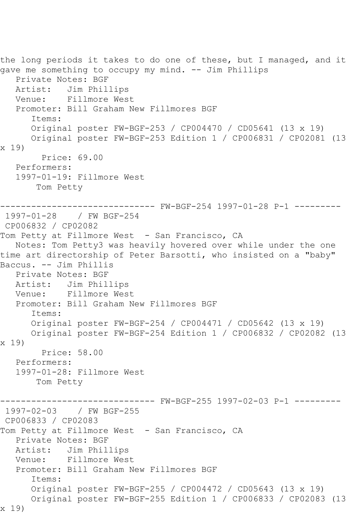the long periods it takes to do one of these, but I managed, and it gave me something to occupy my mind. -- Jim Phillips Private Notes: BGF Artist: Jim Phillips<br>Venue: Fillmore Wes Fillmore West Promoter: Bill Graham New Fillmores BGF Items: Original poster FW-BGF-253 / CP004470 / CD05641 (13 x 19) Original poster FW-BGF-253 Edition 1 / CP006831 / CP02081 (13 x 19) Price: 69.00 Performers: 1997-01-19: Fillmore West Tom Petty ------------------------------ FW-BGF-254 1997-01-28 P-1 --------- 1997-01-28 / FW BGF-254 CP006832 / CP02082 Tom Petty at Fillmore West - San Francisco, CA Notes: Tom Petty3 was heavily hovered over while under the one time art directorship of Peter Barsotti, who insisted on a "baby" Baccus. -- Jim Phillis Private Notes: BGF Artist: Jim Phillips Venue: Fillmore West Promoter: Bill Graham New Fillmores BGF Items: Original poster FW-BGF-254 / CP004471 / CD05642 (13 x 19) Original poster FW-BGF-254 Edition 1 / CP006832 / CP02082 (13 x 19) Price: 58.00 Performers: 1997-01-28: Fillmore West Tom Petty ------------------------------ FW-BGF-255 1997-02-03 P-1 --------- 1997-02-03 / FW BGF-255 CP006833 / CP02083 Tom Petty at Fillmore West - San Francisco, CA Private Notes: BGF Artist: Jim Phillips Venue: Fillmore West Promoter: Bill Graham New Fillmores BGF Items: Original poster FW-BGF-255 / CP004472 / CD05643 (13 x 19) Original poster FW-BGF-255 Edition 1 / CP006833 / CP02083 (13 x 19)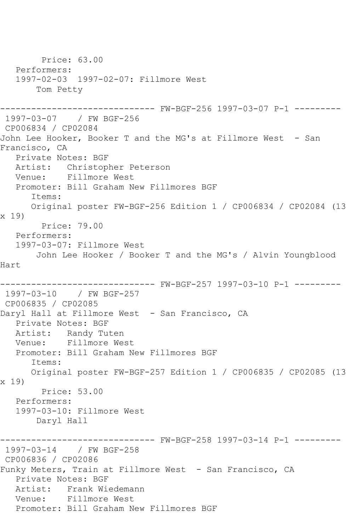Price: 63.00 Performers: 1997-02-03 1997-02-07: Fillmore West Tom Petty ------------------------------ FW-BGF-256 1997-03-07 P-1 --------- 1997-03-07 / FW BGF-256 CP006834 / CP02084 John Lee Hooker, Booker T and the MG's at Fillmore West - San Francisco, CA Private Notes: BGF Artist: Christopher Peterson Venue: Fillmore West Promoter: Bill Graham New Fillmores BGF Items: Original poster FW-BGF-256 Edition 1 / CP006834 / CP02084 (13 x 19) Price: 79.00 Performers: 1997-03-07: Fillmore West John Lee Hooker / Booker T and the MG's / Alvin Youngblood Hart ------------------------------ FW-BGF-257 1997-03-10 P-1 --------- 1997-03-10 / FW BGF-257 CP006835 / CP02085 Daryl Hall at Fillmore West - San Francisco, CA Private Notes: BGF Artist: Randy Tuten Venue: Fillmore West Promoter: Bill Graham New Fillmores BGF Items: Original poster FW-BGF-257 Edition 1 / CP006835 / CP02085 (13 x 19) Price: 53.00 Performers: 1997-03-10: Fillmore West Daryl Hall ------------------------------ FW-BGF-258 1997-03-14 P-1 --------- 1997-03-14 / FW BGF-258 CP006836 / CP02086 Funky Meters, Train at Fillmore West - San Francisco, CA Private Notes: BGF Artist: Frank Wiedemann Venue: Fillmore West Promoter: Bill Graham New Fillmores BGF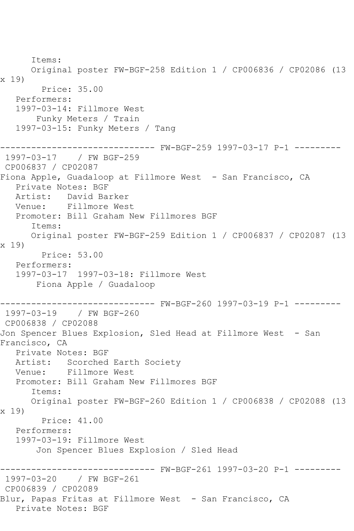Items: Original poster FW-BGF-258 Edition 1 / CP006836 / CP02086 (13 x 19) Price: 35.00 Performers: 1997-03-14: Fillmore West Funky Meters / Train 1997-03-15: Funky Meters / Tang ------------------------------ FW-BGF-259 1997-03-17 P-1 --------- 1997-03-17 / FW BGF-259 CP006837 / CP02087 Fiona Apple, Guadaloop at Fillmore West - San Francisco, CA Private Notes: BGF Artist: David Barker Venue: Fillmore West Promoter: Bill Graham New Fillmores BGF Items: Original poster FW-BGF-259 Edition 1 / CP006837 / CP02087 (13 x 19) Price: 53.00 Performers: 1997-03-17 1997-03-18: Fillmore West Fiona Apple / Guadaloop ------------------------------ FW-BGF-260 1997-03-19 P-1 --------- 1997-03-19 / FW BGF-260 CP006838 / CP02088 Jon Spencer Blues Explosion, Sled Head at Fillmore West - San Francisco, CA Private Notes: BGF Artist: Scorched Earth Society Venue: Fillmore West Promoter: Bill Graham New Fillmores BGF Items: Original poster FW-BGF-260 Edition 1 / CP006838 / CP02088 (13 x 19) Price: 41.00 Performers: 1997-03-19: Fillmore West Jon Spencer Blues Explosion / Sled Head ------------------------------ FW-BGF-261 1997-03-20 P-1 --------- 1997-03-20 / FW BGF-261 CP006839 / CP02089 Blur, Papas Fritas at Fillmore West - San Francisco, CA Private Notes: BGF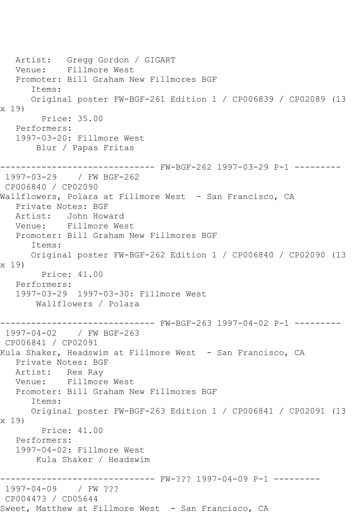Artist: Gregg Gordon / GIGART Venue: Fillmore West Promoter: Bill Graham New Fillmores BGF Items: Original poster FW-BGF-261 Edition 1 / CP006839 / CP02089 (13 x 19) Price: 35.00 Performers: 1997-03-20: Fillmore West Blur / Papas Fritas ------------------------------ FW-BGF-262 1997-03-29 P-1 --------- 1997-03-29 / FW BGF-262 CP006840 / CP02090 Wallflowers, Polara at Fillmore West - San Francisco, CA Private Notes: BGF Artist: John Howard Venue: Fillmore West Promoter: Bill Graham New Fillmores BGF Items: Original poster FW-BGF-262 Edition 1 / CP006840 / CP02090 (13 x 19) Price: 41.00 Performers: 1997-03-29 1997-03-30: Fillmore West Wallflowers / Polara ------------------------------ FW-BGF-263 1997-04-02 P-1 --------- 1997-04-02 / FW BGF-263 CP006841 / CP02091 Kula Shaker, Headswim at Fillmore West - San Francisco, CA Private Notes: BGF Artist: Rex Ray<br>Venue: Fillmore Fillmore West Promoter: Bill Graham New Fillmores BGF Items: Original poster FW-BGF-263 Edition 1 / CP006841 / CP02091 (13 x 19) Price: 41.00 Performers: 1997-04-02: Fillmore West Kula Shaker / Headswim ------------------------------ FW-??? 1997-04-09 P-1 --------- 1997-04-09 / FW ??? CP004473 / CD05644 Sweet, Matthew at Fillmore West - San Francisco, CA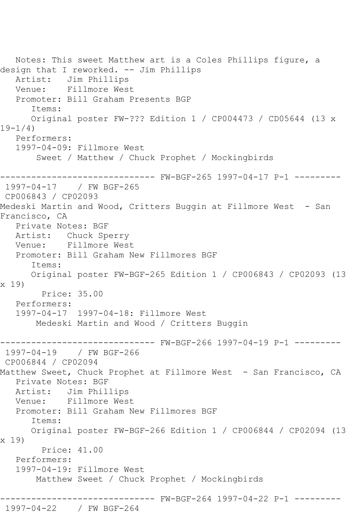Notes: This sweet Matthew art is a Coles Phillips figure, a design that I reworked. -- Jim Phillips Artist: Jim Phillips Venue: Fillmore West Promoter: Bill Graham Presents BGP Items: Original poster FW-??? Edition 1 / CP004473 / CD05644 (13 x 19-1/4) Performers: 1997-04-09: Fillmore West Sweet / Matthew / Chuck Prophet / Mockingbirds ------------------------------ FW-BGF-265 1997-04-17 P-1 --------- 1997-04-17 / FW BGF-265 CP006843 / CP02093 Medeski Martin and Wood, Critters Buggin at Fillmore West - San Francisco, CA Private Notes: BGF Artist: Chuck Sperry Venue: Fillmore West Promoter: Bill Graham New Fillmores BGF Items: Original poster FW-BGF-265 Edition 1 / CP006843 / CP02093 (13 x 19) Price: 35.00 Performers: 1997-04-17 1997-04-18: Fillmore West Medeski Martin and Wood / Critters Buggin ------------------------------ FW-BGF-266 1997-04-19 P-1 --------- 1997-04-19 / FW BGF-266 CP006844 / CP02094 Matthew Sweet, Chuck Prophet at Fillmore West - San Francisco, CA Private Notes: BGF Artist: Jim Phillips Venue: Fillmore West Promoter: Bill Graham New Fillmores BGF Items: Original poster FW-BGF-266 Edition 1 / CP006844 / CP02094 (13 x 19) Price: 41.00 Performers: 1997-04-19: Fillmore West Matthew Sweet / Chuck Prophet / Mockingbirds ------------------------------ FW-BGF-264 1997-04-22 P-1 --------- 1997-04-22 / FW BGF-264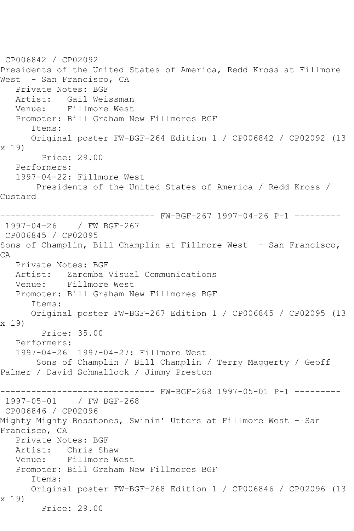CP006842 / CP02092 Presidents of the United States of America, Redd Kross at Fillmore West - San Francisco, CA Private Notes: BGF Artist: Gail Weissman Venue: Fillmore West Promoter: Bill Graham New Fillmores BGF Items: Original poster FW-BGF-264 Edition 1 / CP006842 / CP02092 (13 x 19) Price: 29.00 Performers: 1997-04-22: Fillmore West Presidents of the United States of America / Redd Kross / Custard ------------------------------ FW-BGF-267 1997-04-26 P-1 --------- 1997-04-26 / FW BGF-267 CP006845 / CP02095 Sons of Champlin, Bill Champlin at Fillmore West - San Francisco, CA Private Notes: BGF Artist: Zaremba Visual Communications Venue: Fillmore West Promoter: Bill Graham New Fillmores BGF Items: Original poster FW-BGF-267 Edition 1 / CP006845 / CP02095 (13 x 19) Price: 35.00 Performers: 1997-04-26 1997-04-27: Fillmore West Sons of Champlin / Bill Champlin / Terry Maggerty / Geoff Palmer / David Schmallock / Jimmy Preston ------------------------------ FW-BGF-268 1997-05-01 P-1 --------- 1997-05-01 / FW BGF-268 CP006846 / CP02096 Mighty Mighty Bosstones, Swinin' Utters at Fillmore West - San Francisco, CA Private Notes: BGF Artist: Chris Shaw Venue: Fillmore West Promoter: Bill Graham New Fillmores BGF Items: Original poster FW-BGF-268 Edition 1 / CP006846 / CP02096 (13 x 19) Price: 29.00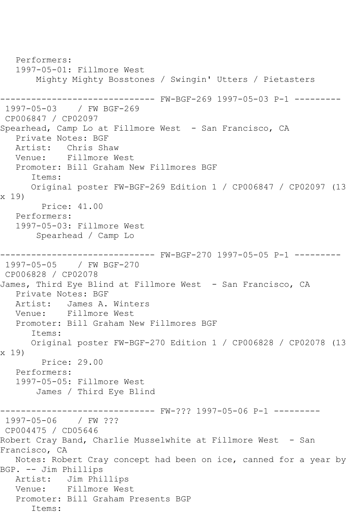Performers: 1997-05-01: Fillmore West Mighty Mighty Bosstones / Swingin' Utters / Pietasters ------------------------------ FW-BGF-269 1997-05-03 P-1 --------- 1997-05-03 / FW BGF-269 CP006847 / CP02097 Spearhead, Camp Lo at Fillmore West - San Francisco, CA Private Notes: BGF Artist: Chris Shaw Venue: Fillmore West Promoter: Bill Graham New Fillmores BGF Items: Original poster FW-BGF-269 Edition 1 / CP006847 / CP02097 (13 x 19) Price: 41.00 Performers: 1997-05-03: Fillmore West Spearhead / Camp Lo ------------------------------ FW-BGF-270 1997-05-05 P-1 --------- 1997-05-05 / FW BGF-270 CP006828 / CP02078 James, Third Eye Blind at Fillmore West - San Francisco, CA Private Notes: BGF Artist: James A. Winters Venue: Fillmore West Promoter: Bill Graham New Fillmores BGF Items: Original poster FW-BGF-270 Edition 1 / CP006828 / CP02078 (13 x 19) Price: 29.00 Performers: 1997-05-05: Fillmore West James / Third Eye Blind ------------------------------ FW-??? 1997-05-06 P-1 --------- 1997-05-06 / FW ??? CP004475 / CD05646 Robert Cray Band, Charlie Musselwhite at Fillmore West - San Francisco, CA Notes: Robert Cray concept had been on ice, canned for a year by BGP. -- Jim Phillips Artist: Jim Phillips Venue: Fillmore West Promoter: Bill Graham Presents BGP Items: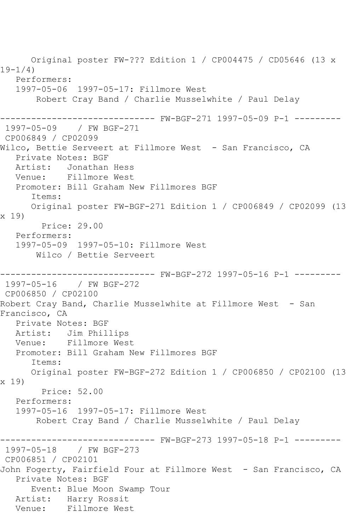Original poster FW-??? Edition 1 / CP004475 / CD05646 (13 x 19-1/4) Performers: 1997-05-06 1997-05-17: Fillmore West Robert Cray Band / Charlie Musselwhite / Paul Delay ------------------------------ FW-BGF-271 1997-05-09 P-1 --------- 1997-05-09 / FW BGF-271 CP006849 / CP02099 Wilco, Bettie Serveert at Fillmore West - San Francisco, CA Private Notes: BGF Artist: Jonathan Hess Venue: Fillmore West Promoter: Bill Graham New Fillmores BGF Items: Original poster FW-BGF-271 Edition 1 / CP006849 / CP02099 (13 x 19) Price: 29.00 Performers: 1997-05-09 1997-05-10: Fillmore West Wilco / Bettie Serveert ------------------------------ FW-BGF-272 1997-05-16 P-1 --------- 1997-05-16 / FW BGF-272 CP006850 / CP02100 Robert Cray Band, Charlie Musselwhite at Fillmore West - San Francisco, CA Private Notes: BGF Artist: Jim Phillips Venue: Fillmore West Promoter: Bill Graham New Fillmores BGF Items: Original poster FW-BGF-272 Edition 1 / CP006850 / CP02100 (13 x 19) Price: 52.00 Performers: 1997-05-16 1997-05-17: Fillmore West Robert Cray Band / Charlie Musselwhite / Paul Delay ------------------------------ FW-BGF-273 1997-05-18 P-1 --------- 1997-05-18 / FW BGF-273 CP006851 / CP02101 John Fogerty, Fairfield Four at Fillmore West - San Francisco, CA Private Notes: BGF Event: Blue Moon Swamp Tour Artist: Harry Rossit Venue: Fillmore West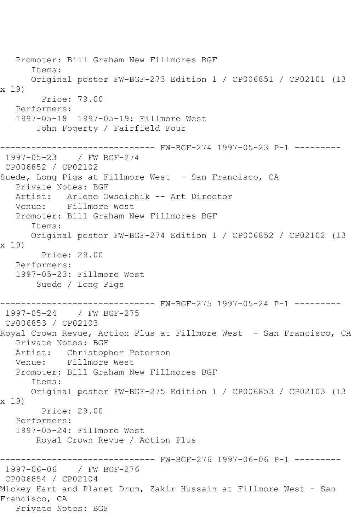Promoter: Bill Graham New Fillmores BGF Items: Original poster FW-BGF-273 Edition 1 / CP006851 / CP02101 (13 x 19) Price: 79.00 Performers: 1997-05-18 1997-05-19: Fillmore West John Fogerty / Fairfield Four ------------------------------ FW-BGF-274 1997-05-23 P-1 --------- 1997-05-23 / FW BGF-274 CP006852 / CP02102 Suede, Long Pigs at Fillmore West - San Francisco, CA Private Notes: BGF Artist: Arlene Owseichik -- Art Director Venue: Fillmore West Promoter: Bill Graham New Fillmores BGF Items: Original poster FW-BGF-274 Edition 1 / CP006852 / CP02102 (13 x 19) Price: 29.00 Performers: 1997-05-23: Fillmore West Suede / Long Pigs ------------------------------ FW-BGF-275 1997-05-24 P-1 --------- 1997-05-24 / FW BGF-275 CP006853 / CP02103 Royal Crown Revue, Action Plus at Fillmore West - San Francisco, CA Private Notes: BGF Artist: Christopher Peterson Venue: Fillmore West Promoter: Bill Graham New Fillmores BGF Items: Original poster FW-BGF-275 Edition 1 / CP006853 / CP02103 (13 x 19) Price: 29.00 Performers: 1997-05-24: Fillmore West Royal Crown Revue / Action Plus ------------------------------ FW-BGF-276 1997-06-06 P-1 --------- 1997-06-06 / FW BGF-276 CP006854 / CP02104 Mickey Hart and Planet Drum, Zakir Hussain at Fillmore West - San Francisco, CA Private Notes: BGF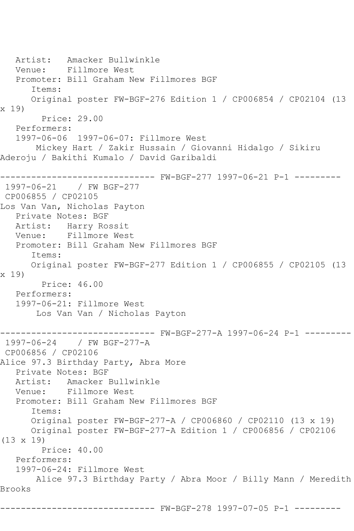```
 Artist: Amacker Bullwinkle
   Venue: Fillmore West
   Promoter: Bill Graham New Fillmores BGF
       Items:
       Original poster FW-BGF-276 Edition 1 / CP006854 / CP02104 (13 
x 19)
         Price: 29.00
   Performers:
    1997-06-06 1997-06-07: Fillmore West
        Mickey Hart / Zakir Hussain / Giovanni Hidalgo / Sikiru 
Aderoju / Bakithi Kumalo / David Garibaldi
------------------------------ FW-BGF-277 1997-06-21 P-1 ---------
1997-06-21 / FW BGF-277
CP006855 / CP02105
Los Van Van, Nicholas Payton
   Private Notes: BGF
   Artist: Harry Rossit
   Venue: Fillmore West
   Promoter: Bill Graham New Fillmores BGF
       Items:
       Original poster FW-BGF-277 Edition 1 / CP006855 / CP02105 (13 
x 19)
         Price: 46.00
   Performers:
    1997-06-21: Fillmore West
        Los Van Van / Nicholas Payton
                     ------------------------------ FW-BGF-277-A 1997-06-24 P-1 ---------
1997-06-24 / FW BGF-277-A
CP006856 / CP02106
Alice 97.3 Birthday Party, Abra More
   Private Notes: BGF
   Artist: Amacker Bullwinkle
   Venue: Fillmore West
    Promoter: Bill Graham New Fillmores BGF
       Items:
       Original poster FW-BGF-277-A / CP006860 / CP02110 (13 x 19)
       Original poster FW-BGF-277-A Edition 1 / CP006856 / CP02106 
(13 x 19)
         Price: 40.00
    Performers:
    1997-06-24: Fillmore West
       Alice 97.3 Birthday Party / Abra Moor / Billy Mann / Meredith 
Brooks
           ------------------------------ FW-BGF-278 1997-07-05 P-1 ---------
```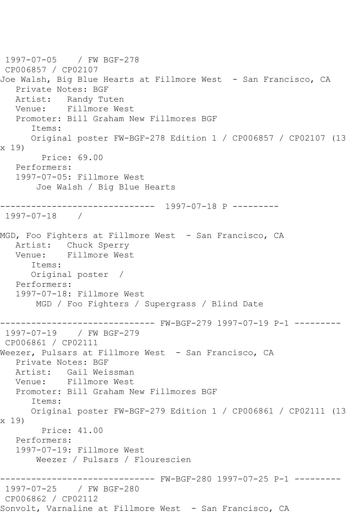1997-07-05 / FW BGF-278 CP006857 / CP02107 Joe Walsh, Big Blue Hearts at Fillmore West - San Francisco, CA Private Notes: BGF Artist: Randy Tuten Venue: Fillmore West Promoter: Bill Graham New Fillmores BGF Items: Original poster FW-BGF-278 Edition 1 / CP006857 / CP02107 (13 x 19) Price: 69.00 Performers: 1997-07-05: Fillmore West Joe Walsh / Big Blue Hearts ------------------------------ 1997-07-18 P --------- 1997-07-18 / MGD, Foo Fighters at Fillmore West - San Francisco, CA Artist: Chuck Sperry Venue: Fillmore West Items: Original poster / Performers: 1997-07-18: Fillmore West MGD / Foo Fighters / Supergrass / Blind Date ------------------------------ FW-BGF-279 1997-07-19 P-1 --------- 1997-07-19 / FW BGF-279 CP006861 / CP02111 Weezer, Pulsars at Fillmore West - San Francisco, CA Private Notes: BGF Artist: Gail Weissman<br>Venue: Fillmore West Fillmore West Promoter: Bill Graham New Fillmores BGF Items: Original poster FW-BGF-279 Edition 1 / CP006861 / CP02111 (13 x 19) Price: 41.00 Performers: 1997-07-19: Fillmore West Weezer / Pulsars / Flourescien ------------------------------ FW-BGF-280 1997-07-25 P-1 --------- 1997-07-25 / FW BGF-280 CP006862 / CP02112 Sonvolt, Varnaline at Fillmore West - San Francisco, CA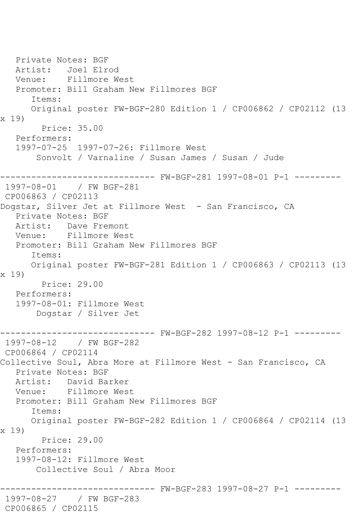Private Notes: BGF Artist: Joel Elrod Venue: Fillmore West Promoter: Bill Graham New Fillmores BGF Items: Original poster FW-BGF-280 Edition 1 / CP006862 / CP02112 (13 x 19) Price: 35.00 Performers: 1997-07-25 1997-07-26: Fillmore West Sonvolt / Varnaline / Susan James / Susan / Jude ------------------------------ FW-BGF-281 1997-08-01 P-1 --------- 1997-08-01 / FW BGF-281 CP006863 / CP02113 Dogstar, Silver Jet at Fillmore West - San Francisco, CA Private Notes: BGF Artist: Dave Fremont<br>Venue: Fillmore Wes Fillmore West Promoter: Bill Graham New Fillmores BGF Items: Original poster FW-BGF-281 Edition 1 / CP006863 / CP02113 (13 x 19) Price: 29.00 Performers: 1997-08-01: Fillmore West Dogstar / Silver Jet ------------------------------ FW-BGF-282 1997-08-12 P-1 --------- 1997-08-12 / FW BGF-282 CP006864 / CP02114 Collective Soul, Abra More at Fillmore West - San Francisco, CA Private Notes: BGF Artist: David Barker Venue: Fillmore West Promoter: Bill Graham New Fillmores BGF Items: Original poster FW-BGF-282 Edition 1 / CP006864 / CP02114 (13 x 19) Price: 29.00 Performers: 1997-08-12: Fillmore West Collective Soul / Abra Moor ------------------------------ FW-BGF-283 1997-08-27 P-1 --------- 1997-08-27 / FW BGF-283 CP006865 / CP02115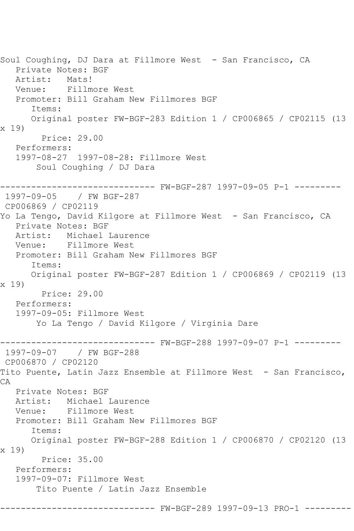Soul Coughing, DJ Dara at Fillmore West - San Francisco, CA Private Notes: BGF Artist: Mats! Venue: Fillmore West Promoter: Bill Graham New Fillmores BGF Items: Original poster FW-BGF-283 Edition 1 / CP006865 / CP02115 (13 x 19) Price: 29.00 Performers: 1997-08-27 1997-08-28: Fillmore West Soul Coughing / DJ Dara ------------------------------ FW-BGF-287 1997-09-05 P-1 --------- 1997-09-05 / FW BGF-287 CP006869 / CP02119 Yo La Tengo, David Kilgore at Fillmore West - San Francisco, CA Private Notes: BGF Artist: Michael Laurence Venue: Fillmore West Promoter: Bill Graham New Fillmores BGF Items: Original poster FW-BGF-287 Edition 1 / CP006869 / CP02119 (13 x 19) Price: 29.00 Performers: 1997-09-05: Fillmore West Yo La Tengo / David Kilgore / Virginia Dare ------------------------------ FW-BGF-288 1997-09-07 P-1 --------- 1997-09-07 / FW BGF-288 CP006870 / CP02120 Tito Puente, Latin Jazz Ensemble at Fillmore West - San Francisco, CA Private Notes: BGF Artist: Michael Laurence Venue: Fillmore West Promoter: Bill Graham New Fillmores BGF Items: Original poster FW-BGF-288 Edition 1 / CP006870 / CP02120 (13 x 19) Price: 35.00 Performers: 1997-09-07: Fillmore West Tito Puente / Latin Jazz Ensemble ------------------------------ FW-BGF-289 1997-09-13 PRO-1 ---------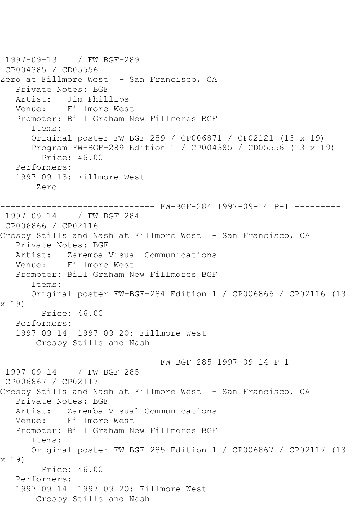```
1997-09-13 / FW BGF-289
CP004385 / CD05556
Zero at Fillmore West - San Francisco, CA
   Private Notes: BGF
   Artist: Jim Phillips
   Venue: Fillmore West
   Promoter: Bill Graham New Fillmores BGF
       Items:
      Original poster FW-BGF-289 / CP006871 / CP02121 (13 x 19)
      Program FW-BGF-289 Edition 1 / CP004385 / CD05556 (13 x 19)
         Price: 46.00
   Performers:
   1997-09-13: Fillmore West
        Zero
------------------------------ FW-BGF-284 1997-09-14 P-1 ---------
1997-09-14 / FW BGF-284
CP006866 / CP02116
Crosby Stills and Nash at Fillmore West - San Francisco, CA
   Private Notes: BGF
   Artist: Zaremba Visual Communications
   Venue: Fillmore West
   Promoter: Bill Graham New Fillmores BGF
       Items:
      Original poster FW-BGF-284 Edition 1 / CP006866 / CP02116 (13 
x 19)
         Price: 46.00
   Performers:
   1997-09-14 1997-09-20: Fillmore West
        Crosby Stills and Nash
                ------------------------------ FW-BGF-285 1997-09-14 P-1 ---------
1997-09-14 / FW BGF-285
CP006867 / CP02117
Crosby Stills and Nash at Fillmore West - San Francisco, CA
   Private Notes: BGF
   Artist: Zaremba Visual Communications
   Venue: Fillmore West
   Promoter: Bill Graham New Fillmores BGF
       Items:
      Original poster FW-BGF-285 Edition 1 / CP006867 / CP02117 (13 
x 19)
         Price: 46.00
   Performers:
   1997-09-14 1997-09-20: Fillmore West
        Crosby Stills and Nash
```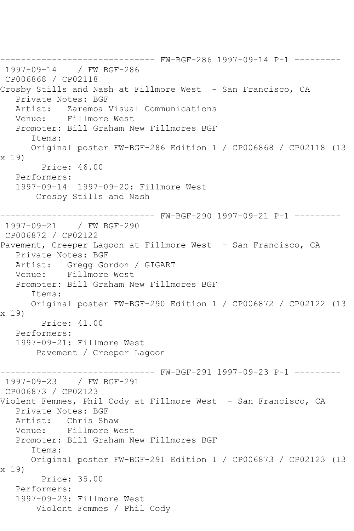------------------------------ FW-BGF-286 1997-09-14 P-1 --------- 1997-09-14 / FW BGF-286 CP006868 / CP02118 Crosby Stills and Nash at Fillmore West - San Francisco, CA Private Notes: BGF Artist: Zaremba Visual Communications Venue: Fillmore West Promoter: Bill Graham New Fillmores BGF Items: Original poster FW-BGF-286 Edition 1 / CP006868 / CP02118 (13 x 19) Price: 46.00 Performers: 1997-09-14 1997-09-20: Fillmore West Crosby Stills and Nash ------------------------------ FW-BGF-290 1997-09-21 P-1 --------- 1997-09-21 / FW BGF-290 CP006872 / CP02122 Pavement, Creeper Lagoon at Fillmore West - San Francisco, CA Private Notes: BGF Artist: Gregg Gordon / GIGART Venue: Fillmore West Promoter: Bill Graham New Fillmores BGF Items: Original poster FW-BGF-290 Edition 1 / CP006872 / CP02122 (13 x 19) Price: 41.00 Performers: 1997-09-21: Fillmore West Pavement / Creeper Lagoon ------------------------------ FW-BGF-291 1997-09-23 P-1 --------- 1997-09-23 / FW BGF-291 CP006873 / CP02123 Violent Femmes, Phil Cody at Fillmore West - San Francisco, CA Private Notes: BGF Artist: Chris Shaw Venue: Fillmore West Promoter: Bill Graham New Fillmores BGF Items: Original poster FW-BGF-291 Edition 1 / CP006873 / CP02123 (13 x 19) Price: 35.00 Performers: 1997-09-23: Fillmore West Violent Femmes / Phil Cody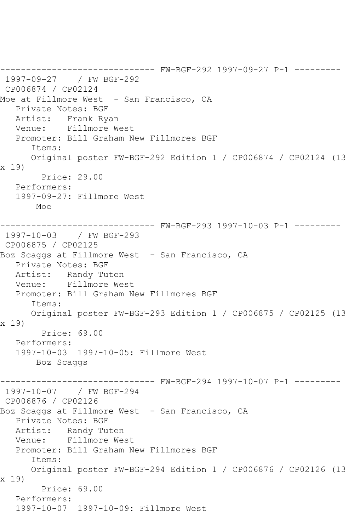------------------------------ FW-BGF-292 1997-09-27 P-1 --------- 1997-09-27 / FW BGF-292 CP006874 / CP02124 Moe at Fillmore West - San Francisco, CA Private Notes: BGF Artist: Frank Ryan Venue: Fillmore West Promoter: Bill Graham New Fillmores BGF Items: Original poster FW-BGF-292 Edition 1 / CP006874 / CP02124 (13 x 19) Price: 29.00 Performers: 1997-09-27: Fillmore West Moe ------------------------------ FW-BGF-293 1997-10-03 P-1 --------- 1997-10-03 / FW BGF-293 CP006875 / CP02125 Boz Scaggs at Fillmore West - San Francisco, CA Private Notes: BGF Artist: Randy Tuten Venue: Fillmore West Promoter: Bill Graham New Fillmores BGF Items: Original poster FW-BGF-293 Edition 1 / CP006875 / CP02125 (13 x 19) Price: 69.00 Performers: 1997-10-03 1997-10-05: Fillmore West Boz Scaggs ------------------------------ FW-BGF-294 1997-10-07 P-1 --------- 1997-10-07 / FW BGF-294 CP006876 / CP02126 Boz Scaggs at Fillmore West - San Francisco, CA Private Notes: BGF Artist: Randy Tuten Venue: Fillmore West Promoter: Bill Graham New Fillmores BGF Items: Original poster FW-BGF-294 Edition 1 / CP006876 / CP02126 (13 x 19) Price: 69.00 Performers: 1997-10-07 1997-10-09: Fillmore West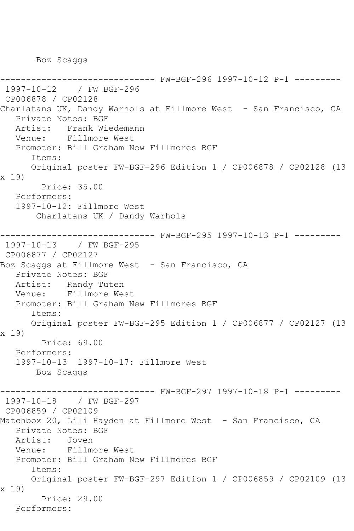Boz Scaggs

```
------------------------------ FW-BGF-296 1997-10-12 P-1 ---------
1997-10-12 / FW BGF-296
CP006878 / CP02128
Charlatans UK, Dandy Warhols at Fillmore West - San Francisco, CA
   Private Notes: BGF
   Artist: Frank Wiedemann
   Venue: Fillmore West
   Promoter: Bill Graham New Fillmores BGF
      Items:
      Original poster FW-BGF-296 Edition 1 / CP006878 / CP02128 (13 
x 19)
        Price: 35.00
   Performers:
   1997-10-12: Fillmore West
        Charlatans UK / Dandy Warhols
                 ------------------------------ FW-BGF-295 1997-10-13 P-1 ---------
1997-10-13 / FW BGF-295
CP006877 / CP02127
Boz Scaggs at Fillmore West - San Francisco, CA
   Private Notes: BGF
   Artist: Randy Tuten
   Venue: Fillmore West
   Promoter: Bill Graham New Fillmores BGF
      Items:
      Original poster FW-BGF-295 Edition 1 / CP006877 / CP02127 (13 
x 19)
        Price: 69.00
   Performers:
   1997-10-13 1997-10-17: Fillmore West
       Boz Scaggs
                        ------- FW-BGF-297 1997-10-18 P-1 ---------
1997-10-18 / FW BGF-297
CP006859 / CP02109
Matchbox 20, Lili Hayden at Fillmore West - San Francisco, CA
   Private Notes: BGF
   Artist: Joven
   Venue: Fillmore West
   Promoter: Bill Graham New Fillmores BGF
      Items:
      Original poster FW-BGF-297 Edition 1 / CP006859 / CP02109 (13 
x 19)
         Price: 29.00
   Performers:
```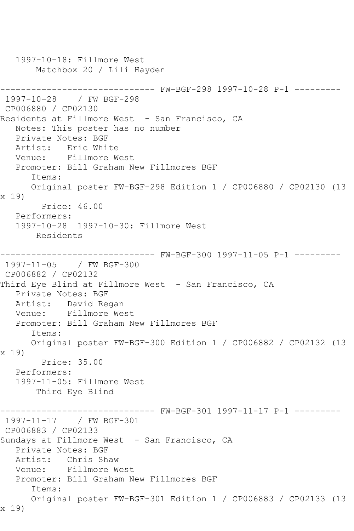```
 1997-10-18: Fillmore West
       Matchbox 20 / Lili Hayden
------------------------------ FW-BGF-298 1997-10-28 P-1 ---------
1997-10-28 / FW BGF-298
CP006880 / CP02130
Residents at Fillmore West - San Francisco, CA
   Notes: This poster has no number
   Private Notes: BGF
   Artist: Eric White
   Venue: Fillmore West
   Promoter: Bill Graham New Fillmores BGF
      Items:
      Original poster FW-BGF-298 Edition 1 / CP006880 / CP02130 (13 
x 19)
         Price: 46.00
   Performers:
   1997-10-28 1997-10-30: Fillmore West
       Residents
------------------------------ FW-BGF-300 1997-11-05 P-1 ---------
1997-11-05 / FW BGF-300
CP006882 / CP02132
Third Eye Blind at Fillmore West - San Francisco, CA
   Private Notes: BGF
   Artist: David Regan
   Venue: Fillmore West
   Promoter: Bill Graham New Fillmores BGF
      Items:
      Original poster FW-BGF-300 Edition 1 / CP006882 / CP02132 (13 
x 19)
        Price: 35.00
   Performers:
   1997-11-05: Fillmore West
       Third Eye Blind
------------------------------ FW-BGF-301 1997-11-17 P-1 ---------
1997-11-17 / FW BGF-301
CP006883 / CP02133
Sundays at Fillmore West - San Francisco, CA
   Private Notes: BGF
   Artist: Chris Shaw
   Venue: Fillmore West
   Promoter: Bill Graham New Fillmores BGF
      Items:
      Original poster FW-BGF-301 Edition 1 / CP006883 / CP02133 (13 
x 19)
```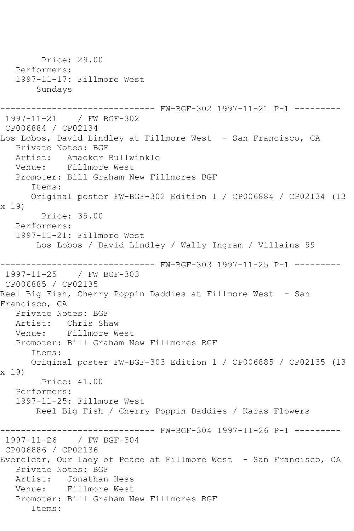Price: 29.00 Performers: 1997-11-17: Fillmore West Sundays ------------------------------ FW-BGF-302 1997-11-21 P-1 --------- 1997-11-21 / FW BGF-302 CP006884 / CP02134 Los Lobos, David Lindley at Fillmore West - San Francisco, CA Private Notes: BGF Artist: Amacker Bullwinkle<br>Venue: Fillmore West Fillmore West Promoter: Bill Graham New Fillmores BGF Items: Original poster FW-BGF-302 Edition 1 / CP006884 / CP02134 (13 x 19) Price: 35.00 Performers: 1997-11-21: Fillmore West Los Lobos / David Lindley / Wally Ingram / Villains 99 ------------------------------ FW-BGF-303 1997-11-25 P-1 --------- 1997-11-25 / FW BGF-303 CP006885 / CP02135 Reel Big Fish, Cherry Poppin Daddies at Fillmore West - San Francisco, CA Private Notes: BGF Artist: Chris Shaw Venue: Fillmore West Promoter: Bill Graham New Fillmores BGF Items: Original poster FW-BGF-303 Edition 1 / CP006885 / CP02135 (13 x 19) Price: 41.00 Performers: 1997-11-25: Fillmore West Reel Big Fish / Cherry Poppin Daddies / Karas Flowers ------------------------------ FW-BGF-304 1997-11-26 P-1 --------- 1997-11-26 / FW BGF-304 CP006886 / CP02136 Everclear, Our Lady of Peace at Fillmore West - San Francisco, CA Private Notes: BGF Artist: Jonathan Hess Venue: Fillmore West Promoter: Bill Graham New Fillmores BGF Items: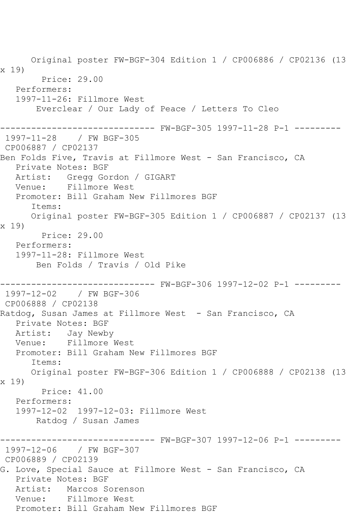Original poster FW-BGF-304 Edition 1 / CP006886 / CP02136 (13 x 19) Price: 29.00 Performers: 1997-11-26: Fillmore West Everclear / Our Lady of Peace / Letters To Cleo ------------------------------ FW-BGF-305 1997-11-28 P-1 --------- 1997-11-28 / FW BGF-305 CP006887 / CP02137 Ben Folds Five, Travis at Fillmore West - San Francisco, CA Private Notes: BGF Artist: Gregg Gordon / GIGART Venue: Fillmore West Promoter: Bill Graham New Fillmores BGF Items: Original poster FW-BGF-305 Edition 1 / CP006887 / CP02137 (13 x 19) Price: 29.00 Performers: 1997-11-28: Fillmore West Ben Folds / Travis / Old Pike ------------------------------ FW-BGF-306 1997-12-02 P-1 --------- 1997-12-02 / FW BGF-306 CP006888 / CP02138 Ratdog, Susan James at Fillmore West - San Francisco, CA Private Notes: BGF Artist: Jay Newby Venue: Fillmore West Promoter: Bill Graham New Fillmores BGF Items: Original poster FW-BGF-306 Edition 1 / CP006888 / CP02138 (13 x 19) Price: 41.00 Performers: 1997-12-02 1997-12-03: Fillmore West Ratdog / Susan James ------------------------------ FW-BGF-307 1997-12-06 P-1 --------- 1997-12-06 / FW BGF-307 CP006889 / CP02139 G. Love, Special Sauce at Fillmore West - San Francisco, CA Private Notes: BGF Artist: Marcos Sorenson Venue: Fillmore West Promoter: Bill Graham New Fillmores BGF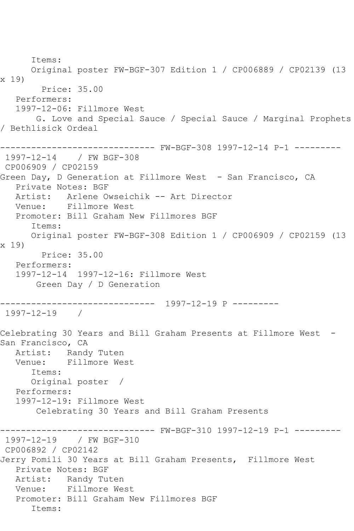Items: Original poster FW-BGF-307 Edition 1 / CP006889 / CP02139 (13 x 19) Price: 35.00 Performers: 1997-12-06: Fillmore West G. Love and Special Sauce / Special Sauce / Marginal Prophets / Bethlisick Ordeal ------------------------------ FW-BGF-308 1997-12-14 P-1 --------- 1997-12-14 / FW BGF-308 CP006909 / CP02159 Green Day, D Generation at Fillmore West - San Francisco, CA Private Notes: BGF Artist: Arlene Owseichik -- Art Director Venue: Fillmore West Promoter: Bill Graham New Fillmores BGF Items: Original poster FW-BGF-308 Edition 1 / CP006909 / CP02159 (13 x 19) Price: 35.00 Performers: 1997-12-14 1997-12-16: Fillmore West Green Day / D Generation ------------------------------ 1997-12-19 P --------- 1997-12-19 / Celebrating 30 Years and Bill Graham Presents at Fillmore West - San Francisco, CA Artist: Randy Tuten Venue: Fillmore West Items: Original poster / Performers: 1997-12-19: Fillmore West Celebrating 30 Years and Bill Graham Presents ------------------------------ FW-BGF-310 1997-12-19 P-1 --------- 1997-12-19 / FW BGF-310 CP006892 / CP02142 Jerry Pomili 30 Years at Bill Graham Presents, Fillmore West Private Notes: BGF Artist: Randy Tuten Venue: Fillmore West Promoter: Bill Graham New Fillmores BGF Items: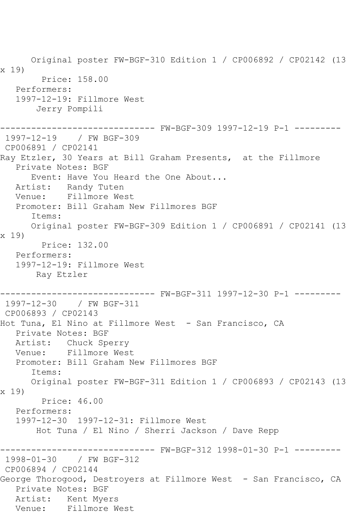Original poster FW-BGF-310 Edition 1 / CP006892 / CP02142 (13 x 19) Price: 158.00 Performers: 1997-12-19: Fillmore West Jerry Pompili ------------------------------ FW-BGF-309 1997-12-19 P-1 --------- 1997-12-19 / FW BGF-309 CP006891 / CP02141 Ray Etzler, 30 Years at Bill Graham Presents, at the Fillmore Private Notes: BGF Event: Have You Heard the One About... Artist: Randy Tuten Venue: Fillmore West Promoter: Bill Graham New Fillmores BGF Items: Original poster FW-BGF-309 Edition 1 / CP006891 / CP02141 (13 x 19) Price: 132.00 Performers: 1997-12-19: Fillmore West Ray Etzler ------------------------------ FW-BGF-311 1997-12-30 P-1 --------- 1997-12-30 / FW BGF-311 CP006893 / CP02143 Hot Tuna, El Nino at Fillmore West - San Francisco, CA Private Notes: BGF Artist: Chuck Sperry Venue: Fillmore West Promoter: Bill Graham New Fillmores BGF Items: Original poster FW-BGF-311 Edition 1 / CP006893 / CP02143 (13 x 19) Price: 46.00 Performers: 1997-12-30 1997-12-31: Fillmore West Hot Tuna / El Nino / Sherri Jackson / Dave Repp ------------------------------ FW-BGF-312 1998-01-30 P-1 --------- 1998-01-30 / FW BGF-312 CP006894 / CP02144 George Thorogood, Destroyers at Fillmore West - San Francisco, CA Private Notes: BGF Artist: Kent Myers Venue: Fillmore West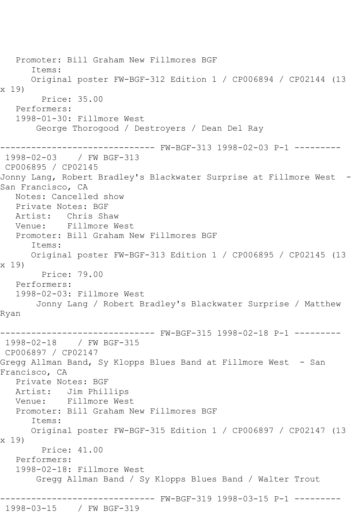Promoter: Bill Graham New Fillmores BGF Items: Original poster FW-BGF-312 Edition 1 / CP006894 / CP02144 (13 x 19) Price: 35.00 Performers: 1998-01-30: Fillmore West George Thorogood / Destroyers / Dean Del Ray ------------------------------ FW-BGF-313 1998-02-03 P-1 --------- 1998-02-03 / FW BGF-313 CP006895 / CP02145 Jonny Lang, Robert Bradley's Blackwater Surprise at Fillmore West - San Francisco, CA Notes: Cancelled show Private Notes: BGF Artist: Chris Shaw Venue: Fillmore West Promoter: Bill Graham New Fillmores BGF Items: Original poster FW-BGF-313 Edition 1 / CP006895 / CP02145 (13 x 19) Price: 79.00 Performers: 1998-02-03: Fillmore West Jonny Lang / Robert Bradley's Blackwater Surprise / Matthew Ryan ------------------------------ FW-BGF-315 1998-02-18 P-1 --------- 1998-02-18 / FW BGF-315 CP006897 / CP02147 Gregg Allman Band, Sy Klopps Blues Band at Fillmore West - San Francisco, CA Private Notes: BGF Artist: Jim Phillips Venue: Fillmore West Promoter: Bill Graham New Fillmores BGF Items: Original poster FW-BGF-315 Edition 1 / CP006897 / CP02147 (13 x 19) Price: 41.00 Performers: 1998-02-18: Fillmore West Gregg Allman Band / Sy Klopps Blues Band / Walter Trout ------------------------------ FW-BGF-319 1998-03-15 P-1 --------- 1998-03-15 / FW BGF-319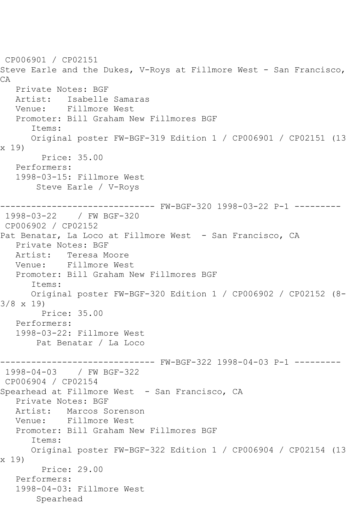CP006901 / CP02151 Steve Earle and the Dukes, V-Roys at Fillmore West - San Francisco, CA Private Notes: BGF Artist: Isabelle Samaras Venue: Fillmore West Promoter: Bill Graham New Fillmores BGF Items: Original poster FW-BGF-319 Edition 1 / CP006901 / CP02151 (13 x 19) Price: 35.00 Performers: 1998-03-15: Fillmore West Steve Earle / V-Roys ------------------------------ FW-BGF-320 1998-03-22 P-1 --------- 1998-03-22 / FW BGF-320 CP006902 / CP02152 Pat Benatar, La Loco at Fillmore West - San Francisco, CA Private Notes: BGF Artist: Teresa Moore Venue: Fillmore West Promoter: Bill Graham New Fillmores BGF Items: Original poster FW-BGF-320 Edition 1 / CP006902 / CP02152 (8-  $3/8 \times 19$  Price: 35.00 Performers: 1998-03-22: Fillmore West Pat Benatar / La Loco ------------------------------ FW-BGF-322 1998-04-03 P-1 --------- 1998-04-03 / FW BGF-322 CP006904 / CP02154 Spearhead at Fillmore West - San Francisco, CA Private Notes: BGF Artist: Marcos Sorenson Venue: Fillmore West Promoter: Bill Graham New Fillmores BGF Items: Original poster FW-BGF-322 Edition 1 / CP006904 / CP02154 (13 x 19) Price: 29.00 Performers: 1998-04-03: Fillmore West Spearhead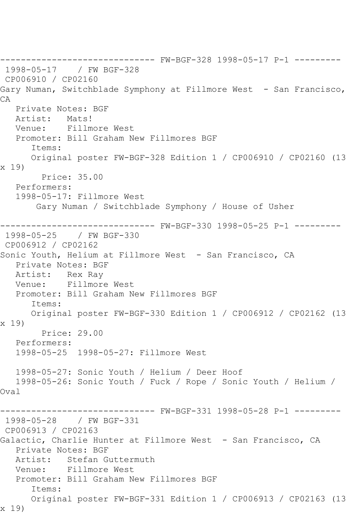------------------------------ FW-BGF-328 1998-05-17 P-1 --------- 1998-05-17 / FW BGF-328 CP006910 / CP02160 Gary Numan, Switchblade Symphony at Fillmore West - San Francisco, CA Private Notes: BGF Artist: Mats! Venue: Fillmore West Promoter: Bill Graham New Fillmores BGF Items: Original poster FW-BGF-328 Edition 1 / CP006910 / CP02160 (13 x 19) Price: 35.00 Performers: 1998-05-17: Fillmore West Gary Numan / Switchblade Symphony / House of Usher ------------------------------ FW-BGF-330 1998-05-25 P-1 --------- 1998-05-25 / FW BGF-330 CP006912 / CP02162 Sonic Youth, Helium at Fillmore West - San Francisco, CA Private Notes: BGF Artist: Rex Ray Venue: Fillmore West Promoter: Bill Graham New Fillmores BGF Items: Original poster FW-BGF-330 Edition 1 / CP006912 / CP02162 (13 x 19) Price: 29.00 Performers: 1998-05-25 1998-05-27: Fillmore West 1998-05-27: Sonic Youth / Helium / Deer Hoof 1998-05-26: Sonic Youth / Fuck / Rope / Sonic Youth / Helium / Oval ------------------------------ FW-BGF-331 1998-05-28 P-1 --------- 1998-05-28 / FW BGF-331 CP006913 / CP02163 Galactic, Charlie Hunter at Fillmore West - San Francisco, CA Private Notes: BGF Artist: Stefan Guttermuth Venue: Fillmore West Promoter: Bill Graham New Fillmores BGF Items: Original poster FW-BGF-331 Edition 1 / CP006913 / CP02163 (13 x 19)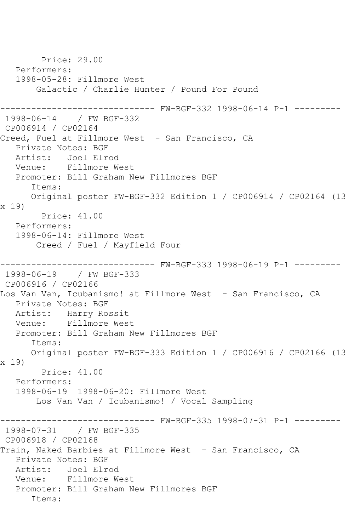Price: 29.00 Performers: 1998-05-28: Fillmore West Galactic / Charlie Hunter / Pound For Pound ------------------------------ FW-BGF-332 1998-06-14 P-1 --------- 1998-06-14 / FW BGF-332 CP006914 / CP02164 Creed, Fuel at Fillmore West - San Francisco, CA Private Notes: BGF Artist: Joel Elrod Venue: Fillmore West Promoter: Bill Graham New Fillmores BGF Items: Original poster FW-BGF-332 Edition 1 / CP006914 / CP02164 (13 x 19) Price: 41.00 Performers: 1998-06-14: Fillmore West Creed / Fuel / Mayfield Four ------------------------------ FW-BGF-333 1998-06-19 P-1 --------- 1998-06-19 / FW BGF-333 CP006916 / CP02166 Los Van Van, Icubanismo! at Fillmore West - San Francisco, CA Private Notes: BGF Artist: Harry Rossit Venue: Fillmore West Promoter: Bill Graham New Fillmores BGF Items: Original poster FW-BGF-333 Edition 1 / CP006916 / CP02166 (13 x 19) Price: 41.00 Performers: 1998-06-19 1998-06-20: Fillmore West Los Van Van / Icubanismo! / Vocal Sampling ------------------------------ FW-BGF-335 1998-07-31 P-1 --------- 1998-07-31 / FW BGF-335 CP006918 / CP02168 Train, Naked Barbies at Fillmore West - San Francisco, CA Private Notes: BGF Artist: Joel Elrod Venue: Fillmore West Promoter: Bill Graham New Fillmores BGF Items: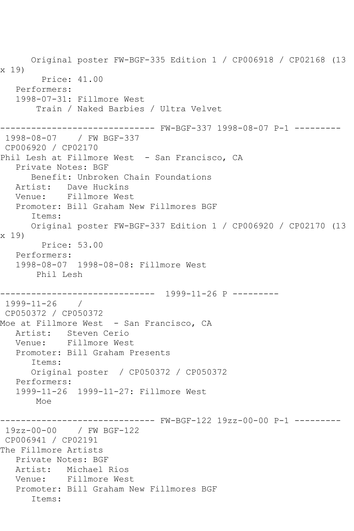Original poster FW-BGF-335 Edition 1 / CP006918 / CP02168 (13 x 19) Price: 41.00 Performers: 1998-07-31: Fillmore West Train / Naked Barbies / Ultra Velvet ------------------------------ FW-BGF-337 1998-08-07 P-1 --------- 1998-08-07 / FW BGF-337 CP006920 / CP02170 Phil Lesh at Fillmore West - San Francisco, CA Private Notes: BGF Benefit: Unbroken Chain Foundations Artist: Dave Huckins Venue: Fillmore West Promoter: Bill Graham New Fillmores BGF Items: Original poster FW-BGF-337 Edition 1 / CP006920 / CP02170 (13 x 19) Price: 53.00 Performers: 1998-08-07 1998-08-08: Fillmore West Phil Lesh ------------------------------ 1999-11-26 P --------- 1999-11-26 / CP050372 / CP050372 Moe at Fillmore West - San Francisco, CA Artist: Steven Cerio Venue: Fillmore West Promoter: Bill Graham Presents Items: Original poster / CP050372 / CP050372 Performers: 1999-11-26 1999-11-27: Fillmore West Moe ------------------------------ FW-BGF-122 19zz-00-00 P-1 --------- 19zz-00-00 / FW BGF-122 CP006941 / CP02191 The Fillmore Artists Private Notes: BGF Artist: Michael Rios Venue: Fillmore West Promoter: Bill Graham New Fillmores BGF Items: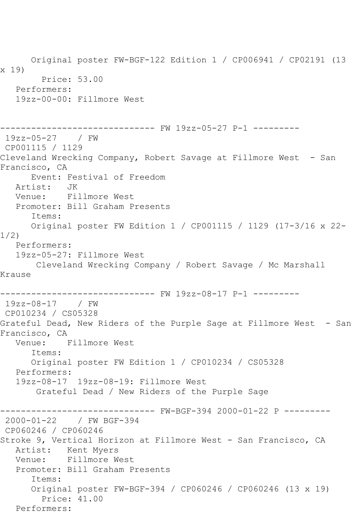Original poster FW-BGF-122 Edition 1 / CP006941 / CP02191 (13 x 19) Price: 53.00 Performers: 19zz-00-00: Fillmore West ------------------------------ FW 19zz-05-27 P-1 --------- 19zz-05-27 / FW CP001115 / 1129 Cleveland Wrecking Company, Robert Savage at Fillmore West - San Francisco, CA Event: Festival of Freedom<br>ist: JK Artist: Venue: Fillmore West Promoter: Bill Graham Presents Items: Original poster FW Edition 1 / CP001115 / 1129 (17-3/16 x 22- 1/2) Performers: 19zz-05-27: Fillmore West Cleveland Wrecking Company / Robert Savage / Mc Marshall Krause ------------------------------ FW 19zz-08-17 P-1 --------- 19zz-08-17 / FW CP010234 / CS05328 Grateful Dead, New Riders of the Purple Sage at Fillmore West - San Francisco, CA Venue: Fillmore West Items: Original poster FW Edition 1 / CP010234 / CS05328 Performers: 19zz-08-17 19zz-08-19: Fillmore West Grateful Dead / New Riders of the Purple Sage ------------------------------ FW-BGF-394 2000-01-22 P --------- 2000-01-22 / FW BGF-394 CP060246 / CP060246 Stroke 9, Vertical Horizon at Fillmore West - San Francisco, CA Artist: Kent Myers Venue: Fillmore West Promoter: Bill Graham Presents Items: Original poster FW-BGF-394 / CP060246 / CP060246 (13 x 19) Price: 41.00 Performers: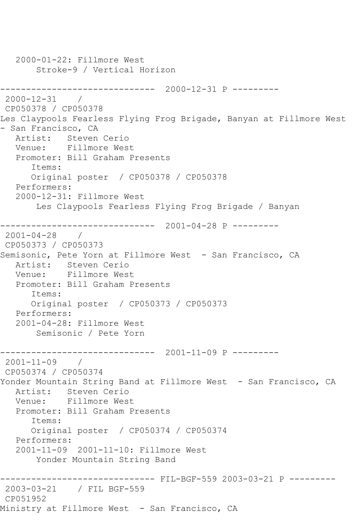2000-01-22: Fillmore West Stroke-9 / Vertical Horizon ------------------------------ 2000-12-31 P --------- 2000-12-31 / CP050378 / CP050378 Les Claypools Fearless Flying Frog Brigade, Banyan at Fillmore West - San Francisco, CA Artist: Steven Cerio Venue: Fillmore West Promoter: Bill Graham Presents Items: Original poster / CP050378 / CP050378 Performers: 2000-12-31: Fillmore West Les Claypools Fearless Flying Frog Brigade / Banyan ------------------------------ 2001-04-28 P --------- 2001-04-28 / CP050373 / CP050373 Semisonic, Pete Yorn at Fillmore West - San Francisco, CA Artist: Steven Cerio Venue: Fillmore West Promoter: Bill Graham Presents Items: Original poster / CP050373 / CP050373 Performers: 2001-04-28: Fillmore West Semisonic / Pete Yorn ------------------------------ 2001-11-09 P --------- 2001-11-09 / CP050374 / CP050374 Yonder Mountain String Band at Fillmore West - San Francisco, CA Artist: Steven Cerio Venue: Fillmore West Promoter: Bill Graham Presents Items: Original poster / CP050374 / CP050374 Performers: 2001-11-09 2001-11-10: Fillmore West Yonder Mountain String Band ------------------------------ FIL-BGF-559 2003-03-21 P --------- 2003-03-21 / FIL BGF-559 CP051952 Ministry at Fillmore West - San Francisco, CA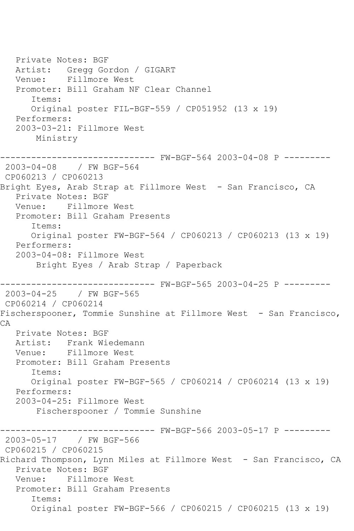Private Notes: BGF Artist: Gregg Gordon / GIGART Venue: Fillmore West Promoter: Bill Graham NF Clear Channel Items: Original poster FIL-BGF-559 / CP051952 (13 x 19) Performers: 2003-03-21: Fillmore West Ministry ------------------------------ FW-BGF-564 2003-04-08 P --------- 2003-04-08 / FW BGF-564 CP060213 / CP060213 Bright Eyes, Arab Strap at Fillmore West - San Francisco, CA Private Notes: BGF Venue: Fillmore West Promoter: Bill Graham Presents Items: Original poster FW-BGF-564 / CP060213 / CP060213 (13 x 19) Performers: 2003-04-08: Fillmore West Bright Eyes / Arab Strap / Paperback ------------------------------ FW-BGF-565 2003-04-25 P --------- 2003-04-25 / FW BGF-565 CP060214 / CP060214 Fischerspooner, Tommie Sunshine at Fillmore West - San Francisco, CA Private Notes: BGF Artist: Frank Wiedemann Venue: Fillmore West Promoter: Bill Graham Presents Items: Original poster FW-BGF-565 / CP060214 / CP060214 (13 x 19) Performers: 2003-04-25: Fillmore West Fischerspooner / Tommie Sunshine ------------------------------ FW-BGF-566 2003-05-17 P --------- 2003-05-17 / FW BGF-566 CP060215 / CP060215 Richard Thompson, Lynn Miles at Fillmore West - San Francisco, CA Private Notes: BGF Venue: Fillmore West Promoter: Bill Graham Presents Items: Original poster FW-BGF-566 / CP060215 / CP060215 (13 x 19)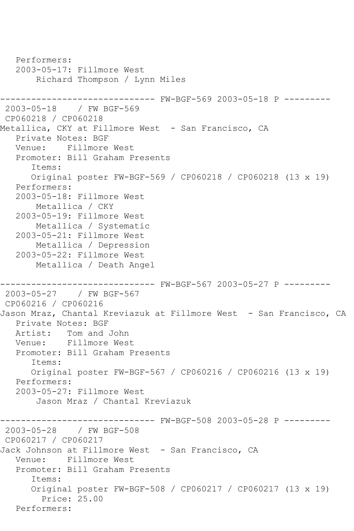```
 Performers:
   2003-05-17: Fillmore West
        Richard Thompson / Lynn Miles
------------------------------ FW-BGF-569 2003-05-18 P ---------
2003-05-18 / FW BGF-569
CP060218 / CP060218
Metallica, CKY at Fillmore West - San Francisco, CA
   Private Notes: BGF
   Venue: Fillmore West
   Promoter: Bill Graham Presents
       Items:
      Original poster FW-BGF-569 / CP060218 / CP060218 (13 x 19)
   Performers:
   2003-05-18: Fillmore West
       Metallica / CKY
   2003-05-19: Fillmore West
        Metallica / Systematic
   2003-05-21: Fillmore West
        Metallica / Depression
   2003-05-22: Fillmore West
        Metallica / Death Angel
------------------------------ FW-BGF-567 2003-05-27 P ---------
2003-05-27 / FW BGF-567
CP060216 / CP060216
Jason Mraz, Chantal Kreviazuk at Fillmore West - San Francisco, CA
   Private Notes: BGF
   Artist: Tom and John
   Venue: Fillmore West
   Promoter: Bill Graham Presents
       Items:
       Original poster FW-BGF-567 / CP060216 / CP060216 (13 x 19)
   Performers:
   2003-05-27: Fillmore West
        Jason Mraz / Chantal Kreviazuk
                     ---------- FW-BGF-508 2003-05-28 P ---------
2003-05-28 / FW BGF-508
CP060217 / CP060217
Jack Johnson at Fillmore West - San Francisco, CA
   Venue: Fillmore West
   Promoter: Bill Graham Presents
       Items:
       Original poster FW-BGF-508 / CP060217 / CP060217 (13 x 19)
         Price: 25.00
   Performers:
```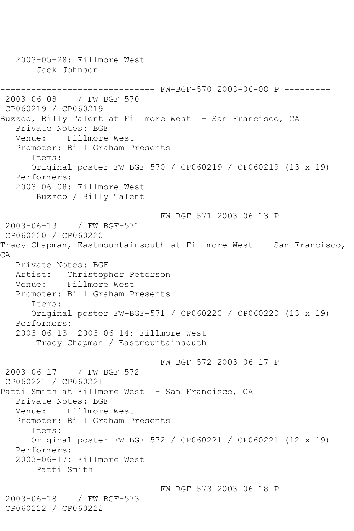2003-05-28: Fillmore West Jack Johnson ------------------------------ FW-BGF-570 2003-06-08 P --------- 2003-06-08 / FW BGF-570 CP060219 / CP060219 Buzzco, Billy Talent at Fillmore West - San Francisco, CA Private Notes: BGF Venue: Fillmore West Promoter: Bill Graham Presents Items: Original poster FW-BGF-570 / CP060219 / CP060219 (13 x 19) Performers: 2003-06-08: Fillmore West Buzzco / Billy Talent ------------------------------ FW-BGF-571 2003-06-13 P --------- 2003-06-13 / FW BGF-571 CP060220 / CP060220 Tracy Chapman, Eastmountainsouth at Fillmore West - San Francisco, CA Private Notes: BGF Artist: Christopher Peterson Venue: Fillmore West Promoter: Bill Graham Presents Items: Original poster FW-BGF-571 / CP060220 / CP060220 (13 x 19) Performers: 2003-06-13 2003-06-14: Fillmore West Tracy Chapman / Eastmountainsouth ------------------------------ FW-BGF-572 2003-06-17 P --------- 2003-06-17 / FW BGF-572 CP060221 / CP060221 Patti Smith at Fillmore West - San Francisco, CA Private Notes: BGF Venue: Fillmore West Promoter: Bill Graham Presents Items: Original poster FW-BGF-572 / CP060221 / CP060221 (12 x 19) Performers: 2003-06-17: Fillmore West Patti Smith ------------------------------ FW-BGF-573 2003-06-18 P --------- 2003-06-18 / FW BGF-573 CP060222 / CP060222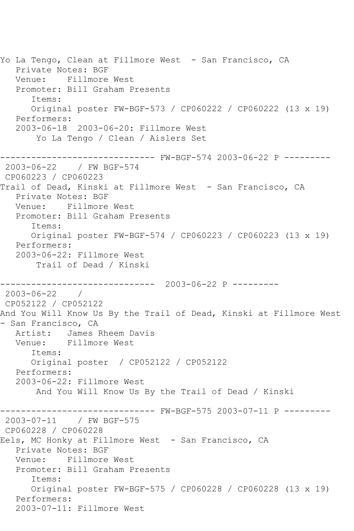Yo La Tengo, Clean at Fillmore West - San Francisco, CA Private Notes: BGF Venue: Fillmore West Promoter: Bill Graham Presents Items: Original poster FW-BGF-573 / CP060222 / CP060222 (13 x 19) Performers: 2003-06-18 2003-06-20: Fillmore West Yo La Tengo / Clean / Aislers Set ------------------------------ FW-BGF-574 2003-06-22 P --------- 2003-06-22 / FW BGF-574 CP060223 / CP060223 Trail of Dead, Kinski at Fillmore West - San Francisco, CA Private Notes: BGF Venue: Fillmore West Promoter: Bill Graham Presents Items: Original poster FW-BGF-574 / CP060223 / CP060223 (13 x 19) Performers: 2003-06-22: Fillmore West Trail of Dead / Kinski ------------------------------ 2003-06-22 P --------- 2003-06-22 / CP052122 / CP052122 And You Will Know Us By the Trail of Dead, Kinski at Fillmore West - San Francisco, CA Artist: James Rheem Davis Venue: Fillmore West Items: Original poster / CP052122 / CP052122 Performers: 2003-06-22: Fillmore West And You Will Know Us By the Trail of Dead / Kinski ------------------------------ FW-BGF-575 2003-07-11 P --------- 2003-07-11 / FW BGF-575 CP060228 / CP060228 Eels, MC Honky at Fillmore West - San Francisco, CA Private Notes: BGF Venue: Fillmore West Promoter: Bill Graham Presents Items: Original poster FW-BGF-575 / CP060228 / CP060228 (13 x 19) Performers: 2003-07-11: Fillmore West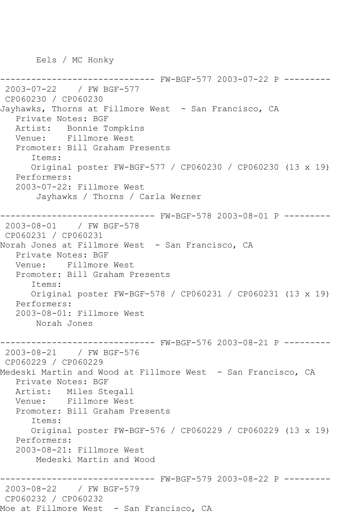Eels / MC Honky

--------- FW-BGF-577 2003-07-22 P ---------2003-07-22 / FW BGF-577 CP060230 / CP060230 Jayhawks, Thorns at Fillmore West - San Francisco, CA Private Notes: BGF Artist: Bonnie Tompkins Venue: Fillmore West Promoter: Bill Graham Presents Items: Original poster FW-BGF-577 / CP060230 / CP060230 (13 x 19) Performers: 2003-07-22: Fillmore West Jayhawks / Thorns / Carla Werner ------------------------------ FW-BGF-578 2003-08-01 P --------- 2003-08-01 / FW BGF-578 CP060231 / CP060231 Norah Jones at Fillmore West - San Francisco, CA Private Notes: BGF Venue: Fillmore West Promoter: Bill Graham Presents Items: Original poster FW-BGF-578 / CP060231 / CP060231 (13 x 19) Performers: 2003-08-01: Fillmore West Norah Jones ------------------------------ FW-BGF-576 2003-08-21 P --------- 2003-08-21 / FW BGF-576 CP060229 / CP060229 Medeski Martin and Wood at Fillmore West - San Francisco, CA Private Notes: BGF Artist: Miles Stegall Venue: Fillmore West Promoter: Bill Graham Presents Items: Original poster FW-BGF-576 / CP060229 / CP060229 (13 x 19) Performers: 2003-08-21: Fillmore West Medeski Martin and Wood ------------------------------ FW-BGF-579 2003-08-22 P --------- 2003-08-22 / FW BGF-579 CP060232 / CP060232 Moe at Fillmore West - San Francisco, CA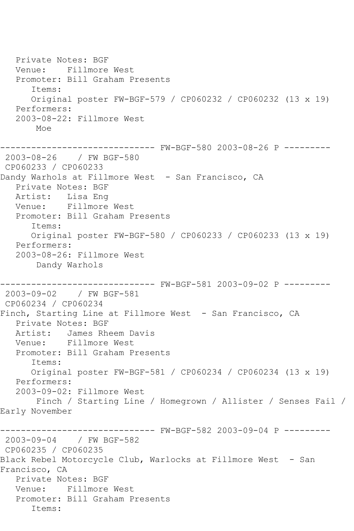Private Notes: BGF Venue: Fillmore West Promoter: Bill Graham Presents Items: Original poster FW-BGF-579 / CP060232 / CP060232 (13 x 19) Performers: 2003-08-22: Fillmore West Moe ------------------------------ FW-BGF-580 2003-08-26 P --------- 2003-08-26 / FW BGF-580 CP060233 / CP060233 Dandy Warhols at Fillmore West - San Francisco, CA Private Notes: BGF Artist: Lisa Eng Venue: Fillmore West Promoter: Bill Graham Presents Items: Original poster FW-BGF-580 / CP060233 / CP060233 (13 x 19) Performers: 2003-08-26: Fillmore West Dandy Warhols ------------------------------ FW-BGF-581 2003-09-02 P --------- 2003-09-02 / FW BGF-581 CP060234 / CP060234 Finch, Starting Line at Fillmore West - San Francisco, CA Private Notes: BGF Artist: James Rheem Davis Venue: Fillmore West Promoter: Bill Graham Presents Items: Original poster FW-BGF-581 / CP060234 / CP060234 (13 x 19) Performers: 2003-09-02: Fillmore West Finch / Starting Line / Homegrown / Allister / Senses Fail / Early November ------------------------------ FW-BGF-582 2003-09-04 P --------- 2003-09-04 / FW BGF-582 CP060235 / CP060235 Black Rebel Motorcycle Club, Warlocks at Fillmore West - San Francisco, CA Private Notes: BGF Venue: Fillmore West Promoter: Bill Graham Presents Items: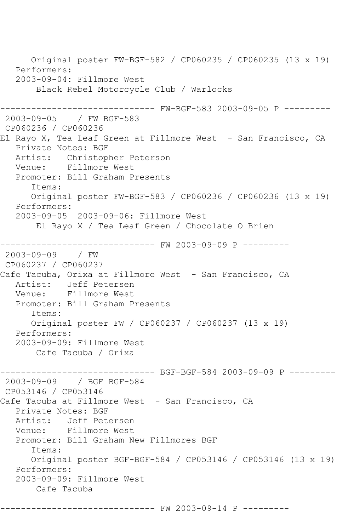Original poster FW-BGF-582 / CP060235 / CP060235 (13 x 19) Performers: 2003-09-04: Fillmore West Black Rebel Motorcycle Club / Warlocks ------------ FW-BGF-583 2003-09-05 P ---------2003-09-05 / FW BGF-583 CP060236 / CP060236 El Rayo X, Tea Leaf Green at Fillmore West - San Francisco, CA Private Notes: BGF Artist: Christopher Peterson Venue: Fillmore West Promoter: Bill Graham Presents Items: Original poster FW-BGF-583 / CP060236 / CP060236 (13 x 19) Performers: 2003-09-05 2003-09-06: Fillmore West El Rayo X / Tea Leaf Green / Chocolate O Brien ------------------------------ FW 2003-09-09 P --------- 2003-09-09 / FW CP060237 / CP060237 Cafe Tacuba, Orixa at Fillmore West - San Francisco, CA<br>Artist: Jeff Petersen Jeff Petersen Venue: Fillmore West Promoter: Bill Graham Presents Items: Original poster FW / CP060237 / CP060237 (13 x 19) Performers: 2003-09-09: Fillmore West Cafe Tacuba / Orixa ------------------------------ BGF-BGF-584 2003-09-09 P --------- 2003-09-09 / BGF BGF-584 CP053146 / CP053146 Cafe Tacuba at Fillmore West - San Francisco, CA Private Notes: BGF Artist: Jeff Petersen Venue: Fillmore West Promoter: Bill Graham New Fillmores BGF Items: Original poster BGF-BGF-584 / CP053146 / CP053146 (13 x 19) Performers: 2003-09-09: Fillmore West Cafe Tacuba

------------------- FW 2003-09-14 P ---------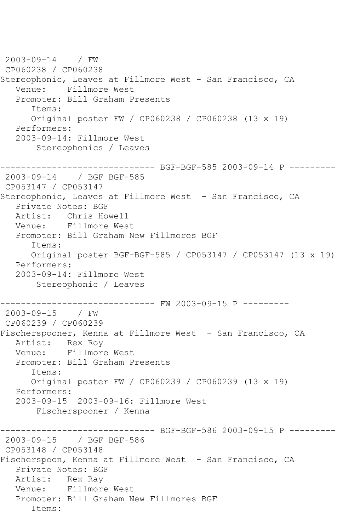2003-09-14 / FW CP060238 / CP060238 Stereophonic, Leaves at Fillmore West - San Francisco, CA Venue: Fillmore West Promoter: Bill Graham Presents Items: Original poster FW / CP060238 / CP060238 (13 x 19) Performers: 2003-09-14: Fillmore West Stereophonics / Leaves ------------------------------ BGF-BGF-585 2003-09-14 P --------- 2003-09-14 / BGF BGF-585 CP053147 / CP053147 Stereophonic, Leaves at Fillmore West - San Francisco, CA Private Notes: BGF Artist: Chris Howell Venue: Fillmore West Promoter: Bill Graham New Fillmores BGF Items: Original poster BGF-BGF-585 / CP053147 / CP053147 (13 x 19) Performers: 2003-09-14: Fillmore West Stereophonic / Leaves ------------------------------ FW 2003-09-15 P --------- 2003-09-15 / FW CP060239 / CP060239 Fischerspooner, Kenna at Fillmore West - San Francisco, CA Artist: Rex Roy Venue: Fillmore West Promoter: Bill Graham Presents Items: Original poster FW / CP060239 / CP060239 (13 x 19) Performers: 2003-09-15 2003-09-16: Fillmore West Fischerspooner / Kenna ------------------------------ BGF-BGF-586 2003-09-15 P --------- 2003-09-15 / BGF BGF-586 CP053148 / CP053148 Fischerspoon, Kenna at Fillmore West - San Francisco, CA Private Notes: BGF Artist: Rex Ray Venue: Fillmore West Promoter: Bill Graham New Fillmores BGF Items: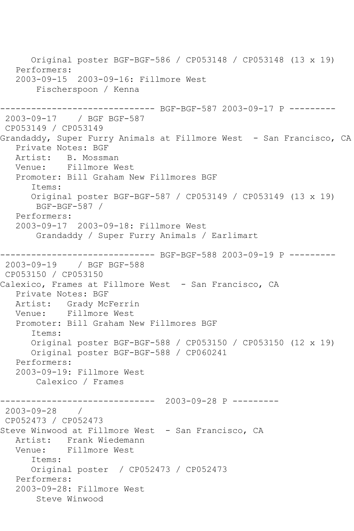Original poster BGF-BGF-586 / CP053148 / CP053148 (13 x 19) Performers: 2003-09-15 2003-09-16: Fillmore West Fischerspoon / Kenna ----------- BGF-BGF-587 2003-09-17 P ---------2003-09-17 / BGF BGF-587 CP053149 / CP053149 Grandaddy, Super Furry Animals at Fillmore West - San Francisco, CA Private Notes: BGF Artist: B. Mossman<br>Venue: Fillmore W Fillmore West Promoter: Bill Graham New Fillmores BGF Items: Original poster BGF-BGF-587 / CP053149 / CP053149 (13 x 19) BGF-BGF-587 / Performers: 2003-09-17 2003-09-18: Fillmore West Grandaddy / Super Furry Animals / Earlimart ------------------------------ BGF-BGF-588 2003-09-19 P --------- 2003-09-19 / BGF BGF-588 CP053150 / CP053150 Calexico, Frames at Fillmore West - San Francisco, CA Private Notes: BGF Artist: Grady McFerrin Venue: Fillmore West Promoter: Bill Graham New Fillmores BGF Items: Original poster BGF-BGF-588 / CP053150 / CP053150 (12 x 19) Original poster BGF-BGF-588 / CP060241 Performers: 2003-09-19: Fillmore West Calexico / Frames ------------------------------ 2003-09-28 P --------- 2003-09-28 / CP052473 / CP052473 Steve Winwood at Fillmore West - San Francisco, CA Artist: Frank Wiedemann Venue: Fillmore West Items: Original poster / CP052473 / CP052473 Performers: 2003-09-28: Fillmore West Steve Winwood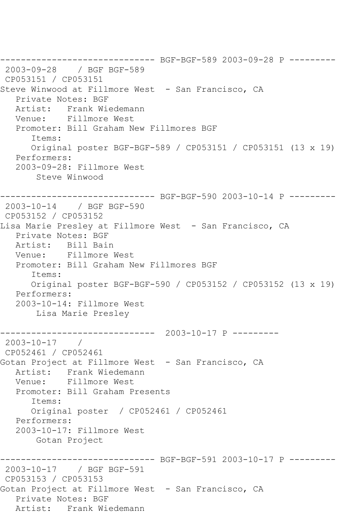------------------------------ BGF-BGF-589 2003-09-28 P --------- 2003-09-28 / BGF BGF-589 CP053151 / CP053151 Steve Winwood at Fillmore West - San Francisco, CA Private Notes: BGF Artist: Frank Wiedemann Venue: Fillmore West Promoter: Bill Graham New Fillmores BGF Items: Original poster BGF-BGF-589 / CP053151 / CP053151 (13 x 19) Performers: 2003-09-28: Fillmore West Steve Winwood ------------------------------ BGF-BGF-590 2003-10-14 P --------- 2003-10-14 / BGF BGF-590 CP053152 / CP053152 Lisa Marie Presley at Fillmore West - San Francisco, CA Private Notes: BGF Artist: Bill Bain Venue: Fillmore West Promoter: Bill Graham New Fillmores BGF Items: Original poster BGF-BGF-590 / CP053152 / CP053152 (13 x 19) Performers: 2003-10-14: Fillmore West Lisa Marie Presley ------------------------------ 2003-10-17 P --------- 2003-10-17 / CP052461 / CP052461 Gotan Project at Fillmore West - San Francisco, CA Artist: Frank Wiedemann<br>Venue: Fillmore West Fillmore West Promoter: Bill Graham Presents Items: Original poster / CP052461 / CP052461 Performers: 2003-10-17: Fillmore West Gotan Project ------------------------------ BGF-BGF-591 2003-10-17 P --------- 2003-10-17 / BGF BGF-591 CP053153 / CP053153 Gotan Project at Fillmore West - San Francisco, CA Private Notes: BGF Artist: Frank Wiedemann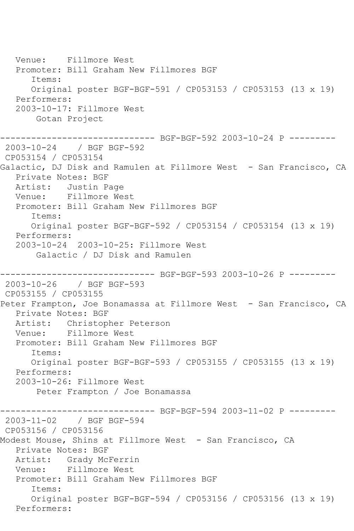Venue: Fillmore West Promoter: Bill Graham New Fillmores BGF Items: Original poster BGF-BGF-591 / CP053153 / CP053153 (13 x 19) Performers: 2003-10-17: Fillmore West Gotan Project ------------------------------ BGF-BGF-592 2003-10-24 P --------- 2003-10-24 / BGF BGF-592 CP053154 / CP053154 Galactic, DJ Disk and Ramulen at Fillmore West - San Francisco, CA Private Notes: BGF Artist: Justin Page<br>Venue: Fillmore We Fillmore West Promoter: Bill Graham New Fillmores BGF Items: Original poster BGF-BGF-592 / CP053154 / CP053154 (13 x 19) Performers: 2003-10-24 2003-10-25: Fillmore West Galactic / DJ Disk and Ramulen ------------------------------ BGF-BGF-593 2003-10-26 P --------- 2003-10-26 / BGF BGF-593 CP053155 / CP053155 Peter Frampton, Joe Bonamassa at Fillmore West - San Francisco, CA Private Notes: BGF Artist: Christopher Peterson Venue: Fillmore West Promoter: Bill Graham New Fillmores BGF Items: Original poster BGF-BGF-593 / CP053155 / CP053155 (13 x 19) Performers: 2003-10-26: Fillmore West Peter Frampton / Joe Bonamassa ------------------------------ BGF-BGF-594 2003-11-02 P --------- 2003-11-02 / BGF BGF-594 CP053156 / CP053156 Modest Mouse, Shins at Fillmore West - San Francisco, CA Private Notes: BGF Artist: Grady McFerrin Venue: Fillmore West Promoter: Bill Graham New Fillmores BGF Items: Original poster BGF-BGF-594 / CP053156 / CP053156 (13 x 19) Performers: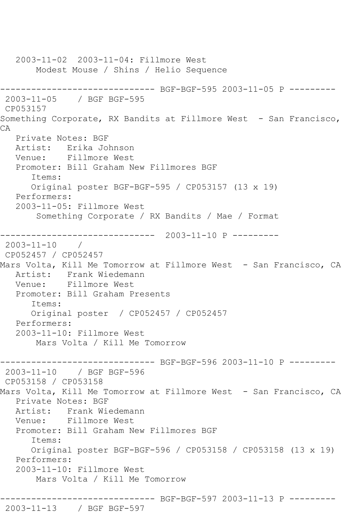2003-11-02 2003-11-04: Fillmore West Modest Mouse / Shins / Helio Sequence ------------------------------ BGF-BGF-595 2003-11-05 P --------- 2003-11-05 / BGF BGF-595 CP053157 Something Corporate, RX Bandits at Fillmore West - San Francisco, CA Private Notes: BGF Artist: Erika Johnson Venue: Fillmore West Promoter: Bill Graham New Fillmores BGF Items: Original poster BGF-BGF-595 / CP053157 (13 x 19) Performers: 2003-11-05: Fillmore West Something Corporate / RX Bandits / Mae / Format ------------------------------ 2003-11-10 P --------- 2003-11-10 / CP052457 / CP052457 Mars Volta, Kill Me Tomorrow at Fillmore West - San Francisco, CA Artist: Frank Wiedemann Venue: Fillmore West Promoter: Bill Graham Presents Items: Original poster / CP052457 / CP052457 Performers: 2003-11-10: Fillmore West Mars Volta / Kill Me Tomorrow ------------------------------ BGF-BGF-596 2003-11-10 P --------- 2003-11-10 / BGF BGF-596 CP053158 / CP053158 Mars Volta, Kill Me Tomorrow at Fillmore West - San Francisco, CA Private Notes: BGF Artist: Frank Wiedemann Venue: Fillmore West Promoter: Bill Graham New Fillmores BGF Items: Original poster BGF-BGF-596 / CP053158 / CP053158 (13 x 19) Performers: 2003-11-10: Fillmore West Mars Volta / Kill Me Tomorrow ------------------------------ BGF-BGF-597 2003-11-13 P ---------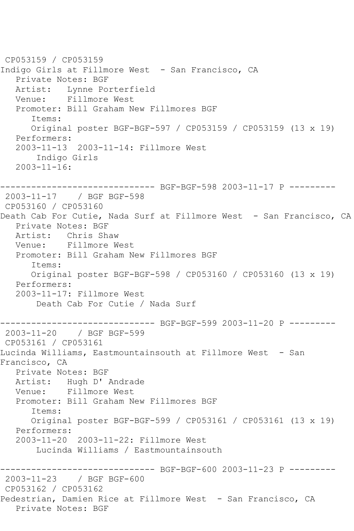```
CP053159 / CP053159
Indigo Girls at Fillmore West - San Francisco, CA
   Private Notes: BGF
  Artist: Lynne Porterfield<br>Venue: Fillmore West
           Fillmore West
   Promoter: Bill Graham New Fillmores BGF
       Items:
       Original poster BGF-BGF-597 / CP053159 / CP053159 (13 x 19)
   Performers:
   2003-11-13 2003-11-14: Fillmore West
        Indigo Girls
  2003 - 11 - 16:------------------------------ BGF-BGF-598 2003-11-17 P ---------
2003-11-17 / BGF BGF-598
CP053160 / CP053160
Death Cab For Cutie, Nada Surf at Fillmore West - San Francisco, CA
   Private Notes: BGF
   Artist: Chris Shaw
   Venue: Fillmore West
   Promoter: Bill Graham New Fillmores BGF
       Items:
      Original poster BGF-BGF-598 / CP053160 / CP053160 (13 x 19)
   Performers:
   2003-11-17: Fillmore West
        Death Cab For Cutie / Nada Surf
       ------------------------------ BGF-BGF-599 2003-11-20 P ---------
2003-11-20 / BGF BGF-599
CP053161 / CP053161
Lucinda Williams, Eastmountainsouth at Fillmore West - San 
Francisco, CA
   Private Notes: BGF
   Artist: Hugh D' Andrade
   Venue: Fillmore West
   Promoter: Bill Graham New Fillmores BGF
       Items:
      Original poster BGF-BGF-599 / CP053161 / CP053161 (13 x 19)
   Performers:
   2003-11-20 2003-11-22: Fillmore West
        Lucinda Williams / Eastmountainsouth
  ------------------------------ BGF-BGF-600 2003-11-23 P ---------
2003-11-23 / BGF BGF-600
CP053162 / CP053162
Pedestrian, Damien Rice at Fillmore West - San Francisco, CA
   Private Notes: BGF
```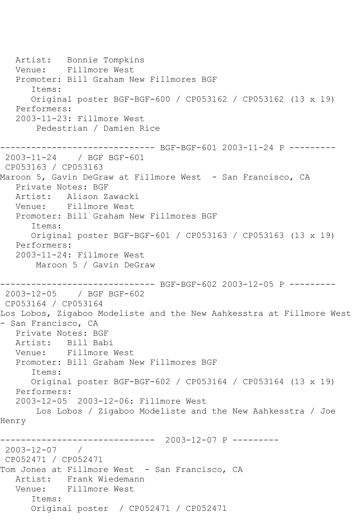Artist: Bonnie Tompkins Venue: Fillmore West Promoter: Bill Graham New Fillmores BGF Items: Original poster BGF-BGF-600 / CP053162 / CP053162 (13 x 19) Performers: 2003-11-23: Fillmore West Pedestrian / Damien Rice ------------------------------ BGF-BGF-601 2003-11-24 P --------- 2003-11-24 / BGF BGF-601 CP053163 / CP053163 Maroon 5, Gavin DeGraw at Fillmore West - San Francisco, CA Private Notes: BGF Artist: Alison Zawacki Venue: Fillmore West Promoter: Bill Graham New Fillmores BGF Items: Original poster BGF-BGF-601 / CP053163 / CP053163 (13 x 19) Performers: 2003-11-24: Fillmore West Maroon 5 / Gavin DeGraw ------------------------------ BGF-BGF-602 2003-12-05 P --------- 2003-12-05 / BGF BGF-602 CP053164 / CP053164 Los Lobos, Zigaboo Modeliste and the New Aahkesstra at Fillmore West - San Francisco, CA Private Notes: BGF Artist: Bill Babi Venue: Fillmore West Promoter: Bill Graham New Fillmores BGF Items: Original poster BGF-BGF-602 / CP053164 / CP053164 (13 x 19) Performers: 2003-12-05 2003-12-06: Fillmore West Los Lobos / Zigaboo Modeliste and the New Aahkesstra / Joe Henry ------------------------------ 2003-12-07 P --------- 2003-12-07 / CP052471 / CP052471 Tom Jones at Fillmore West - San Francisco, CA Artist: Frank Wiedemann Venue: Fillmore West Items: Original poster / CP052471 / CP052471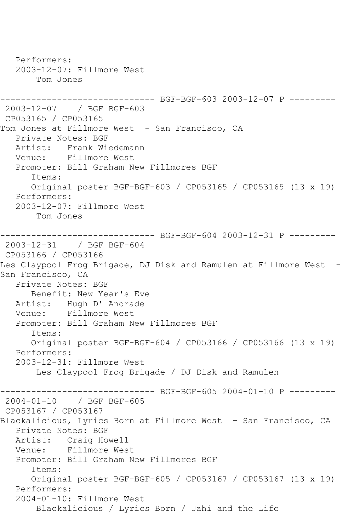Performers: 2003-12-07: Fillmore West Tom Jones ------------------------------ BGF-BGF-603 2003-12-07 P --------- 2003-12-07 / BGF BGF-603 CP053165 / CP053165 Tom Jones at Fillmore West - San Francisco, CA Private Notes: BGF Artist: Frank Wiedemann Venue: Fillmore West Promoter: Bill Graham New Fillmores BGF Items: Original poster BGF-BGF-603 / CP053165 / CP053165 (13 x 19) Performers: 2003-12-07: Fillmore West Tom Jones ---------- BGF-BGF-604 2003-12-31 P ---------2003-12-31 / BGF BGF-604 CP053166 / CP053166 Les Claypool Frog Brigade, DJ Disk and Ramulen at Fillmore West -San Francisco, CA Private Notes: BGF Benefit: New Year's Eve Artist: Hugh D' Andrade Venue: Fillmore West Promoter: Bill Graham New Fillmores BGF Items: Original poster BGF-BGF-604 / CP053166 / CP053166 (13 x 19) Performers: 2003-12-31: Fillmore West Les Claypool Frog Brigade / DJ Disk and Ramulen ---------- BGF-BGF-605 2004-01-10 P ---------2004-01-10 / BGF BGF-605 CP053167 / CP053167 Blackalicious, Lyrics Born at Fillmore West - San Francisco, CA Private Notes: BGF Artist: Craig Howell Venue: Fillmore West Promoter: Bill Graham New Fillmores BGF Items: Original poster BGF-BGF-605 / CP053167 / CP053167 (13 x 19) Performers: 2004-01-10: Fillmore West Blackalicious / Lyrics Born / Jahi and the Life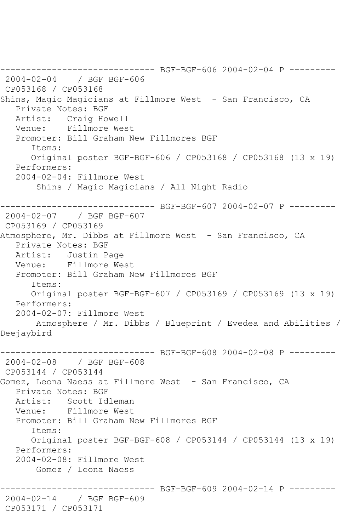------------------------------ BGF-BGF-606 2004-02-04 P --------- 2004-02-04 / BGF BGF-606 CP053168 / CP053168 Shins, Magic Magicians at Fillmore West - San Francisco, CA Private Notes: BGF Artist: Craig Howell Venue: Fillmore West Promoter: Bill Graham New Fillmores BGF Items: Original poster BGF-BGF-606 / CP053168 / CP053168 (13 x 19) Performers: 2004-02-04: Fillmore West Shins / Magic Magicians / All Night Radio ------------------------------ BGF-BGF-607 2004-02-07 P --------- 2004-02-07 / BGF BGF-607 CP053169 / CP053169 Atmosphere, Mr. Dibbs at Fillmore West - San Francisco, CA Private Notes: BGF Artist: Justin Page Venue: Fillmore West Promoter: Bill Graham New Fillmores BGF Items: Original poster BGF-BGF-607 / CP053169 / CP053169 (13 x 19) Performers: 2004-02-07: Fillmore West Atmosphere / Mr. Dibbs / Blueprint / Evedea and Abilities / Deejaybird ------------------------------ BGF-BGF-608 2004-02-08 P --------- 2004-02-08 / BGF BGF-608 CP053144 / CP053144 Gomez, Leona Naess at Fillmore West - San Francisco, CA Private Notes: BGF Artist: Scott Idleman Venue: Fillmore West Promoter: Bill Graham New Fillmores BGF Items: Original poster BGF-BGF-608 / CP053144 / CP053144 (13 x 19) Performers: 2004-02-08: Fillmore West Gomez / Leona Naess ----------- BGF-BGF-609 2004-02-14 P ---------2004-02-14 / BGF BGF-609 CP053171 / CP053171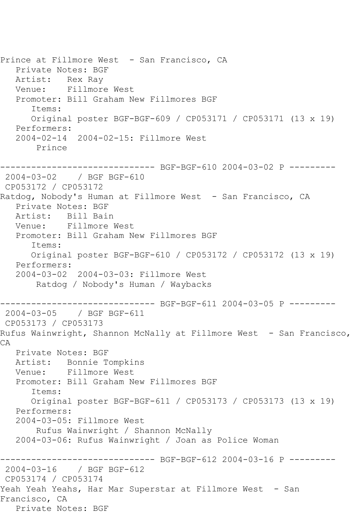Prince at Fillmore West - San Francisco, CA Private Notes: BGF Artist: Rex Ray Venue: Fillmore West Promoter: Bill Graham New Fillmores BGF Items: Original poster BGF-BGF-609 / CP053171 / CP053171 (13 x 19) Performers: 2004-02-14 2004-02-15: Fillmore West Prince ------------------------------ BGF-BGF-610 2004-03-02 P --------- 2004-03-02 / BGF BGF-610 CP053172 / CP053172 Ratdog, Nobody's Human at Fillmore West - San Francisco, CA Private Notes: BGF Artist: Bill Bain Venue: Fillmore West Promoter: Bill Graham New Fillmores BGF Items: Original poster BGF-BGF-610 / CP053172 / CP053172 (13 x 19) Performers: 2004-03-02 2004-03-03: Fillmore West Ratdog / Nobody's Human / Waybacks ------------------------------ BGF-BGF-611 2004-03-05 P --------- 2004-03-05 / BGF BGF-611 CP053173 / CP053173 Rufus Wainwright, Shannon McNally at Fillmore West - San Francisco, CA Private Notes: BGF Artist: Bonnie Tompkins Venue: Fillmore West Promoter: Bill Graham New Fillmores BGF Items: Original poster BGF-BGF-611 / CP053173 / CP053173 (13 x 19) Performers: 2004-03-05: Fillmore West Rufus Wainwright / Shannon McNally 2004-03-06: Rufus Wainwright / Joan as Police Woman ------------------------------ BGF-BGF-612 2004-03-16 P --------- 2004-03-16 / BGF BGF-612 CP053174 / CP053174 Yeah Yeah Yeahs, Har Mar Superstar at Fillmore West - San Francisco, CA Private Notes: BGF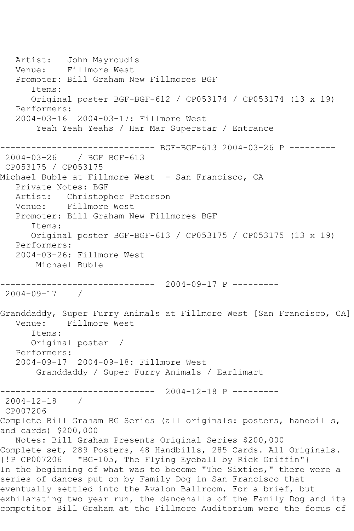Artist: John Mayroudis Venue: Fillmore West Promoter: Bill Graham New Fillmores BGF Items: Original poster BGF-BGF-612 / CP053174 / CP053174 (13 x 19) Performers: 2004-03-16 2004-03-17: Fillmore West Yeah Yeah Yeahs / Har Mar Superstar / Entrance ------------------------------ BGF-BGF-613 2004-03-26 P --------- 2004-03-26 / BGF BGF-613 CP053175 / CP053175 Michael Buble at Fillmore West - San Francisco, CA Private Notes: BGF Artist: Christopher Peterson Venue: Fillmore West Promoter: Bill Graham New Fillmores BGF Items: Original poster BGF-BGF-613 / CP053175 / CP053175 (13 x 19) Performers: 2004-03-26: Fillmore West Michael Buble ------------------------------ 2004-09-17 P --------- 2004-09-17 / Granddaddy, Super Furry Animals at Fillmore West [San Francisco, CA] Venue: Fillmore West Items: Original poster / Performers: 2004-09-17 2004-09-18: Fillmore West Granddaddy / Super Furry Animals / Earlimart ------------------------------ 2004-12-18 P --------- 2004-12-18 / CP007206 Complete Bill Graham BG Series (all originals: posters, handbills, and cards) \$200,000 Notes: Bill Graham Presents Original Series \$200,000 Complete set, 289 Posters, 48 Handbills, 285 Cards. All Originals. {!P CP007206 "BG-105, The Flying Eyeball by Rick Griffin"} In the beginning of what was to become "The Sixties," there were a series of dances put on by Family Dog in San Francisco that eventually settled into the Avalon Ballroom. For a brief, but exhilarating two year run, the dancehalls of the Family Dog and its competitor Bill Graham at the Fillmore Auditorium were the focus of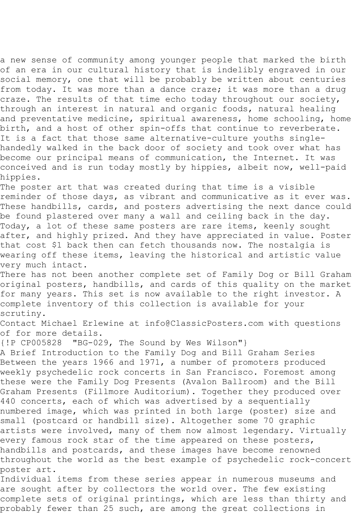a new sense of community among younger people that marked the birth of an era in our cultural history that is indelibly engraved in our social memory, one that will be probably be written about centuries from today. It was more than a dance craze; it was more than a drug craze. The results of that time echo today throughout our society, through an interest in natural and organic foods, natural healing and preventative medicine, spiritual awareness, home schooling, home birth, and a host of other spin-offs that continue to reverberate. It is a fact that those same alternative-culture youths singlehandedly walked in the back door of society and took over what has become our principal means of communication, the Internet. It was conceived and is run today mostly by hippies, albeit now, well-paid hippies.

The poster art that was created during that time is a visible reminder of those days, as vibrant and communicative as it ever was. These handbills, cards, and posters advertising the next dance could be found plastered over many a wall and ceiling back in the day. Today, a lot of these same posters are rare items, keenly sought after, and highly prized. And they have appreciated in value. Poster that cost \$1 back then can fetch thousands now. The nostalgia is wearing off these items, leaving the historical and artistic value very much intact.

There has not been another complete set of Family Dog or Bill Graham original posters, handbills, and cards of this quality on the market for many years. This set is now available to the right investor. A complete inventory of this collection is available for your scrutiny.

Contact Michael Erlewine at info@ClassicPosters.com with questions of for more details.

{!P CP005828 "BG-029, The Sound by Wes Wilson"}

A Brief Introduction to the Family Dog and Bill Graham Series Between the years 1966 and 1971, a number of promoters produced weekly psychedelic rock concerts in San Francisco. Foremost among these were the Family Dog Presents (Avalon Ballroom) and the Bill Graham Presents (Fillmore Auditorium). Together they produced over 440 concerts, each of which was advertised by a sequentially numbered image, which was printed in both large (poster) size and small (postcard or handbill size). Altogether some 70 graphic artists were involved, many of them now almost legendary. Virtually every famous rock star of the time appeared on these posters, handbills and postcards, and these images have become renowned throughout the world as the best example of psychedelic rock-concert poster art.

Individual items from these series appear in numerous museums and are sought after by collectors the world over. The few existing complete sets of original printings, which are less than thirty and probably fewer than 25 such, are among the great collections in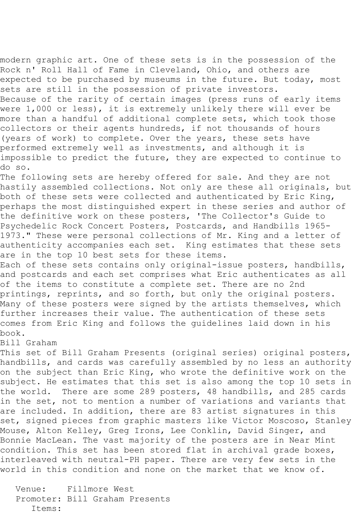modern graphic art. One of these sets is in the possession of the Rock n' Roll Hall of Fame in Cleveland, Ohio, and others are expected to be purchased by museums in the future. But today, most sets are still in the possession of private investors. Because of the rarity of certain images (press runs of early items were 1,000 or less), it is extremely unlikely there will ever be

more than a handful of additional complete sets, which took those collectors or their agents hundreds, if not thousands of hours (years of work) to complete. Over the years, these sets have performed extremely well as investments, and although it is impossible to predict the future, they are expected to continue to do so.

The following sets are hereby offered for sale. And they are not hastily assembled collections. Not only are these all originals, but both of these sets were collected and authenticated by Eric King, perhaps the most distinguished expert in these series and author of the definitive work on these posters, 'The Collector's Guide to Psychedelic Rock Concert Posters, Postcards, and Handbills 1965- 1973." These were personal collections of Mr. King and a letter of authenticity accompanies each set. King estimates that these sets are in the top 10 best sets for these items.

Each of these sets contains only original-issue posters, handbills, and postcards and each set comprises what Eric authenticates as all of the items to constitute a complete set. There are no 2nd printings, reprints, and so forth, but only the original posters. Many of these posters were signed by the artists themselves, which further increases their value. The authentication of these sets comes from Eric King and follows the guidelines laid down in his book.

## Bill Graham

This set of Bill Graham Presents (original series) original posters, handbills, and cards was carefully assembled by no less an authority on the subject than Eric King, who wrote the definitive work on the subject. He estimates that this set is also among the top 10 sets in the world. There are some 289 posters, 48 handbills, and 285 cards in the set, not to mention a number of variations and variants that are included. In addition, there are 83 artist signatures in this set, signed pieces from graphic masters like Victor Moscoso, Stanley Mouse, Alton Kelley, Greg Irons, Lee Conklin, David Singer, and Bonnie MacLean. The vast majority of the posters are in Near Mint condition. This set has been stored flat in archival grade boxes, interleaved with neutral-PH paper. There are very few sets in the world in this condition and none on the market that we know of.

 Venue: Fillmore West Promoter: Bill Graham Presents Items: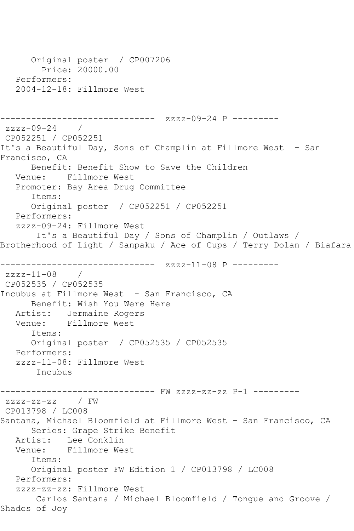```
 Original poster / CP007206
         Price: 20000.00
   Performers:
   2004-12-18: Fillmore West
------------------------------ zzzz-09-24 P ---------
zzzz-09-24 / 
CP052251 / CP052251
It's a Beautiful Day, Sons of Champlin at Fillmore West - San 
Francisco, CA
       Benefit: Benefit Show to Save the Children
   Venue: Fillmore West
   Promoter: Bay Area Drug Committee
       Items:
       Original poster / CP052251 / CP052251
   Performers:
   zzzz-09-24: Fillmore West
        It's a Beautiful Day / Sons of Champlin / Outlaws / 
Brotherhood of Light / Sanpaku / Ace of Cups / Terry Dolan / Biafara
------------------------------ zzzz-11-08 P ---------
zzzz-11-08 / 
CP052535 / CP052535
Incubus at Fillmore West - San Francisco, CA
      Benefit: Wish You Were Here
   Artist: Jermaine Rogers
   Venue: Fillmore West
       Items:
       Original poster / CP052535 / CP052535
   Performers:
   zzzz-11-08: Fillmore West
        Incubus
                    ------------------------------ FW zzzz-zz-zz P-1 ---------
zzzz-zz-zz / FW 
CP013798 / LC008
Santana, Michael Bloomfield at Fillmore West - San Francisco, CA
      Series: Grape Strike Benefit
   Artist: Lee Conklin
   Venue: Fillmore West
       Items:
       Original poster FW Edition 1 / CP013798 / LC008
   Performers:
   zzzz-zz-zz: Fillmore West
        Carlos Santana / Michael Bloomfield / Tongue and Groove / 
Shades of Joy
```